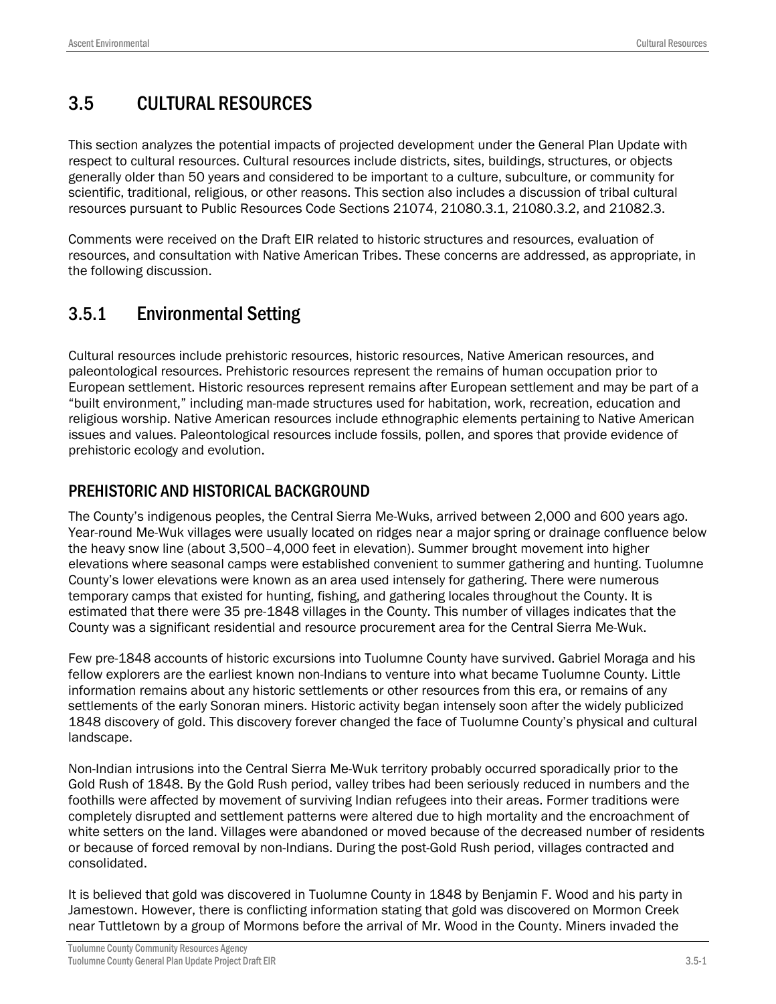# 3.5 CULTURAL RESOURCES

This section analyzes the potential impacts of projected development under the General Plan Update with respect to cultural resources. Cultural resources include districts, sites, buildings, structures, or objects generally older than 50 years and considered to be important to a culture, subculture, or community for scientific, traditional, religious, or other reasons. This section also includes a discussion of tribal cultural resources pursuant to Public Resources Code Sections 21074, 21080.3.1, 21080.3.2, and 21082.3.

Comments were received on the Draft EIR related to historic structures and resources, evaluation of resources, and consultation with Native American Tribes. These concerns are addressed, as appropriate, in the following discussion.

# 3.5.1 Environmental Setting

Cultural resources include prehistoric resources, historic resources, Native American resources, and paleontological resources. Prehistoric resources represent the remains of human occupation prior to European settlement. Historic resources represent remains after European settlement and may be part of a "built environment," including man-made structures used for habitation, work, recreation, education and religious worship. Native American resources include ethnographic elements pertaining to Native American issues and values. Paleontological resources include fossils, pollen, and spores that provide evidence of prehistoric ecology and evolution.

## PREHISTORIC AND HISTORICAL BACKGROUND

The County's indigenous peoples, the Central Sierra Me-Wuks, arrived between 2,000 and 600 years ago. Year-round Me-Wuk villages were usually located on ridges near a major spring or drainage confluence below the heavy snow line (about 3,500–4,000 feet in elevation). Summer brought movement into higher elevations where seasonal camps were established convenient to summer gathering and hunting. Tuolumne County's lower elevations were known as an area used intensely for gathering. There were numerous temporary camps that existed for hunting, fishing, and gathering locales throughout the County. It is estimated that there were 35 pre-1848 villages in the County. This number of villages indicates that the County was a significant residential and resource procurement area for the Central Sierra Me-Wuk.

Few pre-1848 accounts of historic excursions into Tuolumne County have survived. Gabriel Moraga and his fellow explorers are the earliest known non-Indians to venture into what became Tuolumne County. Little information remains about any historic settlements or other resources from this era, or remains of any settlements of the early Sonoran miners. Historic activity began intensely soon after the widely publicized 1848 discovery of gold. This discovery forever changed the face of Tuolumne County's physical and cultural landscape.

Non-Indian intrusions into the Central Sierra Me-Wuk territory probably occurred sporadically prior to the Gold Rush of 1848. By the Gold Rush period, valley tribes had been seriously reduced in numbers and the foothills were affected by movement of surviving Indian refugees into their areas. Former traditions were completely disrupted and settlement patterns were altered due to high mortality and the encroachment of white setters on the land. Villages were abandoned or moved because of the decreased number of residents or because of forced removal by non-Indians. During the post-Gold Rush period, villages contracted and consolidated.

It is believed that gold was discovered in Tuolumne County in 1848 by Benjamin F. Wood and his party in Jamestown. However, there is conflicting information stating that gold was discovered on Mormon Creek near Tuttletown by a group of Mormons before the arrival of Mr. Wood in the County. Miners invaded the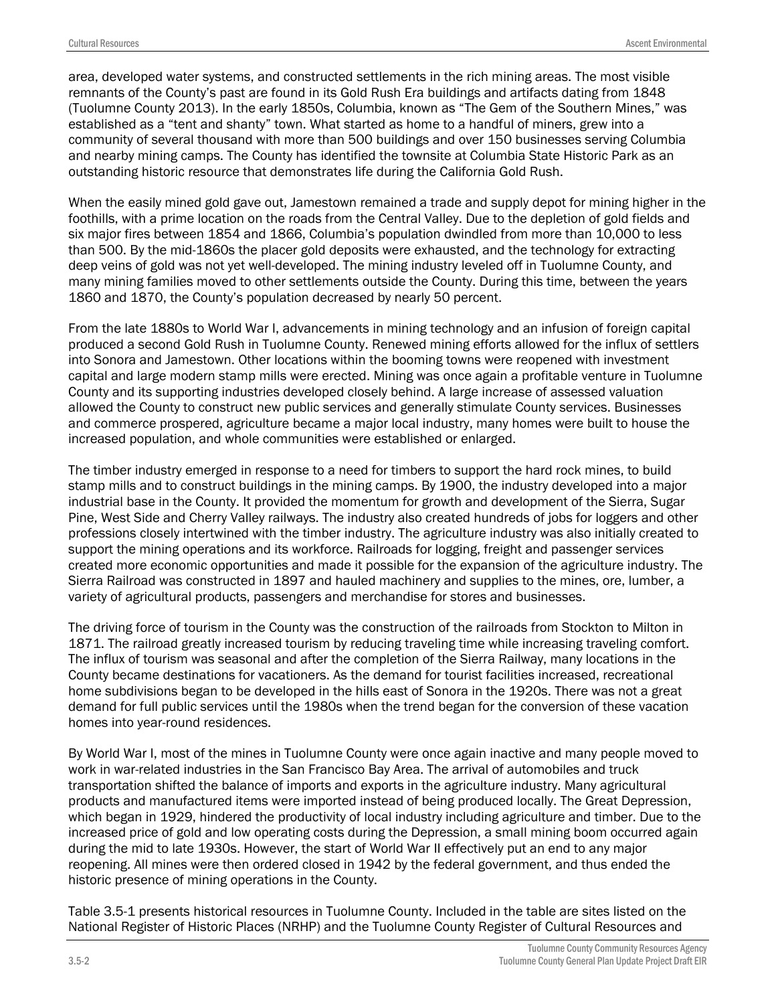area, developed water systems, and constructed settlements in the rich mining areas. The most visible remnants of the County's past are found in its Gold Rush Era buildings and artifacts dating from 1848 (Tuolumne County 2013). In the early 1850s, Columbia, known as "The Gem of the Southern Mines," was established as a "tent and shanty" town. What started as home to a handful of miners, grew into a community of several thousand with more than 500 buildings and over 150 businesses serving Columbia and nearby mining camps. The County has identified the townsite at Columbia State Historic Park as an outstanding historic resource that demonstrates life during the California Gold Rush.

When the easily mined gold gave out, Jamestown remained a trade and supply depot for mining higher in the foothills, with a prime location on the roads from the Central Valley. Due to the depletion of gold fields and six major fires between 1854 and 1866, Columbia's population dwindled from more than 10,000 to less than 500. By the mid-1860s the placer gold deposits were exhausted, and the technology for extracting deep veins of gold was not yet well-developed. The mining industry leveled off in Tuolumne County, and many mining families moved to other settlements outside the County. During this time, between the years 1860 and 1870, the County's population decreased by nearly 50 percent.

From the late 1880s to World War I, advancements in mining technology and an infusion of foreign capital produced a second Gold Rush in Tuolumne County. Renewed mining efforts allowed for the influx of settlers into Sonora and Jamestown. Other locations within the booming towns were reopened with investment capital and large modern stamp mills were erected. Mining was once again a profitable venture in Tuolumne County and its supporting industries developed closely behind. A large increase of assessed valuation allowed the County to construct new public services and generally stimulate County services. Businesses and commerce prospered, agriculture became a major local industry, many homes were built to house the increased population, and whole communities were established or enlarged.

The timber industry emerged in response to a need for timbers to support the hard rock mines, to build stamp mills and to construct buildings in the mining camps. By 1900, the industry developed into a major industrial base in the County. It provided the momentum for growth and development of the Sierra, Sugar Pine, West Side and Cherry Valley railways. The industry also created hundreds of jobs for loggers and other professions closely intertwined with the timber industry. The agriculture industry was also initially created to support the mining operations and its workforce. Railroads for logging, freight and passenger services created more economic opportunities and made it possible for the expansion of the agriculture industry. The Sierra Railroad was constructed in 1897 and hauled machinery and supplies to the mines, ore, lumber, a variety of agricultural products, passengers and merchandise for stores and businesses.

The driving force of tourism in the County was the construction of the railroads from Stockton to Milton in 1871. The railroad greatly increased tourism by reducing traveling time while increasing traveling comfort. The influx of tourism was seasonal and after the completion of the Sierra Railway, many locations in the County became destinations for vacationers. As the demand for tourist facilities increased, recreational home subdivisions began to be developed in the hills east of Sonora in the 1920s. There was not a great demand for full public services until the 1980s when the trend began for the conversion of these vacation homes into year-round residences.

By World War I, most of the mines in Tuolumne County were once again inactive and many people moved to work in war-related industries in the San Francisco Bay Area. The arrival of automobiles and truck transportation shifted the balance of imports and exports in the agriculture industry. Many agricultural products and manufactured items were imported instead of being produced locally. The Great Depression, which began in 1929, hindered the productivity of local industry including agriculture and timber. Due to the increased price of gold and low operating costs during the Depression, a small mining boom occurred again during the mid to late 1930s. However, the start of World War II effectively put an end to any major reopening. All mines were then ordered closed in 1942 by the federal government, and thus ended the historic presence of mining operations in the County.

Table 3.5-1 presents historical resources in Tuolumne County. Included in the table are sites listed on the National Register of Historic Places (NRHP) and the Tuolumne County Register of Cultural Resources and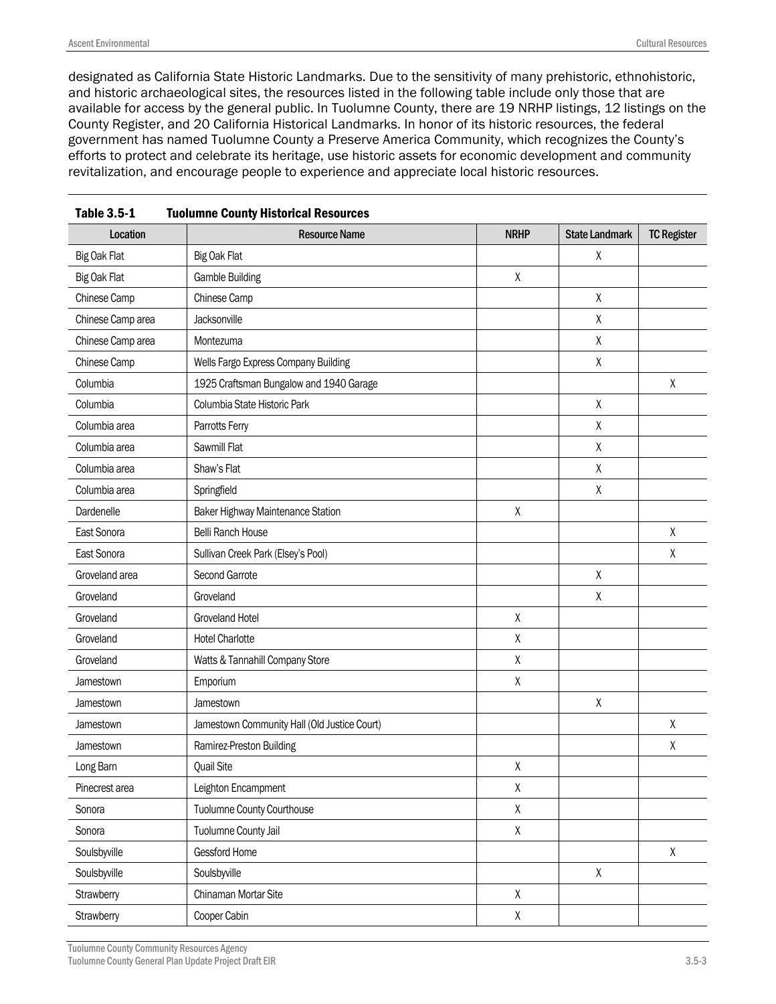designated as California State Historic Landmarks. Due to the sensitivity of many prehistoric, ethnohistoric, and historic archaeological sites, the resources listed in the following table include only those that are available for access by the general public. In Tuolumne County, there are 19 NRHP listings, 12 listings on the County Register, and 20 California Historical Landmarks. In honor of its historic resources, the federal government has named Tuolumne County a Preserve America Community, which recognizes the County's efforts to protect and celebrate its heritage, use historic assets for economic development and community revitalization, and encourage people to experience and appreciate local historic resources.

| Location          | <b>Resource Name</b>                         | <b>NRHP</b>                                         | <b>State Landmark</b> | <b>TC Register</b> |
|-------------------|----------------------------------------------|-----------------------------------------------------|-----------------------|--------------------|
| Big Oak Flat      | Big Oak Flat                                 |                                                     | $\pmb{\chi}$          |                    |
| Big Oak Flat      | <b>Gamble Building</b>                       | $\pmb{\chi}$                                        |                       |                    |
| Chinese Camp      | Chinese Camp                                 |                                                     | χ                     |                    |
| Chinese Camp area | Jacksonville                                 |                                                     | χ                     |                    |
| Chinese Camp area | Montezuma                                    |                                                     | $\pmb{\chi}$          |                    |
| Chinese Camp      | Wells Fargo Express Company Building         |                                                     | $\pmb{\chi}$          |                    |
| Columbia          | 1925 Craftsman Bungalow and 1940 Garage      |                                                     |                       | $\pmb{\chi}$       |
| Columbia          | Columbia State Historic Park                 |                                                     | Χ                     |                    |
| Columbia area     | Parrotts Ferry                               |                                                     | χ                     |                    |
| Columbia area     | Sawmill Flat                                 |                                                     | $\pmb{\chi}$          |                    |
| Columbia area     | Shaw's Flat                                  |                                                     | χ                     |                    |
| Columbia area     | Springfield                                  |                                                     | χ                     |                    |
| Dardenelle        | Baker Highway Maintenance Station            | Χ                                                   |                       |                    |
| East Sonora       | Belli Ranch House                            |                                                     |                       | $\pmb{\chi}$       |
| East Sonora       | Sullivan Creek Park (Elsey's Pool)           |                                                     |                       | χ                  |
| Groveland area    | Second Garrote                               |                                                     | $\pmb{\chi}$          |                    |
| Groveland         | Groveland                                    |                                                     | χ                     |                    |
| Groveland         | <b>Groveland Hotel</b>                       | Χ                                                   |                       |                    |
| Groveland         | <b>Hotel Charlotte</b>                       | Χ                                                   |                       |                    |
| Groveland         | Watts & Tannahill Company Store              | Χ                                                   |                       |                    |
| Jamestown         | Emporium                                     | χ                                                   |                       |                    |
| Jamestown         | Jamestown                                    |                                                     | χ                     |                    |
| Jamestown         | Jamestown Community Hall (Old Justice Court) |                                                     |                       | χ                  |
| Jamestown         | Ramirez-Preston Building                     |                                                     |                       | χ                  |
| Long Barn         | <b>Quail Site</b>                            | Χ                                                   |                       |                    |
| Pinecrest area    | Leighton Encampment                          | χ                                                   |                       |                    |
| Sonora            | Tuolumne County Courthouse                   | $\sf X$                                             |                       |                    |
| Sonora            | Tuolumne County Jail                         | $\pmb{\chi}$                                        |                       |                    |
| Soulsbyville      | Gessford Home                                |                                                     |                       | $\chi$             |
| Soulsbyville      | Soulsbyville                                 |                                                     | $\mathsf{X}$          |                    |
| Strawberry        | Chinaman Mortar Site                         | $\mathsf{X}% _{0}^{\prime}=\mathsf{X}_{0}^{\prime}$ |                       |                    |
| Strawberry        | Cooper Cabin                                 | $\pmb{\chi}$                                        |                       |                    |

| Table 3.5-1 | <b>Tuolumne County Historical Resources</b> |  |
|-------------|---------------------------------------------|--|
|             |                                             |  |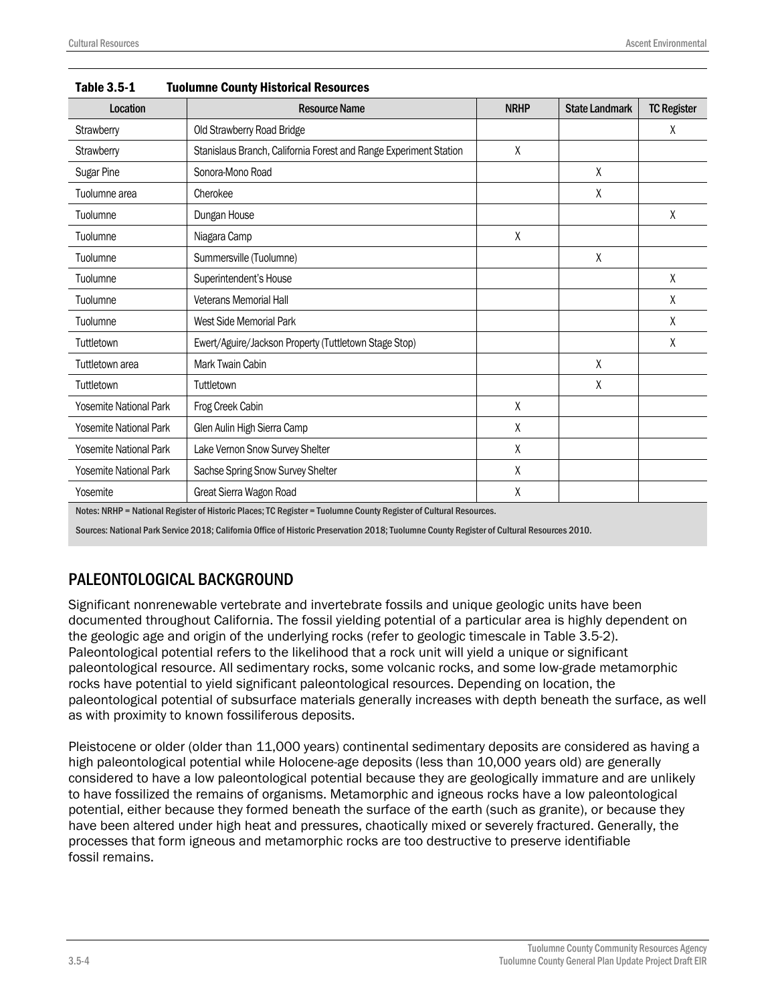| Location                                                                                                          | <b>Resource Name</b>                                              | <b>NRHP</b> | <b>State Landmark</b> | <b>TC Register</b> |
|-------------------------------------------------------------------------------------------------------------------|-------------------------------------------------------------------|-------------|-----------------------|--------------------|
| Strawberry                                                                                                        | Old Strawberry Road Bridge                                        |             |                       | χ                  |
| Strawberry                                                                                                        | Stanislaus Branch, California Forest and Range Experiment Station | χ           |                       |                    |
| Sugar Pine                                                                                                        | Sonora-Mono Road                                                  |             | χ                     |                    |
| Tuolumne area                                                                                                     | Cherokee                                                          |             | χ                     |                    |
| Tuolumne                                                                                                          | Dungan House                                                      |             |                       | χ                  |
| Tuolumne                                                                                                          | Niagara Camp                                                      | X           |                       |                    |
| Tuolumne                                                                                                          | Summersville (Tuolumne)                                           |             | χ                     |                    |
| Tuolumne                                                                                                          | Superintendent's House                                            |             |                       | X                  |
| Tuolumne                                                                                                          | <b>Veterans Memorial Hall</b>                                     |             |                       | χ                  |
| Tuolumne                                                                                                          | West Side Memorial Park                                           |             |                       | χ                  |
| Tuttletown                                                                                                        | Ewert/Aguire/Jackson Property (Tuttletown Stage Stop)             |             |                       | χ                  |
| Tuttletown area                                                                                                   | Mark Twain Cabin                                                  |             | χ                     |                    |
| Tuttletown                                                                                                        | Tuttletown                                                        |             | χ                     |                    |
| Yosemite National Park                                                                                            | Frog Creek Cabin                                                  | χ           |                       |                    |
| Yosemite National Park                                                                                            | Glen Aulin High Sierra Camp                                       | χ           |                       |                    |
| Yosemite National Park                                                                                            | Lake Vernon Snow Survey Shelter                                   | X           |                       |                    |
| Yosemite National Park                                                                                            | Sachse Spring Snow Survey Shelter                                 | Χ           |                       |                    |
| Yosemite                                                                                                          | Great Sierra Wagon Road                                           | X           |                       |                    |
| Notes: NRHP = National Register of Historic Places; TC Register = Tuolumne County Register of Cultural Resources. |                                                                   |             |                       |                    |

| Table 3.5-1<br><b>Tuolumne County Historical Resources</b> |  |
|------------------------------------------------------------|--|
|------------------------------------------------------------|--|

Sources: National Park Service 2018; California Office of Historic Preservation 2018; Tuolumne County Register of Cultural Resources 2010.

## PALEONTOLOGICAL BACKGROUND

Significant nonrenewable vertebrate and invertebrate fossils and unique geologic units have been documented throughout California. The fossil yielding potential of a particular area is highly dependent on the geologic age and origin of the underlying rocks (refer to geologic timescale in [Table 3.5-2](#page-3-0)). Paleontological potential refers to the likelihood that a rock unit will yield a unique or significant paleontological resource. All sedimentary rocks, some volcanic rocks, and some low-grade metamorphic rocks have potential to yield significant paleontological resources. Depending on location, the paleontological potential of subsurface materials generally increases with depth beneath the surface, as well as with proximity to known fossiliferous deposits.

<span id="page-3-0"></span>Pleistocene or older (older than 11,000 years) continental sedimentary deposits are considered as having a high paleontological potential while Holocene-age deposits (less than 10,000 years old) are generally considered to have a low paleontological potential because they are geologically immature and are unlikely to have fossilized the remains of organisms. Metamorphic and igneous rocks have a low paleontological potential, either because they formed beneath the surface of the earth (such as granite), or because they have been altered under high heat and pressures, chaotically mixed or severely fractured. Generally, the processes that form igneous and metamorphic rocks are too destructive to preserve identifiable fossil remains.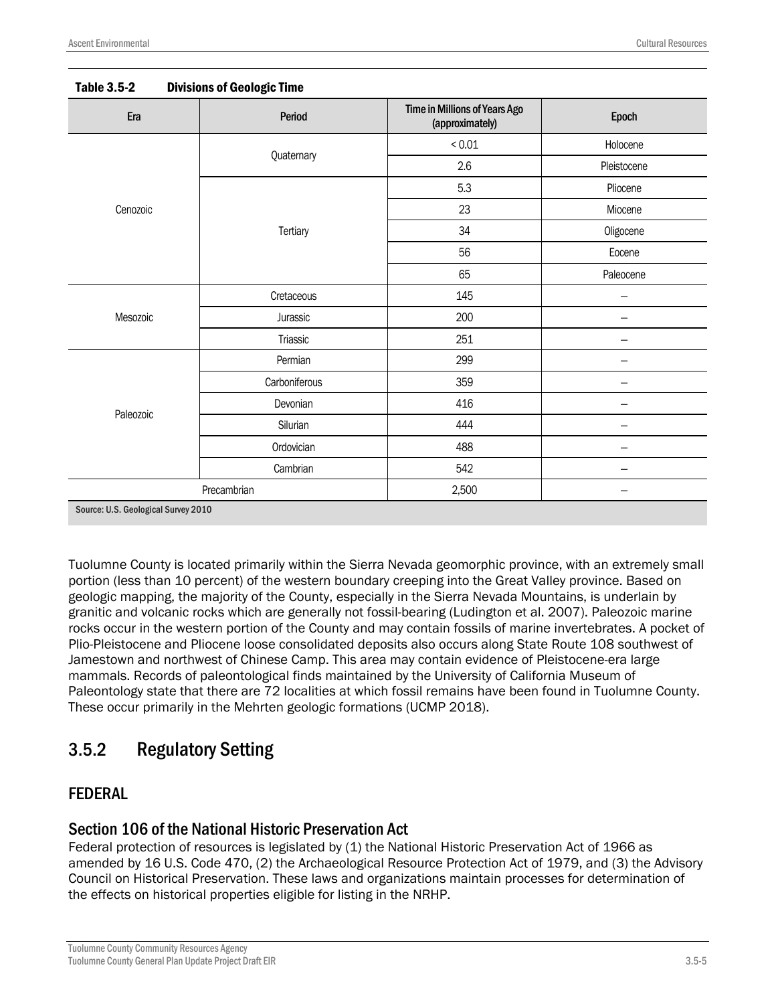| Era                                 | Period        | Time in Millions of Years Ago<br>(approximately) | Epoch       |
|-------------------------------------|---------------|--------------------------------------------------|-------------|
|                                     | Quaternary    | ${}_{0.01}$                                      | Holocene    |
|                                     |               | 2.6                                              | Pleistocene |
|                                     | Tertiary      | 5.3                                              | Pliocene    |
| Cenozoic                            |               | 23                                               | Miocene     |
|                                     |               | 34                                               | Oligocene   |
|                                     |               | 56                                               | Eocene      |
|                                     |               | 65                                               | Paleocene   |
| Mesozoic                            | Cretaceous    | 145                                              |             |
|                                     | Jurassic      | 200                                              |             |
|                                     | Triassic      | 251                                              |             |
| Paleozoic                           | Permian       | 299                                              |             |
|                                     | Carboniferous | 359                                              |             |
|                                     | Devonian      | 416                                              |             |
|                                     | Silurian      | 444                                              |             |
|                                     | Ordovician    | 488                                              | -           |
|                                     | Cambrian      | 542                                              |             |
|                                     | Precambrian   | 2,500                                            |             |
| Source: U.S. Geological Survey 2010 |               |                                                  |             |

Table 3.5-2 Divisions of Geologic Time

Tuolumne County is located primarily within the Sierra Nevada geomorphic province, with an extremely small portion (less than 10 percent) of the western boundary creeping into the Great Valley province. Based on geologic mapping, the majority of the County, especially in the Sierra Nevada Mountains, is underlain by granitic and volcanic rocks which are generally not fossil-bearing (Ludington et al. 2007). Paleozoic marine rocks occur in the western portion of the County and may contain fossils of marine invertebrates. A pocket of Plio-Pleistocene and Pliocene loose consolidated deposits also occurs along State Route 108 southwest of Jamestown and northwest of Chinese Camp. This area may contain evidence of Pleistocene-era large mammals. Records of paleontological finds maintained by the University of California Museum of Paleontology state that there are 72 localities at which fossil remains have been found in Tuolumne County. These occur primarily in the Mehrten geologic formations (UCMP 2018).

## 3.5.2 Regulatory Setting

## FEDERAL

### Section 106 of the National Historic Preservation Act

Federal protection of resources is legislated by (1) the National Historic Preservation Act of 1966 as amended by 16 U.S. Code 470, (2) the Archaeological Resource Protection Act of 1979, and (3) the Advisory Council on Historical Preservation. These laws and organizations maintain processes for determination of the effects on historical properties eligible for listing in the NRHP.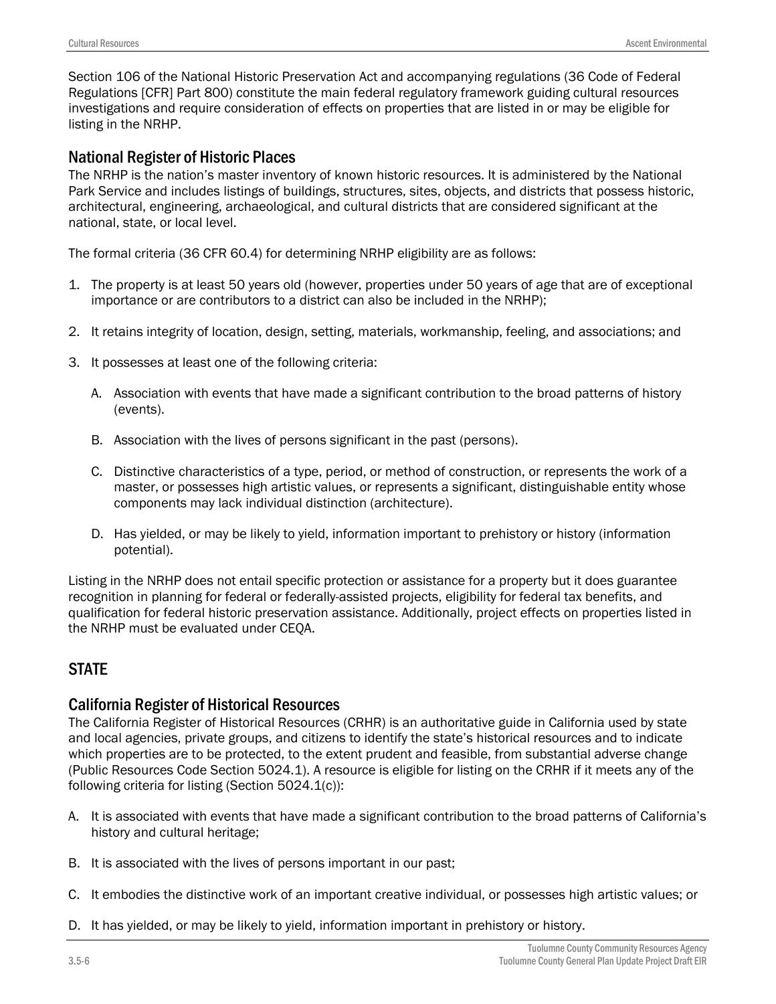Section 106 of the National Historic Preservation Act and accompanying regulations (36 Code of Federal Regulations [CFR] Part 800) constitute the main federal regulatory framework guiding cultural resources investigations and require consideration of effects on properties that are listed in or may be eligible for listing in the NRHP.

#### National Register of Historic Places

The NRHP is the nation's master inventory of known historic resources. It is administered by the National Park Service and includes listings of buildings, structures, sites, objects, and districts that possess historic, architectural, engineering, archaeological, and cultural districts that are considered significant at the national, state, or local level.

The formal criteria (36 CFR 60.4) for determining NRHP eligibility are as follows:

- 1. The property is at least 50 years old (however, properties under 50 years of age that are of exceptional importance or are contributors to a district can also be included in the NRHP);
- 2. It retains integrity of location, design, setting, materials, workmanship, feeling, and associations; and
- 3. It possesses at least one of the following criteria:
	- A. Association with events that have made a significant contribution to the broad patterns of history (events).
	- B. Association with the lives of persons significant in the past (persons).
	- C. Distinctive characteristics of a type, period, or method of construction, or represents the work of a master, or possesses high artistic values, or represents a significant, distinguishable entity whose components may lack individual distinction (architecture).
	- D. Has yielded, or may be likely to yield, information important to prehistory or history (information potential).

Listing in the NRHP does not entail specific protection or assistance for a property but it does guarantee recognition in planning for federal or federally-assisted projects, eligibility for federal tax benefits, and qualification for federal historic preservation assistance. Additionally, project effects on properties listed in the NRHP must be evaluated under CEQA.

## **STATE**

### California Register of Historical Resources

The California Register of Historical Resources (CRHR) is an authoritative guide in California used by state and local agencies, private groups, and citizens to identify the state's historical resources and to indicate which properties are to be protected, to the extent prudent and feasible, from substantial adverse change (Public Resources Code Section 5024.1). A resource is eligible for listing on the CRHR if it meets any of the following criteria for listing (Section 5024.1(c)):

- A. It is associated with events that have made a significant contribution to the broad patterns of California's history and cultural heritage;
- B. It is associated with the lives of persons important in our past;
- C. It embodies the distinctive work of an important creative individual, or possesses high artistic values; or
- D. It has yielded, or may be likely to yield, information important in prehistory or history.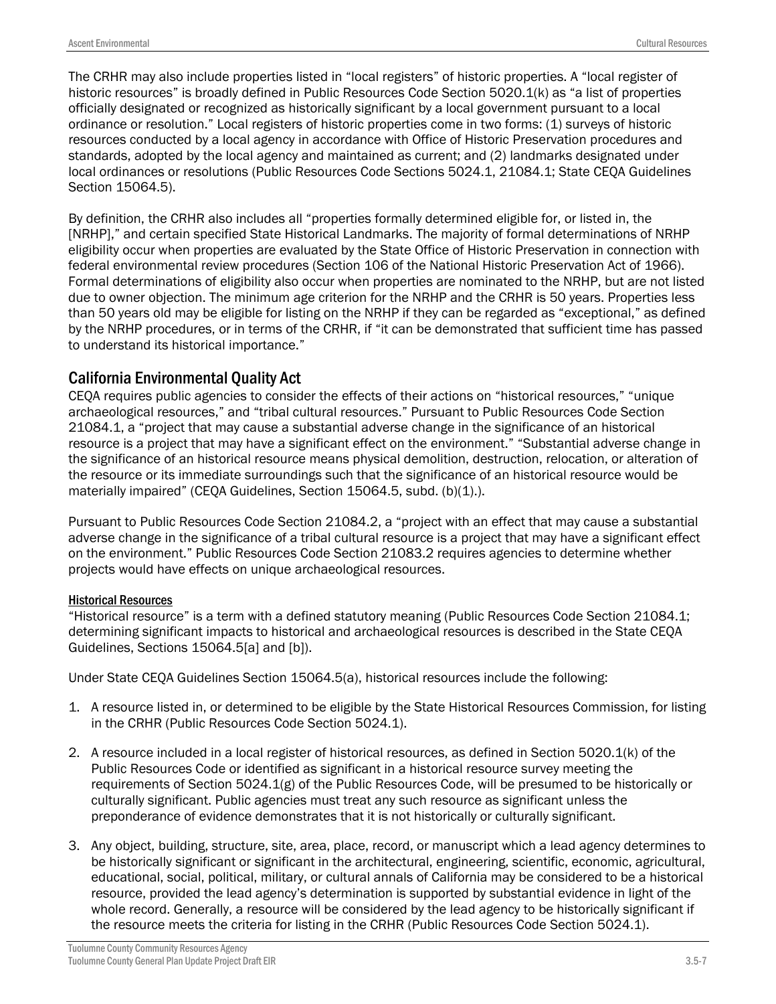The CRHR may also include properties listed in "local registers" of historic properties. A "local register of historic resources" is broadly defined in Public Resources Code Section 5020.1(k) as "a list of properties officially designated or recognized as historically significant by a local government pursuant to a local ordinance or resolution." Local registers of historic properties come in two forms: (1) surveys of historic resources conducted by a local agency in accordance with Office of Historic Preservation procedures and standards, adopted by the local agency and maintained as current; and (2) landmarks designated under local ordinances or resolutions (Public Resources Code Sections 5024.1, 21084.1; State CEQA Guidelines Section 15064.5).

By definition, the CRHR also includes all "properties formally determined eligible for, or listed in, the [NRHP]," and certain specified State Historical Landmarks. The majority of formal determinations of NRHP eligibility occur when properties are evaluated by the State Office of Historic Preservation in connection with federal environmental review procedures (Section 106 of the National Historic Preservation Act of 1966). Formal determinations of eligibility also occur when properties are nominated to the NRHP, but are not listed due to owner objection. The minimum age criterion for the NRHP and the CRHR is 50 years. Properties less than 50 years old may be eligible for listing on the NRHP if they can be regarded as "exceptional," as defined by the NRHP procedures, or in terms of the CRHR, if "it can be demonstrated that sufficient time has passed to understand its historical importance."

## California Environmental Quality Act

CEQA requires public agencies to consider the effects of their actions on "historical resources," "unique archaeological resources," and "tribal cultural resources." Pursuant to Public Resources Code Section 21084.1, a "project that may cause a substantial adverse change in the significance of an historical resource is a project that may have a significant effect on the environment." "Substantial adverse change in the significance of an historical resource means physical demolition, destruction, relocation, or alteration of the resource or its immediate surroundings such that the significance of an historical resource would be materially impaired" (CEQA Guidelines, Section 15064.5, subd. (b)(1).).

Pursuant to Public Resources Code Section 21084.2, a "project with an effect that may cause a substantial adverse change in the significance of a tribal cultural resource is a project that may have a significant effect on the environment." Public Resources Code Section 21083.2 requires agencies to determine whether projects would have effects on unique archaeological resources.

#### Historical Resources

"Historical resource" is a term with a defined statutory meaning (Public Resources Code Section 21084.1; determining significant impacts to historical and archaeological resources is described in the State CEQA Guidelines, Sections 15064.5[a] and [b]).

Under State CEQA Guidelines Section 15064.5(a), historical resources include the following:

- 1. A resource listed in, or determined to be eligible by the State Historical Resources Commission, for listing in the CRHR (Public Resources Code Section 5024.1).
- 2. A resource included in a local register of historical resources, as defined in Section 5020.1(k) of the Public Resources Code or identified as significant in a historical resource survey meeting the requirements of Section 5024.1(g) of the Public Resources Code, will be presumed to be historically or culturally significant. Public agencies must treat any such resource as significant unless the preponderance of evidence demonstrates that it is not historically or culturally significant.
- 3. Any object, building, structure, site, area, place, record, or manuscript which a lead agency determines to be historically significant or significant in the architectural, engineering, scientific, economic, agricultural, educational, social, political, military, or cultural annals of California may be considered to be a historical resource, provided the lead agency's determination is supported by substantial evidence in light of the whole record. Generally, a resource will be considered by the lead agency to be historically significant if the resource meets the criteria for listing in the CRHR (Public Resources Code Section 5024.1).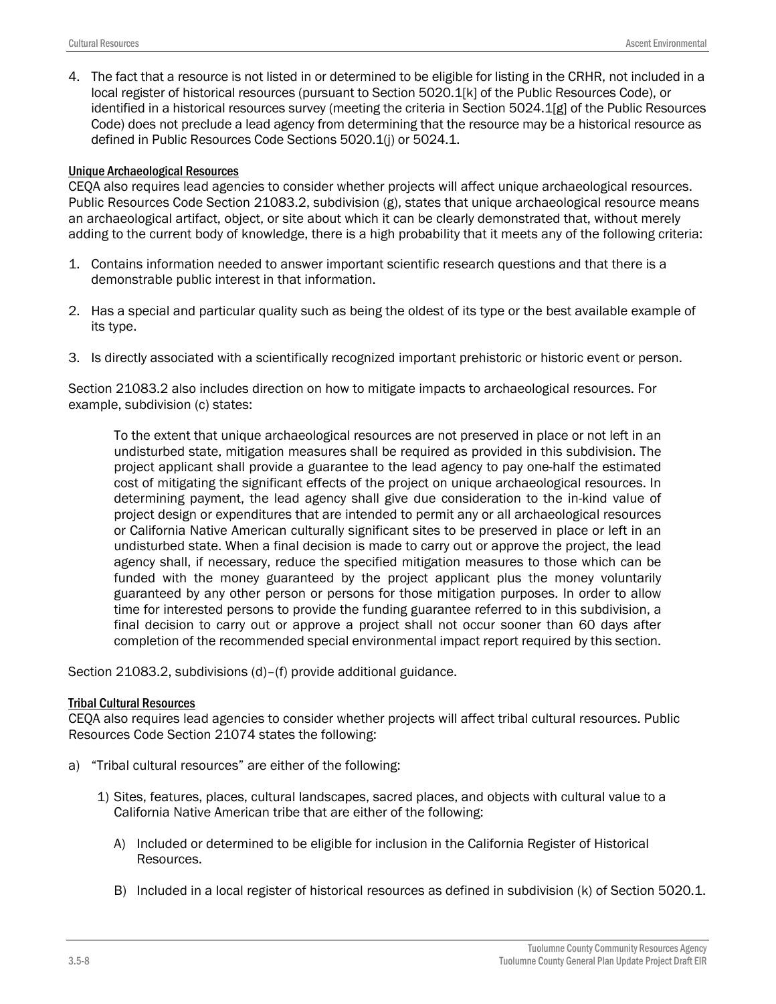4. The fact that a resource is not listed in or determined to be eligible for listing in the CRHR, not included in a local register of historical resources (pursuant to Section 5020.1[k] of the Public Resources Code), or identified in a historical resources survey (meeting the criteria in Section 5024.1[g] of the Public Resources Code) does not preclude a lead agency from determining that the resource may be a historical resource as defined in Public Resources Code Sections 5020.1(j) or 5024.1.

#### Unique Archaeological Resources

CEQA also requires lead agencies to consider whether projects will affect unique archaeological resources. Public Resources Code Section 21083.2, subdivision (g), states that unique archaeological resource means an archaeological artifact, object, or site about which it can be clearly demonstrated that, without merely adding to the current body of knowledge, there is a high probability that it meets any of the following criteria:

- 1. Contains information needed to answer important scientific research questions and that there is a demonstrable public interest in that information.
- 2. Has a special and particular quality such as being the oldest of its type or the best available example of its type.
- 3. Is directly associated with a scientifically recognized important prehistoric or historic event or person.

Section 21083.2 also includes direction on how to mitigate impacts to archaeological resources. For example, subdivision (c) states:

To the extent that unique archaeological resources are not preserved in place or not left in an undisturbed state, mitigation measures shall be required as provided in this subdivision. The project applicant shall provide a guarantee to the lead agency to pay one-half the estimated cost of mitigating the significant effects of the project on unique archaeological resources. In determining payment, the lead agency shall give due consideration to the in-kind value of project design or expenditures that are intended to permit any or all archaeological resources or California Native American culturally significant sites to be preserved in place or left in an undisturbed state. When a final decision is made to carry out or approve the project, the lead agency shall, if necessary, reduce the specified mitigation measures to those which can be funded with the money guaranteed by the project applicant plus the money voluntarily guaranteed by any other person or persons for those mitigation purposes. In order to allow time for interested persons to provide the funding guarantee referred to in this subdivision, a final decision to carry out or approve a project shall not occur sooner than 60 days after completion of the recommended special environmental impact report required by this section.

Section 21083.2, subdivisions (d)–(f) provide additional guidance.

#### Tribal Cultural Resources

CEQA also requires lead agencies to consider whether projects will affect tribal cultural resources. Public Resources Code Section 21074 states the following:

- a) "Tribal cultural resources" are either of the following:
	- 1) Sites, features, places, cultural landscapes, sacred places, and objects with cultural value to a California Native American tribe that are either of the following:
		- A) Included or determined to be eligible for inclusion in the California Register of Historical Resources.
		- B) Included in a local register of historical resources as defined in subdivision (k) of Section 5020.1.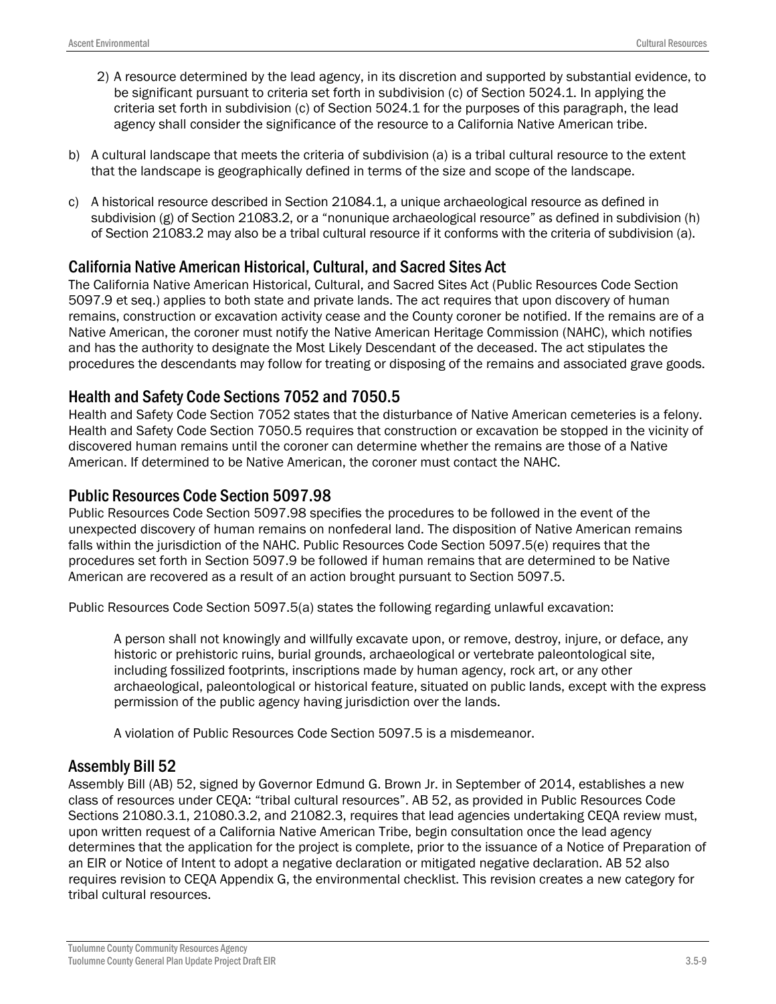- 2) A resource determined by the lead agency, in its discretion and supported by substantial evidence, to be significant pursuant to criteria set forth in subdivision (c) of Section 5024.1. In applying the criteria set forth in subdivision (c) of Section 5024.1 for the purposes of this paragraph, the lead agency shall consider the significance of the resource to a California Native American tribe.
- b) A cultural landscape that meets the criteria of subdivision (a) is a tribal cultural resource to the extent that the landscape is geographically defined in terms of the size and scope of the landscape.
- c) A historical resource described in Section 21084.1, a unique archaeological resource as defined in subdivision (g) of Section 21083.2, or a "nonunique archaeological resource" as defined in subdivision (h) of Section 21083.2 may also be a tribal cultural resource if it conforms with the criteria of subdivision (a).

## California Native American Historical, Cultural, and Sacred Sites Act

The California Native American Historical, Cultural, and Sacred Sites Act (Public Resources Code Section 5097.9 et seq.) applies to both state and private lands. The act requires that upon discovery of human remains, construction or excavation activity cease and the County coroner be notified. If the remains are of a Native American, the coroner must notify the Native American Heritage Commission (NAHC), which notifies and has the authority to designate the Most Likely Descendant of the deceased. The act stipulates the procedures the descendants may follow for treating or disposing of the remains and associated grave goods.

## Health and Safety Code Sections 7052 and 7050.5

Health and Safety Code Section 7052 states that the disturbance of Native American cemeteries is a felony. Health and Safety Code Section 7050.5 requires that construction or excavation be stopped in the vicinity of discovered human remains until the coroner can determine whether the remains are those of a Native American. If determined to be Native American, the coroner must contact the NAHC.

## Public Resources Code Section 5097.98

Public Resources Code Section 5097.98 specifies the procedures to be followed in the event of the unexpected discovery of human remains on nonfederal land. The disposition of Native American remains falls within the jurisdiction of the NAHC. Public Resources Code Section 5097.5(e) requires that the procedures set forth in Section 5097.9 be followed if human remains that are determined to be Native American are recovered as a result of an action brought pursuant to Section 5097.5.

Public Resources Code Section 5097.5(a) states the following regarding unlawful excavation:

A person shall not knowingly and willfully excavate upon, or remove, destroy, injure, or deface, any historic or prehistoric ruins, burial grounds, archaeological or vertebrate paleontological site, including fossilized footprints, inscriptions made by human agency, rock art, or any other archaeological, paleontological or historical feature, situated on public lands, except with the express permission of the public agency having jurisdiction over the lands.

A violation of Public Resources Code Section 5097.5 is a misdemeanor.

## Assembly Bill 52

Assembly Bill (AB) 52, signed by Governor Edmund G. Brown Jr. in September of 2014, establishes a new class of resources under CEQA: "tribal cultural resources". AB 52, as provided in Public Resources Code Sections 21080.3.1, 21080.3.2, and 21082.3, requires that lead agencies undertaking CEQA review must, upon written request of a California Native American Tribe, begin consultation once the lead agency determines that the application for the project is complete, prior to the issuance of a Notice of Preparation of an EIR or Notice of Intent to adopt a negative declaration or mitigated negative declaration. AB 52 also requires revision to CEQA Appendix G, the environmental checklist. This revision creates a new category for tribal cultural resources.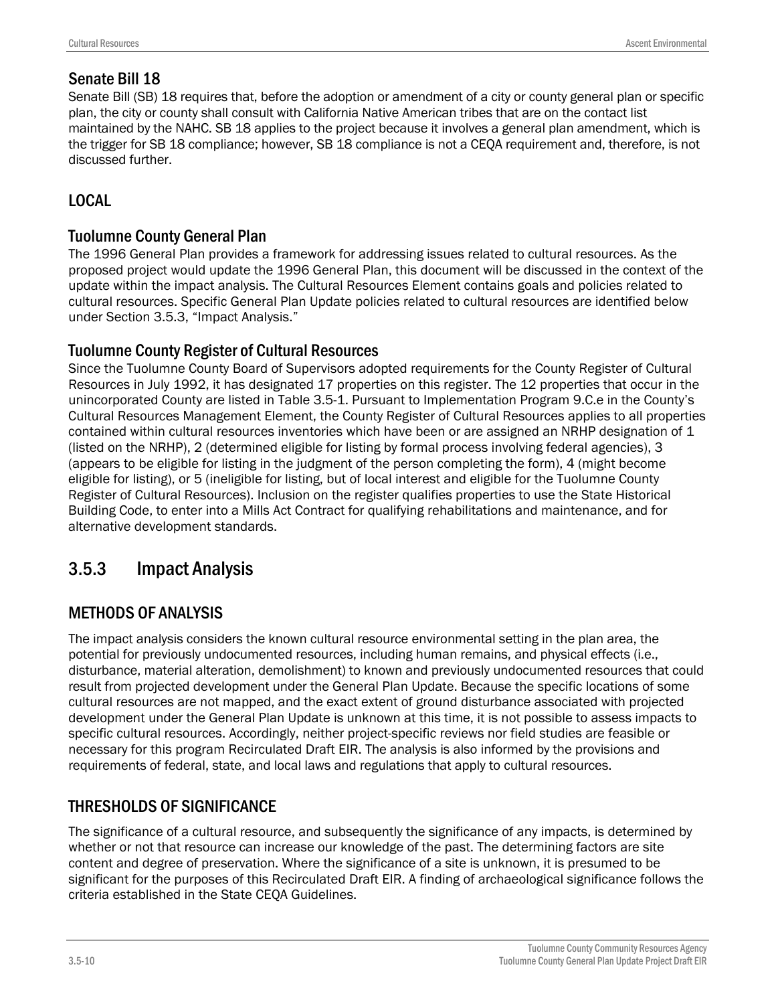## Senate Bill 18

Senate Bill (SB) 18 requires that, before the adoption or amendment of a city or county general plan or specific plan, the city or county shall consult with California Native American tribes that are on the contact list maintained by the NAHC. SB 18 applies to the project because it involves a general plan amendment, which is the trigger for SB 18 compliance; however, SB 18 compliance is not a CEQA requirement and, therefore, is not discussed further.

## LOCAL

## Tuolumne County General Plan

The 1996 General Plan provides a framework for addressing issues related to cultural resources. As the proposed project would update the 1996 General Plan, this document will be discussed in the context of the update within the impact analysis. The Cultural Resources Element contains goals and policies related to cultural resources. Specific General Plan Update policies related to cultural resources are identified below under Section 3.5.3, "Impact Analysis."

## Tuolumne County Register of Cultural Resources

Since the Tuolumne County Board of Supervisors adopted requirements for the County Register of Cultural Resources in July 1992, it has designated 17 properties on this register. The 12 properties that occur in the unincorporated County are listed in Table 3.5-1. Pursuant to Implementation Program 9.C.e in the County's Cultural Resources Management Element, the County Register of Cultural Resources applies to all properties contained within cultural resources inventories which have been or are assigned an NRHP designation of 1 (listed on the NRHP), 2 (determined eligible for listing by formal process involving federal agencies), 3 (appears to be eligible for listing in the judgment of the person completing the form), 4 (might become eligible for listing), or 5 (ineligible for listing, but of local interest and eligible for the Tuolumne County Register of Cultural Resources). Inclusion on the register qualifies properties to use the State Historical Building Code, to enter into a Mills Act Contract for qualifying rehabilitations and maintenance, and for alternative development standards.

## 3.5.3 Impact Analysis

## METHODS OF ANALYSIS

The impact analysis considers the known cultural resource environmental setting in the plan area, the potential for previously undocumented resources, including human remains, and physical effects (i.e., disturbance, material alteration, demolishment) to known and previously undocumented resources that could result from projected development under the General Plan Update. Because the specific locations of some cultural resources are not mapped, and the exact extent of ground disturbance associated with projected development under the General Plan Update is unknown at this time, it is not possible to assess impacts to specific cultural resources. Accordingly, neither project-specific reviews nor field studies are feasible or necessary for this program Recirculated Draft EIR. The analysis is also informed by the provisions and requirements of federal, state, and local laws and regulations that apply to cultural resources.

## THRESHOLDS OF SIGNIFICANCE

The significance of a cultural resource, and subsequently the significance of any impacts, is determined by whether or not that resource can increase our knowledge of the past. The determining factors are site content and degree of preservation. Where the significance of a site is unknown, it is presumed to be significant for the purposes of this Recirculated Draft EIR. A finding of archaeological significance follows the criteria established in the State CEQA Guidelines.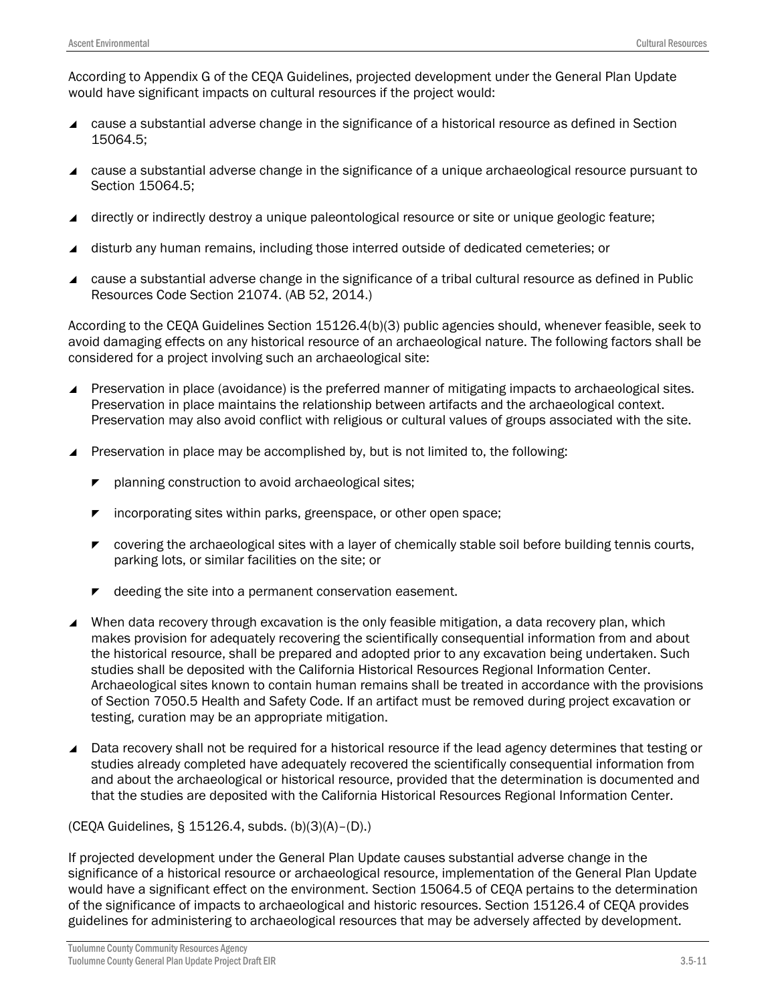According to Appendix G of the CEQA Guidelines, projected development under the General Plan Update would have significant impacts on cultural resources if the project would:

- cause a substantial adverse change in the significance of a historical resource as defined in Section 15064.5;
- cause a substantial adverse change in the significance of a unique archaeological resource pursuant to Section 15064.5;
- directly or indirectly destroy a unique paleontological resource or site or unique geologic feature;
- disturb any human remains, including those interred outside of dedicated cemeteries; or
- cause a substantial adverse change in the significance of a tribal cultural resource as defined in Public Resources Code Section 21074. (AB 52, 2014.)

According to the CEQA Guidelines Section 15126.4(b)(3) public agencies should, whenever feasible, seek to avoid damaging effects on any historical resource of an archaeological nature. The following factors shall be considered for a project involving such an archaeological site:

- **Preservation in place (avoidance) is the preferred manner of mitigating impacts to archaeological sites.** Preservation in place maintains the relationship between artifacts and the archaeological context. Preservation may also avoid conflict with religious or cultural values of groups associated with the site.
- Preservation in place may be accomplished by, but is not limited to, the following:
	- $\blacktriangleright$  planning construction to avoid archaeological sites;
	- incorporating sites within parks, greenspace, or other open space;
	- ▼ covering the archaeological sites with a layer of chemically stable soil before building tennis courts, parking lots, or similar facilities on the site; or
	- $\blacktriangleright$  deeding the site into a permanent conservation easement.
- When data recovery through excavation is the only feasible mitigation, a data recovery plan, which makes provision for adequately recovering the scientifically consequential information from and about the historical resource, shall be prepared and adopted prior to any excavation being undertaken. Such studies shall be deposited with the California Historical Resources Regional Information Center. Archaeological sites known to contain human remains shall be treated in accordance with the provisions of Section 7050.5 Health and Safety Code. If an artifact must be removed during project excavation or testing, curation may be an appropriate mitigation.
- Data recovery shall not be required for a historical resource if the lead agency determines that testing or studies already completed have adequately recovered the scientifically consequential information from and about the archaeological or historical resource, provided that the determination is documented and that the studies are deposited with the California Historical Resources Regional Information Center.

(CEQA Guidelines, § 15126.4, subds. (b)(3)(A)–(D).)

If projected development under the General Plan Update causes substantial adverse change in the significance of a historical resource or archaeological resource, implementation of the General Plan Update would have a significant effect on the environment. Section 15064.5 of CEQA pertains to the determination of the significance of impacts to archaeological and historic resources. Section 15126.4 of CEQA provides guidelines for administering to archaeological resources that may be adversely affected by development.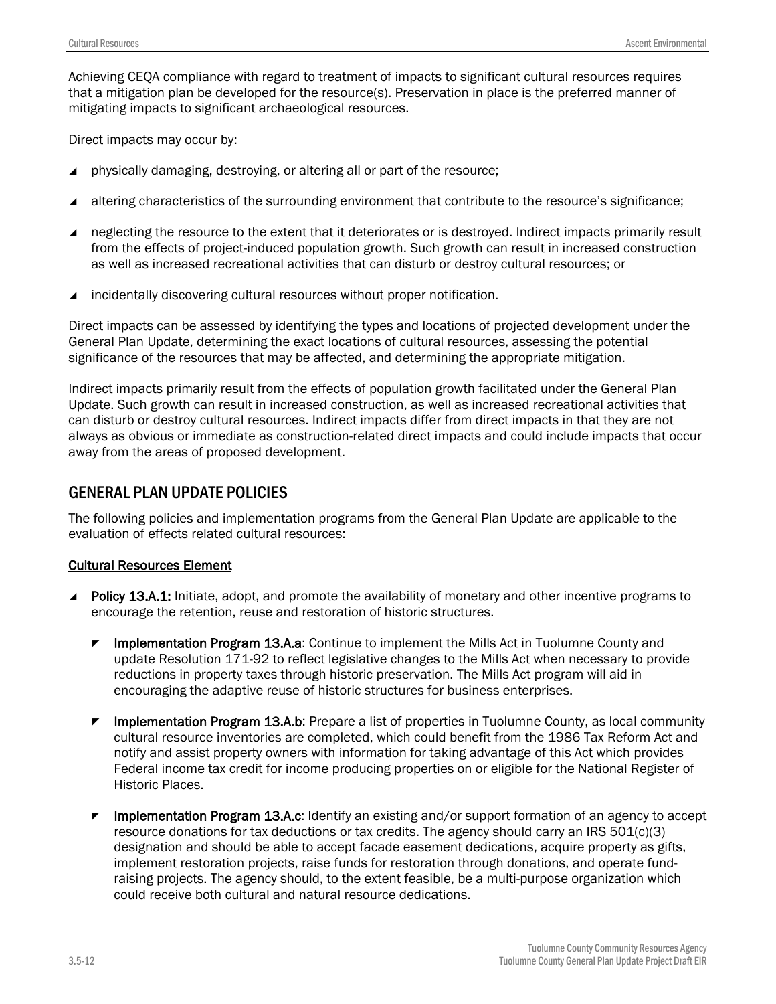Achieving CEQA compliance with regard to treatment of impacts to significant cultural resources requires that a mitigation plan be developed for the resource(s). Preservation in place is the preferred manner of mitigating impacts to significant archaeological resources.

Direct impacts may occur by:

- physically damaging, destroying, or altering all or part of the resource;
- altering characteristics of the surrounding environment that contribute to the resource's significance;
- neglecting the resource to the extent that it deteriorates or is destroyed. Indirect impacts primarily result from the effects of project-induced population growth. Such growth can result in increased construction as well as increased recreational activities that can disturb or destroy cultural resources; or
- incidentally discovering cultural resources without proper notification.

Direct impacts can be assessed by identifying the types and locations of projected development under the General Plan Update, determining the exact locations of cultural resources, assessing the potential significance of the resources that may be affected, and determining the appropriate mitigation.

Indirect impacts primarily result from the effects of population growth facilitated under the General Plan Update. Such growth can result in increased construction, as well as increased recreational activities that can disturb or destroy cultural resources. Indirect impacts differ from direct impacts in that they are not always as obvious or immediate as construction-related direct impacts and could include impacts that occur away from the areas of proposed development.

### GENERAL PLAN UPDATE POLICIES

The following policies and implementation programs from the General Plan Update are applicable to the evaluation of effects related cultural resources:

#### Cultural Resources Element

- Policy 13.A.1: Initiate, adopt, and promote the availability of monetary and other incentive programs to encourage the retention, reuse and restoration of historic structures.
	- **F** Implementation Program 13.A.a: Continue to implement the Mills Act in Tuolumne County and update Resolution 171-92 to reflect legislative changes to the Mills Act when necessary to provide reductions in property taxes through historic preservation. The Mills Act program will aid in encouraging the adaptive reuse of historic structures for business enterprises.
	- $\blacktriangleright$  Implementation Program 13.A.b: Prepare a list of properties in Tuolumne County, as local community cultural resource inventories are completed, which could benefit from the 1986 Tax Reform Act and notify and assist property owners with information for taking advantage of this Act which provides Federal income tax credit for income producing properties on or eligible for the National Register of Historic Places.
	- **F** Implementation Program 13.A.c: Identify an existing and/or support formation of an agency to accept resource donations for tax deductions or tax credits. The agency should carry an IRS 501(c)(3) designation and should be able to accept facade easement dedications, acquire property as gifts, implement restoration projects, raise funds for restoration through donations, and operate fundraising projects. The agency should, to the extent feasible, be a multi-purpose organization which could receive both cultural and natural resource dedications.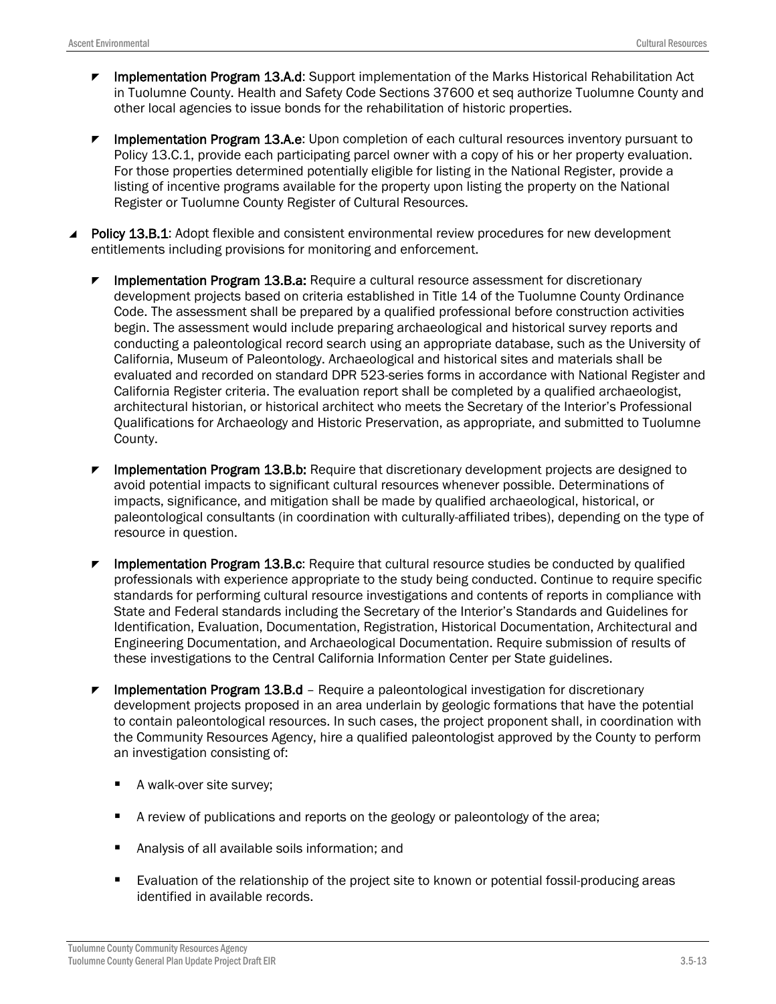- Implementation Program 13.A.d: Support implementation of the Marks Historical Rehabilitation Act in Tuolumne County. Health and Safety Code Sections 37600 et seq authorize Tuolumne County and other local agencies to issue bonds for the rehabilitation of historic properties.
- **F** Implementation Program 13.A.e: Upon completion of each cultural resources inventory pursuant to Policy 13.C.1, provide each participating parcel owner with a copy of his or her property evaluation. For those properties determined potentially eligible for listing in the National Register, provide a listing of incentive programs available for the property upon listing the property on the National Register or Tuolumne County Register of Cultural Resources.
- **Policy 13.B.1:** Adopt flexible and consistent environmental review procedures for new development entitlements including provisions for monitoring and enforcement.
	- Implementation Program 13.B.a: Require a cultural resource assessment for discretionary development projects based on criteria established in Title 14 of the Tuolumne County Ordinance Code. The assessment shall be prepared by a qualified professional before construction activities begin. The assessment would include preparing archaeological and historical survey reports and conducting a paleontological record search using an appropriate database, such as the University of California, Museum of Paleontology. Archaeological and historical sites and materials shall be evaluated and recorded on standard DPR 523-series forms in accordance with National Register and California Register criteria. The evaluation report shall be completed by a qualified archaeologist, architectural historian, or historical architect who meets the Secretary of the Interior's Professional Qualifications for Archaeology and Historic Preservation, as appropriate, and submitted to Tuolumne County.
	- $\blacktriangleright$  Implementation Program 13.B.b: Require that discretionary development projects are designed to avoid potential impacts to significant cultural resources whenever possible. Determinations of impacts, significance, and mitigation shall be made by qualified archaeological, historical, or paleontological consultants (in coordination with culturally-affiliated tribes), depending on the type of resource in question.
	- Implementation Program 13.B.c: Require that cultural resource studies be conducted by qualified professionals with experience appropriate to the study being conducted. Continue to require specific standards for performing cultural resource investigations and contents of reports in compliance with State and Federal standards including the Secretary of the Interior's Standards and Guidelines for Identification, Evaluation, Documentation, Registration, Historical Documentation, Architectural and Engineering Documentation, and Archaeological Documentation. Require submission of results of these investigations to the Central California Information Center per State guidelines.
	- **F** Implementation Program 13.B.d Require a paleontological investigation for discretionary development projects proposed in an area underlain by geologic formations that have the potential to contain paleontological resources. In such cases, the project proponent shall, in coordination with the Community Resources Agency, hire a qualified paleontologist approved by the County to perform an investigation consisting of:
		- A walk-over site survey;
		- A review of publications and reports on the geology or paleontology of the area;
		- **Analysis of all available soils information; and**
		- Evaluation of the relationship of the project site to known or potential fossil-producing areas identified in available records.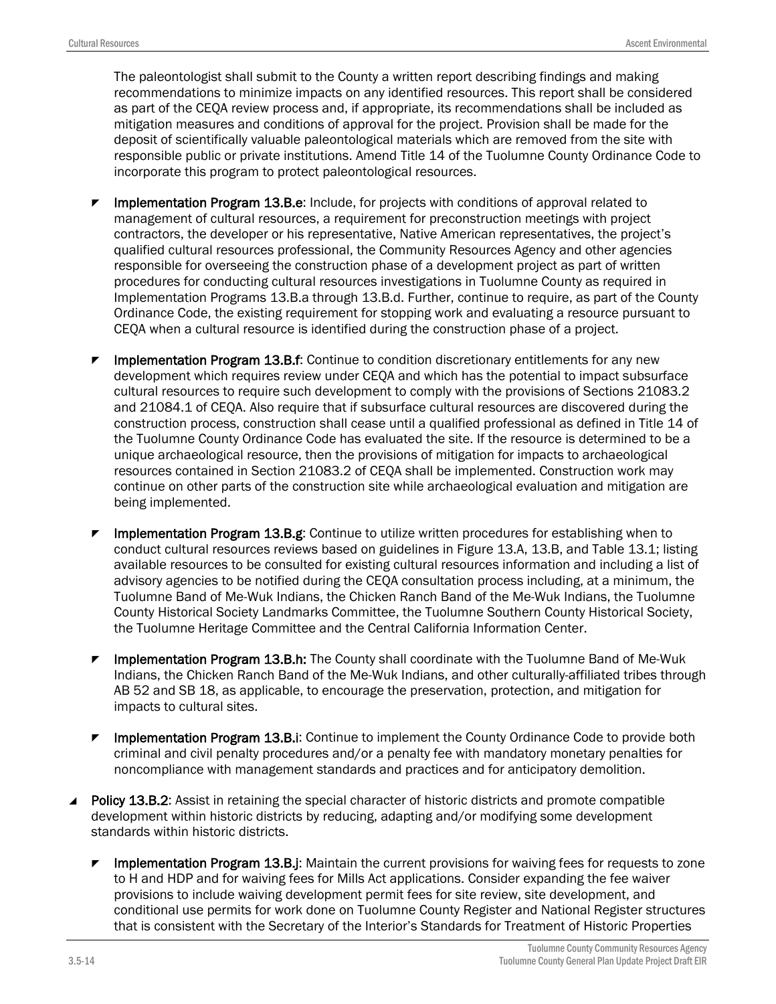The paleontologist shall submit to the County a written report describing findings and making recommendations to minimize impacts on any identified resources. This report shall be considered as part of the CEQA review process and, if appropriate, its recommendations shall be included as mitigation measures and conditions of approval for the project. Provision shall be made for the deposit of scientifically valuable paleontological materials which are removed from the site with responsible public or private institutions. Amend Title 14 of the Tuolumne County Ordinance Code to incorporate this program to protect paleontological resources.

- Implementation Program 13.B.e: Include, for projects with conditions of approval related to management of cultural resources, a requirement for preconstruction meetings with project contractors, the developer or his representative, Native American representatives, the project's qualified cultural resources professional, the Community Resources Agency and other agencies responsible for overseeing the construction phase of a development project as part of written procedures for conducting cultural resources investigations in Tuolumne County as required in Implementation Programs 13.B.a through 13.B.d. Further, continue to require, as part of the County Ordinance Code, the existing requirement for stopping work and evaluating a resource pursuant to CEQA when a cultural resource is identified during the construction phase of a project.
- **F** Implementation Program 13.B.f: Continue to condition discretionary entitlements for any new development which requires review under CEQA and which has the potential to impact subsurface cultural resources to require such development to comply with the provisions of Sections 21083.2 and 21084.1 of CEQA. Also require that if subsurface cultural resources are discovered during the construction process, construction shall cease until a qualified professional as defined in Title 14 of the Tuolumne County Ordinance Code has evaluated the site. If the resource is determined to be a unique archaeological resource, then the provisions of mitigation for impacts to archaeological resources contained in Section 21083.2 of CEQA shall be implemented. Construction work may continue on other parts of the construction site while archaeological evaluation and mitigation are being implemented.
- Implementation Program 13.B.g: Continue to utilize written procedures for establishing when to conduct cultural resources reviews based on guidelines in Figure 13.A, 13.B, and Table 13.1; listing available resources to be consulted for existing cultural resources information and including a list of advisory agencies to be notified during the CEQA consultation process including, at a minimum, the Tuolumne Band of Me-Wuk Indians, the Chicken Ranch Band of the Me-Wuk Indians, the Tuolumne County Historical Society Landmarks Committee, the Tuolumne Southern County Historical Society, the Tuolumne Heritage Committee and the Central California Information Center.
- Implementation Program 13.B.h: The County shall coordinate with the Tuolumne Band of Me-Wuk Indians, the Chicken Ranch Band of the Me-Wuk Indians, and other culturally-affiliated tribes through AB 52 and SB 18, as applicable, to encourage the preservation, protection, and mitigation for impacts to cultural sites.
- Implementation Program 13.B.i: Continue to implement the County Ordinance Code to provide both criminal and civil penalty procedures and/or a penalty fee with mandatory monetary penalties for noncompliance with management standards and practices and for anticipatory demolition.
- Policy 13.B.2: Assist in retaining the special character of historic districts and promote compatible development within historic districts by reducing, adapting and/or modifying some development standards within historic districts.
	- **F** Implementation Program 13.B.j: Maintain the current provisions for waiving fees for requests to zone to H and HDP and for waiving fees for Mills Act applications. Consider expanding the fee waiver provisions to include waiving development permit fees for site review, site development, and conditional use permits for work done on Tuolumne County Register and National Register structures that is consistent with the Secretary of the Interior's Standards for Treatment of Historic Properties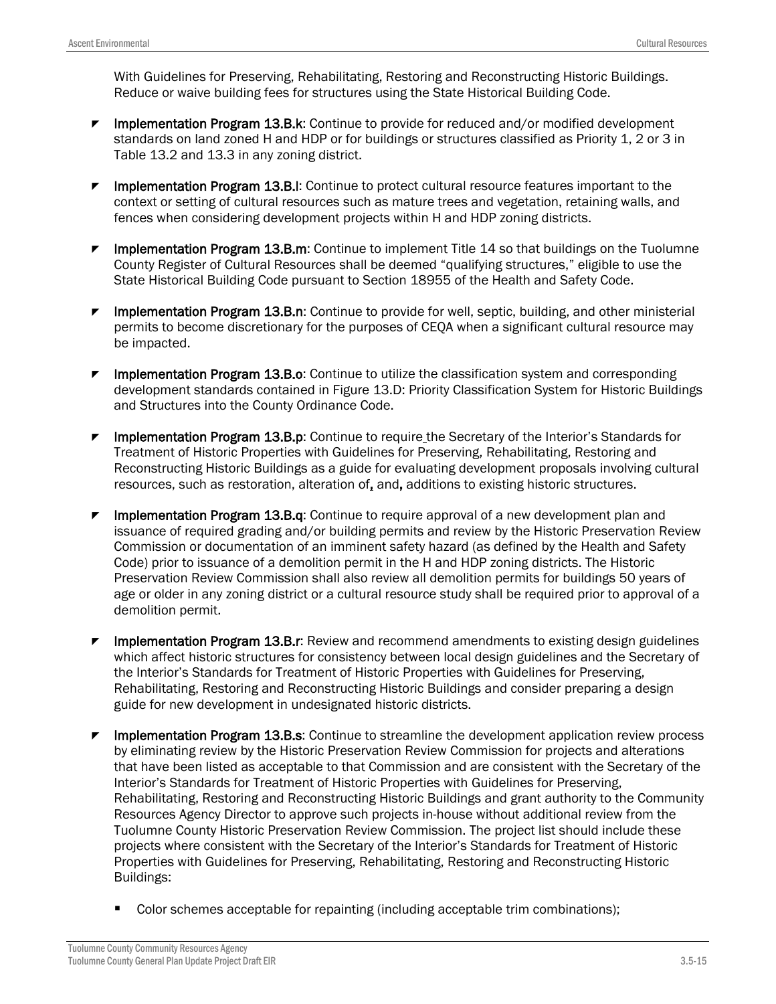With Guidelines for Preserving, Rehabilitating, Restoring and Reconstructing Historic Buildings. Reduce or waive building fees for structures using the State Historical Building Code.

- **F** Implementation Program 13.B.K: Continue to provide for reduced and/or modified development standards on land zoned H and HDP or for buildings or structures classified as Priority 1, 2 or 3 in Table 13.2 and 13.3 in any zoning district.
- $\blacktriangleright$  Implementation Program 13.B.I: Continue to protect cultural resource features important to the context or setting of cultural resources such as mature trees and vegetation, retaining walls, and fences when considering development projects within H and HDP zoning districts.
- **F** Implementation Program 13.B.m: Continue to implement Title 14 so that buildings on the Tuolumne County Register of Cultural Resources shall be deemed "qualifying structures," eligible to use the State Historical Building Code pursuant to Section 18955 of the Health and Safety Code.
- **F** Implementation Program 13.B.n: Continue to provide for well, septic, building, and other ministerial permits to become discretionary for the purposes of CEQA when a significant cultural resource may be impacted.
- **F** Implementation Program 13.B.o: Continue to utilize the classification system and corresponding development standards contained in Figure 13.D: Priority Classification System for Historic Buildings and Structures into the County Ordinance Code.
- **F** Implementation Program 13.B.p: Continue to require the Secretary of the Interior's Standards for Treatment of Historic Properties with Guidelines for Preserving, Rehabilitating, Restoring and Reconstructing Historic Buildings as a guide for evaluating development proposals involving cultural resources, such as restoration, alteration of, and, additions to existing historic structures.
- **F** Implementation Program 13.B.q: Continue to require approval of a new development plan and issuance of required grading and/or building permits and review by the Historic Preservation Review Commission or documentation of an imminent safety hazard (as defined by the Health and Safety Code) prior to issuance of a demolition permit in the H and HDP zoning districts. The Historic Preservation Review Commission shall also review all demolition permits for buildings 50 years of age or older in any zoning district or a cultural resource study shall be required prior to approval of a demolition permit.
- Implementation Program 13.B.r: Review and recommend amendments to existing design guidelines which affect historic structures for consistency between local design guidelines and the Secretary of the Interior's Standards for Treatment of Historic Properties with Guidelines for Preserving, Rehabilitating, Restoring and Reconstructing Historic Buildings and consider preparing a design guide for new development in undesignated historic districts.
- $\blacktriangleright$  Implementation Program 13.B.s: Continue to streamline the development application review process by eliminating review by the Historic Preservation Review Commission for projects and alterations that have been listed as acceptable to that Commission and are consistent with the Secretary of the Interior's Standards for Treatment of Historic Properties with Guidelines for Preserving, Rehabilitating, Restoring and Reconstructing Historic Buildings and grant authority to the Community Resources Agency Director to approve such projects in-house without additional review from the Tuolumne County Historic Preservation Review Commission. The project list should include these projects where consistent with the Secretary of the Interior's Standards for Treatment of Historic Properties with Guidelines for Preserving, Rehabilitating, Restoring and Reconstructing Historic Buildings:
	- Color schemes acceptable for repainting (including acceptable trim combinations);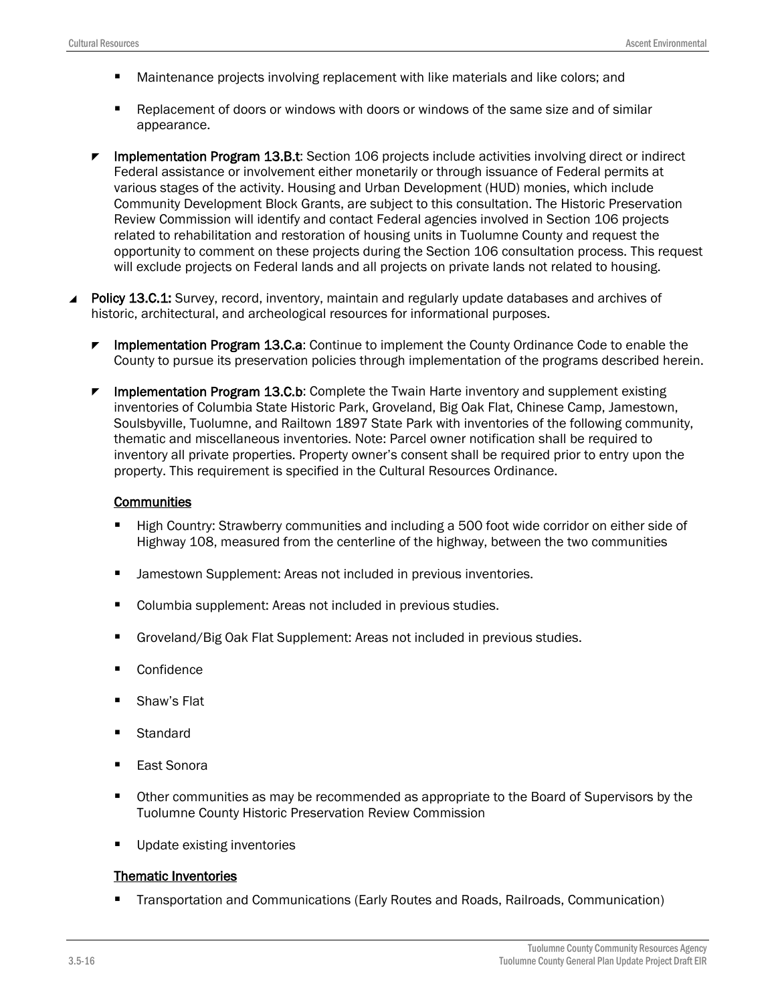- Maintenance projects involving replacement with like materials and like colors; and
- **E** Replacement of doors or windows with doors or windows of the same size and of similar appearance.
- $\blacktriangleright$  Implementation Program 13.B.t: Section 106 projects include activities involving direct or indirect Federal assistance or involvement either monetarily or through issuance of Federal permits at various stages of the activity. Housing and Urban Development (HUD) monies, which include Community Development Block Grants, are subject to this consultation. The Historic Preservation Review Commission will identify and contact Federal agencies involved in Section 106 projects related to rehabilitation and restoration of housing units in Tuolumne County and request the opportunity to comment on these projects during the Section 106 consultation process. This request will exclude projects on Federal lands and all projects on private lands not related to housing.
- **Policy 13.C.1:** Survey, record, inventory, maintain and regularly update databases and archives of historic, architectural, and archeological resources for informational purposes.
	- **Implementation Program 13.C.a:** Continue to implement the County Ordinance Code to enable the County to pursue its preservation policies through implementation of the programs described herein.
	- **F** Implementation Program 13.C.b: Complete the Twain Harte inventory and supplement existing inventories of Columbia State Historic Park, Groveland, Big Oak Flat, Chinese Camp, Jamestown, Soulsbyville, Tuolumne, and Railtown 1897 State Park with inventories of the following community, thematic and miscellaneous inventories. Note: Parcel owner notification shall be required to inventory all private properties. Property owner's consent shall be required prior to entry upon the property. This requirement is specified in the Cultural Resources Ordinance.

#### **Communities**

- High Country: Strawberry communities and including a 500 foot wide corridor on either side of Highway 108, measured from the centerline of the highway, between the two communities
- Jamestown Supplement: Areas not included in previous inventories.
- Columbia supplement: Areas not included in previous studies.
- Groveland/Big Oak Flat Supplement: Areas not included in previous studies.
- Confidence
- **Shaw's Flat**
- **Standard**
- East Sonora
- Other communities as may be recommended as appropriate to the Board of Supervisors by the Tuolumne County Historic Preservation Review Commission
- **Update existing inventories**

#### Thematic Inventories

Transportation and Communications (Early Routes and Roads, Railroads, Communication)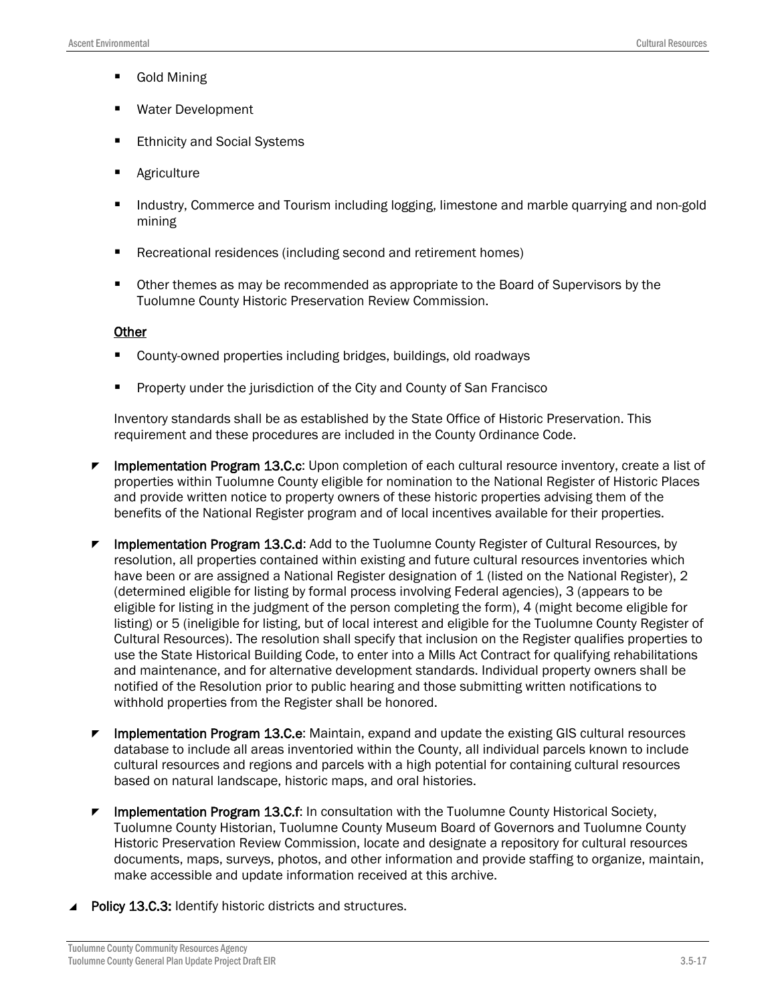- **Gold Mining**
- Water Development
- **Ethnicity and Social Systems**
- Agriculture
- Industry, Commerce and Tourism including logging, limestone and marble quarrying and non-gold mining
- Recreational residences (including second and retirement homes)
- Other themes as may be recommended as appropriate to the Board of Supervisors by the Tuolumne County Historic Preservation Review Commission.

#### **Other**

- County-owned properties including bridges, buildings, old roadways
- **Property under the jurisdiction of the City and County of San Francisco**

Inventory standards shall be as established by the State Office of Historic Preservation. This requirement and these procedures are included in the County Ordinance Code.

- Implementation Program 13.C.c: Upon completion of each cultural resource inventory, create a list of properties within Tuolumne County eligible for nomination to the National Register of Historic Places and provide written notice to property owners of these historic properties advising them of the benefits of the National Register program and of local incentives available for their properties.
- **F** Implementation Program 13.C.d: Add to the Tuolumne County Register of Cultural Resources, by resolution, all properties contained within existing and future cultural resources inventories which have been or are assigned a National Register designation of 1 (listed on the National Register), 2 (determined eligible for listing by formal process involving Federal agencies), 3 (appears to be eligible for listing in the judgment of the person completing the form), 4 (might become eligible for listing) or 5 (ineligible for listing, but of local interest and eligible for the Tuolumne County Register of Cultural Resources). The resolution shall specify that inclusion on the Register qualifies properties to use the State Historical Building Code, to enter into a Mills Act Contract for qualifying rehabilitations and maintenance, and for alternative development standards. Individual property owners shall be notified of the Resolution prior to public hearing and those submitting written notifications to withhold properties from the Register shall be honored.
- Implementation Program 13.C.e: Maintain, expand and update the existing GIS cultural resources database to include all areas inventoried within the County, all individual parcels known to include cultural resources and regions and parcels with a high potential for containing cultural resources based on natural landscape, historic maps, and oral histories.
- $\blacktriangleright$  Implementation Program 13.C.f: In consultation with the Tuolumne County Historical Society, Tuolumne County Historian, Tuolumne County Museum Board of Governors and Tuolumne County Historic Preservation Review Commission, locate and designate a repository for cultural resources documents, maps, surveys, photos, and other information and provide staffing to organize, maintain, make accessible and update information received at this archive.
- Policy 13.C.3: Identify historic districts and structures.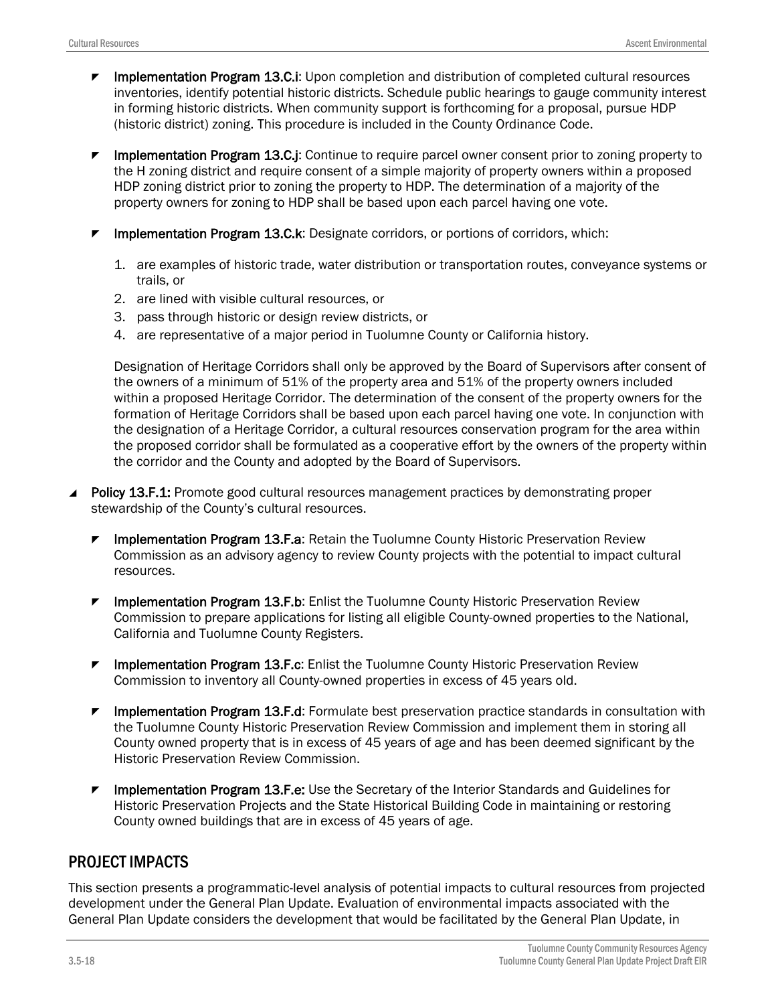- Implementation Program 13.C.i: Upon completion and distribution of completed cultural resources inventories, identify potential historic districts. Schedule public hearings to gauge community interest in forming historic districts. When community support is forthcoming for a proposal, pursue HDP (historic district) zoning. This procedure is included in the County Ordinance Code.
- **F** Implementation Program 13.C.j: Continue to require parcel owner consent prior to zoning property to the H zoning district and require consent of a simple majority of property owners within a proposed HDP zoning district prior to zoning the property to HDP. The determination of a majority of the property owners for zoning to HDP shall be based upon each parcel having one vote.
- $\blacktriangleright$  Implementation Program 13.C.k: Designate corridors, or portions of corridors, which:
	- 1. are examples of historic trade, water distribution or transportation routes, conveyance systems or trails, or
	- 2. are lined with visible cultural resources, or
	- 3. pass through historic or design review districts, or
	- 4. are representative of a major period in Tuolumne County or California history.

Designation of Heritage Corridors shall only be approved by the Board of Supervisors after consent of the owners of a minimum of 51% of the property area and 51% of the property owners included within a proposed Heritage Corridor. The determination of the consent of the property owners for the formation of Heritage Corridors shall be based upon each parcel having one vote. In conjunction with the designation of a Heritage Corridor, a cultural resources conservation program for the area within the proposed corridor shall be formulated as a cooperative effort by the owners of the property within the corridor and the County and adopted by the Board of Supervisors.

- Policy 13.F.1: Promote good cultural resources management practices by demonstrating proper stewardship of the County's cultural resources.
	- Implementation Program 13.F.a: Retain the Tuolumne County Historic Preservation Review Commission as an advisory agency to review County projects with the potential to impact cultural resources.
	- $\blacktriangleright$  Implementation Program 13.F.b: Enlist the Tuolumne County Historic Preservation Review Commission to prepare applications for listing all eligible County-owned properties to the National, California and Tuolumne County Registers.
	- $\blacktriangleright$  Implementation Program 13.F.c: Enlist the Tuolumne County Historic Preservation Review Commission to inventory all County-owned properties in excess of 45 years old.
	- **F** Implementation Program 13.F.d: Formulate best preservation practice standards in consultation with the Tuolumne County Historic Preservation Review Commission and implement them in storing all County owned property that is in excess of 45 years of age and has been deemed significant by the Historic Preservation Review Commission.
	- Implementation Program 13.F.e: Use the Secretary of the Interior Standards and Guidelines for Historic Preservation Projects and the State Historical Building Code in maintaining or restoring County owned buildings that are in excess of 45 years of age.

## PROJECT IMPACTS

This section presents a programmatic-level analysis of potential impacts to cultural resources from projected development under the General Plan Update. Evaluation of environmental impacts associated with the General Plan Update considers the development that would be facilitated by the General Plan Update, in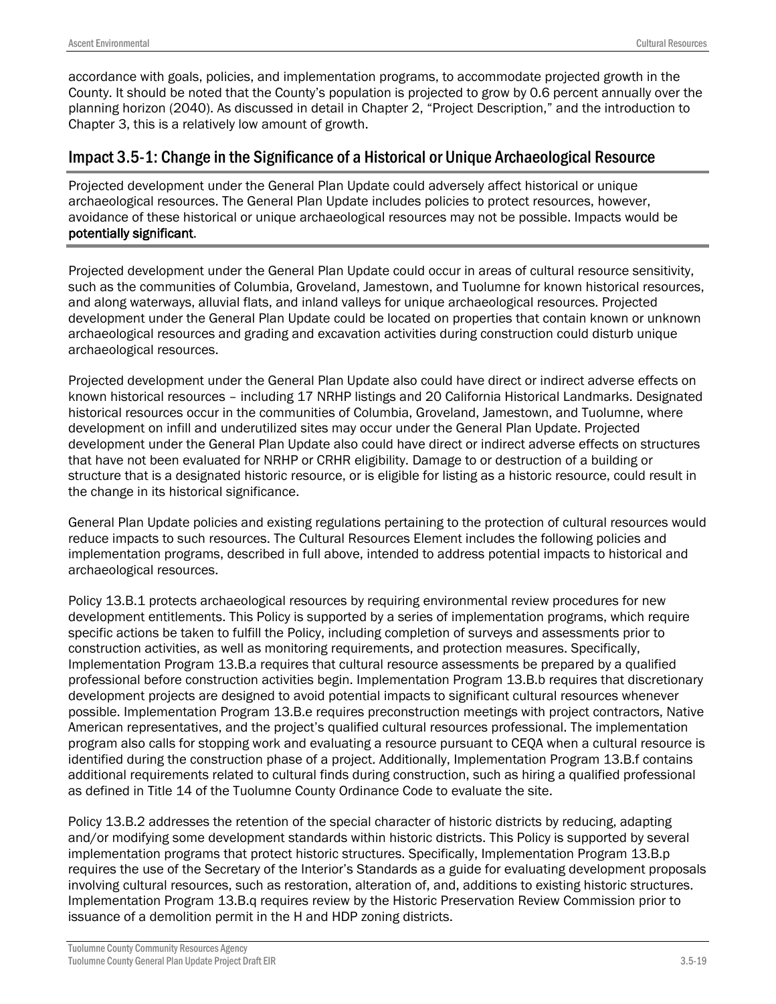accordance with goals, policies, and implementation programs, to accommodate projected growth in the County. It should be noted that the County's population is projected to grow by 0.6 percent annually over the planning horizon (2040). As discussed in detail in Chapter 2, "Project Description," and the introduction to Chapter 3, this is a relatively low amount of growth.

### Impact 3.5-1: Change in the Significance of a Historical or Unique Archaeological Resource

Projected development under the General Plan Update could adversely affect historical or unique archaeological resources. The General Plan Update includes policies to protect resources, however, avoidance of these historical or unique archaeological resources may not be possible. Impacts would be potentially significant.

Projected development under the General Plan Update could occur in areas of cultural resource sensitivity, such as the communities of Columbia, Groveland, Jamestown, and Tuolumne for known historical resources, and along waterways, alluvial flats, and inland valleys for unique archaeological resources. Projected development under the General Plan Update could be located on properties that contain known or unknown archaeological resources and grading and excavation activities during construction could disturb unique archaeological resources.

Projected development under the General Plan Update also could have direct or indirect adverse effects on known historical resources – including 17 NRHP listings and 20 California Historical Landmarks. Designated historical resources occur in the communities of Columbia, Groveland, Jamestown, and Tuolumne, where development on infill and underutilized sites may occur under the General Plan Update. Projected development under the General Plan Update also could have direct or indirect adverse effects on structures that have not been evaluated for NRHP or CRHR eligibility. Damage to or destruction of a building or structure that is a designated historic resource, or is eligible for listing as a historic resource, could result in the change in its historical significance.

General Plan Update policies and existing regulations pertaining to the protection of cultural resources would reduce impacts to such resources. The Cultural Resources Element includes the following policies and implementation programs, described in full above, intended to address potential impacts to historical and archaeological resources.

Policy 13.B.1 protects archaeological resources by requiring environmental review procedures for new development entitlements. This Policy is supported by a series of implementation programs, which require specific actions be taken to fulfill the Policy, including completion of surveys and assessments prior to construction activities, as well as monitoring requirements, and protection measures. Specifically, Implementation Program 13.B.a requires that cultural resource assessments be prepared by a qualified professional before construction activities begin. Implementation Program 13.B.b requires that discretionary development projects are designed to avoid potential impacts to significant cultural resources whenever possible. Implementation Program 13.B.e requires preconstruction meetings with project contractors, Native American representatives, and the project's qualified cultural resources professional. The implementation program also calls for stopping work and evaluating a resource pursuant to CEQA when a cultural resource is identified during the construction phase of a project. Additionally, Implementation Program 13.B.f contains additional requirements related to cultural finds during construction, such as hiring a qualified professional as defined in Title 14 of the Tuolumne County Ordinance Code to evaluate the site.

Policy 13.B.2 addresses the retention of the special character of historic districts by reducing, adapting and/or modifying some development standards within historic districts. This Policy is supported by several implementation programs that protect historic structures. Specifically, Implementation Program 13.B.p requires the use of the Secretary of the Interior's Standards as a guide for evaluating development proposals involving cultural resources, such as restoration, alteration of, and, additions to existing historic structures. Implementation Program 13.B.q requires review by the Historic Preservation Review Commission prior to issuance of a demolition permit in the H and HDP zoning districts.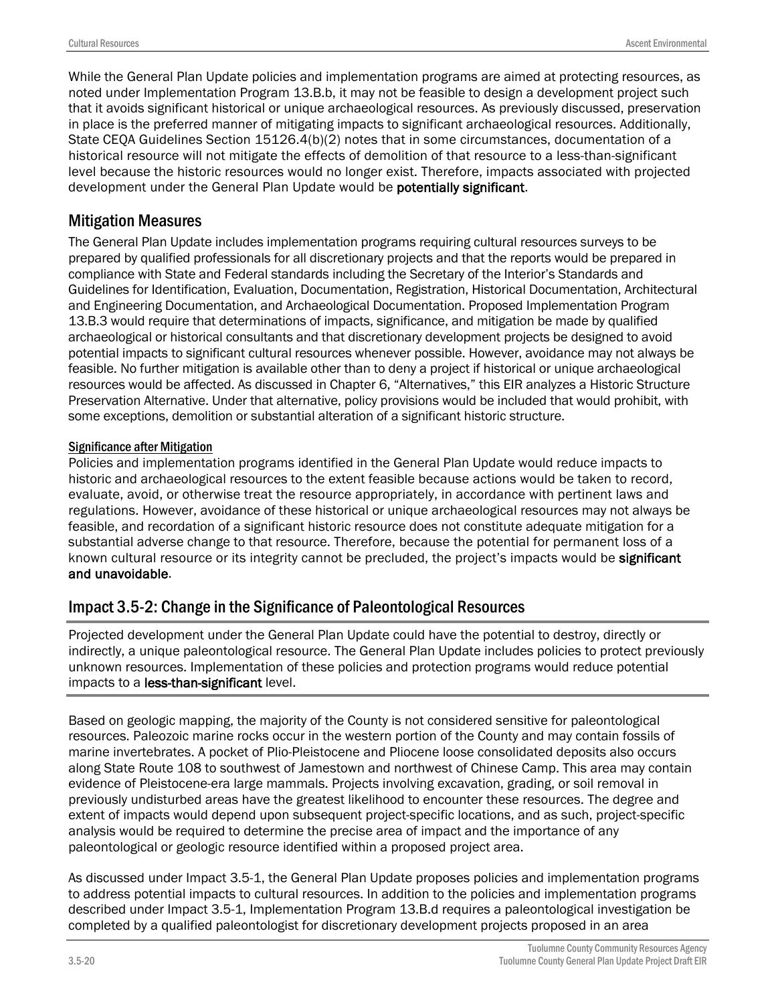While the General Plan Update policies and implementation programs are aimed at protecting resources, as noted under Implementation Program 13.B.b, it may not be feasible to design a development project such that it avoids significant historical or unique archaeological resources. As previously discussed, preservation in place is the preferred manner of mitigating impacts to significant archaeological resources. Additionally, State CEQA Guidelines Section 15126.4(b)(2) notes that in some circumstances, documentation of a historical resource will not mitigate the effects of demolition of that resource to a less-than-significant level because the historic resources would no longer exist. Therefore, impacts associated with projected development under the General Plan Update would be potentially significant.

### Mitigation Measures

The General Plan Update includes implementation programs requiring cultural resources surveys to be prepared by qualified professionals for all discretionary projects and that the reports would be prepared in compliance with State and Federal standards including the Secretary of the Interior's Standards and Guidelines for Identification, Evaluation, Documentation, Registration, Historical Documentation, Architectural and Engineering Documentation, and Archaeological Documentation. Proposed Implementation Program 13.B.3 would require that determinations of impacts, significance, and mitigation be made by qualified archaeological or historical consultants and that discretionary development projects be designed to avoid potential impacts to significant cultural resources whenever possible. However, avoidance may not always be feasible. No further mitigation is available other than to deny a project if historical or unique archaeological resources would be affected. As discussed in Chapter 6, "Alternatives," this EIR analyzes a Historic Structure Preservation Alternative. Under that alternative, policy provisions would be included that would prohibit, with some exceptions, demolition or substantial alteration of a significant historic structure.

#### Significance after Mitigation

Policies and implementation programs identified in the General Plan Update would reduce impacts to historic and archaeological resources to the extent feasible because actions would be taken to record, evaluate, avoid, or otherwise treat the resource appropriately, in accordance with pertinent laws and regulations. However, avoidance of these historical or unique archaeological resources may not always be feasible, and recordation of a significant historic resource does not constitute adequate mitigation for a substantial adverse change to that resource. Therefore, because the potential for permanent loss of a known cultural resource or its integrity cannot be precluded, the project's impacts would be significant and unavoidable.

## Impact 3.5-2: Change in the Significance of Paleontological Resources

Projected development under the General Plan Update could have the potential to destroy, directly or indirectly, a unique paleontological resource. The General Plan Update includes policies to protect previously unknown resources. Implementation of these policies and protection programs would reduce potential impacts to a less-than-significant level.

Based on geologic mapping, the majority of the County is not considered sensitive for paleontological resources. Paleozoic marine rocks occur in the western portion of the County and may contain fossils of marine invertebrates. A pocket of Plio-Pleistocene and Pliocene loose consolidated deposits also occurs along State Route 108 to southwest of Jamestown and northwest of Chinese Camp. This area may contain evidence of Pleistocene-era large mammals. Projects involving excavation, grading, or soil removal in previously undisturbed areas have the greatest likelihood to encounter these resources. The degree and extent of impacts would depend upon subsequent project-specific locations, and as such, project-specific analysis would be required to determine the precise area of impact and the importance of any paleontological or geologic resource identified within a proposed project area.

As discussed under Impact 3.5-1, the General Plan Update proposes policies and implementation programs to address potential impacts to cultural resources. In addition to the policies and implementation programs described under Impact 3.5-1, Implementation Program 13.B.d requires a paleontological investigation be completed by a qualified paleontologist for discretionary development projects proposed in an area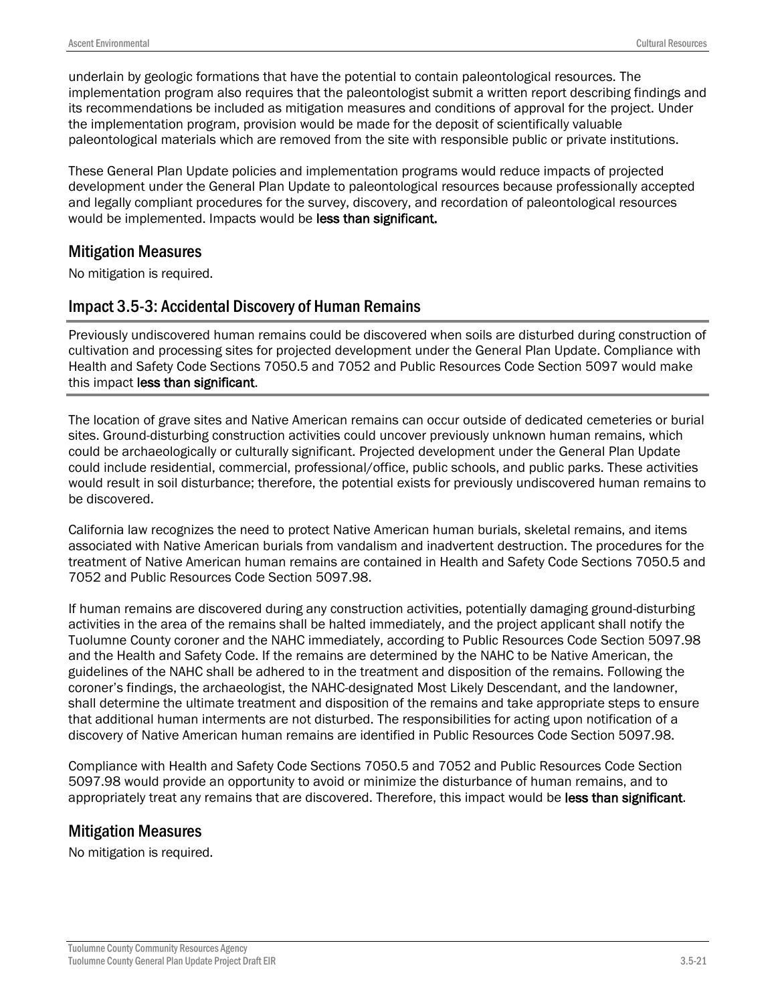underlain by geologic formations that have the potential to contain paleontological resources. The implementation program also requires that the paleontologist submit a written report describing findings and its recommendations be included as mitigation measures and conditions of approval for the project. Under the implementation program, provision would be made for the deposit of scientifically valuable paleontological materials which are removed from the site with responsible public or private institutions.

These General Plan Update policies and implementation programs would reduce impacts of projected development under the General Plan Update to paleontological resources because professionally accepted and legally compliant procedures for the survey, discovery, and recordation of paleontological resources would be implemented. Impacts would be less than significant.

### Mitigation Measures

No mitigation is required.

### Impact 3.5-3: Accidental Discovery of Human Remains

Previously undiscovered human remains could be discovered when soils are disturbed during construction of cultivation and processing sites for projected development under the General Plan Update. Compliance with Health and Safety Code Sections 7050.5 and 7052 and Public Resources Code Section 5097 would make this impact less than significant.

The location of grave sites and Native American remains can occur outside of dedicated cemeteries or burial sites. Ground-disturbing construction activities could uncover previously unknown human remains, which could be archaeologically or culturally significant. Projected development under the General Plan Update could include residential, commercial, professional/office, public schools, and public parks. These activities would result in soil disturbance; therefore, the potential exists for previously undiscovered human remains to be discovered.

California law recognizes the need to protect Native American human burials, skeletal remains, and items associated with Native American burials from vandalism and inadvertent destruction. The procedures for the treatment of Native American human remains are contained in Health and Safety Code Sections 7050.5 and 7052 and Public Resources Code Section 5097.98.

If human remains are discovered during any construction activities, potentially damaging ground-disturbing activities in the area of the remains shall be halted immediately, and the project applicant shall notify the Tuolumne County coroner and the NAHC immediately, according to Public Resources Code Section 5097.98 and the Health and Safety Code. If the remains are determined by the NAHC to be Native American, the guidelines of the NAHC shall be adhered to in the treatment and disposition of the remains. Following the coroner's findings, the archaeologist, the NAHC-designated Most Likely Descendant, and the landowner, shall determine the ultimate treatment and disposition of the remains and take appropriate steps to ensure that additional human interments are not disturbed. The responsibilities for acting upon notification of a discovery of Native American human remains are identified in Public Resources Code Section 5097.98.

Compliance with Health and Safety Code Sections 7050.5 and 7052 and Public Resources Code Section 5097.98 would provide an opportunity to avoid or minimize the disturbance of human remains, and to appropriately treat any remains that are discovered. Therefore, this impact would be less than significant.

## Mitigation Measures

No mitigation is required.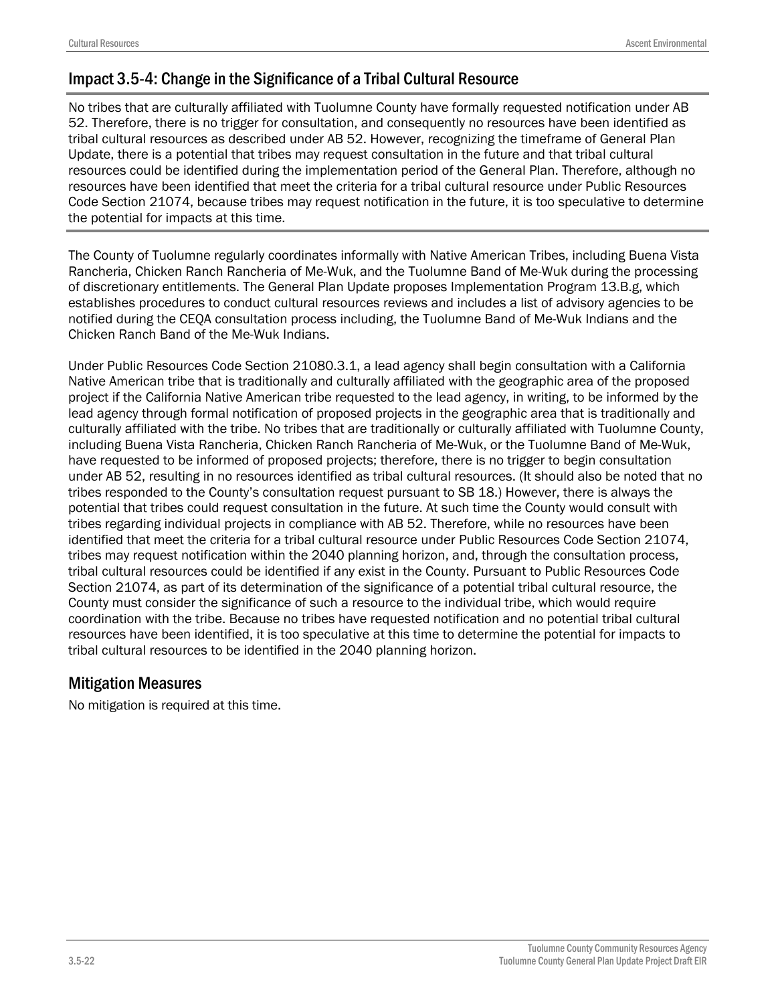## Impact 3.5-4: Change in the Significance of a Tribal Cultural Resource

No tribes that are culturally affiliated with Tuolumne County have formally requested notification under AB 52. Therefore, there is no trigger for consultation, and consequently no resources have been identified as tribal cultural resources as described under AB 52. However, recognizing the timeframe of General Plan Update, there is a potential that tribes may request consultation in the future and that tribal cultural resources could be identified during the implementation period of the General Plan. Therefore, although no resources have been identified that meet the criteria for a tribal cultural resource under Public Resources Code Section 21074, because tribes may request notification in the future, it is too speculative to determine the potential for impacts at this time.

The County of Tuolumne regularly coordinates informally with Native American Tribes, including Buena Vista Rancheria, Chicken Ranch Rancheria of Me-Wuk, and the Tuolumne Band of Me-Wuk during the processing of discretionary entitlements. The General Plan Update proposes Implementation Program 13.B.g, which establishes procedures to conduct cultural resources reviews and includes a list of advisory agencies to be notified during the CEQA consultation process including, the Tuolumne Band of Me-Wuk Indians and the Chicken Ranch Band of the Me-Wuk Indians.

Under Public Resources Code Section 21080.3.1, a lead agency shall begin consultation with a California Native American tribe that is traditionally and culturally affiliated with the geographic area of the proposed project if the California Native American tribe requested to the lead agency, in writing, to be informed by the lead agency through formal notification of proposed projects in the geographic area that is traditionally and culturally affiliated with the tribe. No tribes that are traditionally or culturally affiliated with Tuolumne County, including Buena Vista Rancheria, Chicken Ranch Rancheria of Me-Wuk, or the Tuolumne Band of Me-Wuk, have requested to be informed of proposed projects; therefore, there is no trigger to begin consultation under AB 52, resulting in no resources identified as tribal cultural resources. (It should also be noted that no tribes responded to the County's consultation request pursuant to SB 18.) However, there is always the potential that tribes could request consultation in the future. At such time the County would consult with tribes regarding individual projects in compliance with AB 52. Therefore, while no resources have been identified that meet the criteria for a tribal cultural resource under Public Resources Code Section 21074, tribes may request notification within the 2040 planning horizon, and, through the consultation process, tribal cultural resources could be identified if any exist in the County. Pursuant to Public Resources Code Section 21074, as part of its determination of the significance of a potential tribal cultural resource, the County must consider the significance of such a resource to the individual tribe, which would require coordination with the tribe. Because no tribes have requested notification and no potential tribal cultural resources have been identified, it is too speculative at this time to determine the potential for impacts to tribal cultural resources to be identified in the 2040 planning horizon.

## Mitigation Measures

No mitigation is required at this time.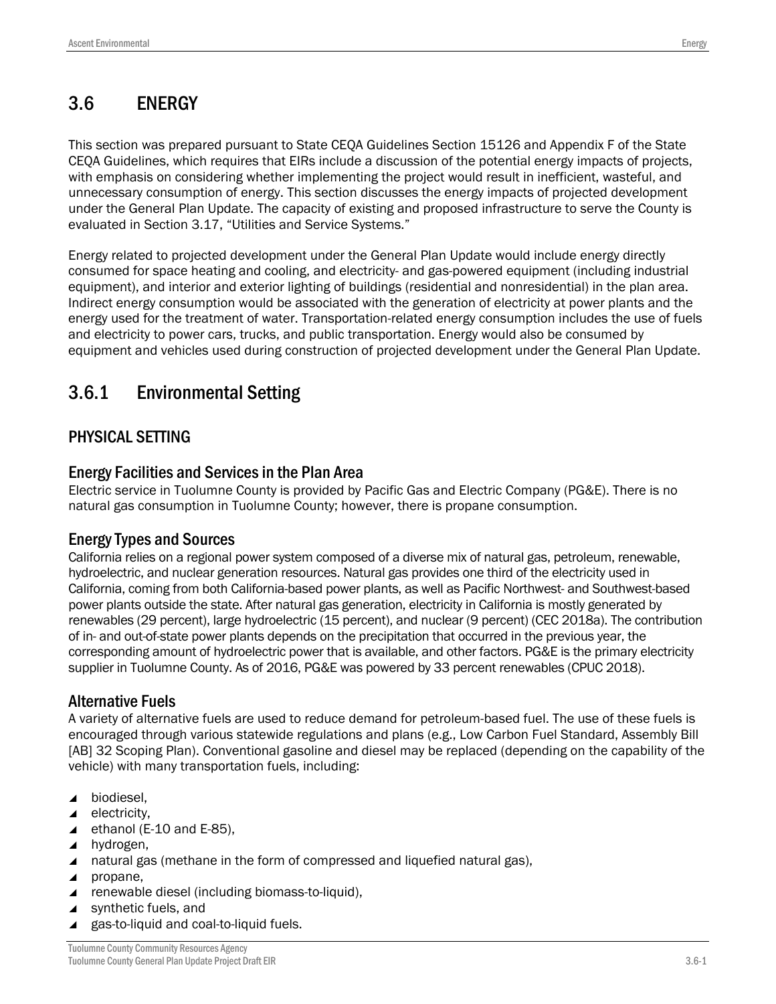# 3.6 ENERGY

This section was prepared pursuant to State CEQA Guidelines Section 15126 and Appendix F of the State CEQA Guidelines, which requires that EIRs include a discussion of the potential energy impacts of projects, with emphasis on considering whether implementing the project would result in inefficient, wasteful, and unnecessary consumption of energy. This section discusses the energy impacts of projected development under the General Plan Update. The capacity of existing and proposed infrastructure to serve the County is evaluated in Section 3.17, "Utilities and Service Systems."

Energy related to projected development under the General Plan Update would include energy directly consumed for space heating and cooling, and electricity- and gas-powered equipment (including industrial equipment), and interior and exterior lighting of buildings (residential and nonresidential) in the plan area. Indirect energy consumption would be associated with the generation of electricity at power plants and the energy used for the treatment of water. Transportation-related energy consumption includes the use of fuels and electricity to power cars, trucks, and public transportation. Energy would also be consumed by equipment and vehicles used during construction of projected development under the General Plan Update.

# 3.6.1 Environmental Setting

## PHYSICAL SETTING

## Energy Facilities and Services in the Plan Area

Electric service in Tuolumne County is provided by Pacific Gas and Electric Company (PG&E). There is no natural gas consumption in Tuolumne County; however, there is propane consumption.

## Energy Types and Sources

California relies on a regional power system composed of a diverse mix of natural gas, petroleum, renewable, hydroelectric, and nuclear generation resources. Natural gas provides one third of the electricity used in California, coming from both California-based power plants, as well as Pacific Northwest- and Southwest-based power plants outside the state. After natural gas generation, electricity in California is mostly generated by renewables (29 percent), large hydroelectric (15 percent), and nuclear (9 percent) (CEC 2018a). The contribution of in- and out-of-state power plants depends on the precipitation that occurred in the previous year, the corresponding amount of hydroelectric power that is available, and other factors. PG&E is the primary electricity supplier in Tuolumne County. As of 2016, PG&E was powered by 33 percent renewables (CPUC 2018).

## Alternative Fuels

A variety of alternative fuels are used to reduce demand for petroleum-based fuel. The use of these fuels is encouraged through various statewide regulations and plans (e.g., Low Carbon Fuel Standard, Assembly Bill [AB] 32 Scoping Plan). Conventional gasoline and diesel may be replaced (depending on the capability of the vehicle) with many transportation fuels, including:

- ▲ biodiesel.
- $\blacktriangle$  electricity,
- $\triangleleft$  ethanol (E-10 and E-85),
- ▲ hydrogen,
- natural gas (methane in the form of compressed and liquefied natural gas),
- $\blacktriangle$  propane,
- ▲ renewable diesel (including biomass-to-liquid),
- synthetic fuels, and
- ▲ gas-to-liquid and coal-to-liquid fuels.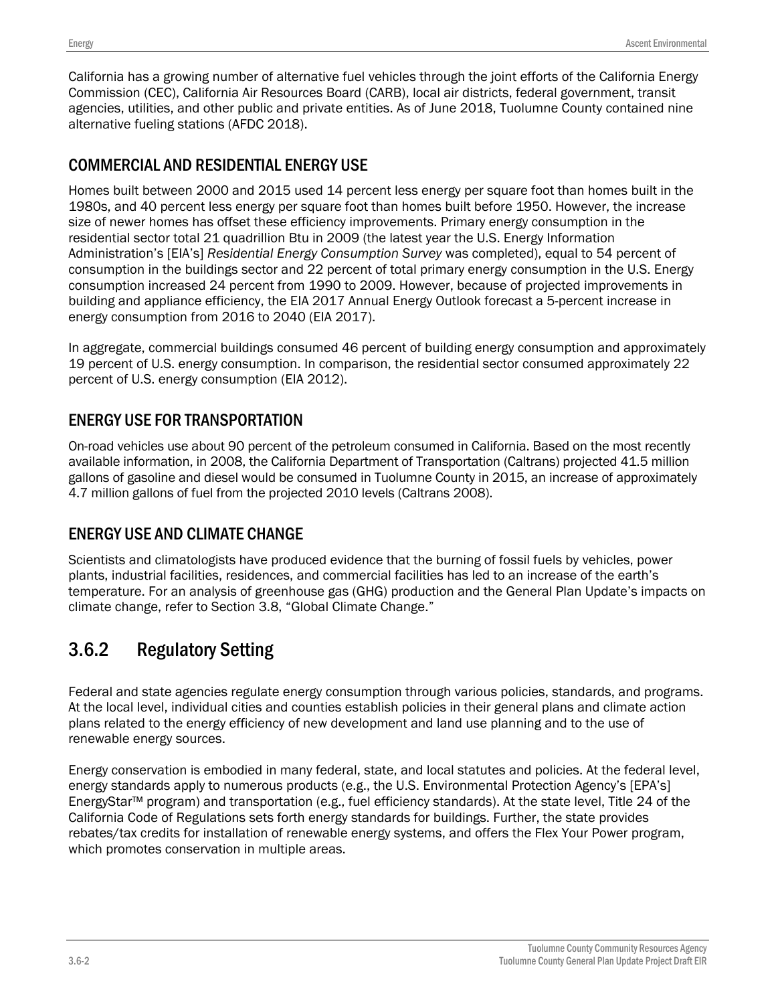California has a growing number of alternative fuel vehicles through the joint efforts of the California Energy Commission (CEC), California Air Resources Board (CARB), local air districts, federal government, transit agencies, utilities, and other public and private entities. As of June 2018, Tuolumne County contained nine alternative fueling stations (AFDC 2018).

## COMMERCIAL AND RESIDENTIAL ENERGY USE

Homes built between 2000 and 2015 used 14 percent less energy per square foot than homes built in the 1980s, and 40 percent less energy per square foot than homes built before 1950. However, the increase size of newer homes has offset these efficiency improvements. Primary energy consumption in the residential sector total 21 quadrillion Btu in 2009 (the latest year the U.S. Energy Information Administration's [EIA's] *Residential Energy Consumption Survey* was completed), equal to 54 percent of consumption in the buildings sector and 22 percent of total primary energy consumption in the U.S. Energy consumption increased 24 percent from 1990 to 2009. However, because of projected improvements in building and appliance efficiency, the EIA 2017 Annual Energy Outlook forecast a 5-percent increase in energy consumption from 2016 to 2040 (EIA 2017).

In aggregate, commercial buildings consumed 46 percent of building energy consumption and approximately 19 percent of U.S. energy consumption. In comparison, the residential sector consumed approximately 22 percent of U.S. energy consumption (EIA 2012).

## ENERGY USE FOR TRANSPORTATION

On-road vehicles use about 90 percent of the petroleum consumed in California. Based on the most recently available information, in 2008, the California Department of Transportation (Caltrans) projected 41.5 million gallons of gasoline and diesel would be consumed in Tuolumne County in 2015, an increase of approximately 4.7 million gallons of fuel from the projected 2010 levels (Caltrans 2008).

## ENERGY USE AND CLIMATE CHANGE

Scientists and climatologists have produced evidence that the burning of fossil fuels by vehicles, power plants, industrial facilities, residences, and commercial facilities has led to an increase of the earth's temperature. For an analysis of greenhouse gas (GHG) production and the General Plan Update's impacts on climate change, refer to Section 3.8, "Global Climate Change."

# 3.6.2 Regulatory Setting

Federal and state agencies regulate energy consumption through various policies, standards, and programs. At the local level, individual cities and counties establish policies in their general plans and climate action plans related to the energy efficiency of new development and land use planning and to the use of renewable energy sources.

Energy conservation is embodied in many federal, state, and local statutes and policies. At the federal level, energy standards apply to numerous products (e.g., the U.S. Environmental Protection Agency's [EPA's] EnergyStar™ program) and transportation (e.g., fuel efficiency standards). At the state level, Title 24 of the California Code of Regulations sets forth energy standards for buildings. Further, the state provides rebates/tax credits for installation of renewable energy systems, and offers the Flex Your Power program, which promotes conservation in multiple areas.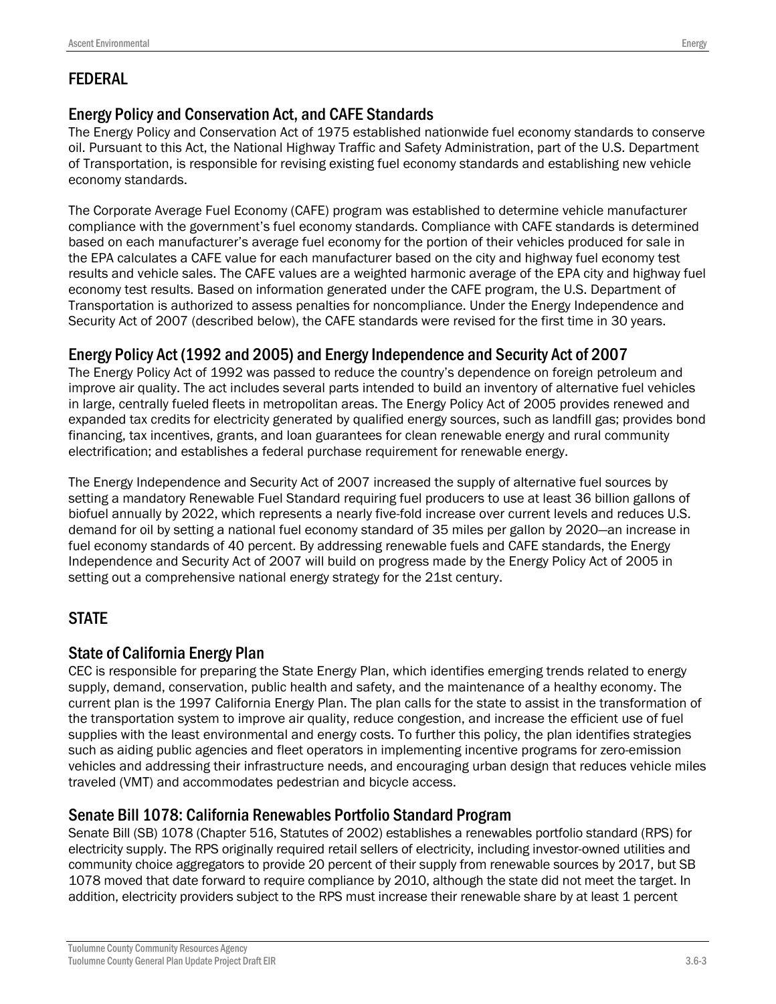## FEDERAL

## Energy Policy and Conservation Act, and CAFE Standards

The Energy Policy and Conservation Act of 1975 established nationwide fuel economy standards to conserve oil. Pursuant to this Act, the National Highway Traffic and Safety Administration, part of the U.S. Department of Transportation, is responsible for revising existing fuel economy standards and establishing new vehicle economy standards.

The Corporate Average Fuel Economy (CAFE) program was established to determine vehicle manufacturer compliance with the government's fuel economy standards. Compliance with CAFE standards is determined based on each manufacturer's average fuel economy for the portion of their vehicles produced for sale in the EPA calculates a CAFE value for each manufacturer based on the city and highway fuel economy test results and vehicle sales. The CAFE values are a weighted harmonic average of the EPA city and highway fuel economy test results. Based on information generated under the CAFE program, the U.S. Department of Transportation is authorized to assess penalties for noncompliance. Under the Energy Independence and Security Act of 2007 (described below), the CAFE standards were revised for the first time in 30 years.

## Energy Policy Act (1992 and 2005) and Energy Independence and Security Act of 2007

The Energy Policy Act of 1992 was passed to reduce the country's dependence on foreign petroleum and improve air quality. The act includes several parts intended to build an inventory of alternative fuel vehicles in large, centrally fueled fleets in metropolitan areas. The Energy Policy Act of 2005 provides renewed and expanded tax credits for electricity generated by qualified energy sources, such as landfill gas; provides bond financing, tax incentives, grants, and loan guarantees for clean renewable energy and rural community electrification; and establishes a federal purchase requirement for renewable energy.

The Energy Independence and Security Act of 2007 increased the supply of alternative fuel sources by setting a mandatory Renewable Fuel Standard requiring fuel producers to use at least 36 billion gallons of biofuel annually by 2022, which represents a nearly five-fold increase over current levels and reduces U.S. demand for oil by setting a national fuel economy standard of 35 miles per gallon by 2020—an increase in fuel economy standards of 40 percent. By addressing renewable fuels and CAFE standards, the Energy Independence and Security Act of 2007 will build on progress made by the Energy Policy Act of 2005 in setting out a comprehensive national energy strategy for the 21st century.

## **STATE**

## State of California Energy Plan

CEC is responsible for preparing the State Energy Plan, which identifies emerging trends related to energy supply, demand, conservation, public health and safety, and the maintenance of a healthy economy. The current plan is the 1997 California Energy Plan. The plan calls for the state to assist in the transformation of the transportation system to improve air quality, reduce congestion, and increase the efficient use of fuel supplies with the least environmental and energy costs. To further this policy, the plan identifies strategies such as aiding public agencies and fleet operators in implementing incentive programs for zero-emission vehicles and addressing their infrastructure needs, and encouraging urban design that reduces vehicle miles traveled (VMT) and accommodates pedestrian and bicycle access.

## Senate Bill 1078: California Renewables Portfolio Standard Program

Senate Bill (SB) 1078 (Chapter 516, Statutes of 2002) establishes a renewables portfolio standard (RPS) for electricity supply. The RPS originally required retail sellers of electricity, including investor-owned utilities and community choice aggregators to provide 20 percent of their supply from renewable sources by 2017, but SB 1078 moved that date forward to require compliance by 2010, although the state did not meet the target. In addition, electricity providers subject to the RPS must increase their renewable share by at least 1 percent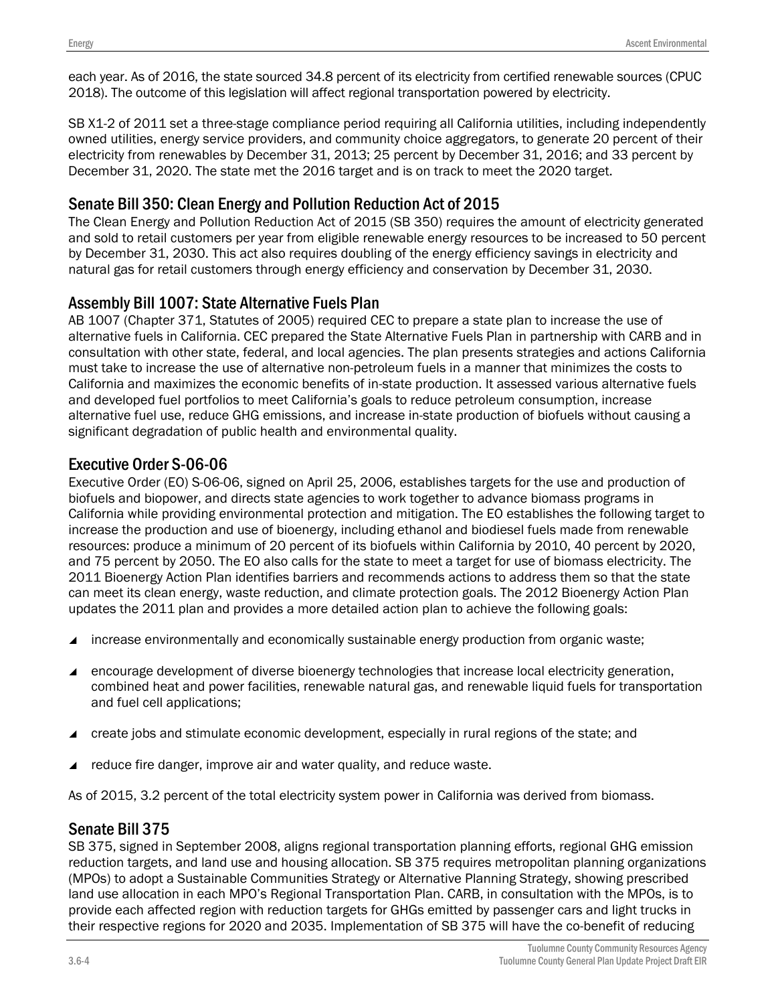each year. As of 2016, the state sourced 34.8 percent of its electricity from certified renewable sources (CPUC 2018). The outcome of this legislation will affect regional transportation powered by electricity.

SB X1-2 of 2011 set a three-stage compliance period requiring all California utilities, including independently owned utilities, energy service providers, and community choice aggregators, to generate 20 percent of their electricity from renewables by December 31, 2013; 25 percent by December 31, 2016; and 33 percent by December 31, 2020. The state met the 2016 target and is on track to meet the 2020 target.

### Senate Bill 350: Clean Energy and Pollution Reduction Act of 2015

The Clean Energy and Pollution Reduction Act of 2015 (SB 350) requires the amount of electricity generated and sold to retail customers per year from eligible renewable energy resources to be increased to 50 percent by December 31, 2030. This act also requires doubling of the energy efficiency savings in electricity and natural gas for retail customers through energy efficiency and conservation by December 31, 2030.

## Assembly Bill 1007: State Alternative Fuels Plan

AB 1007 (Chapter 371, Statutes of 2005) required CEC to prepare a state plan to increase the use of alternative fuels in California. CEC prepared the State Alternative Fuels Plan in partnership with CARB and in consultation with other state, federal, and local agencies. The plan presents strategies and actions California must take to increase the use of alternative non-petroleum fuels in a manner that minimizes the costs to California and maximizes the economic benefits of in-state production. It assessed various alternative fuels and developed fuel portfolios to meet California's goals to reduce petroleum consumption, increase alternative fuel use, reduce GHG emissions, and increase in-state production of biofuels without causing a significant degradation of public health and environmental quality.

## Executive Order S-06-06

Executive Order (EO) S-06-06, signed on April 25, 2006, establishes targets for the use and production of biofuels and biopower, and directs state agencies to work together to advance biomass programs in California while providing environmental protection and mitigation. The EO establishes the following target to increase the production and use of bioenergy, including ethanol and biodiesel fuels made from renewable resources: produce a minimum of 20 percent of its biofuels within California by 2010, 40 percent by 2020, and 75 percent by 2050. The EO also calls for the state to meet a target for use of biomass electricity. The 2011 Bioenergy Action Plan identifies barriers and recommends actions to address them so that the state can meet its clean energy, waste reduction, and climate protection goals. The 2012 Bioenergy Action Plan updates the 2011 plan and provides a more detailed action plan to achieve the following goals:

- increase environmentally and economically sustainable energy production from organic waste;
- encourage development of diverse bioenergy technologies that increase local electricity generation, combined heat and power facilities, renewable natural gas, and renewable liquid fuels for transportation and fuel cell applications;
- create jobs and stimulate economic development, especially in rural regions of the state; and
- reduce fire danger, improve air and water quality, and reduce waste.

As of 2015, 3.2 percent of the total electricity system power in California was derived from biomass.

## Senate Bill 375

SB 375, signed in September 2008, aligns regional transportation planning efforts, regional GHG emission reduction targets, and land use and housing allocation. SB 375 requires metropolitan planning organizations (MPOs) to adopt a Sustainable Communities Strategy or Alternative Planning Strategy, showing prescribed land use allocation in each MPO's Regional Transportation Plan. CARB, in consultation with the MPOs, is to provide each affected region with reduction targets for GHGs emitted by passenger cars and light trucks in their respective regions for 2020 and 2035. Implementation of SB 375 will have the co-benefit of reducing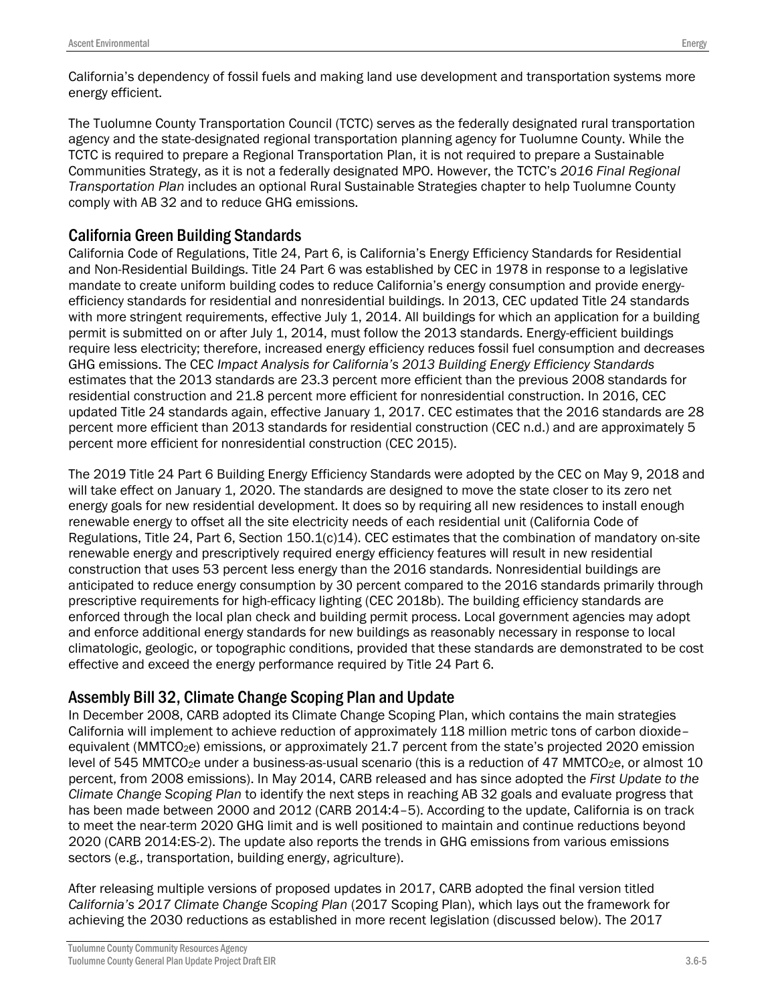California's dependency of fossil fuels and making land use development and transportation systems more energy efficient.

The Tuolumne County Transportation Council (TCTC) serves as the federally designated rural transportation agency and the state-designated regional transportation planning agency for Tuolumne County. While the TCTC is required to prepare a Regional Transportation Plan, it is not required to prepare a Sustainable Communities Strategy, as it is not a federally designated MPO. However, the TCTC's *2016 Final Regional Transportation Plan* includes an optional Rural Sustainable Strategies chapter to help Tuolumne County comply with AB 32 and to reduce GHG emissions.

## California Green Building Standards

California Code of Regulations, Title 24, Part 6, is California's Energy Efficiency Standards for Residential and Non-Residential Buildings. Title 24 Part 6 was established by CEC in 1978 in response to a legislative mandate to create uniform building codes to reduce California's energy consumption and provide energyefficiency standards for residential and nonresidential buildings. In 2013, CEC updated Title 24 standards with more stringent requirements, effective July 1, 2014. All buildings for which an application for a building permit is submitted on or after July 1, 2014, must follow the 2013 standards. Energy-efficient buildings require less electricity; therefore, increased energy efficiency reduces fossil fuel consumption and decreases GHG emissions. The CEC *Impact Analysis for California's 2013 Building Energy Efficiency Standards* estimates that the 2013 standards are 23.3 percent more efficient than the previous 2008 standards for residential construction and 21.8 percent more efficient for nonresidential construction. In 2016, CEC updated Title 24 standards again, effective January 1, 2017. CEC estimates that the 2016 standards are 28 percent more efficient than 2013 standards for residential construction (CEC n.d.) and are approximately 5 percent more efficient for nonresidential construction (CEC 2015).

The 2019 Title 24 Part 6 Building Energy Efficiency Standards were adopted by the CEC on May 9, 2018 and will take effect on January 1, 2020. The standards are designed to move the state closer to its zero net energy goals for new residential development. It does so by requiring all new residences to install enough renewable energy to offset all the site electricity needs of each residential unit (California Code of Regulations, Title 24, Part 6, Section 150.1(c)14). CEC estimates that the combination of mandatory on-site renewable energy and prescriptively required energy efficiency features will result in new residential construction that uses 53 percent less energy than the 2016 standards. Nonresidential buildings are anticipated to reduce energy consumption by 30 percent compared to the 2016 standards primarily through prescriptive requirements for high-efficacy lighting (CEC 2018b). The building efficiency standards are enforced through the local plan check and building permit process. Local government agencies may adopt and enforce additional energy standards for new buildings as reasonably necessary in response to local climatologic, geologic, or topographic conditions, provided that these standards are demonstrated to be cost effective and exceed the energy performance required by Title 24 Part 6.

## Assembly Bill 32, Climate Change Scoping Plan and Update

In December 2008, CARB adopted its Climate Change Scoping Plan, which contains the main strategies California will implement to achieve reduction of approximately 118 million metric tons of carbon dioxide– equivalent (MMTCO2e) emissions, or approximately 21.7 percent from the state's projected 2020 emission level of 545 MMTCO<sub>2</sub>e under a business-as-usual scenario (this is a reduction of 47 MMTCO<sub>2</sub>e, or almost 10 percent, from 2008 emissions). In May 2014, CARB released and has since adopted the *First Update to the Climate Change Scoping Plan* to identify the next steps in reaching AB 32 goals and evaluate progress that has been made between 2000 and 2012 (CARB 2014:4-5). According to the update, California is on track to meet the near-term 2020 GHG limit and is well positioned to maintain and continue reductions beyond 2020 (CARB 2014:ES-2). The update also reports the trends in GHG emissions from various emissions sectors (e.g., transportation, building energy, agriculture).

After releasing multiple versions of proposed updates in 2017, CARB adopted the final version titled *California's 2017 Climate Change Scoping Plan* (2017 Scoping Plan), which lays out the framework for achieving the 2030 reductions as established in more recent legislation (discussed below). The 2017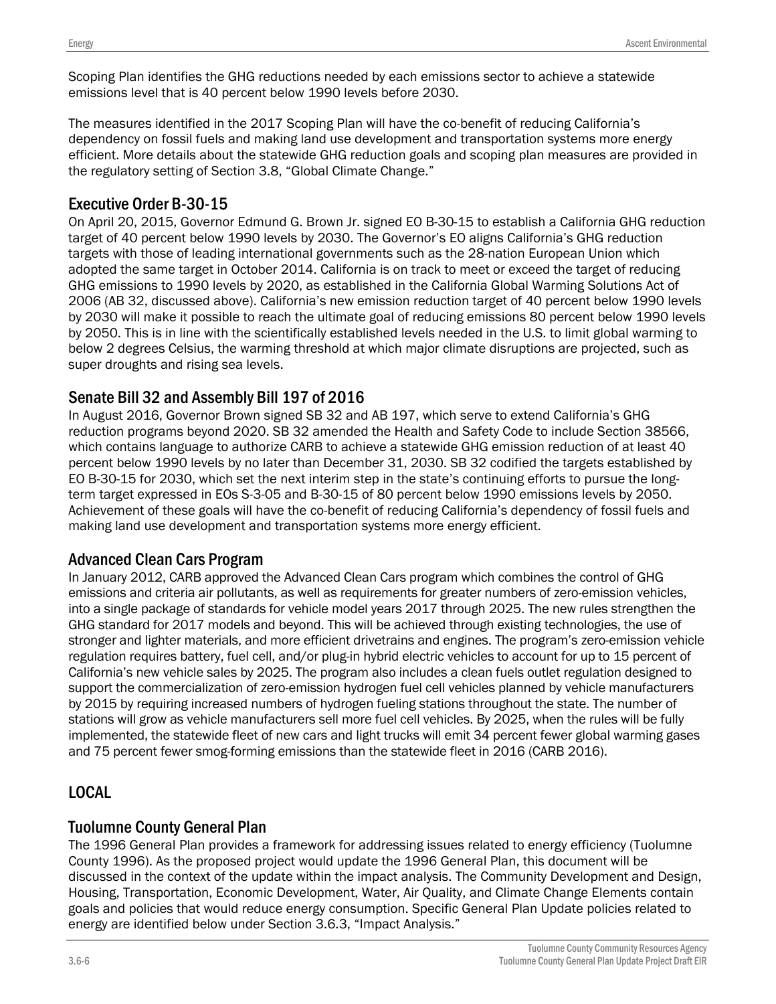Scoping Plan identifies the GHG reductions needed by each emissions sector to achieve a statewide emissions level that is 40 percent below 1990 levels before 2030.

The measures identified in the 2017 Scoping Plan will have the co-benefit of reducing California's dependency on fossil fuels and making land use development and transportation systems more energy efficient. More details about the statewide GHG reduction goals and scoping plan measures are provided in the regulatory setting of Section 3.8, "Global Climate Change."

## Executive Order B-30-15

On April 20, 2015, Governor Edmund G. Brown Jr. signed EO B-30-15 to establish a California GHG reduction target of 40 percent below 1990 levels by 2030. The Governor's EO aligns California's GHG reduction targets with those of leading international governments such as the 28-nation European Union which adopted the same target in October 2014. California is on track to meet or exceed the target of reducing GHG emissions to 1990 levels by 2020, as established in the California Global Warming Solutions Act of 2006 (AB 32, discussed above). California's new emission reduction target of 40 percent below 1990 levels by 2030 will make it possible to reach the ultimate goal of reducing emissions 80 percent below 1990 levels by 2050. This is in line with the scientifically established levels needed in the U.S. to limit global warming to below 2 degrees Celsius, the warming threshold at which major climate disruptions are projected, such as super droughts and rising sea levels.

## Senate Bill 32 and Assembly Bill 197 of 2016

In August 2016, Governor Brown signed SB 32 and AB 197, which serve to extend California's GHG reduction programs beyond 2020. SB 32 amended the Health and Safety Code to include Section 38566, which contains language to authorize CARB to achieve a statewide GHG emission reduction of at least 40 percent below 1990 levels by no later than December 31, 2030. SB 32 codified the targets established by EO B-30-15 for 2030, which set the next interim step in the state's continuing efforts to pursue the longterm target expressed in EOs S-3-05 and B-30-15 of 80 percent below 1990 emissions levels by 2050. Achievement of these goals will have the co-benefit of reducing California's dependency of fossil fuels and making land use development and transportation systems more energy efficient.

## Advanced Clean Cars Program

In January 2012, CARB approved the Advanced Clean Cars program which combines the control of GHG emissions and criteria air pollutants, as well as requirements for greater numbers of zero-emission vehicles, into a single package of standards for vehicle model years 2017 through 2025. The new rules strengthen the GHG standard for 2017 models and beyond. This will be achieved through existing technologies, the use of stronger and lighter materials, and more efficient drivetrains and engines. The program's zero-emission vehicle regulation requires battery, fuel cell, and/or plug-in hybrid electric vehicles to account for up to 15 percent of California's new vehicle sales by 2025. The program also includes a clean fuels outlet regulation designed to support the commercialization of zero-emission hydrogen fuel cell vehicles planned by vehicle manufacturers by 2015 by requiring increased numbers of hydrogen fueling stations throughout the state. The number of stations will grow as vehicle manufacturers sell more fuel cell vehicles. By 2025, when the rules will be fully implemented, the statewide fleet of new cars and light trucks will emit 34 percent fewer global warming gases and 75 percent fewer smog-forming emissions than the statewide fleet in 2016 (CARB 2016).

## LOCAL

## Tuolumne County General Plan

The 1996 General Plan provides a framework for addressing issues related to energy efficiency (Tuolumne County 1996). As the proposed project would update the 1996 General Plan, this document will be discussed in the context of the update within the impact analysis. The Community Development and Design, Housing, Transportation, Economic Development, Water, Air Quality, and Climate Change Elements contain goals and policies that would reduce energy consumption. Specific General Plan Update policies related to energy are identified below under Section 3.6.3, "Impact Analysis."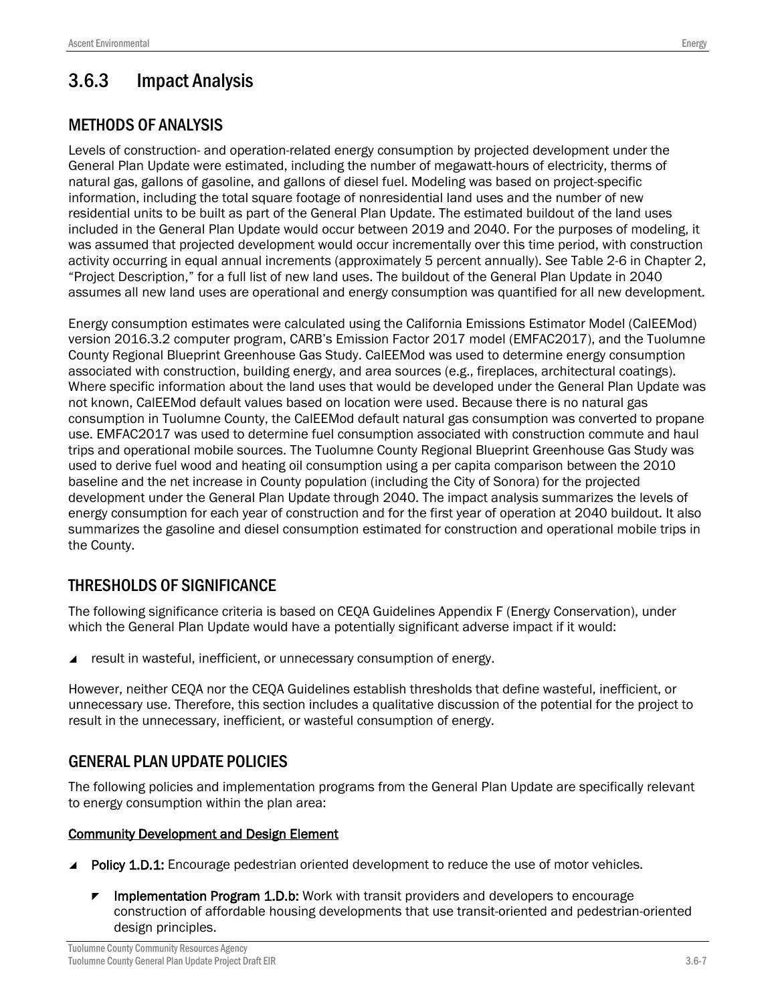# 3.6.3 Impact Analysis

## METHODS OF ANALYSIS

Levels of construction- and operation-related energy consumption by projected development under the General Plan Update were estimated, including the number of megawatt-hours of electricity, therms of natural gas, gallons of gasoline, and gallons of diesel fuel. Modeling was based on project-specific information, including the total square footage of nonresidential land uses and the number of new residential units to be built as part of the General Plan Update. The estimated buildout of the land uses included in the General Plan Update would occur between 2019 and 2040. For the purposes of modeling, it was assumed that projected development would occur incrementally over this time period, with construction activity occurring in equal annual increments (approximately 5 percent annually). See Table 2-6 in Chapter 2, "Project Description," for a full list of new land uses. The buildout of the General Plan Update in 2040 assumes all new land uses are operational and energy consumption was quantified for all new development.

Energy consumption estimates were calculated using the California Emissions Estimator Model (CalEEMod) version 2016.3.2 computer program, CARB's Emission Factor 2017 model (EMFAC2017), and the Tuolumne County Regional Blueprint Greenhouse Gas Study. CalEEMod was used to determine energy consumption associated with construction, building energy, and area sources (e.g., fireplaces, architectural coatings). Where specific information about the land uses that would be developed under the General Plan Update was not known, CalEEMod default values based on location were used. Because there is no natural gas consumption in Tuolumne County, the CalEEMod default natural gas consumption was converted to propane use. EMFAC2017 was used to determine fuel consumption associated with construction commute and haul trips and operational mobile sources. The Tuolumne County Regional Blueprint Greenhouse Gas Study was used to derive fuel wood and heating oil consumption using a per capita comparison between the 2010 baseline and the net increase in County population (including the City of Sonora) for the projected development under the General Plan Update through 2040. The impact analysis summarizes the levels of energy consumption for each year of construction and for the first year of operation at 2040 buildout. It also summarizes the gasoline and diesel consumption estimated for construction and operational mobile trips in the County.

## THRESHOLDS OF SIGNIFICANCE

The following significance criteria is based on CEQA Guidelines Appendix F (Energy Conservation), under which the General Plan Update would have a potentially significant adverse impact if it would:

result in wasteful, inefficient, or unnecessary consumption of energy.

However, neither CEQA nor the CEQA Guidelines establish thresholds that define wasteful, inefficient, or unnecessary use. Therefore, this section includes a qualitative discussion of the potential for the project to result in the unnecessary, inefficient, or wasteful consumption of energy.

## GENERAL PLAN UPDATE POLICIES

The following policies and implementation programs from the General Plan Update are specifically relevant to energy consumption within the plan area:

#### Community Development and Design Element

- **Policy 1.D.1:** Encourage pedestrian oriented development to reduce the use of motor vehicles.
	- Implementation Program 1.D.b: Work with transit providers and developers to encourage construction of affordable housing developments that use transit-oriented and pedestrian-oriented design principles.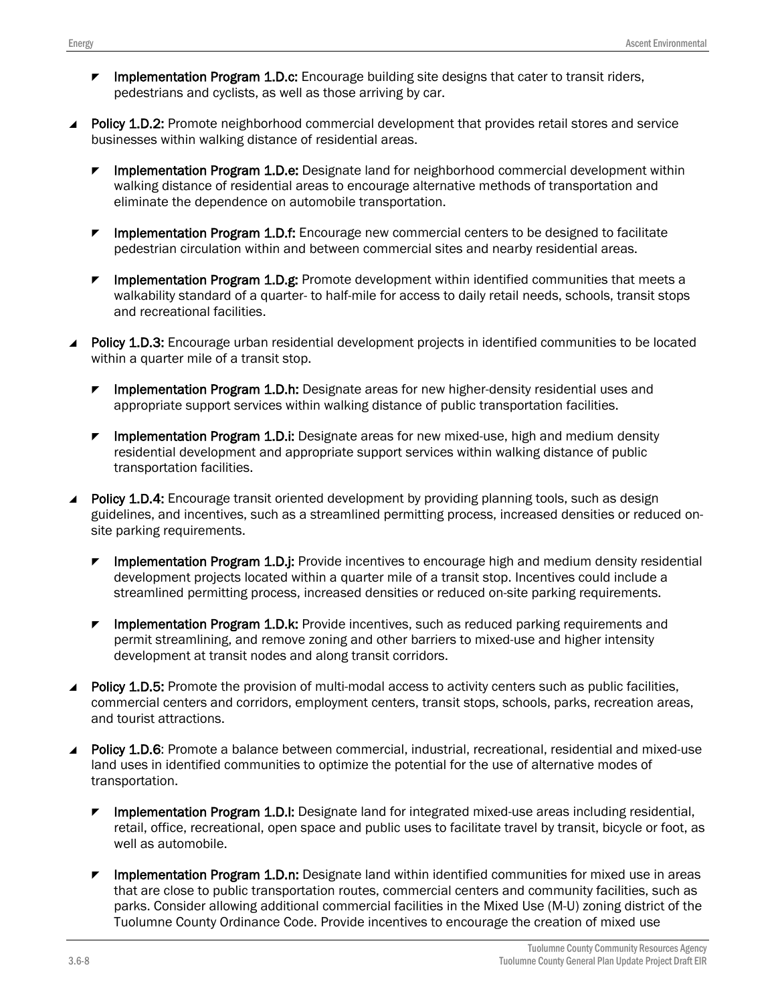- $\blacktriangleright$  Implementation Program 1.D.c: Encourage building site designs that cater to transit riders, pedestrians and cyclists, as well as those arriving by car.
- Policy 1.D.2: Promote neighborhood commercial development that provides retail stores and service businesses within walking distance of residential areas.
	- Implementation Program 1.D.e: Designate land for neighborhood commercial development within walking distance of residential areas to encourage alternative methods of transportation and eliminate the dependence on automobile transportation.
	- $\blacktriangleright$  Implementation Program 1.D.f: Encourage new commercial centers to be designed to facilitate pedestrian circulation within and between commercial sites and nearby residential areas.
	- **F** Implementation Program 1.D.g: Promote development within identified communities that meets a walkability standard of a quarter- to half-mile for access to daily retail needs, schools, transit stops and recreational facilities.
- Policy 1.D.3: Encourage urban residential development projects in identified communities to be located within a quarter mile of a transit stop.
	- **F** Implementation Program 1.D.h: Designate areas for new higher-density residential uses and appropriate support services within walking distance of public transportation facilities.
	- **F** Implementation Program 1.D.i: Designate areas for new mixed-use, high and medium density residential development and appropriate support services within walking distance of public transportation facilities.
- **Policy 1.D.4:** Encourage transit oriented development by providing planning tools, such as design guidelines, and incentives, such as a streamlined permitting process, increased densities or reduced onsite parking requirements.
	- $\blacktriangleright$  Implementation Program 1.D.j: Provide incentives to encourage high and medium density residential development projects located within a quarter mile of a transit stop. Incentives could include a streamlined permitting process, increased densities or reduced on-site parking requirements.
	- **F** Implementation Program 1.D.k: Provide incentives, such as reduced parking requirements and permit streamlining, and remove zoning and other barriers to mixed-use and higher intensity development at transit nodes and along transit corridors.
- **Policy 1.D.5:** Promote the provision of multi-modal access to activity centers such as public facilities, commercial centers and corridors, employment centers, transit stops, schools, parks, recreation areas, and tourist attractions.
- Policy 1.D.6: Promote a balance between commercial, industrial, recreational, residential and mixed-use land uses in identified communities to optimize the potential for the use of alternative modes of transportation.
	- $\blacktriangleright$  Implementation Program 1.D.I: Designate land for integrated mixed-use areas including residential, retail, office, recreational, open space and public uses to facilitate travel by transit, bicycle or foot, as well as automobile.
	- $\blacktriangleright$  Implementation Program 1.D.n: Designate land within identified communities for mixed use in areas that are close to public transportation routes, commercial centers and community facilities, such as parks. Consider allowing additional commercial facilities in the Mixed Use (M-U) zoning district of the Tuolumne County Ordinance Code. Provide incentives to encourage the creation of mixed use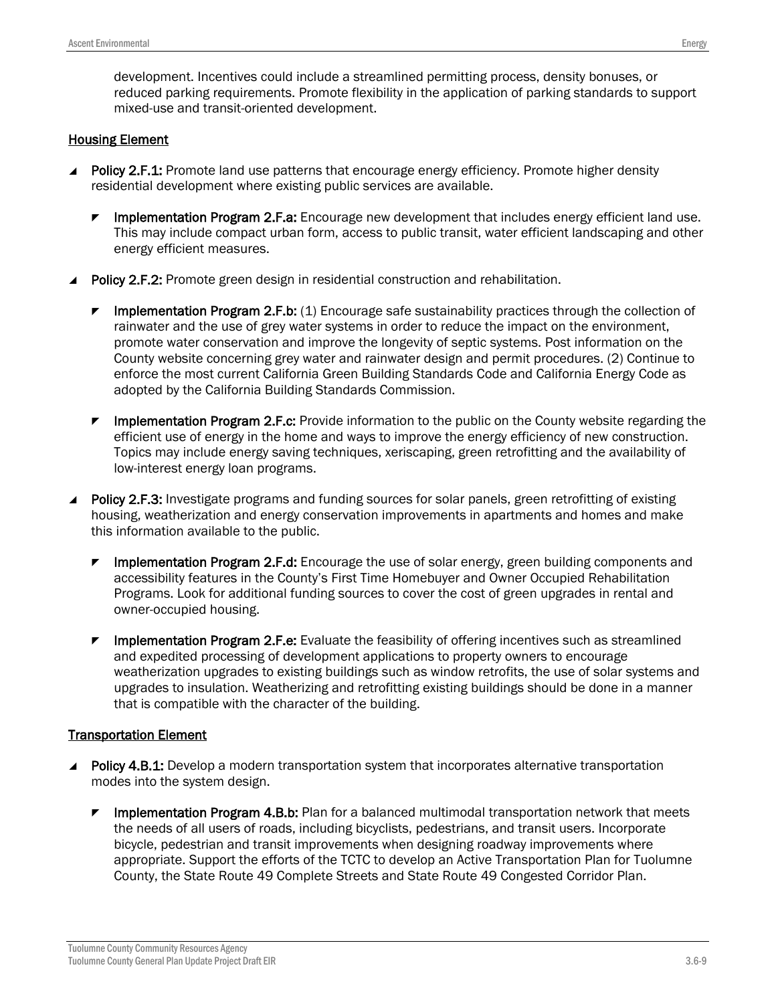development. Incentives could include a streamlined permitting process, density bonuses, or reduced parking requirements. Promote flexibility in the application of parking standards to support mixed-use and transit-oriented development.

#### Housing Element

- Policy 2.F.1: Promote land use patterns that encourage energy efficiency. Promote higher density residential development where existing public services are available.
	- Implementation Program 2.F.a: Encourage new development that includes energy efficient land use. This may include compact urban form, access to public transit, water efficient landscaping and other energy efficient measures.
- **Policy 2.F.2:** Promote green design in residential construction and rehabilitation.
	- Implementation Program 2.F.b: (1) Encourage safe sustainability practices through the collection of rainwater and the use of grey water systems in order to reduce the impact on the environment, promote water conservation and improve the longevity of septic systems. Post information on the County website concerning grey water and rainwater design and permit procedures. (2) Continue to enforce the most current California Green Building Standards Code and California Energy Code as adopted by the California Building Standards Commission.
	- **F** Implementation Program 2.F.c: Provide information to the public on the County website regarding the efficient use of energy in the home and ways to improve the energy efficiency of new construction. Topics may include energy saving techniques, xeriscaping, green retrofitting and the availability of low-interest energy loan programs.
- **Policy 2.F.3:** Investigate programs and funding sources for solar panels, green retrofitting of existing housing, weatherization and energy conservation improvements in apartments and homes and make this information available to the public.
	- **F** Implementation Program 2.F.d: Encourage the use of solar energy, green building components and accessibility features in the County's First Time Homebuyer and Owner Occupied Rehabilitation Programs. Look for additional funding sources to cover the cost of green upgrades in rental and owner-occupied housing.
	- Implementation Program 2.F.e: Evaluate the feasibility of offering incentives such as streamlined and expedited processing of development applications to property owners to encourage weatherization upgrades to existing buildings such as window retrofits, the use of solar systems and upgrades to insulation. Weatherizing and retrofitting existing buildings should be done in a manner that is compatible with the character of the building.

#### Transportation Element

- **Policy 4.B.1:** Develop a modern transportation system that incorporates alternative transportation modes into the system design.
	- Implementation Program 4.B.b: Plan for a balanced multimodal transportation network that meets the needs of all users of roads, including bicyclists, pedestrians, and transit users. Incorporate bicycle, pedestrian and transit improvements when designing roadway improvements where appropriate. Support the efforts of the TCTC to develop an Active Transportation Plan for Tuolumne County, the State Route 49 Complete Streets and State Route 49 Congested Corridor Plan.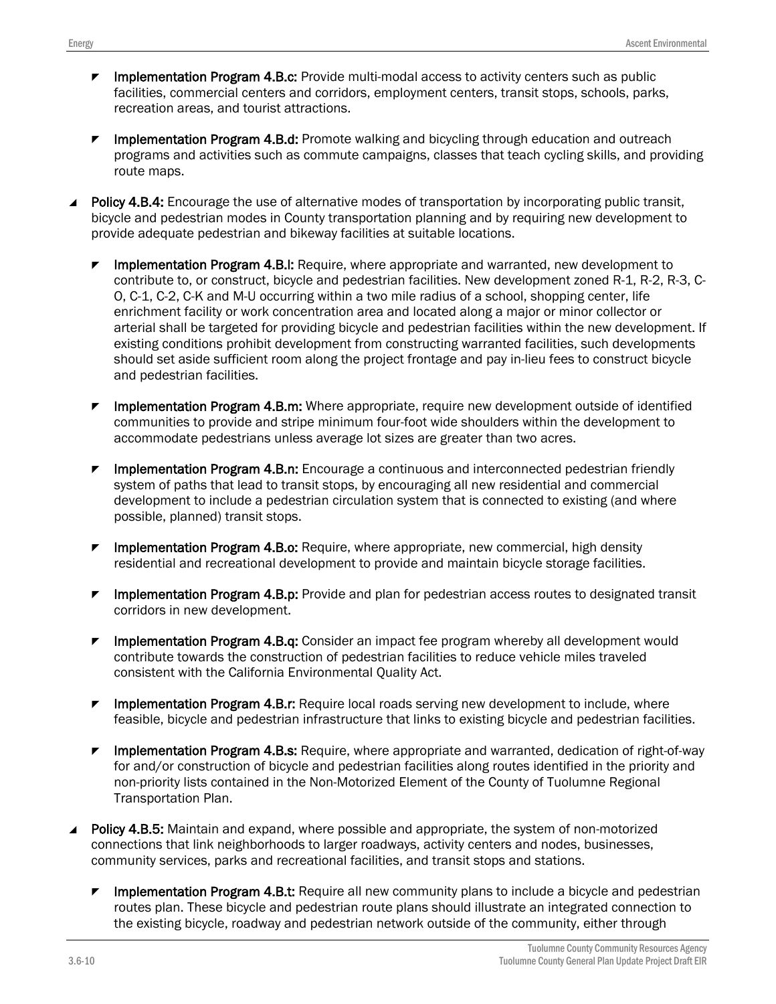- $\blacktriangleright$  Implementation Program 4.B.c: Provide multi-modal access to activity centers such as public facilities, commercial centers and corridors, employment centers, transit stops, schools, parks, recreation areas, and tourist attractions.
- $\blacktriangleright$  Implementation Program 4.B.d: Promote walking and bicycling through education and outreach programs and activities such as commute campaigns, classes that teach cycling skills, and providing route maps.
- ▲ Policy 4.B.4: Encourage the use of alternative modes of transportation by incorporating public transit, bicycle and pedestrian modes in County transportation planning and by requiring new development to provide adequate pedestrian and bikeway facilities at suitable locations.
	- Implementation Program 4.B.l: Require, where appropriate and warranted, new development to contribute to, or construct, bicycle and pedestrian facilities. New development zoned R-1, R-2, R-3, C-O, C-1, C-2, C-K and M-U occurring within a two mile radius of a school, shopping center, life enrichment facility or work concentration area and located along a major or minor collector or arterial shall be targeted for providing bicycle and pedestrian facilities within the new development. If existing conditions prohibit development from constructing warranted facilities, such developments should set aside sufficient room along the project frontage and pay in-lieu fees to construct bicycle and pedestrian facilities.
	- $\blacktriangleright$  Implementation Program 4.B.m: Where appropriate, require new development outside of identified communities to provide and stripe minimum four-foot wide shoulders within the development to accommodate pedestrians unless average lot sizes are greater than two acres.
	- $\blacktriangleright$  Implementation Program 4.B.n: Encourage a continuous and interconnected pedestrian friendly system of paths that lead to transit stops, by encouraging all new residential and commercial development to include a pedestrian circulation system that is connected to existing (and where possible, planned) transit stops.
	- $\blacktriangleright$  Implementation Program 4.B.o: Require, where appropriate, new commercial, high density residential and recreational development to provide and maintain bicycle storage facilities.
	- $\blacktriangleright$  Implementation Program 4.B.p: Provide and plan for pedestrian access routes to designated transit corridors in new development.
	- **F** Implementation Program 4.B.q: Consider an impact fee program whereby all development would contribute towards the construction of pedestrian facilities to reduce vehicle miles traveled consistent with the California Environmental Quality Act.
	- $\blacktriangleright$  Implementation Program 4.B.r: Require local roads serving new development to include, where feasible, bicycle and pedestrian infrastructure that links to existing bicycle and pedestrian facilities.
	- $\blacktriangleright$  Implementation Program 4.B.s: Require, where appropriate and warranted, dedication of right-of-way for and/or construction of bicycle and pedestrian facilities along routes identified in the priority and non-priority lists contained in the Non-Motorized Element of the County of Tuolumne Regional Transportation Plan.
- **Policy 4.B.5:** Maintain and expand, where possible and appropriate, the system of non-motorized connections that link neighborhoods to larger roadways, activity centers and nodes, businesses, community services, parks and recreational facilities, and transit stops and stations.
	- $\blacktriangleright$  Implementation Program 4.B.t: Require all new community plans to include a bicycle and pedestrian routes plan. These bicycle and pedestrian route plans should illustrate an integrated connection to the existing bicycle, roadway and pedestrian network outside of the community, either through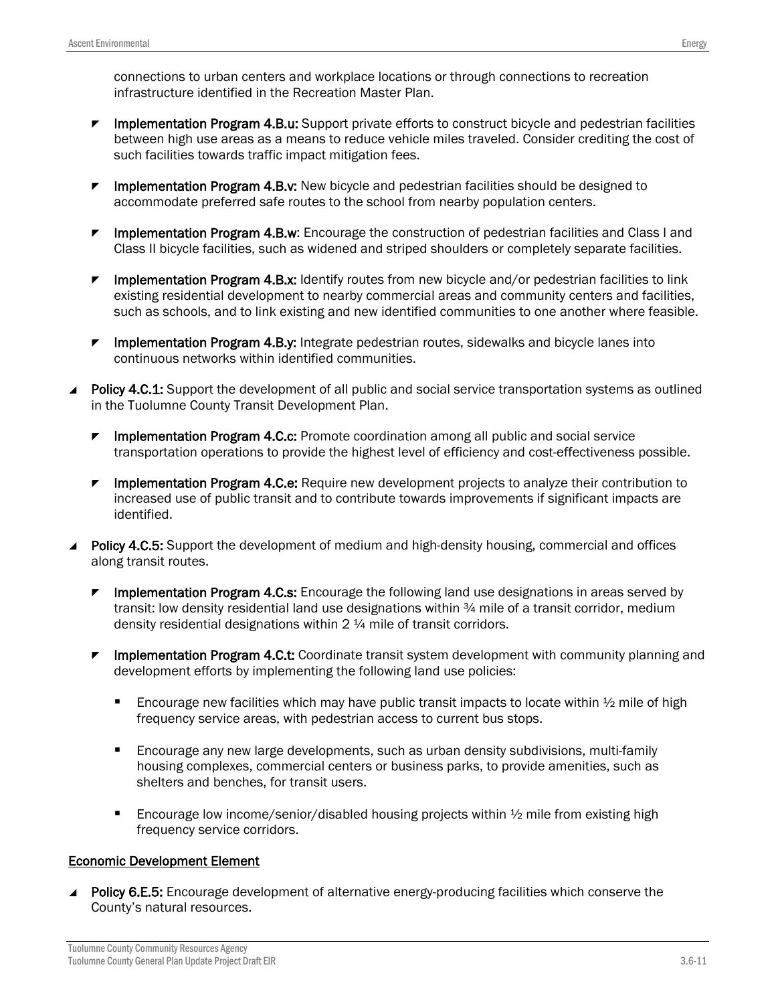connections to urban centers and workplace locations or through connections to recreation infrastructure identified in the Recreation Master Plan.

- $\blacktriangleright$  Implementation Program 4.B.u: Support private efforts to construct bicycle and pedestrian facilities between high use areas as a means to reduce vehicle miles traveled. Consider crediting the cost of such facilities towards traffic impact mitigation fees.
- **F** Implementation Program 4.B.v: New bicycle and pedestrian facilities should be designed to accommodate preferred safe routes to the school from nearby population centers.
- **F** Implementation Program 4.B.w: Encourage the construction of pedestrian facilities and Class I and Class II bicycle facilities, such as widened and striped shoulders or completely separate facilities.
- $\blacktriangleright$  Implementation Program 4.B.x: Identify routes from new bicycle and/or pedestrian facilities to link existing residential development to nearby commercial areas and community centers and facilities, such as schools, and to link existing and new identified communities to one another where feasible.
- $\blacktriangleright$  Implementation Program 4.B.y: Integrate pedestrian routes, sidewalks and bicycle lanes into continuous networks within identified communities.
- Policy 4.C.1: Support the development of all public and social service transportation systems as outlined in the Tuolumne County Transit Development Plan.
	- $\blacktriangleright$  Implementation Program 4.C.c: Promote coordination among all public and social service transportation operations to provide the highest level of efficiency and cost-effectiveness possible.
	- $\blacktriangleright$  Implementation Program 4.C.e: Require new development projects to analyze their contribution to increased use of public transit and to contribute towards improvements if significant impacts are identified.
- **Policy 4.C.5:** Support the development of medium and high-density housing, commercial and offices along transit routes.
	- **F** Implementation Program 4.C.s: Encourage the following land use designations in areas served by transit: low density residential land use designations within 34 mile of a transit corridor, medium density residential designations within 2 ¼ mile of transit corridors.
	- **F** Implementation Program 4.C.t: Coordinate transit system development with community planning and development efforts by implementing the following land use policies:
		- Encourage new facilities which may have public transit impacts to locate within  $\frac{1}{2}$  mile of high frequency service areas, with pedestrian access to current bus stops.
		- **Encourage any new large developments, such as urban density subdivisions, multi-family** housing complexes, commercial centers or business parks, to provide amenities, such as shelters and benches, for transit users.
		- **Encourage low income/senior/disabled housing projects within**  $\frac{1}{2}$  **mile from existing high** frequency service corridors.

#### Economic Development Element

Policy 6.E.5: Encourage development of alternative energy-producing facilities which conserve the County's natural resources.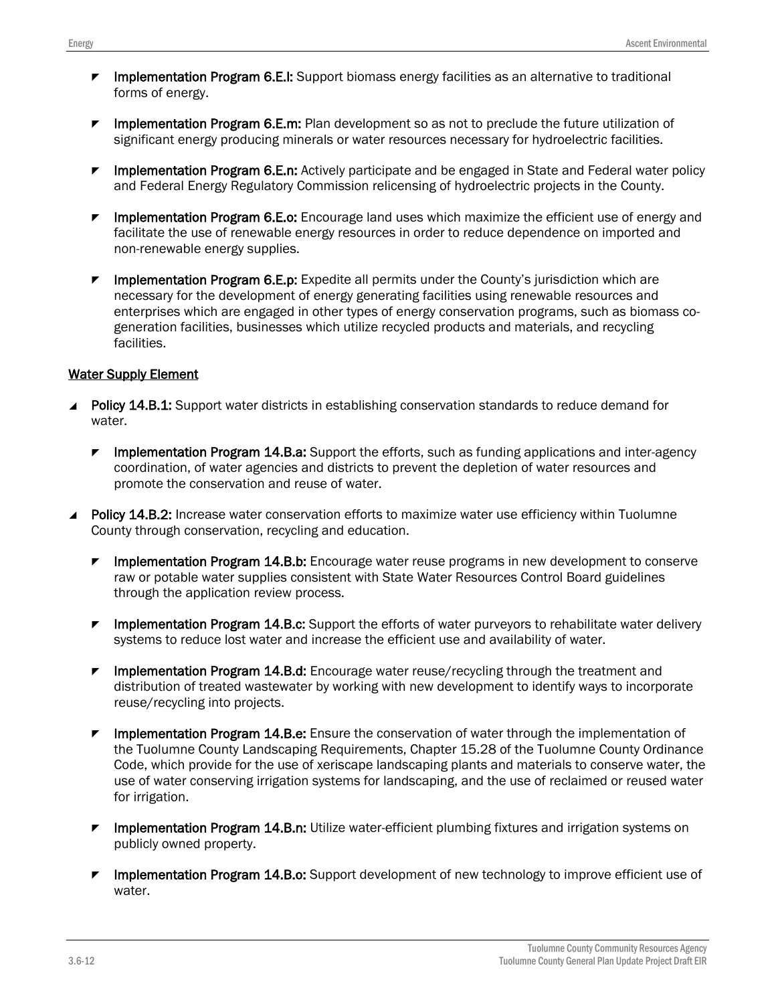- $\blacktriangleright$  Implementation Program 6.E.I: Support biomass energy facilities as an alternative to traditional forms of energy.
- **F** Implementation Program 6.E.m: Plan development so as not to preclude the future utilization of significant energy producing minerals or water resources necessary for hydroelectric facilities.
- **F** Implementation Program 6.E.n: Actively participate and be engaged in State and Federal water policy and Federal Energy Regulatory Commission relicensing of hydroelectric projects in the County.
- **F** Implementation Program 6.E.o: Encourage land uses which maximize the efficient use of energy and facilitate the use of renewable energy resources in order to reduce dependence on imported and non-renewable energy supplies.
- **F** Implementation Program 6.E.p: Expedite all permits under the County's jurisdiction which are necessary for the development of energy generating facilities using renewable resources and enterprises which are engaged in other types of energy conservation programs, such as biomass cogeneration facilities, businesses which utilize recycled products and materials, and recycling facilities.

#### Water Supply Element

- **Policy 14.B.1:** Support water districts in establishing conservation standards to reduce demand for water.
	- Implementation Program 14.B.a: Support the efforts, such as funding applications and inter-agency coordination, of water agencies and districts to prevent the depletion of water resources and promote the conservation and reuse of water.
- Policy 14.B.2: Increase water conservation efforts to maximize water use efficiency within Tuolumne County through conservation, recycling and education.
	- $\blacksquare$  Implementation Program 14.B.b: Encourage water reuse programs in new development to conserve raw or potable water supplies consistent with State Water Resources Control Board guidelines through the application review process.
	- **F** Implementation Program 14.B.c: Support the efforts of water purveyors to rehabilitate water delivery systems to reduce lost water and increase the efficient use and availability of water.
	- **F** Implementation Program 14.B.d: Encourage water reuse/recycling through the treatment and distribution of treated wastewater by working with new development to identify ways to incorporate reuse/recycling into projects.
	- Implementation Program 14.B.e: Ensure the conservation of water through the implementation of the Tuolumne County Landscaping Requirements, Chapter 15.28 of the Tuolumne County Ordinance Code, which provide for the use of xeriscape landscaping plants and materials to conserve water, the use of water conserving irrigation systems for landscaping, and the use of reclaimed or reused water for irrigation.
	- **F** Implementation Program 14.B.n: Utilize water-efficient plumbing fixtures and irrigation systems on publicly owned property.
	- Implementation Program 14.B.o: Support development of new technology to improve efficient use of water.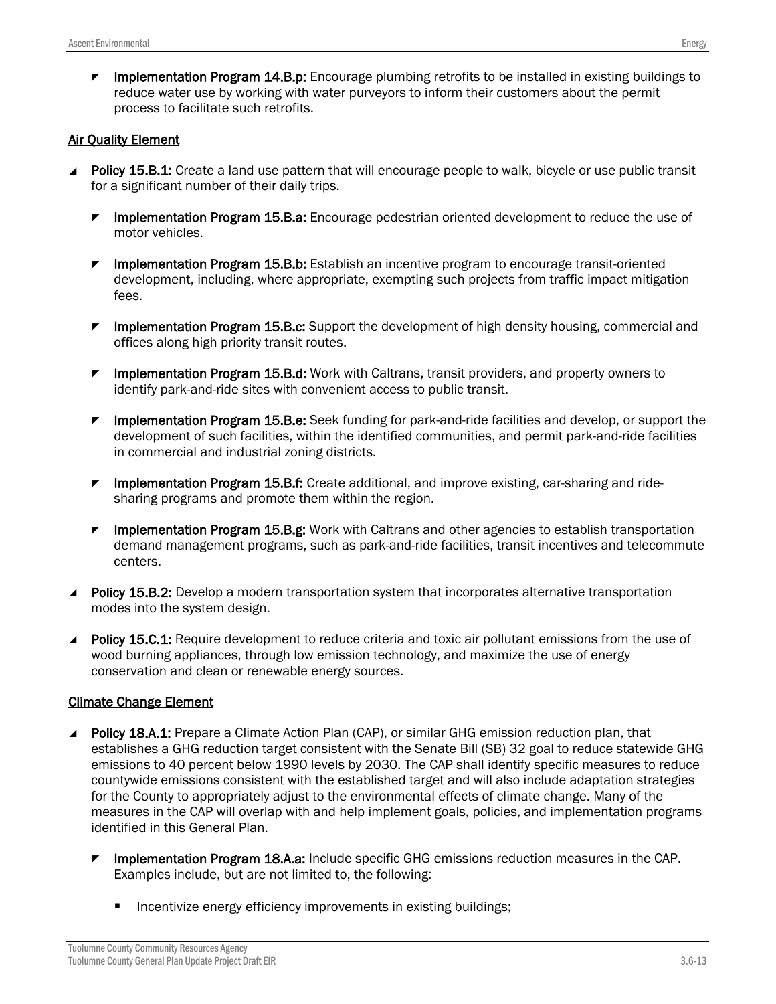Implementation Program 14.B.p: Encourage plumbing retrofits to be installed in existing buildings to reduce water use by working with water purveyors to inform their customers about the permit process to facilitate such retrofits.

#### **Air Quality Element**

- Policy 15.B.1: Create a land use pattern that will encourage people to walk, bicycle or use public transit for a significant number of their daily trips.
	- **F** Implementation Program 15.B.a: Encourage pedestrian oriented development to reduce the use of motor vehicles.
	- $\blacksquare$  Implementation Program 15.B.b: Establish an incentive program to encourage transit-oriented development, including, where appropriate, exempting such projects from traffic impact mitigation fees.
	- **F** Implementation Program 15.B.c: Support the development of high density housing, commercial and offices along high priority transit routes.
	- **F** Implementation Program 15.B.d: Work with Caltrans, transit providers, and property owners to identify park-and-ride sites with convenient access to public transit.
	- $\blacktriangleright$  Implementation Program 15.B.e: Seek funding for park-and-ride facilities and develop, or support the development of such facilities, within the identified communities, and permit park-and-ride facilities in commercial and industrial zoning districts.
	- **F** Implementation Program 15.B.f: Create additional, and improve existing, car-sharing and ridesharing programs and promote them within the region.
	- **F** Implementation Program 15.B.g: Work with Caltrans and other agencies to establish transportation demand management programs, such as park-and-ride facilities, transit incentives and telecommute centers.
- **Policy 15.B.2:** Develop a modern transportation system that incorporates alternative transportation modes into the system design.
- **Policy 15.C.1:** Require development to reduce criteria and toxic air pollutant emissions from the use of wood burning appliances, through low emission technology, and maximize the use of energy conservation and clean or renewable energy sources.

#### Climate Change Element

- Policy 18.A.1: Prepare a Climate Action Plan (CAP), or similar GHG emission reduction plan, that establishes a GHG reduction target consistent with the Senate Bill (SB) 32 goal to reduce statewide GHG emissions to 40 percent below 1990 levels by 2030. The CAP shall identify specific measures to reduce countywide emissions consistent with the established target and will also include adaptation strategies for the County to appropriately adjust to the environmental effects of climate change. Many of the measures in the CAP will overlap with and help implement goals, policies, and implementation programs identified in this General Plan.
	- $\blacktriangleright$  Implementation Program 18.A.a: Include specific GHG emissions reduction measures in the CAP. Examples include, but are not limited to, the following:
		- Incentivize energy efficiency improvements in existing buildings;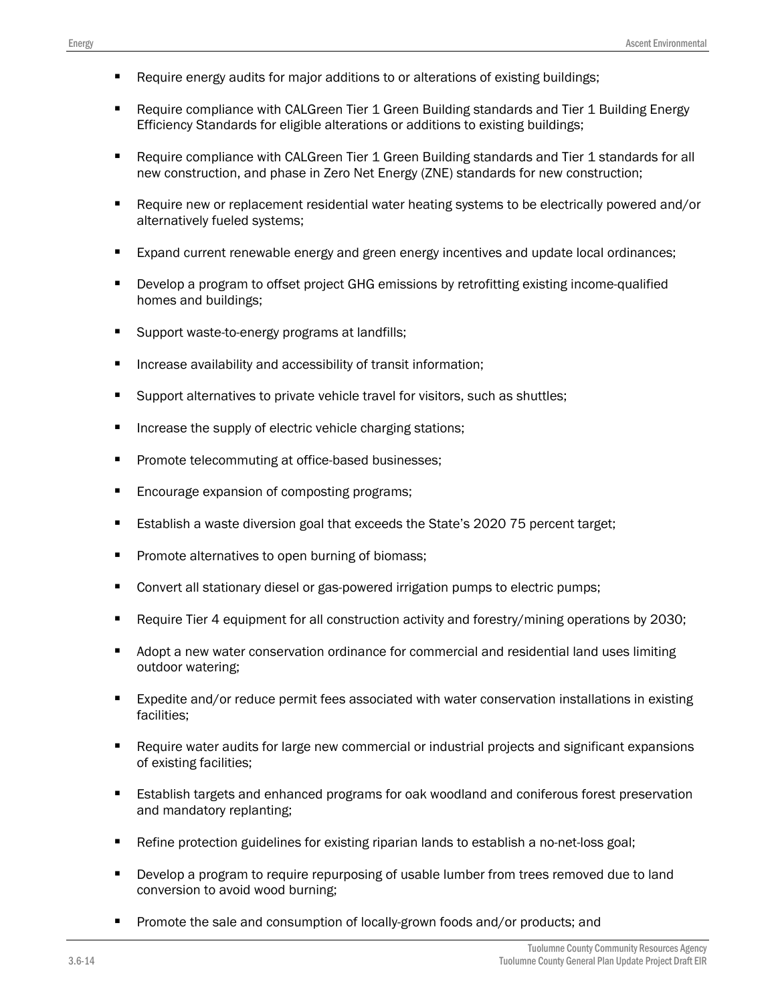- Require energy audits for major additions to or alterations of existing buildings;
- Require compliance with CALGreen Tier 1 Green Building standards and Tier 1 Building Energy Efficiency Standards for eligible alterations or additions to existing buildings;
- **E** Require compliance with CALGreen Tier 1 Green Building standards and Tier 1 standards for all new construction, and phase in Zero Net Energy (ZNE) standards for new construction;
- Require new or replacement residential water heating systems to be electrically powered and/or alternatively fueled systems;
- **Expand current renewable energy and green energy incentives and update local ordinances;**
- Develop a program to offset project GHG emissions by retrofitting existing income-qualified homes and buildings;
- Support waste-to-energy programs at landfills;
- Increase availability and accessibility of transit information;
- Support alternatives to private vehicle travel for visitors, such as shuttles;
- Increase the supply of electric vehicle charging stations;
- **Promote telecommuting at office-based businesses;**
- **Encourage expansion of composting programs;**
- **Establish a waste diversion goal that exceeds the State's 2020 75 percent target;**
- Promote alternatives to open burning of biomass;
- **Convert all stationary diesel or gas-powered irrigation pumps to electric pumps;**
- **B** Require Tier 4 equipment for all construction activity and forestry/mining operations by 2030;
- Adopt a new water conservation ordinance for commercial and residential land uses limiting outdoor watering;
- **Expedite and/or reduce permit fees associated with water conservation installations in existing** facilities;
- Require water audits for large new commercial or industrial projects and significant expansions of existing facilities;
- **E** Establish targets and enhanced programs for oak woodland and coniferous forest preservation and mandatory replanting;
- Refine protection guidelines for existing riparian lands to establish a no-net-loss goal;
- **•** Develop a program to require repurposing of usable lumber from trees removed due to land conversion to avoid wood burning;
- **Promote the sale and consumption of locally-grown foods and/or products; and**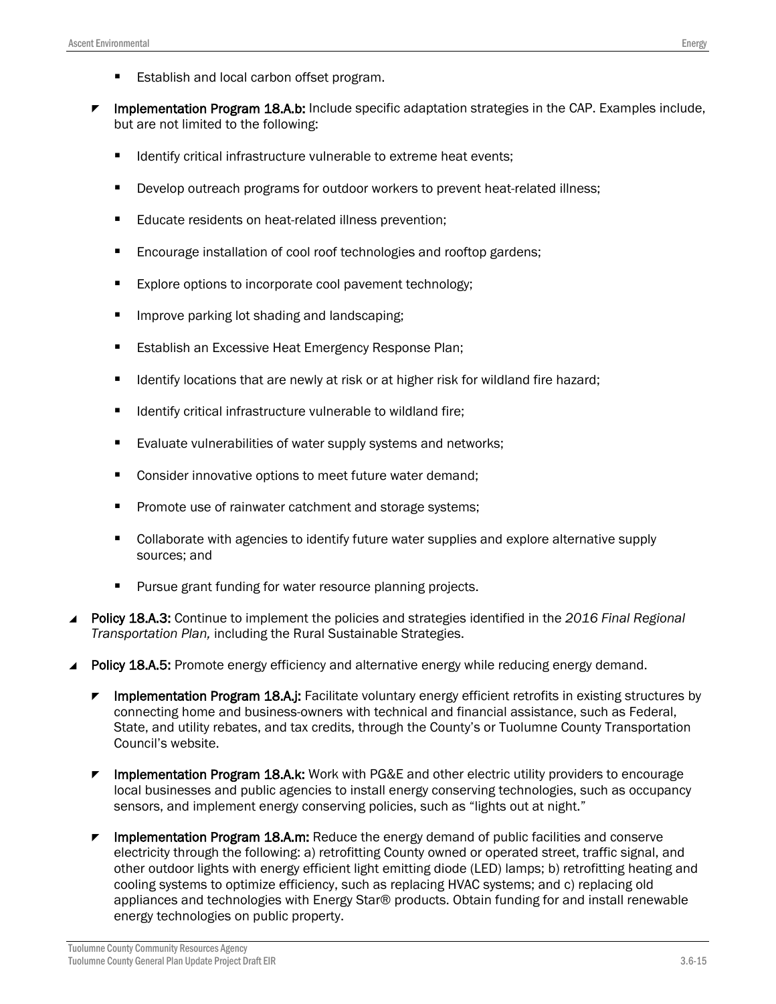- $\blacktriangleright$  Implementation Program 18.A.b: Include specific adaptation strategies in the CAP. Examples include, but are not limited to the following:
	- Identify critical infrastructure vulnerable to extreme heat events;
	- **Develop outreach programs for outdoor workers to prevent heat-related illness;**
	- Educate residents on heat-related illness prevention;
	- **Encourage installation of cool roof technologies and rooftop gardens;**
	- Explore options to incorporate cool pavement technology;
	- Improve parking lot shading and landscaping;
	- **E** Establish an Excessive Heat Emergency Response Plan;
	- **If all identify locations that are newly at risk or at higher risk for wildland fire hazard;**
	- Identify critical infrastructure vulnerable to wildland fire;
	- **Evaluate vulnerabilities of water supply systems and networks;**
	- Consider innovative options to meet future water demand;
	- **Promote use of rainwater catchment and storage systems;**
	- Collaborate with agencies to identify future water supplies and explore alternative supply sources; and
	- **Pursue grant funding for water resource planning projects.**
- Policy 18.A.3: Continue to implement the policies and strategies identified in the *2016 Final Regional Transportation Plan,* including the Rural Sustainable Strategies.
- **Policy 18.A.5:** Promote energy efficiency and alternative energy while reducing energy demand.
	- **F** Implementation Program 18.A.j: Facilitate voluntary energy efficient retrofits in existing structures by connecting home and business-owners with technical and financial assistance, such as Federal, State, and utility rebates, and tax credits, through the County's or Tuolumne County Transportation Council's website.
	- **F** Implementation Program 18.A.k: Work with PG&E and other electric utility providers to encourage local businesses and public agencies to install energy conserving technologies, such as occupancy sensors, and implement energy conserving policies, such as "lights out at night."
	- $\blacktriangleright$  Implementation Program 18.A.m: Reduce the energy demand of public facilities and conserve electricity through the following: a) retrofitting County owned or operated street, traffic signal, and other outdoor lights with energy efficient light emitting diode (LED) lamps; b) retrofitting heating and cooling systems to optimize efficiency, such as replacing HVAC systems; and c) replacing old appliances and technologies with Energy Star® products. Obtain funding for and install renewable energy technologies on public property.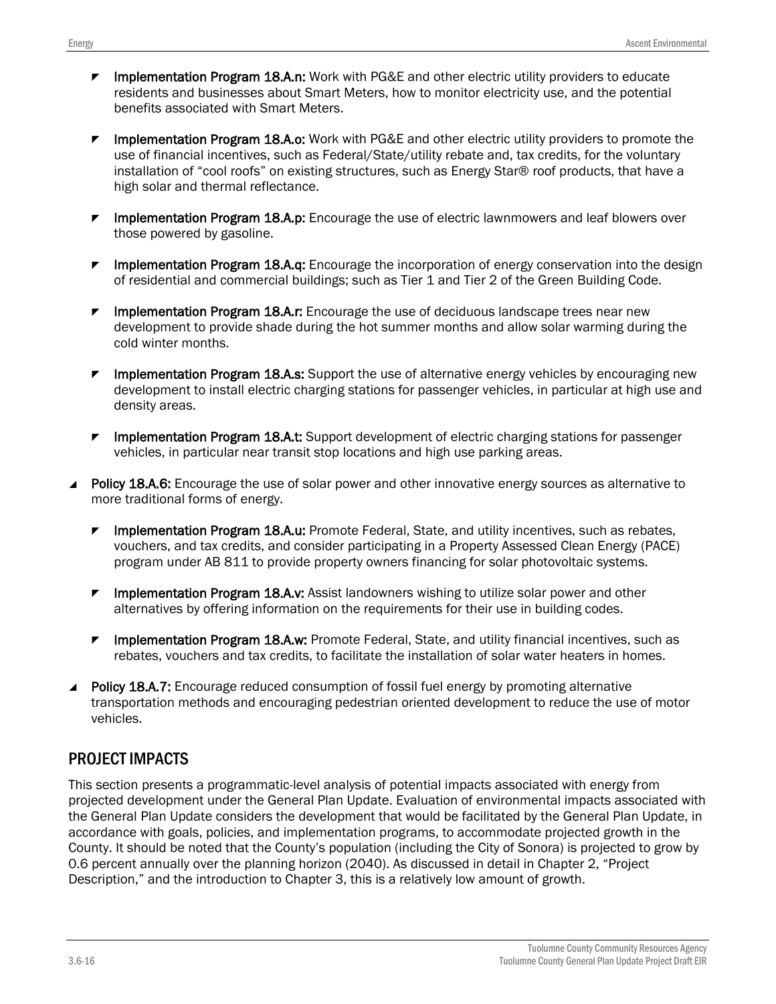- Implementation Program 18.A.n: Work with PG&E and other electric utility providers to educate residents and businesses about Smart Meters, how to monitor electricity use, and the potential benefits associated with Smart Meters.
- **F** Implementation Program 18.A.o: Work with PG&E and other electric utility providers to promote the use of financial incentives, such as Federal/State/utility rebate and, tax credits, for the voluntary installation of "cool roofs" on existing structures, such as Energy Star® roof products, that have a high solar and thermal reflectance.
- **F** Implementation Program 18.A.p: Encourage the use of electric lawnmowers and leaf blowers over those powered by gasoline.
- **F** Implementation Program 18.A.q: Encourage the incorporation of energy conservation into the design of residential and commercial buildings; such as Tier 1 and Tier 2 of the Green Building Code.
- **F** Implementation Program 18.A.r: Encourage the use of deciduous landscape trees near new development to provide shade during the hot summer months and allow solar warming during the cold winter months.
- $\blacktriangleright$  Implementation Program 18.A.s: Support the use of alternative energy vehicles by encouraging new development to install electric charging stations for passenger vehicles, in particular at high use and density areas.
- $\blacksquare$  Implementation Program 18.A.t: Support development of electric charging stations for passenger vehicles, in particular near transit stop locations and high use parking areas.
- Policy 18.A.6: Encourage the use of solar power and other innovative energy sources as alternative to more traditional forms of energy.
	- $\blacktriangleright$  Implementation Program 18.A.u: Promote Federal, State, and utility incentives, such as rebates, vouchers, and tax credits, and consider participating in a Property Assessed Clean Energy (PACE) program under AB 811 to provide property owners financing for solar photovoltaic systems.
	- **F** Implementation Program 18.A.v: Assist landowners wishing to utilize solar power and other alternatives by offering information on the requirements for their use in building codes.
	- $\blacktriangleright$  Implementation Program 18.A.w: Promote Federal, State, and utility financial incentives, such as rebates, vouchers and tax credits, to facilitate the installation of solar water heaters in homes.
- ▲ Policy 18.A.7: Encourage reduced consumption of fossil fuel energy by promoting alternative transportation methods and encouraging pedestrian oriented development to reduce the use of motor vehicles.

## PROJECT IMPACTS

This section presents a programmatic-level analysis of potential impacts associated with energy from projected development under the General Plan Update. Evaluation of environmental impacts associated with the General Plan Update considers the development that would be facilitated by the General Plan Update, in accordance with goals, policies, and implementation programs, to accommodate projected growth in the County. It should be noted that the County's population (including the City of Sonora) is projected to grow by 0.6 percent annually over the planning horizon (2040). As discussed in detail in Chapter 2, "Project Description," and the introduction to Chapter 3, this is a relatively low amount of growth.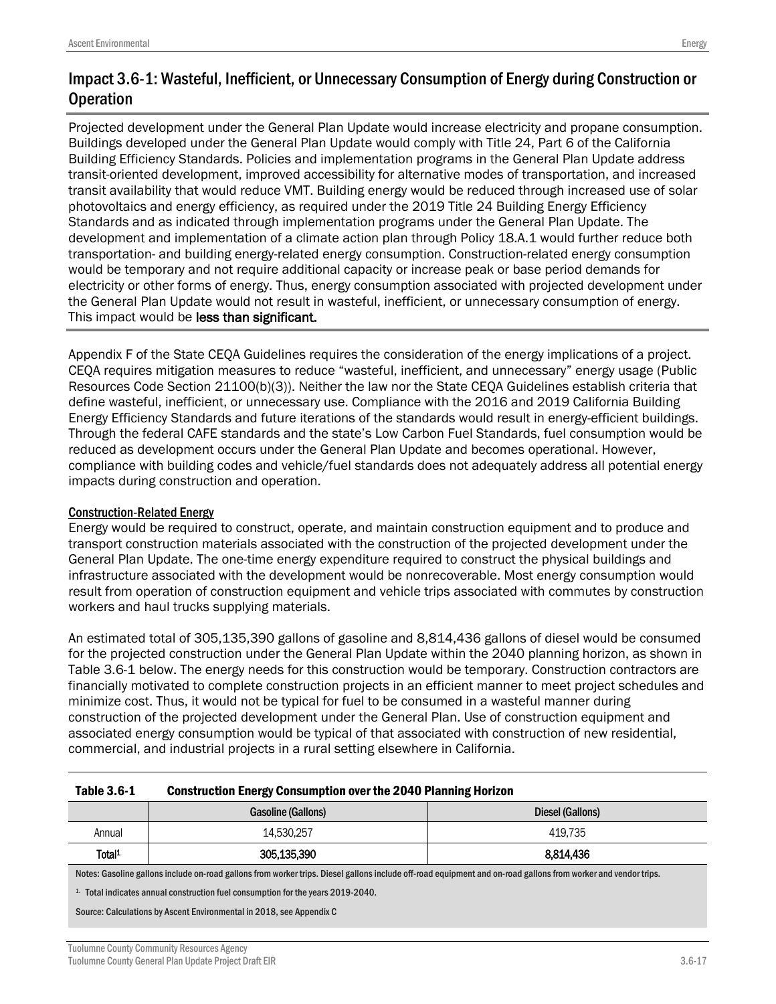# Impact 3.6-1: Wasteful, Inefficient, or Unnecessary Consumption of Energy during Construction or Operation

Projected development under the General Plan Update would increase electricity and propane consumption. Buildings developed under the General Plan Update would comply with Title 24, Part 6 of the California Building Efficiency Standards. Policies and implementation programs in the General Plan Update address transit-oriented development, improved accessibility for alternative modes of transportation, and increased transit availability that would reduce VMT. Building energy would be reduced through increased use of solar photovoltaics and energy efficiency, as required under the 2019 Title 24 Building Energy Efficiency Standards and as indicated through implementation programs under the General Plan Update. The development and implementation of a climate action plan through Policy 18.A.1 would further reduce both transportation- and building energy-related energy consumption. Construction-related energy consumption would be temporary and not require additional capacity or increase peak or base period demands for electricity or other forms of energy. Thus, energy consumption associated with projected development under the General Plan Update would not result in wasteful, inefficient, or unnecessary consumption of energy. This impact would be less than significant.

Appendix F of the State CEQA Guidelines requires the consideration of the energy implications of a project. CEQA requires mitigation measures to reduce "wasteful, inefficient, and unnecessary" energy usage (Public Resources Code Section 21100(b)(3)). Neither the law nor the State CEQA Guidelines establish criteria that define wasteful, inefficient, or unnecessary use. Compliance with the 2016 and 2019 California Building Energy Efficiency Standards and future iterations of the standards would result in energy-efficient buildings. Through the federal CAFE standards and the state's Low Carbon Fuel Standards, fuel consumption would be reduced as development occurs under the General Plan Update and becomes operational. However, compliance with building codes and vehicle/fuel standards does not adequately address all potential energy impacts during construction and operation.

#### Construction-Related Energy

Energy would be required to construct, operate, and maintain construction equipment and to produce and transport construction materials associated with the construction of the projected development under the General Plan Update. The one-time energy expenditure required to construct the physical buildings and infrastructure associated with the development would be nonrecoverable. Most energy consumption would result from operation of construction equipment and vehicle trips associated with commutes by construction workers and haul trucks supplying materials.

An estimated total of 305,135,390 gallons of gasoline and 8,814,436 gallons of diesel would be consumed for the projected construction under the General Plan Update within the 2040 planning horizon, as shown in Table 3.6-1 below. The energy needs for this construction would be temporary. Construction contractors are financially motivated to complete construction projects in an efficient manner to meet project schedules and minimize cost. Thus, it would not be typical for fuel to be consumed in a wasteful manner during construction of the projected development under the General Plan. Use of construction equipment and associated energy consumption would be typical of that associated with construction of new residential, commercial, and industrial projects in a rural setting elsewhere in California.

| <b>Table 3.6-1</b> | <b>Construction Energy Consumption over the 2040 Planning Horizon</b> |                  |  |  |  |
|--------------------|-----------------------------------------------------------------------|------------------|--|--|--|
|                    | <b>Gasoline (Gallons)</b>                                             | Diesel (Gallons) |  |  |  |
| Annual             | 14.530.257                                                            | 419.735          |  |  |  |
| Total <sup>1</sup> | 305.135.390                                                           | 8.814.436        |  |  |  |

Notes: Gasoline gallons include on-road gallons from worker trips. Diesel gallons include off-road equipment and on-road gallons from worker and vendor trips.

<sup>1.</sup> Total indicates annual construction fuel consumption for the years 2019-2040.

Source: Calculations by Ascent Environmental in 2018, see Appendix C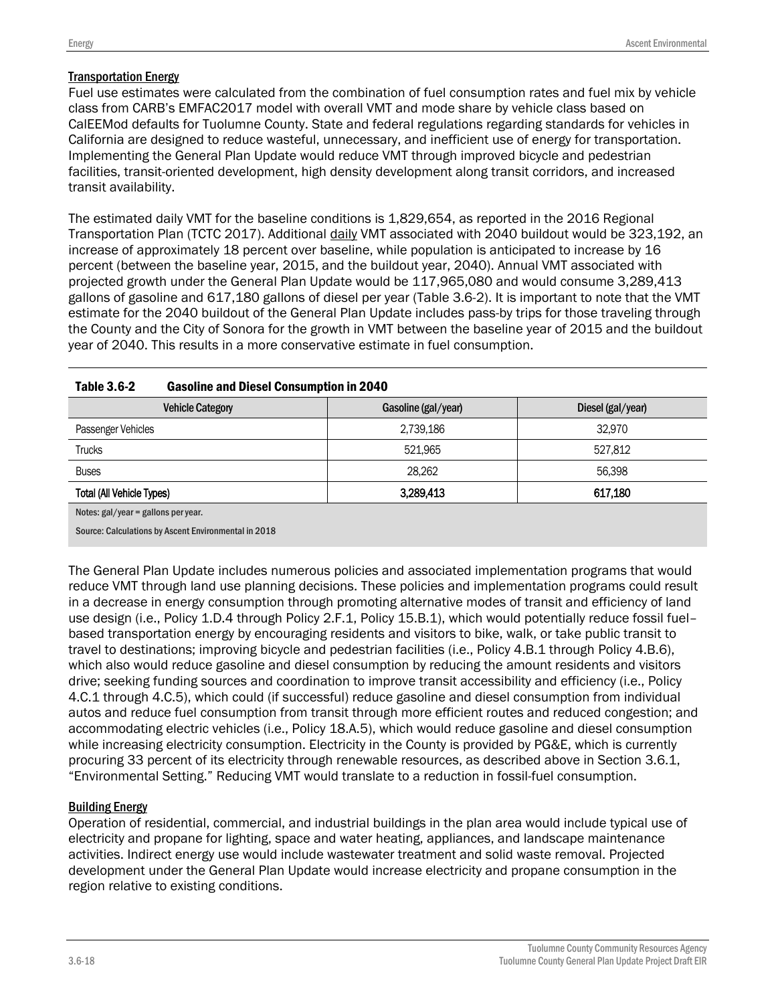#### Transportation Energy

Fuel use estimates were calculated from the combination of fuel consumption rates and fuel mix by vehicle class from CARB's EMFAC2017 model with overall VMT and mode share by vehicle class based on CalEEMod defaults for Tuolumne County. State and federal regulations regarding standards for vehicles in California are designed to reduce wasteful, unnecessary, and inefficient use of energy for transportation. Implementing the General Plan Update would reduce VMT through improved bicycle and pedestrian facilities, transit-oriented development, high density development along transit corridors, and increased transit availability.

The estimated daily VMT for the baseline conditions is 1,829,654, as reported in the 2016 Regional Transportation Plan (TCTC 2017). Additional daily VMT associated with 2040 buildout would be 323,192, an increase of approximately 18 percent over baseline, while population is anticipated to increase by 16 percent (between the baseline year, 2015, and the buildout year, 2040). Annual VMT associated with projected growth under the General Plan Update would be 117,965,080 and would consume 3,289,413 gallons of gasoline and 617,180 gallons of diesel per year (Table 3.6-2). It is important to note that the VMT estimate for the 2040 buildout of the General Plan Update includes pass-by trips for those traveling through the County and the City of Sonora for the growth in VMT between the baseline year of 2015 and the buildout year of 2040. This results in a more conservative estimate in fuel consumption.

| <b>Vehicle Category</b>                              | Gasoline (gal/year) | Diesel (gal/year) |  |  |  |  |
|------------------------------------------------------|---------------------|-------------------|--|--|--|--|
| Passenger Vehicles                                   | 2,739,186           | 32,970            |  |  |  |  |
| <b>Trucks</b>                                        | 521.965             | 527,812           |  |  |  |  |
| <b>Buses</b>                                         | 28,262              | 56,398            |  |  |  |  |
| <b>Total (All Vehicle Types)</b>                     | 3,289,413           | 617,180           |  |  |  |  |
| Notes: gal/year = gallons per year.                  |                     |                   |  |  |  |  |
| Source: Calculations by Ascent Environmental in 2018 |                     |                   |  |  |  |  |

#### Table 3.6-2 Gasoline and Diesel Consumption in 2040

The General Plan Update includes numerous policies and associated implementation programs that would reduce VMT through land use planning decisions. These policies and implementation programs could result in a decrease in energy consumption through promoting alternative modes of transit and efficiency of land use design (i.e., Policy 1.D.4 through Policy 2.F.1, Policy 15.B.1), which would potentially reduce fossil fuel– based transportation energy by encouraging residents and visitors to bike, walk, or take public transit to travel to destinations; improving bicycle and pedestrian facilities (i.e., Policy 4.B.1 through Policy 4.B.6), which also would reduce gasoline and diesel consumption by reducing the amount residents and visitors drive; seeking funding sources and coordination to improve transit accessibility and efficiency (i.e., Policy 4.C.1 through 4.C.5), which could (if successful) reduce gasoline and diesel consumption from individual autos and reduce fuel consumption from transit through more efficient routes and reduced congestion; and accommodating electric vehicles (i.e., Policy 18.A.5), which would reduce gasoline and diesel consumption while increasing electricity consumption. Electricity in the County is provided by PG&E, which is currently procuring 33 percent of its electricity through renewable resources, as described above in Section 3.6.1, "Environmental Setting." Reducing VMT would translate to a reduction in fossil-fuel consumption.

#### Building Energy

Operation of residential, commercial, and industrial buildings in the plan area would include typical use of electricity and propane for lighting, space and water heating, appliances, and landscape maintenance activities. Indirect energy use would include wastewater treatment and solid waste removal. Projected development under the General Plan Update would increase electricity and propane consumption in the region relative to existing conditions.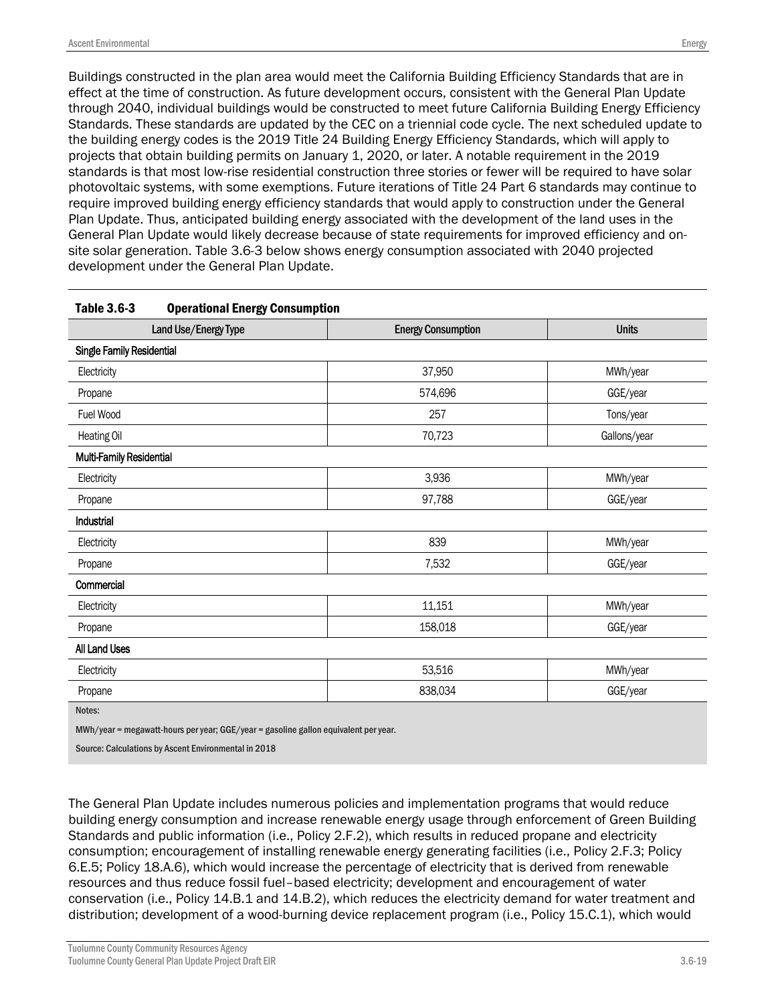Buildings constructed in the plan area would meet the California Building Efficiency Standards that are in effect at the time of construction. As future development occurs, consistent with the General Plan Update through 2040, individual buildings would be constructed to meet future California Building Energy Efficiency Standards. These standards are updated by the CEC on a triennial code cycle. The next scheduled update to the building energy codes is the 2019 Title 24 Building Energy Efficiency Standards, which will apply to projects that obtain building permits on January 1, 2020, or later. A notable requirement in the 2019 standards is that most low-rise residential construction three stories or fewer will be required to have solar photovoltaic systems, with some exemptions. Future iterations of Title 24 Part 6 standards may continue to require improved building energy efficiency standards that would apply to construction under the General Plan Update. Thus, anticipated building energy associated with the development of the land uses in the General Plan Update would likely decrease because of state requirements for improved efficiency and onsite solar generation. Table 3.6-3 below shows energy consumption associated with 2040 projected development under the General Plan Update.

| Land Use/Energy Type                                                                     | <b>Energy Consumption</b> | <b>Units</b> |  |  |  |  |  |
|------------------------------------------------------------------------------------------|---------------------------|--------------|--|--|--|--|--|
| Single Family Residential                                                                |                           |              |  |  |  |  |  |
| Electricity                                                                              | 37,950                    | MWh/year     |  |  |  |  |  |
| Propane                                                                                  | 574,696                   | GGE/year     |  |  |  |  |  |
| Fuel Wood                                                                                | 257                       | Tons/year    |  |  |  |  |  |
| <b>Heating Oil</b>                                                                       | 70,723                    | Gallons/year |  |  |  |  |  |
| Multi-Family Residential                                                                 |                           |              |  |  |  |  |  |
| Electricity                                                                              | 3,936                     |              |  |  |  |  |  |
| Propane                                                                                  | 97,788                    | GGE/year     |  |  |  |  |  |
| Industrial                                                                               |                           |              |  |  |  |  |  |
| Electricity                                                                              | 839                       | MWh/year     |  |  |  |  |  |
| Propane                                                                                  | 7,532                     | GGE/year     |  |  |  |  |  |
| Commercial                                                                               |                           |              |  |  |  |  |  |
| Electricity                                                                              | 11,151                    | MWh/year     |  |  |  |  |  |
| Propane                                                                                  | 158,018                   | GGE/year     |  |  |  |  |  |
| All Land Uses                                                                            |                           |              |  |  |  |  |  |
| Electricity                                                                              | 53,516                    | MWh/year     |  |  |  |  |  |
| Propane                                                                                  | 838,034                   | GGE/year     |  |  |  |  |  |
| Notes:                                                                                   |                           |              |  |  |  |  |  |
| $MWh/year = megawatt-hours per year$ ; $GGE/year = gasoline gallon$ equivalent per vear. |                           |              |  |  |  |  |  |

#### Table 3.6-3 Operational Energy Consumption

MWh/year = megawatt-hours per year; GGE/year = gasoline gallon equivalent per year.

Source: Calculations by Ascent Environmental in 2018

The General Plan Update includes numerous policies and implementation programs that would reduce building energy consumption and increase renewable energy usage through enforcement of Green Building Standards and public information (i.e., Policy 2.F.2), which results in reduced propane and electricity consumption; encouragement of installing renewable energy generating facilities (i.e., Policy 2.F.3; Policy 6.E.5; Policy 18.A.6), which would increase the percentage of electricity that is derived from renewable resources and thus reduce fossil fuel–based electricity; development and encouragement of water conservation (i.e., Policy 14.B.1 and 14.B.2), which reduces the electricity demand for water treatment and distribution; development of a wood-burning device replacement program (i.e., Policy 15.C.1), which would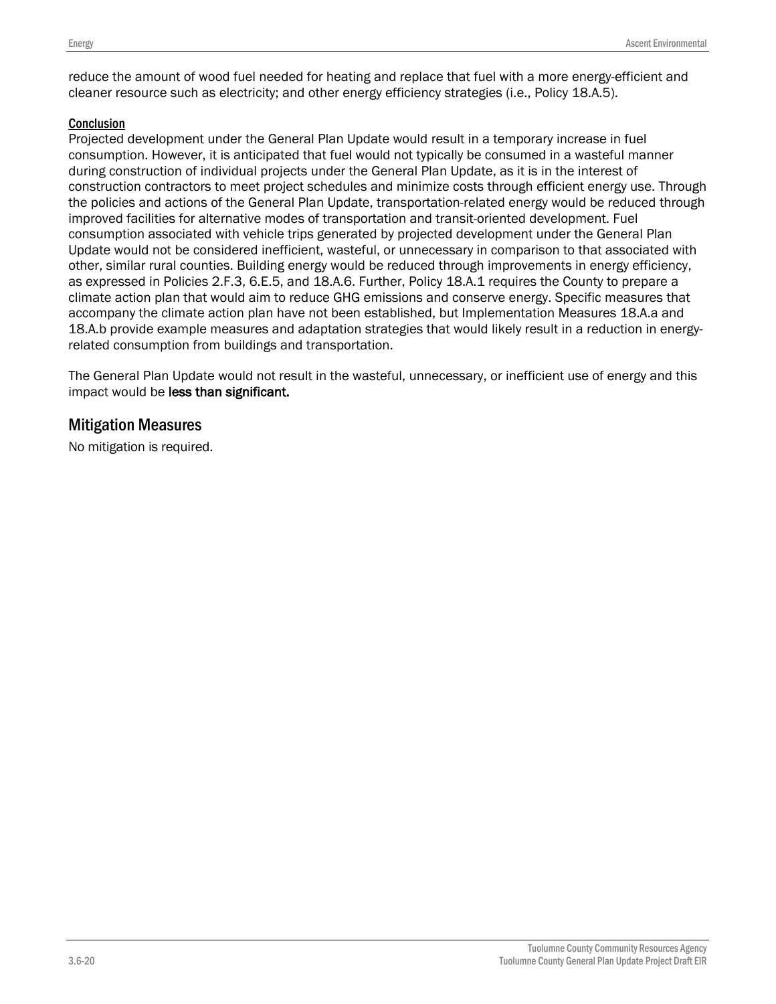reduce the amount of wood fuel needed for heating and replace that fuel with a more energy-efficient and cleaner resource such as electricity; and other energy efficiency strategies (i.e., Policy 18.A.5).

#### **Conclusion**

Projected development under the General Plan Update would result in a temporary increase in fuel consumption. However, it is anticipated that fuel would not typically be consumed in a wasteful manner during construction of individual projects under the General Plan Update, as it is in the interest of construction contractors to meet project schedules and minimize costs through efficient energy use. Through the policies and actions of the General Plan Update, transportation-related energy would be reduced through improved facilities for alternative modes of transportation and transit-oriented development. Fuel consumption associated with vehicle trips generated by projected development under the General Plan Update would not be considered inefficient, wasteful, or unnecessary in comparison to that associated with other, similar rural counties. Building energy would be reduced through improvements in energy efficiency, as expressed in Policies 2.F.3, 6.E.5, and 18.A.6. Further, Policy 18.A.1 requires the County to prepare a climate action plan that would aim to reduce GHG emissions and conserve energy. Specific measures that accompany the climate action plan have not been established, but Implementation Measures 18.A.a and 18.A.b provide example measures and adaptation strategies that would likely result in a reduction in energyrelated consumption from buildings and transportation.

The General Plan Update would not result in the wasteful, unnecessary, or inefficient use of energy and this impact would be less than significant.

#### Mitigation Measures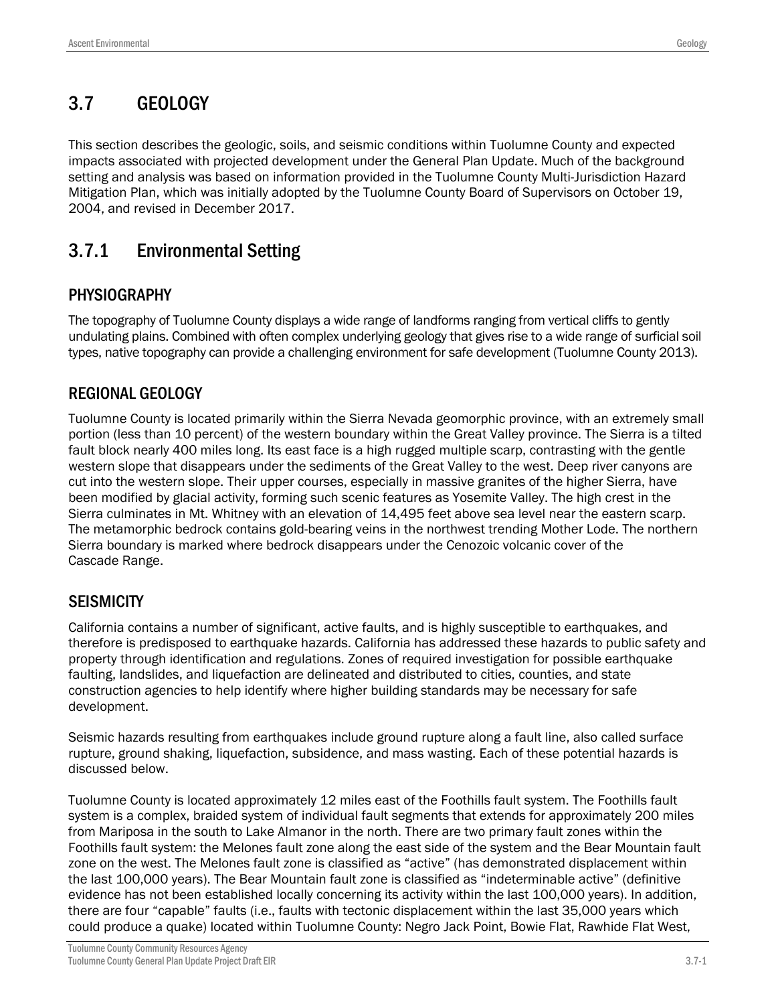# 3.7 GEOLOGY

This section describes the geologic, soils, and seismic conditions within Tuolumne County and expected impacts associated with projected development under the General Plan Update. Much of the background setting and analysis was based on information provided in the Tuolumne County Multi-Jurisdiction Hazard Mitigation Plan, which was initially adopted by the Tuolumne County Board of Supervisors on October 19, 2004, and revised in December 2017.

# 3.7.1 Environmental Setting

# PHYSIOGRAPHY

The topography of Tuolumne County displays a wide range of landforms ranging from vertical cliffs to gently undulating plains. Combined with often complex underlying geology that gives rise to a wide range of surficial soil types, native topography can provide a challenging environment for safe development (Tuolumne County 2013).

# REGIONAL GEOLOGY

Tuolumne County is located primarily within the Sierra Nevada geomorphic province, with an extremely small portion (less than 10 percent) of the western boundary within the Great Valley province. The Sierra is a tilted fault block nearly 400 miles long. Its east face is a high rugged multiple scarp, contrasting with the gentle western slope that disappears under the sediments of the Great Valley to the west. Deep river canyons are cut into the western slope. Their upper courses, especially in massive granites of the higher Sierra, have been modified by glacial activity, forming such scenic features as Yosemite Valley. The high crest in the Sierra culminates in Mt. Whitney with an elevation of 14,495 feet above sea level near the eastern scarp. The metamorphic bedrock contains gold-bearing veins in the northwest trending Mother Lode. The northern Sierra boundary is marked where bedrock disappears under the Cenozoic volcanic cover of the Cascade Range.

# **SEISMICITY**

California contains a number of significant, active faults, and is highly susceptible to earthquakes, and therefore is predisposed to earthquake hazards. California has addressed these hazards to public safety and property through identification and regulations. Zones of required investigation for possible earthquake faulting, landslides, and liquefaction are delineated and distributed to cities, counties, and state construction agencies to help identify where higher building standards may be necessary for safe development.

Seismic hazards resulting from earthquakes include ground rupture along a fault line, also called surface rupture, ground shaking, liquefaction, subsidence, and mass wasting. Each of these potential hazards is discussed below.

Tuolumne County is located approximately 12 miles east of the Foothills fault system. The Foothills fault system is a complex, braided system of individual fault segments that extends for approximately 200 miles from Mariposa in the south to Lake Almanor in the north. There are two primary fault zones within the Foothills fault system: the Melones fault zone along the east side of the system and the Bear Mountain fault zone on the west. The Melones fault zone is classified as "active" (has demonstrated displacement within the last 100,000 years). The Bear Mountain fault zone is classified as "indeterminable active" (definitive evidence has not been established locally concerning its activity within the last 100,000 years). In addition, there are four "capable" faults (i.e., faults with tectonic displacement within the last 35,000 years which could produce a quake) located within Tuolumne County: Negro Jack Point, Bowie Flat, Rawhide Flat West,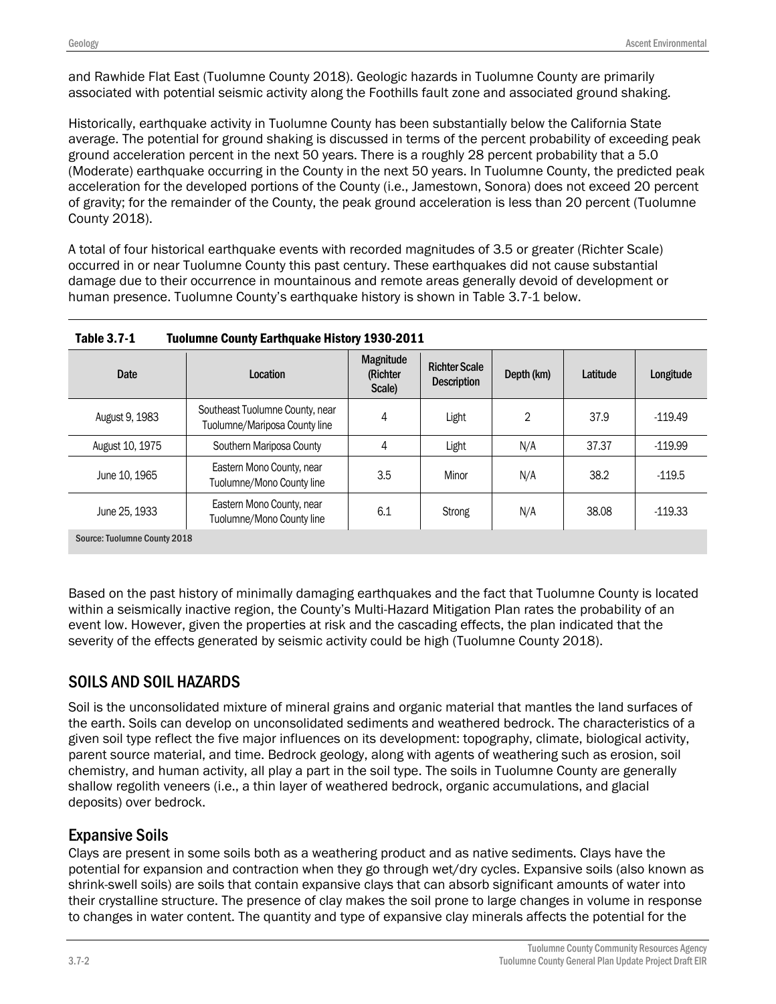and Rawhide Flat East (Tuolumne County 2018). Geologic hazards in Tuolumne County are primarily associated with potential seismic activity along the Foothills fault zone and associated ground shaking.

Historically, earthquake activity in Tuolumne County has been substantially below the California State average. The potential for ground shaking is discussed in terms of the percent probability of exceeding peak ground acceleration percent in the next 50 years. There is a roughly 28 percent probability that a 5.0 (Moderate) earthquake occurring in the County in the next 50 years. In Tuolumne County, the predicted peak acceleration for the developed portions of the County (i.e., Jamestown, Sonora) does not exceed 20 percent of gravity; for the remainder of the County, the peak ground acceleration is less than 20 percent (Tuolumne County 2018).

A total of four historical earthquake events with recorded magnitudes of 3.5 or greater (Richter Scale) occurred in or near Tuolumne County this past century. These earthquakes did not cause substantial damage due to their occurrence in mountainous and remote areas generally devoid of development or human presence. Tuolumne County's earthquake history is shown in Table 3.7-1 below.

| 1400                         |                                                                  |                                        |                                            |                |          |           |  |  |  |  |
|------------------------------|------------------------------------------------------------------|----------------------------------------|--------------------------------------------|----------------|----------|-----------|--|--|--|--|
| Date                         | Location                                                         | <b>Magnitude</b><br>(Richter<br>Scale) | <b>Richter Scale</b><br><b>Description</b> | Depth (km)     | Latitude | Longitude |  |  |  |  |
| August 9, 1983               | Southeast Tuolumne County, near<br>Tuolumne/Mariposa County line | 4                                      | Light                                      | $\mathfrak{D}$ | 37.9     | $-119.49$ |  |  |  |  |
| August 10, 1975              | Southern Mariposa County                                         | 4                                      | Light                                      | N/A            | 37.37    | $-119.99$ |  |  |  |  |
| June 10, 1965                | Eastern Mono County, near<br>Tuolumne/Mono County line           | 3.5                                    | Minor                                      | N/A            | 38.2     | $-119.5$  |  |  |  |  |
| June 25, 1933                | Eastern Mono County, near<br>Tuolumne/Mono County line           | 6.1                                    | Strong                                     | N/A            | 38.08    | $-119.33$ |  |  |  |  |
| Source: Tuolumne County 2018 |                                                                  |                                        |                                            |                |          |           |  |  |  |  |

Based on the past history of minimally damaging earthquakes and the fact that Tuolumne County is located within a seismically inactive region, the County's Multi-Hazard Mitigation Plan rates the probability of an event low. However, given the properties at risk and the cascading effects, the plan indicated that the severity of the effects generated by seismic activity could be high (Tuolumne County 2018).

# SOILS AND SOIL HAZARDS

Soil is the unconsolidated mixture of mineral grains and organic material that mantles the land surfaces of the earth. Soils can develop on unconsolidated sediments and weathered bedrock. The characteristics of a given soil type reflect the five major influences on its development: topography, climate, biological activity, parent source material, and time. Bedrock geology, along with agents of weathering such as erosion, soil chemistry, and human activity, all play a part in the soil type. The soils in Tuolumne County are generally shallow regolith veneers (i.e., a thin layer of weathered bedrock, organic accumulations, and glacial deposits) over bedrock.

#### Expansive Soils

Clays are present in some soils both as a weathering product and as native sediments. Clays have the potential for expansion and contraction when they go through wet/dry cycles. Expansive soils (also known as shrink-swell soils) are soils that contain expansive clays that can absorb significant amounts of water into their crystalline structure. The presence of clay makes the soil prone to large changes in volume in response to changes in water content. The quantity and type of expansive clay minerals affects the potential for the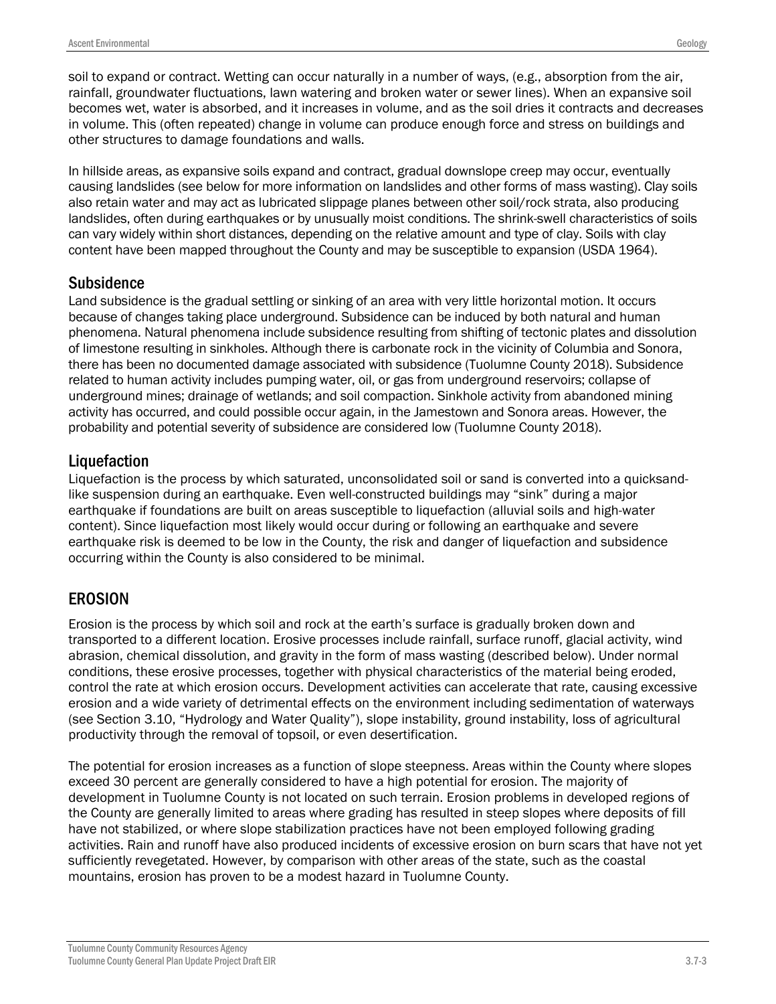soil to expand or contract. Wetting can occur naturally in a number of ways, (e.g., absorption from the air, rainfall, groundwater fluctuations, lawn watering and broken water or sewer lines). When an expansive soil becomes wet, water is absorbed, and it increases in volume, and as the soil dries it contracts and decreases in volume. This (often repeated) change in volume can produce enough force and stress on buildings and other structures to damage foundations and walls.

In hillside areas, as expansive soils expand and contract, gradual downslope creep may occur, eventually causing landslides (see below for more information on landslides and other forms of mass wasting). Clay soils also retain water and may act as lubricated slippage planes between other soil/rock strata, also producing landslides, often during earthquakes or by unusually moist conditions. The shrink-swell characteristics of soils can vary widely within short distances, depending on the relative amount and type of clay. Soils with clay content have been mapped throughout the County and may be susceptible to expansion (USDA 1964).

#### Subsidence

Land subsidence is the gradual settling or sinking of an area with very little horizontal motion. It occurs because of changes taking place underground. Subsidence can be induced by both natural and human phenomena. Natural phenomena include subsidence resulting from shifting of tectonic plates and dissolution of limestone resulting in sinkholes. Although there is carbonate rock in the vicinity of Columbia and Sonora, there has been no documented damage associated with subsidence (Tuolumne County 2018). Subsidence related to human activity includes pumping water, oil, or gas from underground reservoirs; collapse of underground mines; drainage of wetlands; and soil compaction. Sinkhole activity from abandoned mining activity has occurred, and could possible occur again, in the Jamestown and Sonora areas. However, the probability and potential severity of subsidence are considered low (Tuolumne County 2018).

#### **Liquefaction**

Liquefaction is the process by which saturated, unconsolidated soil or sand is converted into a quicksandlike suspension during an earthquake. Even well-constructed buildings may "sink" during a major earthquake if foundations are built on areas susceptible to liquefaction (alluvial soils and high-water content). Since liquefaction most likely would occur during or following an earthquake and severe earthquake risk is deemed to be low in the County, the risk and danger of liquefaction and subsidence occurring within the County is also considered to be minimal.

#### EROSION

Erosion is the process by which soil and rock at the earth's surface is gradually broken down and transported to a different location. Erosive processes include rainfall, surface runoff, glacial activity, wind abrasion, chemical dissolution, and gravity in the form of mass wasting (described below). Under normal conditions, these erosive processes, together with physical characteristics of the material being eroded, control the rate at which erosion occurs. Development activities can accelerate that rate, causing excessive erosion and a wide variety of detrimental effects on the environment including sedimentation of waterways (see Section 3.10, "Hydrology and Water Quality"), slope instability, ground instability, loss of agricultural productivity through the removal of topsoil, or even desertification.

The potential for erosion increases as a function of slope steepness. Areas within the County where slopes exceed 30 percent are generally considered to have a high potential for erosion. The majority of development in Tuolumne County is not located on such terrain. Erosion problems in developed regions of the County are generally limited to areas where grading has resulted in steep slopes where deposits of fill have not stabilized, or where slope stabilization practices have not been employed following grading activities. Rain and runoff have also produced incidents of excessive erosion on burn scars that have not yet sufficiently revegetated. However, by comparison with other areas of the state, such as the coastal mountains, erosion has proven to be a modest hazard in Tuolumne County.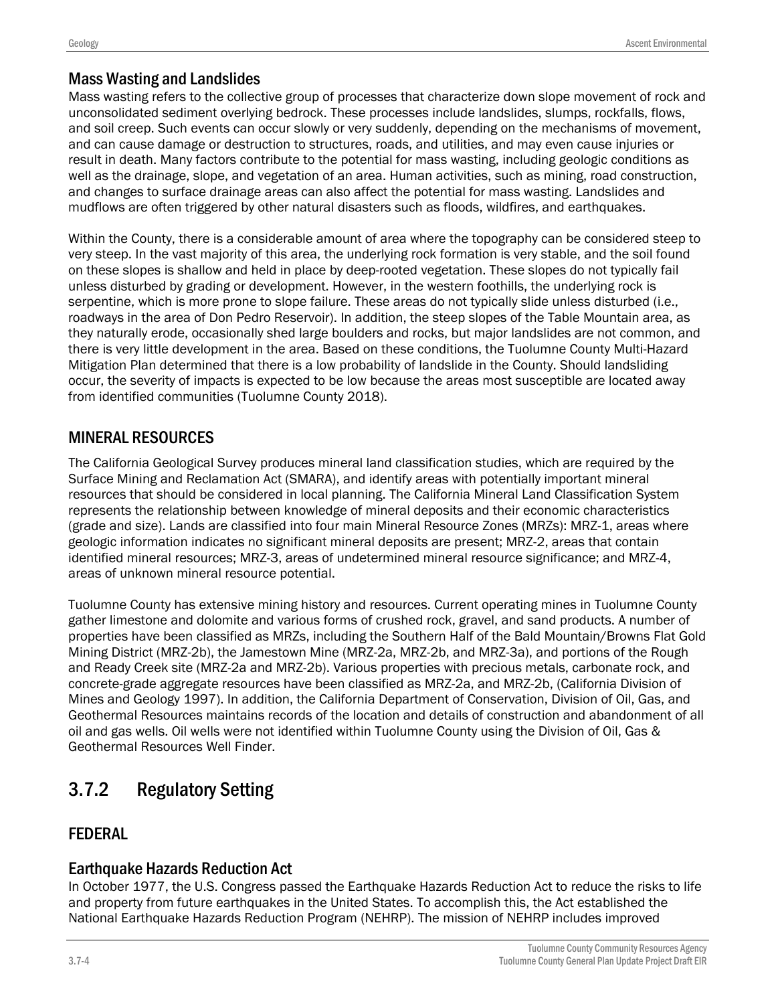#### Mass Wasting and Landslides

Mass wasting refers to the collective group of processes that characterize down slope movement of rock and unconsolidated sediment overlying bedrock. These processes include landslides, slumps, rockfalls, flows, and soil creep. Such events can occur slowly or very suddenly, depending on the mechanisms of movement, and can cause damage or destruction to structures, roads, and utilities, and may even cause injuries or result in death. Many factors contribute to the potential for mass wasting, including geologic conditions as well as the drainage, slope, and vegetation of an area. Human activities, such as mining, road construction, and changes to surface drainage areas can also affect the potential for mass wasting. Landslides and mudflows are often triggered by other natural disasters such as floods, wildfires, and earthquakes.

Within the County, there is a considerable amount of area where the topography can be considered steep to very steep. In the vast majority of this area, the underlying rock formation is very stable, and the soil found on these slopes is shallow and held in place by deep-rooted vegetation. These slopes do not typically fail unless disturbed by grading or development. However, in the western foothills, the underlying rock is serpentine, which is more prone to slope failure. These areas do not typically slide unless disturbed (i.e., roadways in the area of Don Pedro Reservoir). In addition, the steep slopes of the Table Mountain area, as they naturally erode, occasionally shed large boulders and rocks, but major landslides are not common, and there is very little development in the area. Based on these conditions, the Tuolumne County Multi-Hazard Mitigation Plan determined that there is a low probability of landslide in the County. Should landsliding occur, the severity of impacts is expected to be low because the areas most susceptible are located away from identified communities (Tuolumne County 2018).

# MINERAL RESOURCES

The California Geological Survey produces mineral land classification studies, which are required by the Surface Mining and Reclamation Act (SMARA), and identify areas with potentially important mineral resources that should be considered in local planning. The California Mineral Land Classification System represents the relationship between knowledge of mineral deposits and their economic characteristics (grade and size). Lands are classified into four main Mineral Resource Zones (MRZs): MRZ-1, areas where geologic information indicates no significant mineral deposits are present; MRZ-2, areas that contain identified mineral resources; MRZ-3, areas of undetermined mineral resource significance; and MRZ-4, areas of unknown mineral resource potential.

Tuolumne County has extensive mining history and resources. Current operating mines in Tuolumne County gather limestone and dolomite and various forms of crushed rock, gravel, and sand products. A number of properties have been classified as MRZs, including the Southern Half of the Bald Mountain/Browns Flat Gold Mining District (MRZ-2b), the Jamestown Mine (MRZ-2a, MRZ-2b, and MRZ-3a), and portions of the Rough and Ready Creek site (MRZ-2a and MRZ-2b). Various properties with precious metals, carbonate rock, and concrete-grade aggregate resources have been classified as MRZ-2a, and MRZ-2b, (California Division of Mines and Geology 1997). In addition, the California Department of Conservation, Division of Oil, Gas, and Geothermal Resources maintains records of the location and details of construction and abandonment of all oil and gas wells. Oil wells were not identified within Tuolumne County using the Division of Oil, Gas & Geothermal Resources Well Finder.

# 3.7.2 Regulatory Setting

## FEDERAL

## Earthquake Hazards Reduction Act

In October 1977, the U.S. Congress passed the Earthquake Hazards Reduction Act to reduce the risks to life and property from future earthquakes in the United States. To accomplish this, the Act established the National Earthquake Hazards Reduction Program (NEHRP). The mission of NEHRP includes improved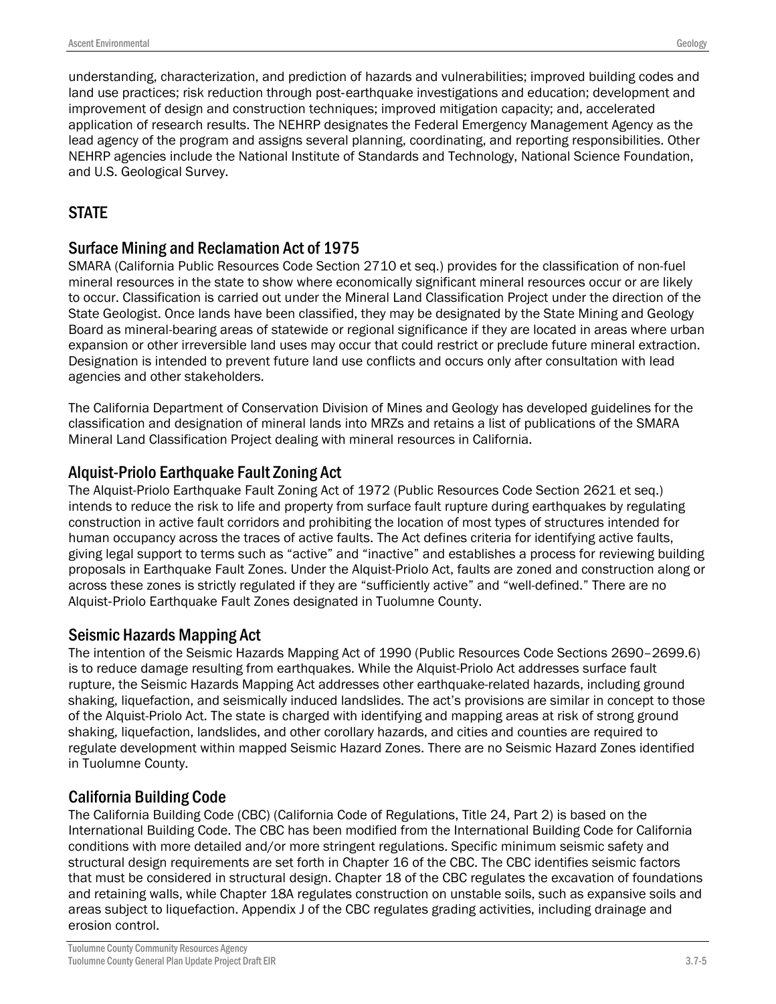understanding, characterization, and prediction of hazards and vulnerabilities; improved building codes and land use practices; risk reduction through post-earthquake investigations and education; development and improvement of design and construction techniques; improved mitigation capacity; and, accelerated application of research results. The NEHRP designates the Federal Emergency Management Agency as the lead agency of the program and assigns several planning, coordinating, and reporting responsibilities. Other NEHRP agencies include the National Institute of Standards and Technology, National Science Foundation, and U.S. Geological Survey.

# **STATE**

#### Surface Mining and Reclamation Act of 1975

SMARA (California Public Resources Code Section 2710 et seq.) provides for the classification of non-fuel mineral resources in the state to show where economically significant mineral resources occur or are likely to occur. Classification is carried out under the Mineral Land Classification Project under the direction of the State Geologist. Once lands have been classified, they may be designated by the State Mining and Geology Board as mineral-bearing areas of statewide or regional significance if they are located in areas where urban expansion or other irreversible land uses may occur that could restrict or preclude future mineral extraction. Designation is intended to prevent future land use conflicts and occurs only after consultation with lead agencies and other stakeholders.

The California Department of Conservation Division of Mines and Geology has developed guidelines for the classification and designation of mineral lands into MRZs and retains a list of publications of the SMARA Mineral Land Classification Project dealing with mineral resources in California.

## Alquist-Priolo Earthquake Fault Zoning Act

The Alquist-Priolo Earthquake Fault Zoning Act of 1972 (Public Resources Code Section 2621 et seq.) intends to reduce the risk to life and property from surface fault rupture during earthquakes by regulating construction in active fault corridors and prohibiting the location of most types of structures intended for human occupancy across the traces of active faults. The Act defines criteria for identifying active faults, giving legal support to terms such as "active" and "inactive" and establishes a process for reviewing building proposals in Earthquake Fault Zones. Under the Alquist-Priolo Act, faults are zoned and construction along or across these zones is strictly regulated if they are "sufficiently active" and "well-defined." There are no Alquist‐Priolo Earthquake Fault Zones designated in Tuolumne County.

## Seismic Hazards Mapping Act

The intention of the Seismic Hazards Mapping Act of 1990 (Public Resources Code Sections 2690–2699.6) is to reduce damage resulting from earthquakes. While the Alquist-Priolo Act addresses surface fault rupture, the Seismic Hazards Mapping Act addresses other earthquake-related hazards, including ground shaking, liquefaction, and seismically induced landslides. The act's provisions are similar in concept to those of the Alquist-Priolo Act. The state is charged with identifying and mapping areas at risk of strong ground shaking, liquefaction, landslides, and other corollary hazards, and cities and counties are required to regulate development within mapped Seismic Hazard Zones. There are no Seismic Hazard Zones identified in Tuolumne County.

## California Building Code

The California Building Code (CBC) (California Code of Regulations, Title 24, Part 2) is based on the International Building Code. The CBC has been modified from the International Building Code for California conditions with more detailed and/or more stringent regulations. Specific minimum seismic safety and structural design requirements are set forth in Chapter 16 of the CBC. The CBC identifies seismic factors that must be considered in structural design. Chapter 18 of the CBC regulates the excavation of foundations and retaining walls, while Chapter 18A regulates construction on unstable soils, such as expansive soils and areas subject to liquefaction. Appendix J of the CBC regulates grading activities, including drainage and erosion control.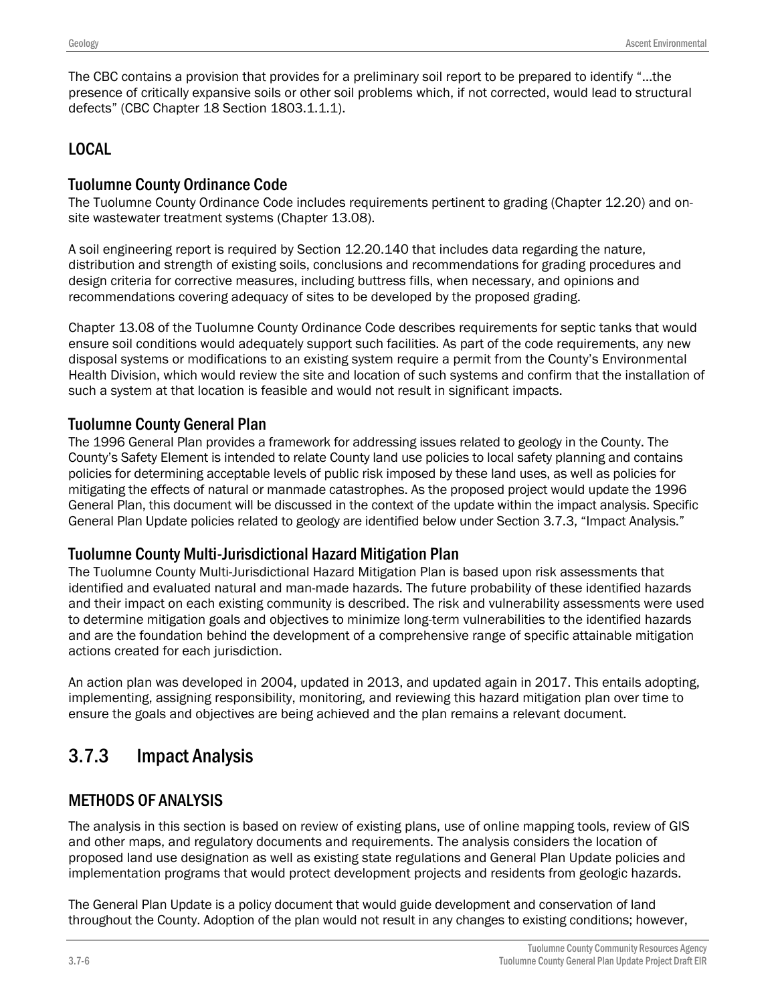The CBC contains a provision that provides for a preliminary soil report to be prepared to identify "…the presence of critically expansive soils or other soil problems which, if not corrected, would lead to structural defects" (CBC Chapter 18 Section 1803.1.1.1).

# LOCAL

## Tuolumne County Ordinance Code

The Tuolumne County Ordinance Code includes requirements pertinent to grading (Chapter 12.20) and onsite wastewater treatment systems (Chapter 13.08).

A soil engineering report is required by Section 12.20.140 that includes data regarding the nature, distribution and strength of existing soils, conclusions and recommendations for grading procedures and design criteria for corrective measures, including buttress fills, when necessary, and opinions and recommendations covering adequacy of sites to be developed by the proposed grading.

Chapter 13.08 of the Tuolumne County Ordinance Code describes requirements for septic tanks that would ensure soil conditions would adequately support such facilities. As part of the code requirements, any new disposal systems or modifications to an existing system require a permit from the County's Environmental Health Division, which would review the site and location of such systems and confirm that the installation of such a system at that location is feasible and would not result in significant impacts.

# Tuolumne County General Plan

The 1996 General Plan provides a framework for addressing issues related to geology in the County. The County's Safety Element is intended to relate County land use policies to local safety planning and contains policies for determining acceptable levels of public risk imposed by these land uses, as well as policies for mitigating the effects of natural or manmade catastrophes. As the proposed project would update the 1996 General Plan, this document will be discussed in the context of the update within the impact analysis. Specific General Plan Update policies related to geology are identified below under Section 3.7.3, "Impact Analysis."

## Tuolumne County Multi-Jurisdictional Hazard Mitigation Plan

The Tuolumne County Multi-Jurisdictional Hazard Mitigation Plan is based upon risk assessments that identified and evaluated natural and man-made hazards. The future probability of these identified hazards and their impact on each existing community is described. The risk and vulnerability assessments were used to determine mitigation goals and objectives to minimize long-term vulnerabilities to the identified hazards and are the foundation behind the development of a comprehensive range of specific attainable mitigation actions created for each jurisdiction.

An action plan was developed in 2004, updated in 2013, and updated again in 2017. This entails adopting, implementing, assigning responsibility, monitoring, and reviewing this hazard mitigation plan over time to ensure the goals and objectives are being achieved and the plan remains a relevant document.

# 3.7.3 Impact Analysis

# METHODS OF ANALYSIS

The analysis in this section is based on review of existing plans, use of online mapping tools, review of GIS and other maps, and regulatory documents and requirements. The analysis considers the location of proposed land use designation as well as existing state regulations and General Plan Update policies and implementation programs that would protect development projects and residents from geologic hazards.

The General Plan Update is a policy document that would guide development and conservation of land throughout the County. Adoption of the plan would not result in any changes to existing conditions; however,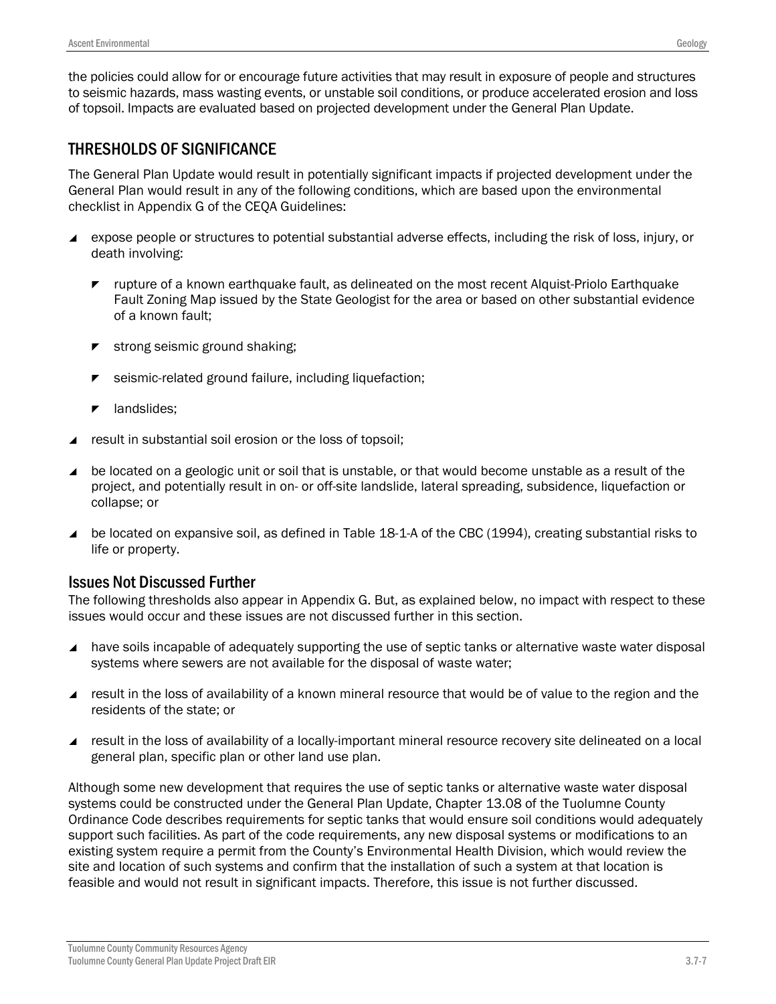the policies could allow for or encourage future activities that may result in exposure of people and structures to seismic hazards, mass wasting events, or unstable soil conditions, or produce accelerated erosion and loss of topsoil. Impacts are evaluated based on projected development under the General Plan Update.

#### THRESHOLDS OF SIGNIFICANCE

The General Plan Update would result in potentially significant impacts if projected development under the General Plan would result in any of the following conditions, which are based upon the environmental checklist in Appendix G of the CEQA Guidelines:

- expose people or structures to potential substantial adverse effects, including the risk of loss, injury, or death involving:
	- $\blacktriangleright$  rupture of a known earthquake fault, as delineated on the most recent Alquist-Priolo Earthquake Fault Zoning Map issued by the State Geologist for the area or based on other substantial evidence of a known fault;
	- $\blacktriangleright$  strong seismic ground shaking;
	- seismic-related ground failure, including liquefaction;
	- $\blacktriangleright$  landslides;
- result in substantial soil erosion or the loss of topsoil;
- be located on a geologic unit or soil that is unstable, or that would become unstable as a result of the project, and potentially result in on- or off-site landslide, lateral spreading, subsidence, liquefaction or collapse; or
- **■** be located on expansive soil, as defined in Table 18-1-A of the CBC (1994), creating substantial risks to life or property.

#### Issues Not Discussed Further

The following thresholds also appear in Appendix G. But, as explained below, no impact with respect to these issues would occur and these issues are not discussed further in this section.

- ▲ have soils incapable of adequately supporting the use of septic tanks or alternative waste water disposal systems where sewers are not available for the disposal of waste water;
- result in the loss of availability of a known mineral resource that would be of value to the region and the residents of the state; or
- result in the loss of availability of a locally-important mineral resource recovery site delineated on a local general plan, specific plan or other land use plan.

Although some new development that requires the use of septic tanks or alternative waste water disposal systems could be constructed under the General Plan Update, Chapter 13.08 of the Tuolumne County Ordinance Code describes requirements for septic tanks that would ensure soil conditions would adequately support such facilities. As part of the code requirements, any new disposal systems or modifications to an existing system require a permit from the County's Environmental Health Division, which would review the site and location of such systems and confirm that the installation of such a system at that location is feasible and would not result in significant impacts. Therefore, this issue is not further discussed.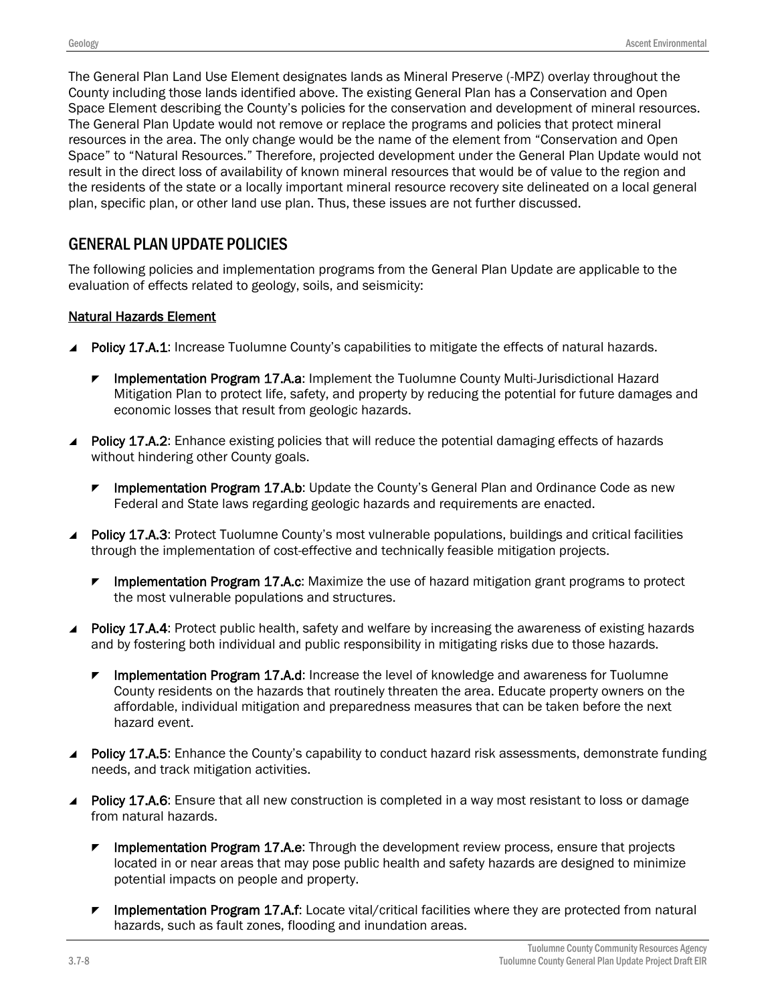The General Plan Land Use Element designates lands as Mineral Preserve (-MPZ) overlay throughout the County including those lands identified above. The existing General Plan has a Conservation and Open Space Element describing the County's policies for the conservation and development of mineral resources. The General Plan Update would not remove or replace the programs and policies that protect mineral resources in the area. The only change would be the name of the element from "Conservation and Open Space" to "Natural Resources." Therefore, projected development under the General Plan Update would not result in the direct loss of availability of known mineral resources that would be of value to the region and the residents of the state or a locally important mineral resource recovery site delineated on a local general plan, specific plan, or other land use plan. Thus, these issues are not further discussed.

#### GENERAL PLAN UPDATE POLICIES

The following policies and implementation programs from the General Plan Update are applicable to the evaluation of effects related to geology, soils, and seismicity:

#### Natural Hazards Element

- Policy 17.A.1: Increase Tuolumne County's capabilities to mitigate the effects of natural hazards.
	- Implementation Program 17.A.a: Implement the Tuolumne County Multi-Jurisdictional Hazard Mitigation Plan to protect life, safety, and property by reducing the potential for future damages and economic losses that result from geologic hazards.
- **Policy 17.A.2:** Enhance existing policies that will reduce the potential damaging effects of hazards without hindering other County goals.
	- **F** Implementation Program 17.A.b: Update the County's General Plan and Ordinance Code as new Federal and State laws regarding geologic hazards and requirements are enacted.
- Policy 17.A.3: Protect Tuolumne County's most vulnerable populations, buildings and critical facilities through the implementation of cost-effective and technically feasible mitigation projects.
	- **F** Implementation Program 17.A.c: Maximize the use of hazard mitigation grant programs to protect the most vulnerable populations and structures.
- Policy 17.A.4: Protect public health, safety and welfare by increasing the awareness of existing hazards and by fostering both individual and public responsibility in mitigating risks due to those hazards.
	- $\blacktriangleright$  Implementation Program 17.A.d: Increase the level of knowledge and awareness for Tuolumne County residents on the hazards that routinely threaten the area. Educate property owners on the affordable, individual mitigation and preparedness measures that can be taken before the next hazard event.
- Policy 17.A.5: Enhance the County's capability to conduct hazard risk assessments, demonstrate funding needs, and track mitigation activities.
- **Policy 17.A.6:** Ensure that all new construction is completed in a way most resistant to loss or damage from natural hazards.
	- Implementation Program 17.A.e: Through the development review process, ensure that projects located in or near areas that may pose public health and safety hazards are designed to minimize potential impacts on people and property.
	- Implementation Program 17.A.f: Locate vital/critical facilities where they are protected from natural hazards, such as fault zones, flooding and inundation areas.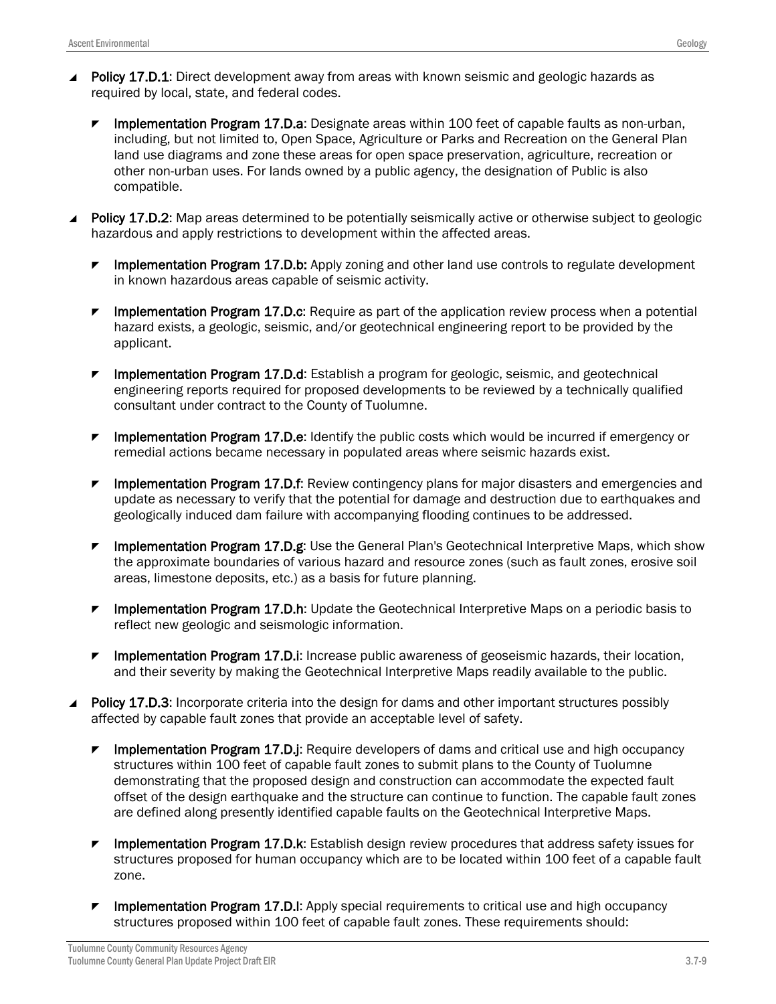- Policy 17.D.1: Direct development away from areas with known seismic and geologic hazards as required by local, state, and federal codes.
	- Implementation Program 17.D.a: Designate areas within 100 feet of capable faults as non-urban, including, but not limited to, Open Space, Agriculture or Parks and Recreation on the General Plan land use diagrams and zone these areas for open space preservation, agriculture, recreation or other non-urban uses. For lands owned by a public agency, the designation of Public is also compatible.
- **Policy 17.D.2:** Map areas determined to be potentially seismically active or otherwise subject to geologic hazardous and apply restrictions to development within the affected areas.
	- Implementation Program 17.D.b: Apply zoning and other land use controls to regulate development in known hazardous areas capable of seismic activity.
	- $\blacktriangleright$  Implementation Program 17.D.c: Require as part of the application review process when a potential hazard exists, a geologic, seismic, and/or geotechnical engineering report to be provided by the applicant.
	- **F** Implementation Program 17.D.d: Establish a program for geologic, seismic, and geotechnical engineering reports required for proposed developments to be reviewed by a technically qualified consultant under contract to the County of Tuolumne.
	- $\blacktriangleright$  Implementation Program 17.D.e: Identify the public costs which would be incurred if emergency or remedial actions became necessary in populated areas where seismic hazards exist.
	- **F** Implementation Program 17.D.f: Review contingency plans for major disasters and emergencies and update as necessary to verify that the potential for damage and destruction due to earthquakes and geologically induced dam failure with accompanying flooding continues to be addressed.
	- **F** Implementation Program 17.D.g: Use the General Plan's Geotechnical Interpretive Maps, which show the approximate boundaries of various hazard and resource zones (such as fault zones, erosive soil areas, limestone deposits, etc.) as a basis for future planning.
	- **F** Implementation Program 17.D.h: Update the Geotechnical Interpretive Maps on a periodic basis to reflect new geologic and seismologic information.
	- $\blacktriangleright$  Implementation Program 17.D.i: Increase public awareness of geoseismic hazards, their location, and their severity by making the Geotechnical Interpretive Maps readily available to the public.
- **Policy 17.D.3:** Incorporate criteria into the design for dams and other important structures possibly affected by capable fault zones that provide an acceptable level of safety.
	- Implementation Program 17.D.j: Require developers of dams and critical use and high occupancy structures within 100 feet of capable fault zones to submit plans to the County of Tuolumne demonstrating that the proposed design and construction can accommodate the expected fault offset of the design earthquake and the structure can continue to function. The capable fault zones are defined along presently identified capable faults on the Geotechnical Interpretive Maps.
	- $\blacktriangleright$  Implementation Program 17.D.k: Establish design review procedures that address safety issues for structures proposed for human occupancy which are to be located within 100 feet of a capable fault zone.
	- **F** Implementation Program 17.D.I: Apply special requirements to critical use and high occupancy structures proposed within 100 feet of capable fault zones. These requirements should: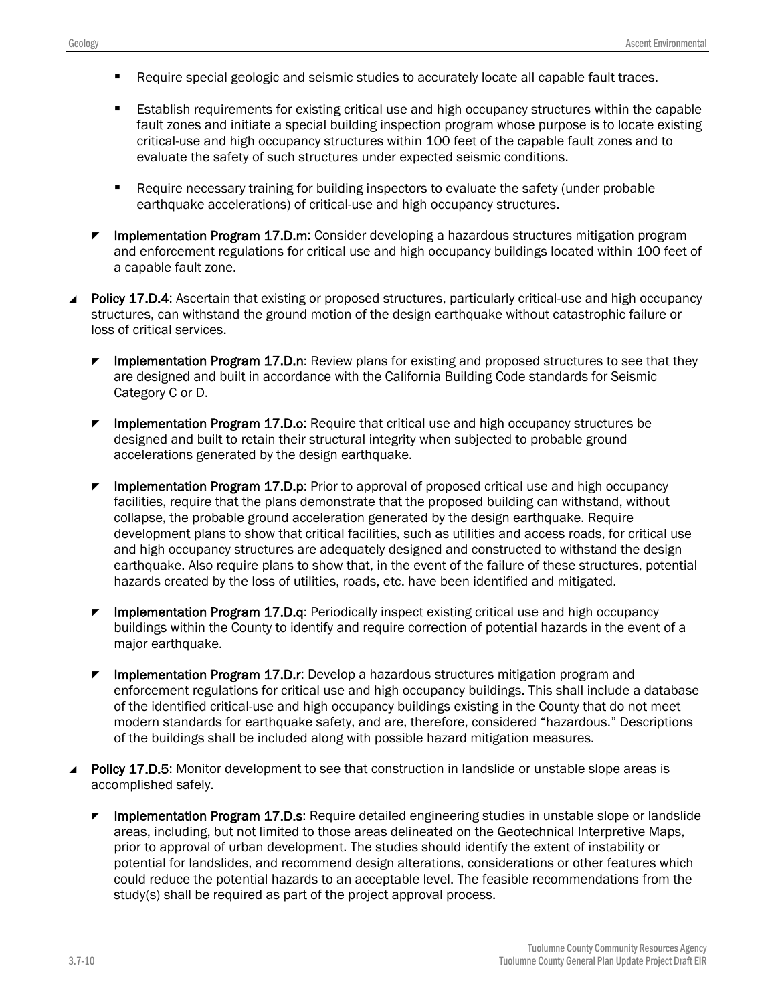- **Require special geologic and seismic studies to accurately locate all capable fault traces.**
- **E** Establish requirements for existing critical use and high occupancy structures within the capable fault zones and initiate a special building inspection program whose purpose is to locate existing critical-use and high occupancy structures within 100 feet of the capable fault zones and to evaluate the safety of such structures under expected seismic conditions.
- Require necessary training for building inspectors to evaluate the safety (under probable earthquake accelerations) of critical-use and high occupancy structures.
- **F** Implementation Program 17.D.m: Consider developing a hazardous structures mitigation program and enforcement regulations for critical use and high occupancy buildings located within 100 feet of a capable fault zone.
- **Policy 17.D.4:** Ascertain that existing or proposed structures, particularly critical-use and high occupancy structures, can withstand the ground motion of the design earthquake without catastrophic failure or loss of critical services.
	- Implementation Program 17.D.n: Review plans for existing and proposed structures to see that they are designed and built in accordance with the California Building Code standards for Seismic Category C or D.
	- **F** Implementation Program 17.D.o: Require that critical use and high occupancy structures be designed and built to retain their structural integrity when subjected to probable ground accelerations generated by the design earthquake.
	- **F** Implementation Program 17.D.p: Prior to approval of proposed critical use and high occupancy facilities, require that the plans demonstrate that the proposed building can withstand, without collapse, the probable ground acceleration generated by the design earthquake. Require development plans to show that critical facilities, such as utilities and access roads, for critical use and high occupancy structures are adequately designed and constructed to withstand the design earthquake. Also require plans to show that, in the event of the failure of these structures, potential hazards created by the loss of utilities, roads, etc. have been identified and mitigated.
	- Implementation Program 17.D.q: Periodically inspect existing critical use and high occupancy buildings within the County to identify and require correction of potential hazards in the event of a major earthquake.
	- **F** Implementation Program 17.D.r: Develop a hazardous structures mitigation program and enforcement regulations for critical use and high occupancy buildings. This shall include a database of the identified critical-use and high occupancy buildings existing in the County that do not meet modern standards for earthquake safety, and are, therefore, considered "hazardous." Descriptions of the buildings shall be included along with possible hazard mitigation measures.
- **Policy 17.D.5:** Monitor development to see that construction in landslide or unstable slope areas is accomplished safely.
	- Implementation Program 17.D.s: Require detailed engineering studies in unstable slope or landslide areas, including, but not limited to those areas delineated on the Geotechnical Interpretive Maps, prior to approval of urban development. The studies should identify the extent of instability or potential for landslides, and recommend design alterations, considerations or other features which could reduce the potential hazards to an acceptable level. The feasible recommendations from the study(s) shall be required as part of the project approval process.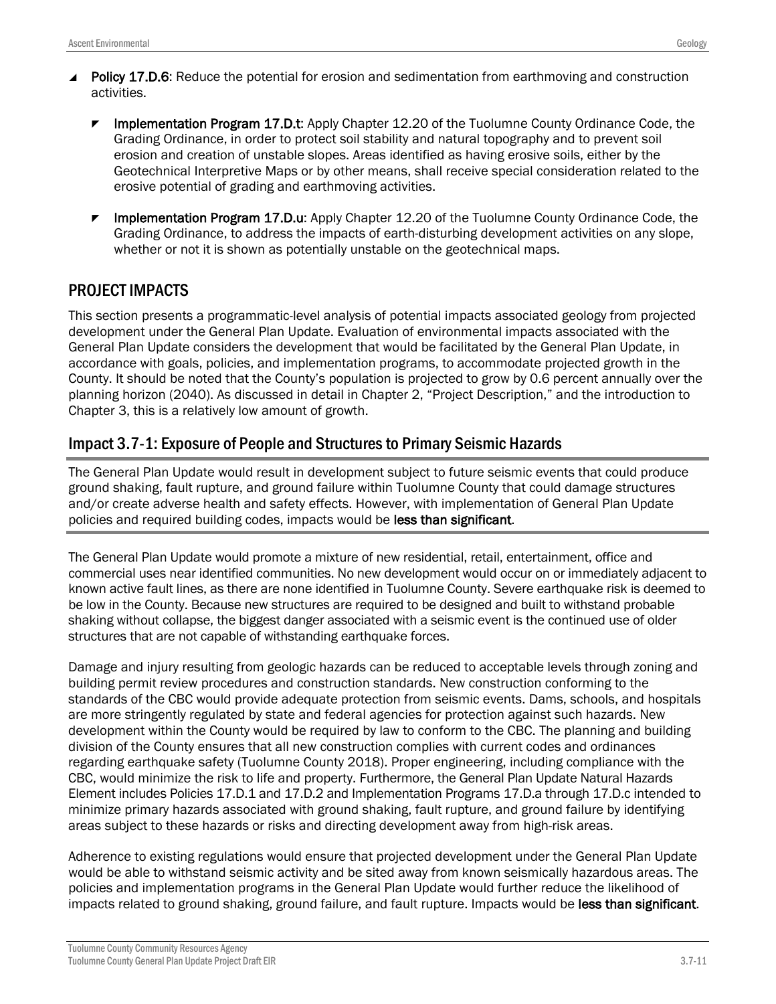- **Policy 17.D.6:** Reduce the potential for erosion and sedimentation from earthmoving and construction activities.
	- Implementation Program 17.D.t: Apply Chapter 12.20 of the Tuolumne County Ordinance Code, the Grading Ordinance, in order to protect soil stability and natural topography and to prevent soil erosion and creation of unstable slopes. Areas identified as having erosive soils, either by the Geotechnical Interpretive Maps or by other means, shall receive special consideration related to the erosive potential of grading and earthmoving activities.
	- Implementation Program 17.D.u: Apply Chapter 12.20 of the Tuolumne County Ordinance Code, the Grading Ordinance, to address the impacts of earth-disturbing development activities on any slope, whether or not it is shown as potentially unstable on the geotechnical maps.

#### PROJECT IMPACTS

This section presents a programmatic-level analysis of potential impacts associated geology from projected development under the General Plan Update. Evaluation of environmental impacts associated with the General Plan Update considers the development that would be facilitated by the General Plan Update, in accordance with goals, policies, and implementation programs, to accommodate projected growth in the County. It should be noted that the County's population is projected to grow by 0.6 percent annually over the planning horizon (2040). As discussed in detail in Chapter 2, "Project Description," and the introduction to Chapter 3, this is a relatively low amount of growth.

#### Impact 3.7-1: Exposure of People and Structures to Primary Seismic Hazards

The General Plan Update would result in development subject to future seismic events that could produce ground shaking, fault rupture, and ground failure within Tuolumne County that could damage structures and/or create adverse health and safety effects. However, with implementation of General Plan Update policies and required building codes, impacts would be less than significant.

The General Plan Update would promote a mixture of new residential, retail, entertainment, office and commercial uses near identified communities. No new development would occur on or immediately adjacent to known active fault lines, as there are none identified in Tuolumne County. Severe earthquake risk is deemed to be low in the County. Because new structures are required to be designed and built to withstand probable shaking without collapse, the biggest danger associated with a seismic event is the continued use of older structures that are not capable of withstanding earthquake forces.

Damage and injury resulting from geologic hazards can be reduced to acceptable levels through zoning and building permit review procedures and construction standards. New construction conforming to the standards of the CBC would provide adequate protection from seismic events. Dams, schools, and hospitals are more stringently regulated by state and federal agencies for protection against such hazards. New development within the County would be required by law to conform to the CBC. The planning and building division of the County ensures that all new construction complies with current codes and ordinances regarding earthquake safety (Tuolumne County 2018). Proper engineering, including compliance with the CBC, would minimize the risk to life and property. Furthermore, the General Plan Update Natural Hazards Element includes Policies 17.D.1 and 17.D.2 and Implementation Programs 17.D.a through 17.D.c intended to minimize primary hazards associated with ground shaking, fault rupture, and ground failure by identifying areas subject to these hazards or risks and directing development away from high-risk areas.

Adherence to existing regulations would ensure that projected development under the General Plan Update would be able to withstand seismic activity and be sited away from known seismically hazardous areas. The policies and implementation programs in the General Plan Update would further reduce the likelihood of impacts related to ground shaking, ground failure, and fault rupture. Impacts would be less than significant.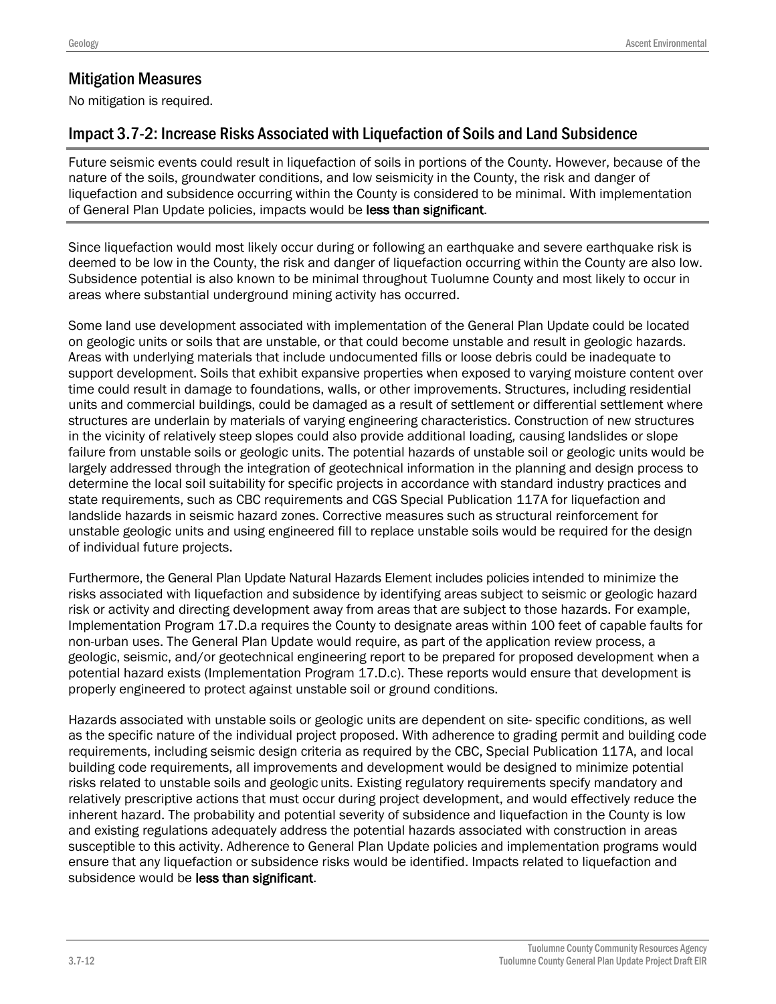# Mitigation Measures

No mitigation is required.

## Impact 3.7-2: Increase Risks Associated with Liquefaction of Soils and Land Subsidence

Future seismic events could result in liquefaction of soils in portions of the County. However, because of the nature of the soils, groundwater conditions, and low seismicity in the County, the risk and danger of liquefaction and subsidence occurring within the County is considered to be minimal. With implementation of General Plan Update policies, impacts would be less than significant.

Since liquefaction would most likely occur during or following an earthquake and severe earthquake risk is deemed to be low in the County, the risk and danger of liquefaction occurring within the County are also low. Subsidence potential is also known to be minimal throughout Tuolumne County and most likely to occur in areas where substantial underground mining activity has occurred.

Some land use development associated with implementation of the General Plan Update could be located on geologic units or soils that are unstable, or that could become unstable and result in geologic hazards. Areas with underlying materials that include undocumented fills or loose debris could be inadequate to support development. Soils that exhibit expansive properties when exposed to varying moisture content over time could result in damage to foundations, walls, or other improvements. Structures, including residential units and commercial buildings, could be damaged as a result of settlement or differential settlement where structures are underlain by materials of varying engineering characteristics. Construction of new structures in the vicinity of relatively steep slopes could also provide additional loading, causing landslides or slope failure from unstable soils or geologic units. The potential hazards of unstable soil or geologic units would be largely addressed through the integration of geotechnical information in the planning and design process to determine the local soil suitability for specific projects in accordance with standard industry practices and state requirements, such as CBC requirements and CGS Special Publication 117A for liquefaction and landslide hazards in seismic hazard zones. Corrective measures such as structural reinforcement for unstable geologic units and using engineered fill to replace unstable soils would be required for the design of individual future projects.

Furthermore, the General Plan Update Natural Hazards Element includes policies intended to minimize the risks associated with liquefaction and subsidence by identifying areas subject to seismic or geologic hazard risk or activity and directing development away from areas that are subject to those hazards. For example, Implementation Program 17.D.a requires the County to designate areas within 100 feet of capable faults for non-urban uses. The General Plan Update would require, as part of the application review process, a geologic, seismic, and/or geotechnical engineering report to be prepared for proposed development when a potential hazard exists (Implementation Program 17.D.c). These reports would ensure that development is properly engineered to protect against unstable soil or ground conditions.

Hazards associated with unstable soils or geologic units are dependent on site- specific conditions, as well as the specific nature of the individual project proposed. With adherence to grading permit and building code requirements, including seismic design criteria as required by the CBC, Special Publication 117A, and local building code requirements, all improvements and development would be designed to minimize potential risks related to unstable soils and geologic units. Existing regulatory requirements specify mandatory and relatively prescriptive actions that must occur during project development, and would effectively reduce the inherent hazard. The probability and potential severity of subsidence and liquefaction in the County is low and existing regulations adequately address the potential hazards associated with construction in areas susceptible to this activity. Adherence to General Plan Update policies and implementation programs would ensure that any liquefaction or subsidence risks would be identified. Impacts related to liquefaction and subsidence would be less than significant.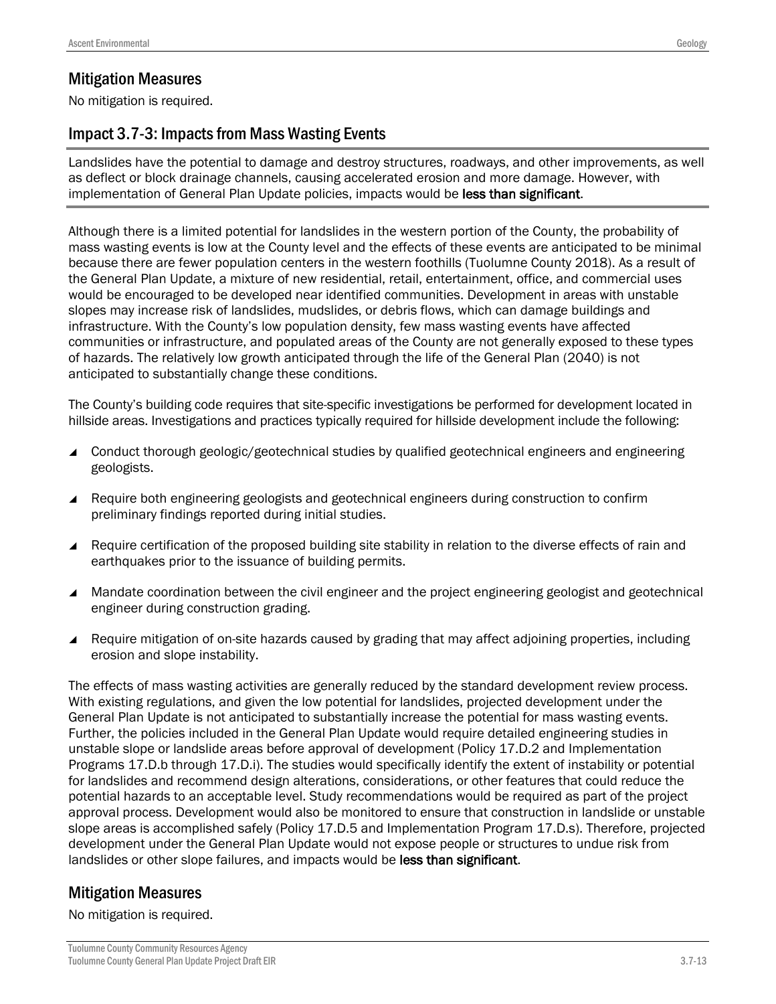# Mitigation Measures

No mitigation is required.

## Impact 3.7-3: Impacts from Mass Wasting Events

Landslides have the potential to damage and destroy structures, roadways, and other improvements, as well as deflect or block drainage channels, causing accelerated erosion and more damage. However, with implementation of General Plan Update policies, impacts would be less than significant.

Although there is a limited potential for landslides in the western portion of the County, the probability of mass wasting events is low at the County level and the effects of these events are anticipated to be minimal because there are fewer population centers in the western foothills (Tuolumne County 2018). As a result of the General Plan Update, a mixture of new residential, retail, entertainment, office, and commercial uses would be encouraged to be developed near identified communities. Development in areas with unstable slopes may increase risk of landslides, mudslides, or debris flows, which can damage buildings and infrastructure. With the County's low population density, few mass wasting events have affected communities or infrastructure, and populated areas of the County are not generally exposed to these types of hazards. The relatively low growth anticipated through the life of the General Plan (2040) is not anticipated to substantially change these conditions.

The County's building code requires that site-specific investigations be performed for development located in hillside areas. Investigations and practices typically required for hillside development include the following:

- ▲ Conduct thorough geologic/geotechnical studies by qualified geotechnical engineers and engineering geologists.
- Require both engineering geologists and geotechnical engineers during construction to confirm preliminary findings reported during initial studies.
- Require certification of the proposed building site stability in relation to the diverse effects of rain and earthquakes prior to the issuance of building permits.
- Mandate coordination between the civil engineer and the project engineering geologist and geotechnical engineer during construction grading.
- Require mitigation of on-site hazards caused by grading that may affect adjoining properties, including erosion and slope instability.

The effects of mass wasting activities are generally reduced by the standard development review process. With existing regulations, and given the low potential for landslides, projected development under the General Plan Update is not anticipated to substantially increase the potential for mass wasting events. Further, the policies included in the General Plan Update would require detailed engineering studies in unstable slope or landslide areas before approval of development (Policy 17.D.2 and Implementation Programs 17.D.b through 17.D.i). The studies would specifically identify the extent of instability or potential for landslides and recommend design alterations, considerations, or other features that could reduce the potential hazards to an acceptable level. Study recommendations would be required as part of the project approval process. Development would also be monitored to ensure that construction in landslide or unstable slope areas is accomplished safely (Policy 17.D.5 and Implementation Program 17.D.s). Therefore, projected development under the General Plan Update would not expose people or structures to undue risk from landslides or other slope failures, and impacts would be less than significant.

## Mitigation Measures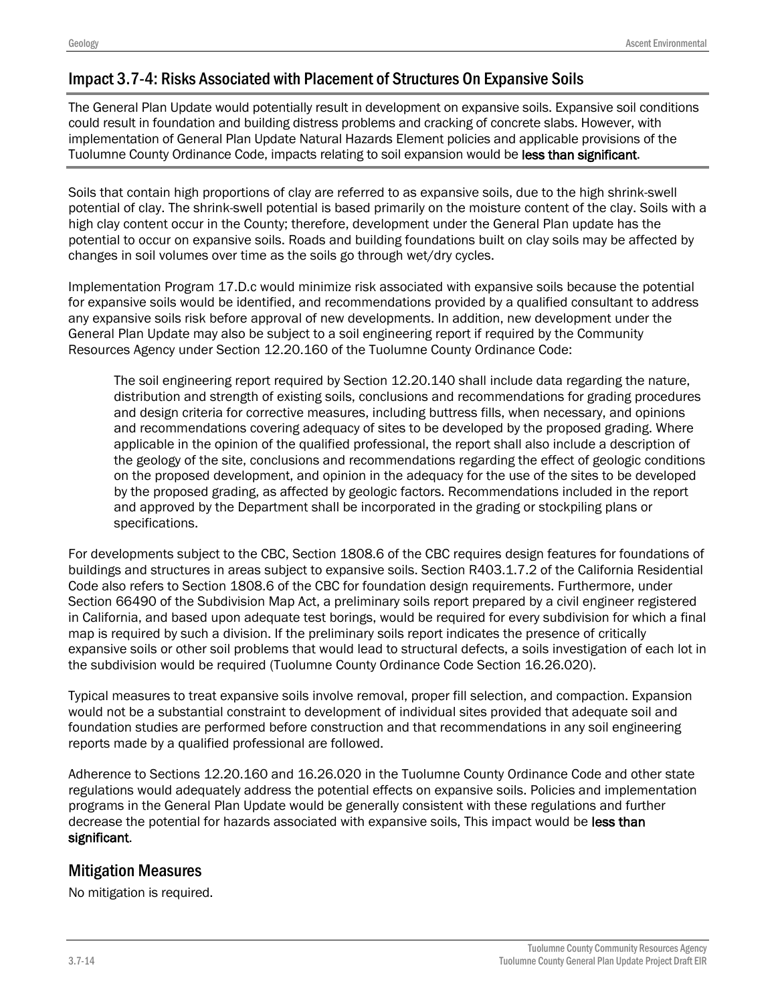# Impact 3.7-4: Risks Associated with Placement of Structures On Expansive Soils

The General Plan Update would potentially result in development on expansive soils. Expansive soil conditions could result in foundation and building distress problems and cracking of concrete slabs. However, with implementation of General Plan Update Natural Hazards Element policies and applicable provisions of the Tuolumne County Ordinance Code, impacts relating to soil expansion would be less than significant.

Soils that contain high proportions of clay are referred to as expansive soils, due to the high shrink-swell potential of clay. The shrink-swell potential is based primarily on the moisture content of the clay. Soils with a high clay content occur in the County; therefore, development under the General Plan update has the potential to occur on expansive soils. Roads and building foundations built on clay soils may be affected by changes in soil volumes over time as the soils go through wet/dry cycles.

Implementation Program 17.D.c would minimize risk associated with expansive soils because the potential for expansive soils would be identified, and recommendations provided by a qualified consultant to address any expansive soils risk before approval of new developments. In addition, new development under the General Plan Update may also be subject to a soil engineering report if required by the Community Resources Agency under Section 12.20.160 of the Tuolumne County Ordinance Code:

The soil engineering report required by Section 12.20.140 shall include data regarding the nature, distribution and strength of existing soils, conclusions and recommendations for grading procedures and design criteria for corrective measures, including buttress fills, when necessary, and opinions and recommendations covering adequacy of sites to be developed by the proposed grading. Where applicable in the opinion of the qualified professional, the report shall also include a description of the geology of the site, conclusions and recommendations regarding the effect of geologic conditions on the proposed development, and opinion in the adequacy for the use of the sites to be developed by the proposed grading, as affected by geologic factors. Recommendations included in the report and approved by the Department shall be incorporated in the grading or stockpiling plans or specifications.

For developments subject to the CBC, Section 1808.6 of the CBC requires design features for foundations of buildings and structures in areas subject to expansive soils. Section R403.1.7.2 of the California Residential Code also refers to Section 1808.6 of the CBC for foundation design requirements. Furthermore, under Section 66490 of the Subdivision Map Act, a preliminary soils report prepared by a civil engineer registered in California, and based upon adequate test borings, would be required for every subdivision for which a final map is required by such a division. If the preliminary soils report indicates the presence of critically expansive soils or other soil problems that would lead to structural defects, a soils investigation of each lot in the subdivision would be required (Tuolumne County Ordinance Code Section 16.26.020).

Typical measures to treat expansive soils involve removal, proper fill selection, and compaction. Expansion would not be a substantial constraint to development of individual sites provided that adequate soil and foundation studies are performed before construction and that recommendations in any soil engineering reports made by a qualified professional are followed.

Adherence to Sections 12.20.160 and 16.26.020 in the Tuolumne County Ordinance Code and other state regulations would adequately address the potential effects on expansive soils. Policies and implementation programs in the General Plan Update would be generally consistent with these regulations and further decrease the potential for hazards associated with expansive soils, This impact would be less than significant.

## Mitigation Measures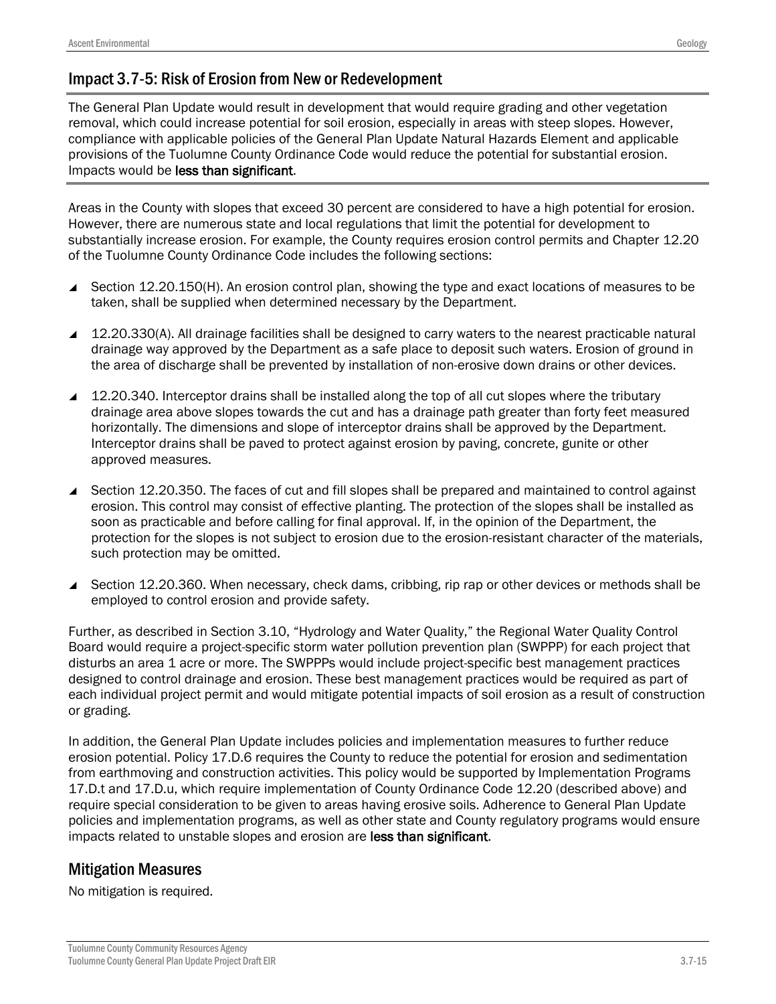## Impact 3.7-5: Risk of Erosion from New or Redevelopment

The General Plan Update would result in development that would require grading and other vegetation removal, which could increase potential for soil erosion, especially in areas with steep slopes. However, compliance with applicable policies of the General Plan Update Natural Hazards Element and applicable provisions of the Tuolumne County Ordinance Code would reduce the potential for substantial erosion. Impacts would be less than significant.

Areas in the County with slopes that exceed 30 percent are considered to have a high potential for erosion. However, there are numerous state and local regulations that limit the potential for development to substantially increase erosion. For example, the County requires erosion control permits and Chapter 12.20 of the Tuolumne County Ordinance Code includes the following sections:

- Section 12.20.150(H). An erosion control plan, showing the type and exact locations of measures to be taken, shall be supplied when determined necessary by the Department.
- 12.20.330(A). All drainage facilities shall be designed to carry waters to the nearest practicable natural drainage way approved by the Department as a safe place to deposit such waters. Erosion of ground in the area of discharge shall be prevented by installation of non-erosive down drains or other devices.
- ▲ 12.20.340. Interceptor drains shall be installed along the top of all cut slopes where the tributary drainage area above slopes towards the cut and has a drainage path greater than forty feet measured horizontally. The dimensions and slope of interceptor drains shall be approved by the Department. Interceptor drains shall be paved to protect against erosion by paving, concrete, gunite or other approved measures.
- Section 12.20.350. The faces of cut and fill slopes shall be prepared and maintained to control against erosion. This control may consist of effective planting. The protection of the slopes shall be installed as soon as practicable and before calling for final approval. If, in the opinion of the Department, the protection for the slopes is not subject to erosion due to the erosion-resistant character of the materials, such protection may be omitted.
- Section 12.20.360. When necessary, check dams, cribbing, rip rap or other devices or methods shall be employed to control erosion and provide safety.

Further, as described in Section 3.10, "Hydrology and Water Quality," the Regional Water Quality Control Board would require a project-specific storm water pollution prevention plan (SWPPP) for each project that disturbs an area 1 acre or more. The SWPPPs would include project-specific best management practices designed to control drainage and erosion. These best management practices would be required as part of each individual project permit and would mitigate potential impacts of soil erosion as a result of construction or grading.

In addition, the General Plan Update includes policies and implementation measures to further reduce erosion potential. Policy 17.D.6 requires the County to reduce the potential for erosion and sedimentation from earthmoving and construction activities. This policy would be supported by Implementation Programs 17.D.t and 17.D.u, which require implementation of County Ordinance Code 12.20 (described above) and require special consideration to be given to areas having erosive soils. Adherence to General Plan Update policies and implementation programs, as well as other state and County regulatory programs would ensure impacts related to unstable slopes and erosion are less than significant.

## Mitigation Measures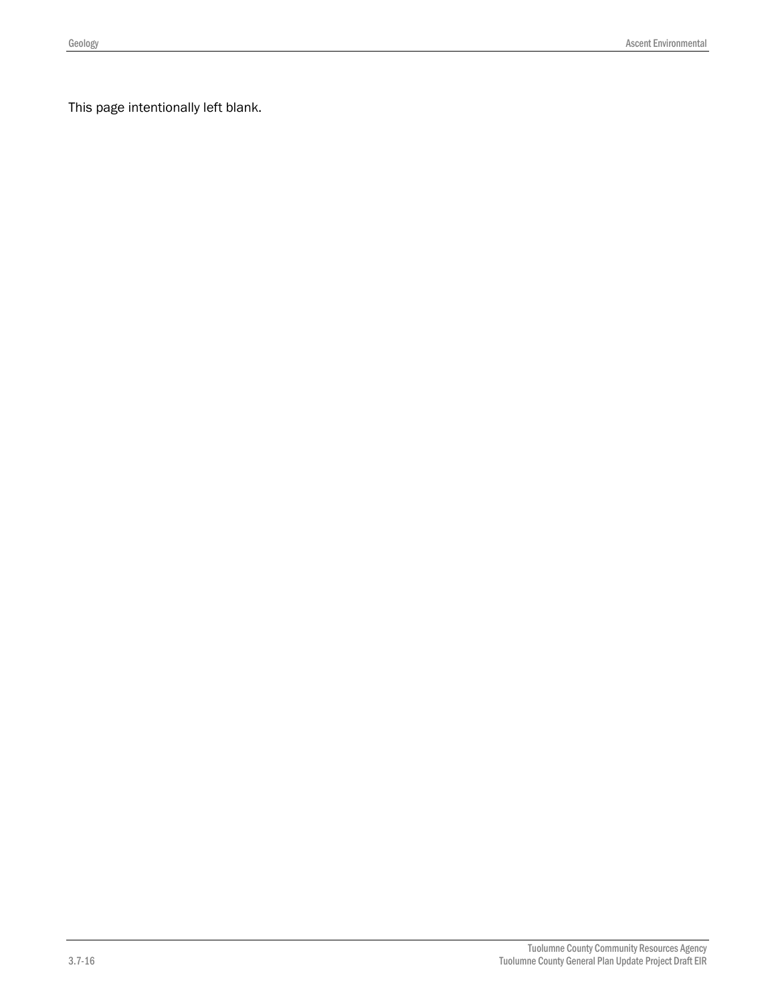This page intentionally left blank.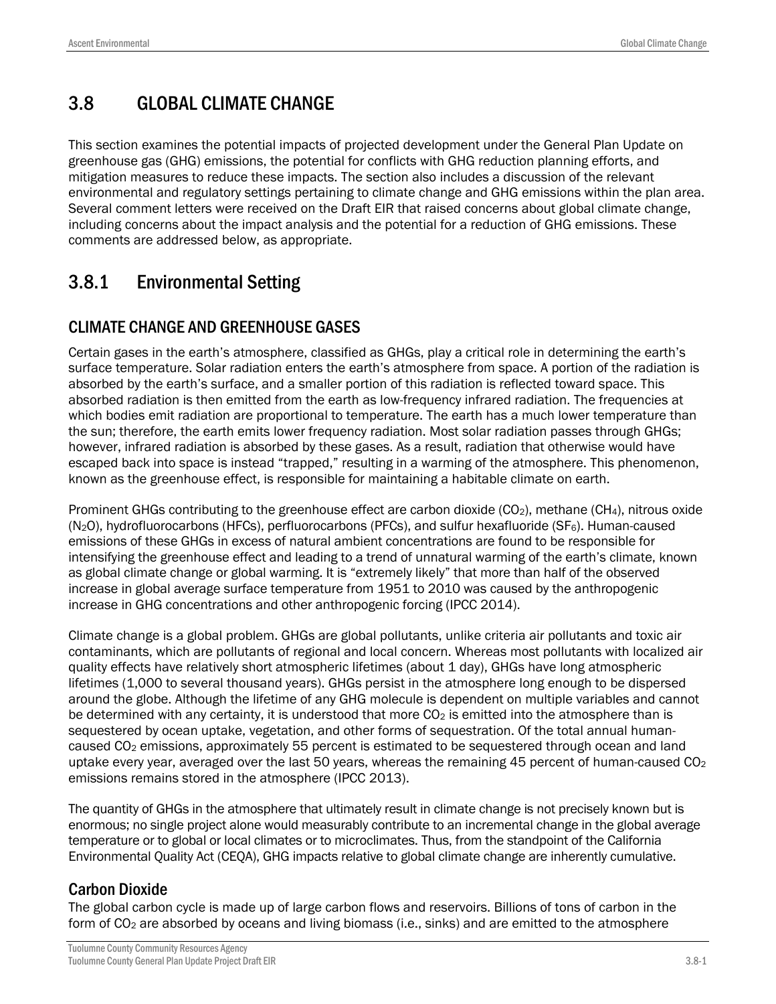# 3.8 GLOBAL CLIMATE CHANGE

This section examines the potential impacts of projected development under the General Plan Update on greenhouse gas (GHG) emissions, the potential for conflicts with GHG reduction planning efforts, and mitigation measures to reduce these impacts. The section also includes a discussion of the relevant environmental and regulatory settings pertaining to climate change and GHG emissions within the plan area. Several comment letters were received on the Draft EIR that raised concerns about global climate change, including concerns about the impact analysis and the potential for a reduction of GHG emissions. These comments are addressed below, as appropriate.

# 3.8.1 Environmental Setting

# CLIMATE CHANGE AND GREENHOUSE GASES

Certain gases in the earth's atmosphere, classified as GHGs, play a critical role in determining the earth's surface temperature. Solar radiation enters the earth's atmosphere from space. A portion of the radiation is absorbed by the earth's surface, and a smaller portion of this radiation is reflected toward space. This absorbed radiation is then emitted from the earth as low-frequency infrared radiation. The frequencies at which bodies emit radiation are proportional to temperature. The earth has a much lower temperature than the sun; therefore, the earth emits lower frequency radiation. Most solar radiation passes through GHGs; however, infrared radiation is absorbed by these gases. As a result, radiation that otherwise would have escaped back into space is instead "trapped," resulting in a warming of the atmosphere. This phenomenon, known as the greenhouse effect, is responsible for maintaining a habitable climate on earth.

Prominent GHGs contributing to the greenhouse effect are carbon dioxide (CO<sub>2</sub>), methane (CH<sub>4</sub>), nitrous oxide  $(N_2O)$ , hydrofluorocarbons (HFCs), perfluorocarbons (PFCs), and sulfur hexafluoride (SF<sub>6</sub>). Human-caused emissions of these GHGs in excess of natural ambient concentrations are found to be responsible for intensifying the greenhouse effect and leading to a trend of unnatural warming of the earth's climate, known as global climate change or global warming. It is "extremely likely" that more than half of the observed increase in global average surface temperature from 1951 to 2010 was caused by the anthropogenic increase in GHG concentrations and other anthropogenic forcing (IPCC 2014).

Climate change is a global problem. GHGs are global pollutants, unlike criteria air pollutants and toxic air contaminants, which are pollutants of regional and local concern. Whereas most pollutants with localized air quality effects have relatively short atmospheric lifetimes (about 1 day), GHGs have long atmospheric lifetimes (1,000 to several thousand years). GHGs persist in the atmosphere long enough to be dispersed around the globe. Although the lifetime of any GHG molecule is dependent on multiple variables and cannot be determined with any certainty, it is understood that more  $CO<sub>2</sub>$  is emitted into the atmosphere than is sequestered by ocean uptake, vegetation, and other forms of sequestration. Of the total annual humancaused CO<sub>2</sub> emissions, approximately 55 percent is estimated to be sequestered through ocean and land uptake every year, averaged over the last 50 years, whereas the remaining 45 percent of human-caused  $CO<sub>2</sub>$ emissions remains stored in the atmosphere (IPCC 2013).

The quantity of GHGs in the atmosphere that ultimately result in climate change is not precisely known but is enormous; no single project alone would measurably contribute to an incremental change in the global average temperature or to global or local climates or to microclimates. Thus, from the standpoint of the California Environmental Quality Act (CEQA), GHG impacts relative to global climate change are inherently cumulative.

## Carbon Dioxide

The global carbon cycle is made up of large carbon flows and reservoirs. Billions of tons of carbon in the form of CO2 are absorbed by oceans and living biomass (i.e., sinks) and are emitted to the atmosphere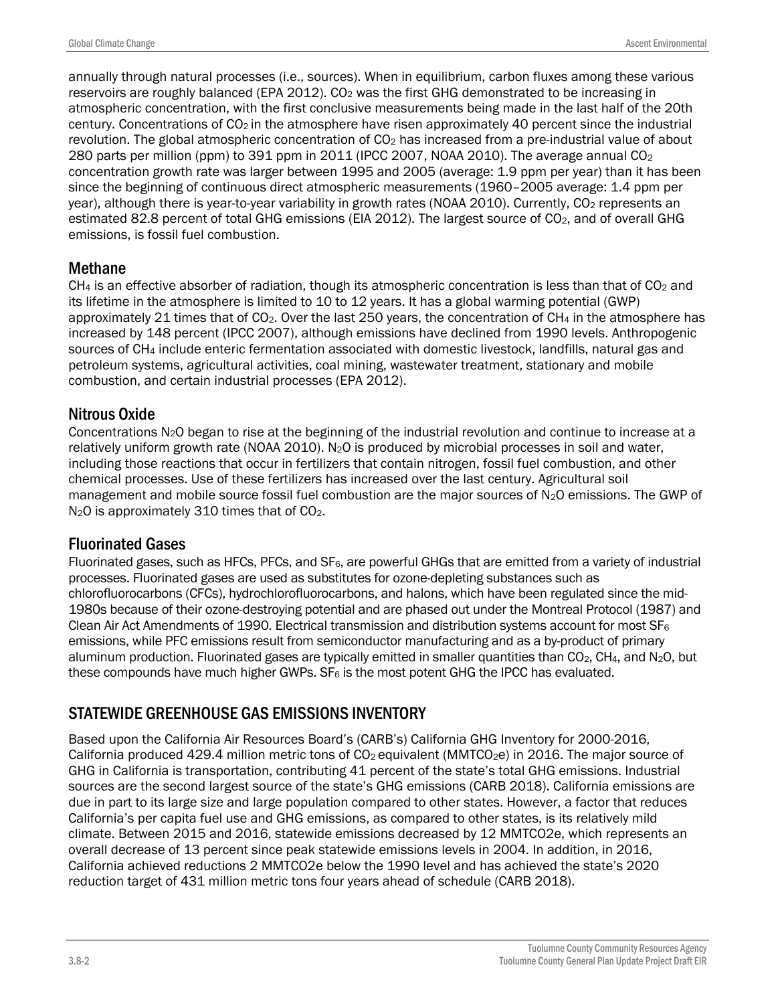annually through natural processes (i.e., sources). When in equilibrium, carbon fluxes among these various reservoirs are roughly balanced (EPA 2012). CO<sub>2</sub> was the first GHG demonstrated to be increasing in atmospheric concentration, with the first conclusive measurements being made in the last half of the 20th century. Concentrations of  $CO<sub>2</sub>$  in the atmosphere have risen approximately 40 percent since the industrial revolution. The global atmospheric concentration of CO<sub>2</sub> has increased from a pre-industrial value of about 280 parts per million (ppm) to 391 ppm in 2011 (IPCC 2007, NOAA 2010). The average annual CO<sub>2</sub> concentration growth rate was larger between 1995 and 2005 (average: 1.9 ppm per year) than it has been since the beginning of continuous direct atmospheric measurements (1960–2005 average: 1.4 ppm per year), although there is year-to-year variability in growth rates (NOAA 2010). Currently, CO<sub>2</sub> represents an estimated 82.8 percent of total GHG emissions (EIA 2012). The largest source of CO<sub>2</sub>, and of overall GHG emissions, is fossil fuel combustion.

#### Methane

 $CH<sub>4</sub>$  is an effective absorber of radiation, though its atmospheric concentration is less than that of  $CO<sub>2</sub>$  and its lifetime in the atmosphere is limited to 10 to 12 years. It has a global warming potential (GWP) approximately 21 times that of CO<sub>2</sub>. Over the last 250 years, the concentration of CH<sub>4</sub> in the atmosphere has increased by 148 percent (IPCC 2007), although emissions have declined from 1990 levels. Anthropogenic sources of CH<sub>4</sub> include enteric fermentation associated with domestic livestock, landfills, natural gas and petroleum systems, agricultural activities, coal mining, wastewater treatment, stationary and mobile combustion, and certain industrial processes (EPA 2012).

#### Nitrous Oxide

Concentrations N2O began to rise at the beginning of the industrial revolution and continue to increase at a relatively uniform growth rate (NOAA 2010).  $N_2O$  is produced by microbial processes in soil and water, including those reactions that occur in fertilizers that contain nitrogen, fossil fuel combustion, and other chemical processes. Use of these fertilizers has increased over the last century. Agricultural soil management and mobile source fossil fuel combustion are the major sources of N<sub>2</sub>O emissions. The GWP of  $N<sub>2</sub>O$  is approximately 310 times that of  $CO<sub>2</sub>$ .

#### Fluorinated Gases

Fluorinated gases, such as HFCs, PFCs, and SF<sub>6</sub>, are powerful GHGs that are emitted from a variety of industrial processes. Fluorinated gases are used as substitutes for ozone-depleting substances such as chlorofluorocarbons (CFCs), hydrochlorofluorocarbons, and halons, which have been regulated since the mid-1980s because of their ozone-destroying potential and are phased out under the Montreal Protocol (1987) and Clean Air Act Amendments of 1990. Electrical transmission and distribution systems account for most  $SF_6$ emissions, while PFC emissions result from semiconductor manufacturing and as a by-product of primary aluminum production. Fluorinated gases are typically emitted in smaller quantities than CO<sub>2</sub>, CH<sub>4</sub>, and N<sub>2</sub>O, but these compounds have much higher GWPs.  $SF_6$  is the most potent GHG the IPCC has evaluated.

## STATEWIDE GREENHOUSE GAS EMISSIONS INVENTORY

Based upon the California Air Resources Board's (CARB's) California GHG Inventory for 2000-2016, California produced 429.4 million metric tons of  $CO<sub>2</sub>$  equivalent (MMTCO<sub>2</sub>e) in 2016. The major source of GHG in California is transportation, contributing 41 percent of the state's total GHG emissions. Industrial sources are the second largest source of the state's GHG emissions (CARB 2018). California emissions are due in part to its large size and large population compared to other states. However, a factor that reduces California's per capita fuel use and GHG emissions, as compared to other states, is its relatively mild climate. Between 2015 and 2016, statewide emissions decreased by 12 MMTCO2e, which represents an overall decrease of 13 percent since peak statewide emissions levels in 2004. In addition, in 2016, California achieved reductions 2 MMTCO2e below the 1990 level and has achieved the state's 2020 reduction target of 431 million metric tons four years ahead of schedule (CARB 2018).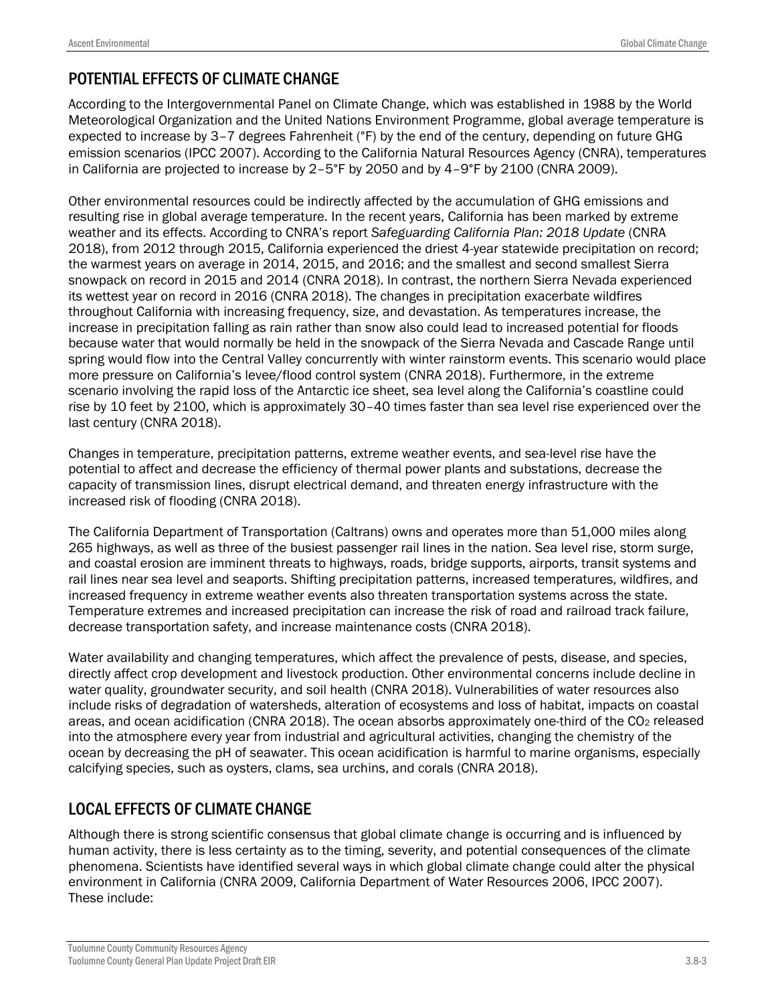# POTENTIAL EFFECTS OF CLIMATE CHANGE

According to the Intergovernmental Panel on Climate Change, which was established in 1988 by the World Meteorological Organization and the United Nations Environment Programme, global average temperature is expected to increase by 3–7 degrees Fahrenheit (°F) by the end of the century, depending on future GHG emission scenarios (IPCC 2007). According to the California Natural Resources Agency (CNRA), temperatures in California are projected to increase by 2–5°F by 2050 and by 4–9°F by 2100 (CNRA 2009).

Other environmental resources could be indirectly affected by the accumulation of GHG emissions and resulting rise in global average temperature. In the recent years, California has been marked by extreme weather and its effects. According to CNRA's report *Safeguarding California Plan: 2018 Update* (CNRA 2018), from 2012 through 2015, California experienced the driest 4-year statewide precipitation on record; the warmest years on average in 2014, 2015, and 2016; and the smallest and second smallest Sierra snowpack on record in 2015 and 2014 (CNRA 2018). In contrast, the northern Sierra Nevada experienced its wettest year on record in 2016 (CNRA 2018). The changes in precipitation exacerbate wildfires throughout California with increasing frequency, size, and devastation. As temperatures increase, the increase in precipitation falling as rain rather than snow also could lead to increased potential for floods because water that would normally be held in the snowpack of the Sierra Nevada and Cascade Range until spring would flow into the Central Valley concurrently with winter rainstorm events. This scenario would place more pressure on California's levee/flood control system (CNRA 2018). Furthermore, in the extreme scenario involving the rapid loss of the Antarctic ice sheet, sea level along the California's coastline could rise by 10 feet by 2100, which is approximately 30–40 times faster than sea level rise experienced over the last century (CNRA 2018).

Changes in temperature, precipitation patterns, extreme weather events, and sea-level rise have the potential to affect and decrease the efficiency of thermal power plants and substations, decrease the capacity of transmission lines, disrupt electrical demand, and threaten energy infrastructure with the increased risk of flooding (CNRA 2018).

The California Department of Transportation (Caltrans) owns and operates more than 51,000 miles along 265 highways, as well as three of the busiest passenger rail lines in the nation. Sea level rise, storm surge, and coastal erosion are imminent threats to highways, roads, bridge supports, airports, transit systems and rail lines near sea level and seaports. Shifting precipitation patterns, increased temperatures, wildfires, and increased frequency in extreme weather events also threaten transportation systems across the state. Temperature extremes and increased precipitation can increase the risk of road and railroad track failure, decrease transportation safety, and increase maintenance costs (CNRA 2018).

Water availability and changing temperatures, which affect the prevalence of pests, disease, and species, directly affect crop development and livestock production. Other environmental concerns include decline in water quality, groundwater security, and soil health (CNRA 2018). Vulnerabilities of water resources also include risks of degradation of watersheds, alteration of ecosystems and loss of habitat, impacts on coastal areas, and ocean acidification (CNRA 2018). The ocean absorbs approximately one-third of the CO<sub>2</sub> released into the atmosphere every year from industrial and agricultural activities, changing the chemistry of the ocean by decreasing the pH of seawater. This ocean acidification is harmful to marine organisms, especially calcifying species, such as oysters, clams, sea urchins, and corals (CNRA 2018).

## LOCAL EFFECTS OF CLIMATE CHANGE

Although there is strong scientific consensus that global climate change is occurring and is influenced by human activity, there is less certainty as to the timing, severity, and potential consequences of the climate phenomena. Scientists have identified several ways in which global climate change could alter the physical environment in California (CNRA 2009, California Department of Water Resources 2006, IPCC 2007). These include: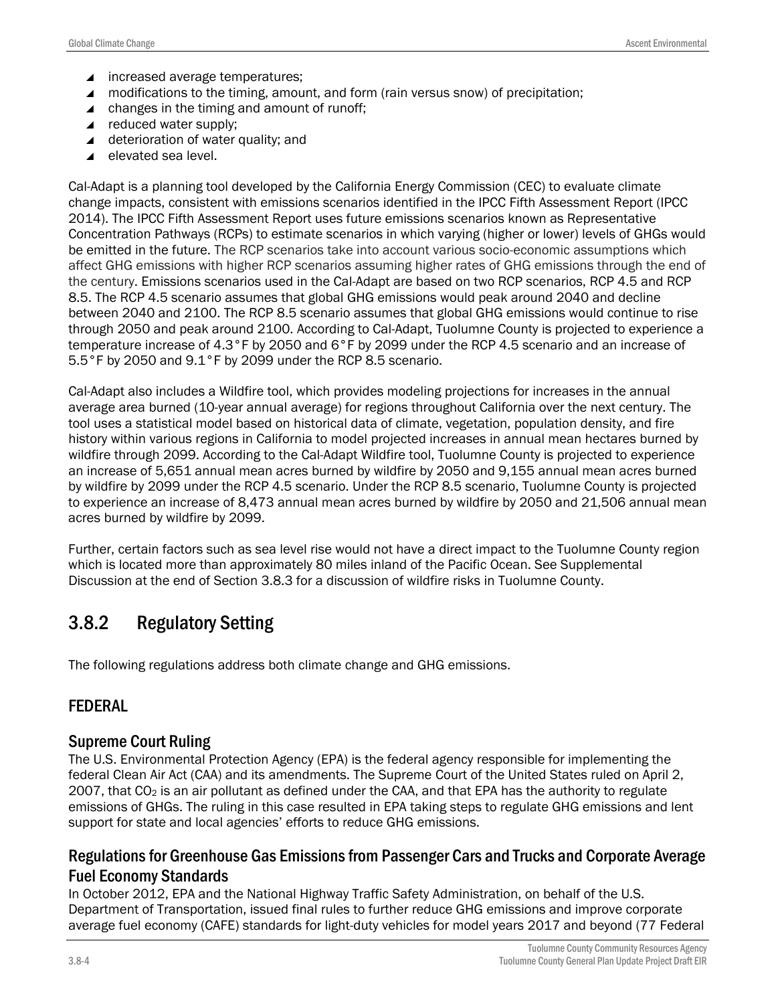- ▲ increased average temperatures;
- modifications to the timing, amount, and form (rain versus snow) of precipitation;
- $\triangle$  changes in the timing and amount of runoff;
- $\triangle$  reduced water supply;
- $\triangle$  deterioration of water quality; and
- ▲ elevated sea level.

Cal-Adapt is a planning tool developed by the California Energy Commission (CEC) to evaluate climate change impacts, consistent with emissions scenarios identified in the IPCC Fifth Assessment Report (IPCC 2014). The IPCC Fifth Assessment Report uses future emissions scenarios known as Representative Concentration Pathways (RCPs) to estimate scenarios in which varying (higher or lower) levels of GHGs would be emitted in the future. The RCP scenarios take into account various socio-economic assumptions which affect GHG emissions with higher RCP scenarios assuming higher rates of GHG emissions through the end of the century. Emissions scenarios used in the Cal-Adapt are based on two RCP scenarios, RCP 4.5 and RCP 8.5. The RCP 4.5 scenario assumes that global GHG emissions would peak around 2040 and decline between 2040 and 2100. The RCP 8.5 scenario assumes that global GHG emissions would continue to rise through 2050 and peak around 2100. According to Cal-Adapt, Tuolumne County is projected to experience a temperature increase of 4.3°F by 2050 and 6°F by 2099 under the RCP 4.5 scenario and an increase of 5.5°F by 2050 and 9.1°F by 2099 under the RCP 8.5 scenario.

Cal-Adapt also includes a Wildfire tool, which provides modeling projections for increases in the annual average area burned (10-year annual average) for regions throughout California over the next century. The tool uses a statistical model based on historical data of climate, vegetation, population density, and fire history within various regions in California to model projected increases in annual mean hectares burned by wildfire through 2099. According to the Cal-Adapt Wildfire tool, Tuolumne County is projected to experience an increase of 5,651 annual mean acres burned by wildfire by 2050 and 9,155 annual mean acres burned by wildfire by 2099 under the RCP 4.5 scenario. Under the RCP 8.5 scenario, Tuolumne County is projected to experience an increase of 8,473 annual mean acres burned by wildfire by 2050 and 21,506 annual mean acres burned by wildfire by 2099.

Further, certain factors such as sea level rise would not have a direct impact to the Tuolumne County region which is located more than approximately 80 miles inland of the Pacific Ocean. See Supplemental Discussion at the end of Section 3.8.3 for a discussion of wildfire risks in Tuolumne County.

# 3.8.2 Regulatory Setting

The following regulations address both climate change and GHG emissions.

#### FEDERAL

#### Supreme Court Ruling

The U.S. Environmental Protection Agency (EPA) is the federal agency responsible for implementing the federal Clean Air Act (CAA) and its amendments. The Supreme Court of the United States ruled on April 2, 2007, that  $CO<sub>2</sub>$  is an air pollutant as defined under the CAA, and that EPA has the authority to regulate emissions of GHGs. The ruling in this case resulted in EPA taking steps to regulate GHG emissions and lent support for state and local agencies' efforts to reduce GHG emissions.

#### Regulations for Greenhouse Gas Emissions from Passenger Cars and Trucks and Corporate Average Fuel Economy Standards

In October 2012, EPA and the National Highway Traffic Safety Administration, on behalf of the U.S. Department of Transportation, issued final rules to further reduce GHG emissions and improve corporate average fuel economy (CAFE) standards for light-duty vehicles for model years 2017 and beyond (77 Federal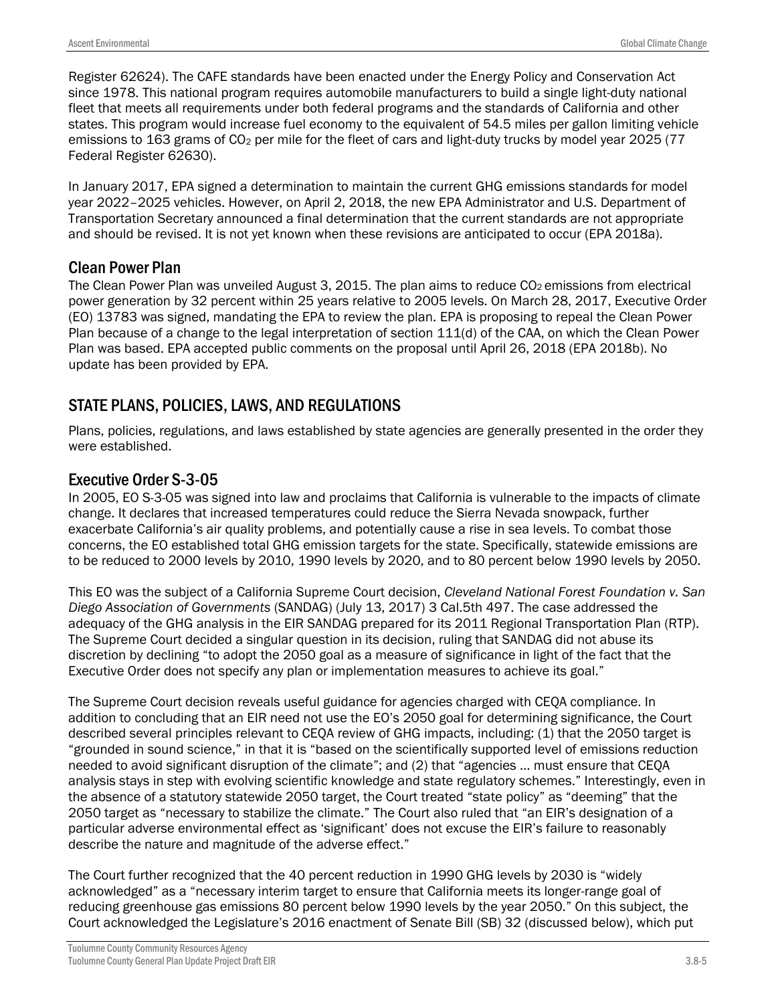Register 62624). The CAFE standards have been enacted under the Energy Policy and Conservation Act since 1978. This national program requires automobile manufacturers to build a single light-duty national fleet that meets all requirements under both federal programs and the standards of California and other states. This program would increase fuel economy to the equivalent of 54.5 miles per gallon limiting vehicle emissions to 163 grams of CO<sub>2</sub> per mile for the fleet of cars and light-duty trucks by model year 2025 (77 Federal Register 62630).

In January 2017, EPA signed a determination to maintain the current GHG emissions standards for model year 2022–2025 vehicles. However, on April 2, 2018, the new EPA Administrator and U.S. Department of Transportation Secretary announced a final determination that the current standards are not appropriate and should be revised. It is not yet known when these revisions are anticipated to occur (EPA 2018a).

#### Clean Power Plan

The Clean Power Plan was unveiled August 3, 2015. The plan aims to reduce CO<sub>2</sub> emissions from electrical power generation by 32 percent within 25 years relative to 2005 levels. On March 28, 2017, Executive Order (EO) 13783 was signed, mandating the EPA to review the plan. EPA is proposing to repeal the Clean Power Plan because of a change to the legal interpretation of section 111(d) of the CAA, on which the Clean Power Plan was based. EPA accepted public comments on the proposal until April 26, 2018 (EPA 2018b). No update has been provided by EPA.

## STATE PLANS, POLICIES, LAWS, AND REGULATIONS

Plans, policies, regulations, and laws established by state agencies are generally presented in the order they were established.

#### Executive Order S-3-05

In 2005, EO S-3-05 was signed into law and proclaims that California is vulnerable to the impacts of climate change. It declares that increased temperatures could reduce the Sierra Nevada snowpack, further exacerbate California's air quality problems, and potentially cause a rise in sea levels. To combat those concerns, the EO established total GHG emission targets for the state. Specifically, statewide emissions are to be reduced to 2000 levels by 2010, 1990 levels by 2020, and to 80 percent below 1990 levels by 2050.

This EO was the subject of a California Supreme Court decision, *Cleveland National Forest Foundation v. San Diego Association of Governments* (SANDAG) (July 13, 2017) 3 Cal.5th 497. The case addressed the adequacy of the GHG analysis in the EIR SANDAG prepared for its 2011 Regional Transportation Plan (RTP). The Supreme Court decided a singular question in its decision, ruling that SANDAG did not abuse its discretion by declining "to adopt the 2050 goal as a measure of significance in light of the fact that the Executive Order does not specify any plan or implementation measures to achieve its goal."

The Supreme Court decision reveals useful guidance for agencies charged with CEQA compliance. In addition to concluding that an EIR need not use the EO's 2050 goal for determining significance, the Court described several principles relevant to CEQA review of GHG impacts, including: (1) that the 2050 target is "grounded in sound science," in that it is "based on the scientifically supported level of emissions reduction needed to avoid significant disruption of the climate"; and (2) that "agencies … must ensure that CEQA analysis stays in step with evolving scientific knowledge and state regulatory schemes." Interestingly, even in the absence of a statutory statewide 2050 target, the Court treated "state policy" as "deeming" that the 2050 target as "necessary to stabilize the climate." The Court also ruled that "an EIR's designation of a particular adverse environmental effect as 'significant' does not excuse the EIR's failure to reasonably describe the nature and magnitude of the adverse effect."

The Court further recognized that the 40 percent reduction in 1990 GHG levels by 2030 is "widely acknowledged" as a "necessary interim target to ensure that California meets its longer-range goal of reducing greenhouse gas emissions 80 percent below 1990 levels by the year 2050." On this subject, the Court acknowledged the Legislature's 2016 enactment of Senate Bill (SB) 32 (discussed below), which put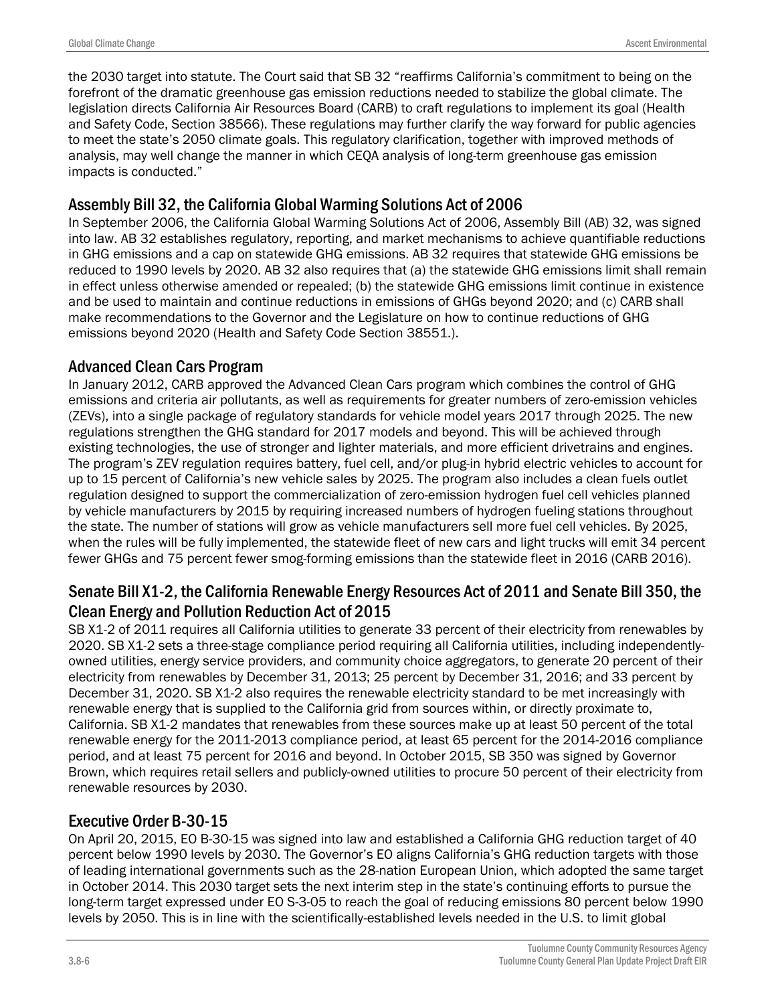the 2030 target into statute. The Court said that SB 32 "reaffirms California's commitment to being on the forefront of the dramatic greenhouse gas emission reductions needed to stabilize the global climate. The legislation directs California Air Resources Board (CARB) to craft regulations to implement its goal (Health and Safety Code, Section 38566). These regulations may further clarify the way forward for public agencies to meet the state's 2050 climate goals. This regulatory clarification, together with improved methods of analysis, may well change the manner in which CEQA analysis of long-term greenhouse gas emission impacts is conducted."

#### Assembly Bill 32, the California Global Warming Solutions Act of 2006

In September 2006, the California Global Warming Solutions Act of 2006, Assembly Bill (AB) 32, was signed into law. AB 32 establishes regulatory, reporting, and market mechanisms to achieve quantifiable reductions in GHG emissions and a cap on statewide GHG emissions. AB 32 requires that statewide GHG emissions be reduced to 1990 levels by 2020. AB 32 also requires that (a) the statewide GHG emissions limit shall remain in effect unless otherwise amended or repealed; (b) the statewide GHG emissions limit continue in existence and be used to maintain and continue reductions in emissions of GHGs beyond 2020; and (c) CARB shall make recommendations to the Governor and the Legislature on how to continue reductions of GHG emissions beyond 2020 (Health and Safety Code Section 38551.).

#### Advanced Clean Cars Program

In January 2012, CARB approved the Advanced Clean Cars program which combines the control of GHG emissions and criteria air pollutants, as well as requirements for greater numbers of zero-emission vehicles (ZEVs), into a single package of regulatory standards for vehicle model years 2017 through 2025. The new regulations strengthen the GHG standard for 2017 models and beyond. This will be achieved through existing technologies, the use of stronger and lighter materials, and more efficient drivetrains and engines. The program's ZEV regulation requires battery, fuel cell, and/or plug-in hybrid electric vehicles to account for up to 15 percent of California's new vehicle sales by 2025. The program also includes a clean fuels outlet regulation designed to support the commercialization of zero-emission hydrogen fuel cell vehicles planned by vehicle manufacturers by 2015 by requiring increased numbers of hydrogen fueling stations throughout the state. The number of stations will grow as vehicle manufacturers sell more fuel cell vehicles. By 2025, when the rules will be fully implemented, the statewide fleet of new cars and light trucks will emit 34 percent fewer GHGs and 75 percent fewer smog-forming emissions than the statewide fleet in 2016 (CARB 2016).

## Senate Bill X1-2, the California Renewable Energy Resources Act of 2011 and Senate Bill 350, the Clean Energy and Pollution Reduction Act of 2015

SB X1-2 of 2011 requires all California utilities to generate 33 percent of their electricity from renewables by 2020. SB X1-2 sets a three-stage compliance period requiring all California utilities, including independentlyowned utilities, energy service providers, and community choice aggregators, to generate 20 percent of their electricity from renewables by December 31, 2013; 25 percent by December 31, 2016; and 33 percent by December 31, 2020. SB X1-2 also requires the renewable electricity standard to be met increasingly with renewable energy that is supplied to the California grid from sources within, or directly proximate to, California. SB X1-2 mandates that renewables from these sources make up at least 50 percent of the total renewable energy for the 2011-2013 compliance period, at least 65 percent for the 2014-2016 compliance period, and at least 75 percent for 2016 and beyond. In October 2015, SB 350 was signed by Governor Brown, which requires retail sellers and publicly-owned utilities to procure 50 percent of their electricity from renewable resources by 2030.

#### Executive Order B-30-15

On April 20, 2015, EO B-30-15 was signed into law and established a California GHG reduction target of 40 percent below 1990 levels by 2030. The Governor's EO aligns California's GHG reduction targets with those of leading international governments such as the 28-nation European Union, which adopted the same target in October 2014. This 2030 target sets the next interim step in the state's continuing efforts to pursue the long-term target expressed under EO S-3-05 to reach the goal of reducing emissions 80 percent below 1990 levels by 2050. This is in line with the scientifically-established levels needed in the U.S. to limit global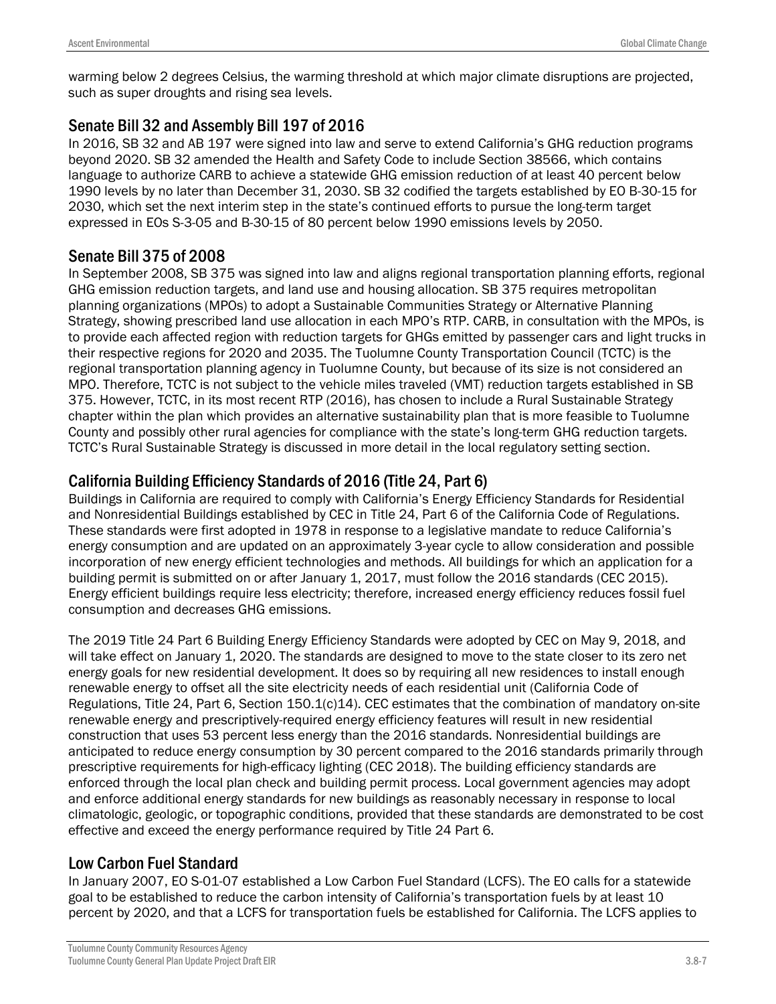warming below 2 degrees Celsius, the warming threshold at which major climate disruptions are projected, such as super droughts and rising sea levels.

# Senate Bill 32 and Assembly Bill 197 of 2016

In 2016, SB 32 and AB 197 were signed into law and serve to extend California's GHG reduction programs beyond 2020. SB 32 amended the Health and Safety Code to include Section 38566, which contains language to authorize CARB to achieve a statewide GHG emission reduction of at least 40 percent below 1990 levels by no later than December 31, 2030. SB 32 codified the targets established by EO B-30-15 for 2030, which set the next interim step in the state's continued efforts to pursue the long-term target expressed in EOs S-3-05 and B-30-15 of 80 percent below 1990 emissions levels by 2050.

# Senate Bill 375 of 2008

In September 2008, SB 375 was signed into law and aligns regional transportation planning efforts, regional GHG emission reduction targets, and land use and housing allocation. SB 375 requires metropolitan planning organizations (MPOs) to adopt a Sustainable Communities Strategy or Alternative Planning Strategy, showing prescribed land use allocation in each MPO's RTP. CARB, in consultation with the MPOs, is to provide each affected region with reduction targets for GHGs emitted by passenger cars and light trucks in their respective regions for 2020 and 2035. The Tuolumne County Transportation Council (TCTC) is the regional transportation planning agency in Tuolumne County, but because of its size is not considered an MPO. Therefore, TCTC is not subject to the vehicle miles traveled (VMT) reduction targets established in SB 375. However, TCTC, in its most recent RTP (2016), has chosen to include a Rural Sustainable Strategy chapter within the plan which provides an alternative sustainability plan that is more feasible to Tuolumne County and possibly other rural agencies for compliance with the state's long-term GHG reduction targets. TCTC's Rural Sustainable Strategy is discussed in more detail in the local regulatory setting section.

# California Building Efficiency Standards of 2016 (Title 24, Part 6)

Buildings in California are required to comply with California's Energy Efficiency Standards for Residential and Nonresidential Buildings established by CEC in Title 24, Part 6 of the California Code of Regulations. These standards were first adopted in 1978 in response to a legislative mandate to reduce California's energy consumption and are updated on an approximately 3-year cycle to allow consideration and possible incorporation of new energy efficient technologies and methods. All buildings for which an application for a building permit is submitted on or after January 1, 2017, must follow the 2016 standards (CEC 2015). Energy efficient buildings require less electricity; therefore, increased energy efficiency reduces fossil fuel consumption and decreases GHG emissions.

The 2019 Title 24 Part 6 Building Energy Efficiency Standards were adopted by CEC on May 9, 2018, and will take effect on January 1, 2020. The standards are designed to move to the state closer to its zero net energy goals for new residential development. It does so by requiring all new residences to install enough renewable energy to offset all the site electricity needs of each residential unit (California Code of Regulations, Title 24, Part 6, Section 150.1(c)14). CEC estimates that the combination of mandatory on-site renewable energy and prescriptively-required energy efficiency features will result in new residential construction that uses 53 percent less energy than the 2016 standards. Nonresidential buildings are anticipated to reduce energy consumption by 30 percent compared to the 2016 standards primarily through prescriptive requirements for high-efficacy lighting (CEC 2018). The building efficiency standards are enforced through the local plan check and building permit process. Local government agencies may adopt and enforce additional energy standards for new buildings as reasonably necessary in response to local climatologic, geologic, or topographic conditions, provided that these standards are demonstrated to be cost effective and exceed the energy performance required by Title 24 Part 6.

# Low Carbon Fuel Standard

In January 2007, EO S-01-07 established a Low Carbon Fuel Standard (LCFS). The EO calls for a statewide goal to be established to reduce the carbon intensity of California's transportation fuels by at least 10 percent by 2020, and that a LCFS for transportation fuels be established for California. The LCFS applies to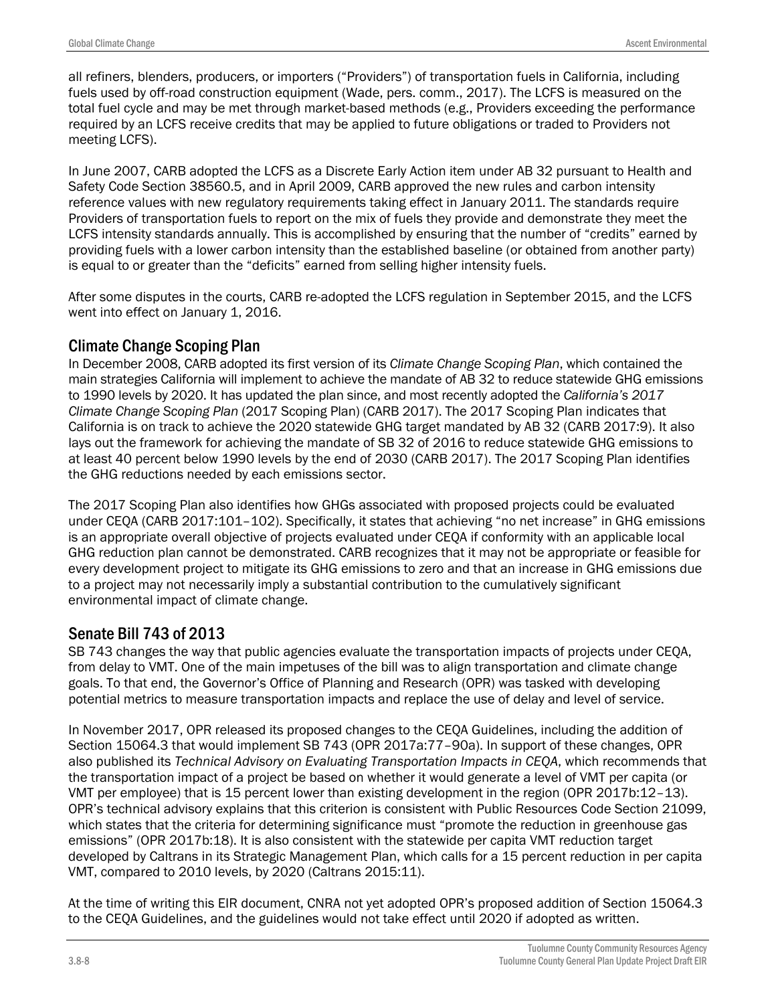all refiners, blenders, producers, or importers ("Providers") of transportation fuels in California, including fuels used by off-road construction equipment (Wade, pers. comm., 2017). The LCFS is measured on the total fuel cycle and may be met through market-based methods (e.g., Providers exceeding the performance required by an LCFS receive credits that may be applied to future obligations or traded to Providers not meeting LCFS).

In June 2007, CARB adopted the LCFS as a Discrete Early Action item under AB 32 pursuant to Health and Safety Code Section 38560.5, and in April 2009, CARB approved the new rules and carbon intensity reference values with new regulatory requirements taking effect in January 2011. The standards require Providers of transportation fuels to report on the mix of fuels they provide and demonstrate they meet the LCFS intensity standards annually. This is accomplished by ensuring that the number of "credits" earned by providing fuels with a lower carbon intensity than the established baseline (or obtained from another party) is equal to or greater than the "deficits" earned from selling higher intensity fuels.

After some disputes in the courts, CARB re-adopted the LCFS regulation in September 2015, and the LCFS went into effect on January 1, 2016.

#### Climate Change Scoping Plan

In December 2008, CARB adopted its first version of its *Climate Change Scoping Plan*, which contained the main strategies California will implement to achieve the mandate of AB 32 to reduce statewide GHG emissions to 1990 levels by 2020. It has updated the plan since, and most recently adopted the *California's 2017 Climate Change Scoping Plan* (2017 Scoping Plan) (CARB 2017). The 2017 Scoping Plan indicates that California is on track to achieve the 2020 statewide GHG target mandated by AB 32 (CARB 2017:9). It also lays out the framework for achieving the mandate of SB 32 of 2016 to reduce statewide GHG emissions to at least 40 percent below 1990 levels by the end of 2030 (CARB 2017). The 2017 Scoping Plan identifies the GHG reductions needed by each emissions sector.

The 2017 Scoping Plan also identifies how GHGs associated with proposed projects could be evaluated under CEQA (CARB 2017:101–102). Specifically, it states that achieving "no net increase" in GHG emissions is an appropriate overall objective of projects evaluated under CEQA if conformity with an applicable local GHG reduction plan cannot be demonstrated. CARB recognizes that it may not be appropriate or feasible for every development project to mitigate its GHG emissions to zero and that an increase in GHG emissions due to a project may not necessarily imply a substantial contribution to the cumulatively significant environmental impact of climate change.

## Senate Bill 743 of 2013

SB 743 changes the way that public agencies evaluate the transportation impacts of projects under CEQA, from delay to VMT. One of the main impetuses of the bill was to align transportation and climate change goals. To that end, the Governor's Office of Planning and Research (OPR) was tasked with developing potential metrics to measure transportation impacts and replace the use of delay and level of service.

In November 2017, OPR released its proposed changes to the CEQA Guidelines, including the addition of Section 15064.3 that would implement SB 743 (OPR 2017a:77–90a). In support of these changes, OPR also published its *Technical Advisory on Evaluating Transportation Impacts in CEQA*, which recommends that the transportation impact of a project be based on whether it would generate a level of VMT per capita (or VMT per employee) that is 15 percent lower than existing development in the region (OPR 2017b:12–13). OPR's technical advisory explains that this criterion is consistent with Public Resources Code Section 21099, which states that the criteria for determining significance must "promote the reduction in greenhouse gas emissions" (OPR 2017b:18). It is also consistent with the statewide per capita VMT reduction target developed by Caltrans in its Strategic Management Plan, which calls for a 15 percent reduction in per capita VMT, compared to 2010 levels, by 2020 (Caltrans 2015:11).

At the time of writing this EIR document, CNRA not yet adopted OPR's proposed addition of Section 15064.3 to the CEQA Guidelines, and the guidelines would not take effect until 2020 if adopted as written.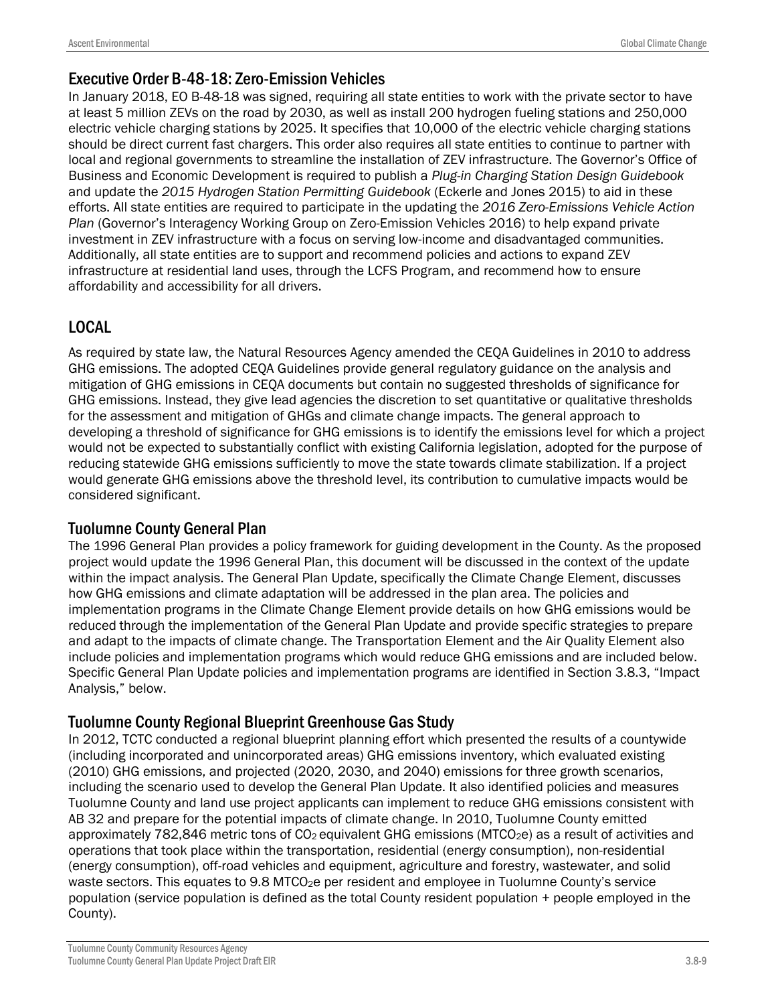## Executive Order B-48-18: Zero-Emission Vehicles

In January 2018, EO B-48-18 was signed, requiring all state entities to work with the private sector to have at least 5 million ZEVs on the road by 2030, as well as install 200 hydrogen fueling stations and 250,000 electric vehicle charging stations by 2025. It specifies that 10,000 of the electric vehicle charging stations should be direct current fast chargers. This order also requires all state entities to continue to partner with local and regional governments to streamline the installation of ZEV infrastructure. The Governor's Office of Business and Economic Development is required to publish a *Plug-in Charging Station Design Guidebook* and update the *2015 Hydrogen Station Permitting Guidebook* (Eckerle and Jones 2015) to aid in these efforts. All state entities are required to participate in the updating the *2016 Zero-Emissions Vehicle Action Plan* (Governor's Interagency Working Group on Zero-Emission Vehicles 2016) to help expand private investment in ZEV infrastructure with a focus on serving low-income and disadvantaged communities. Additionally, all state entities are to support and recommend policies and actions to expand ZEV infrastructure at residential land uses, through the LCFS Program, and recommend how to ensure affordability and accessibility for all drivers.

## LOCAL

As required by state law, the Natural Resources Agency amended the CEQA Guidelines in 2010 to address GHG emissions. The adopted CEQA Guidelines provide general regulatory guidance on the analysis and mitigation of GHG emissions in CEQA documents but contain no suggested thresholds of significance for GHG emissions. Instead, they give lead agencies the discretion to set quantitative or qualitative thresholds for the assessment and mitigation of GHGs and climate change impacts. The general approach to developing a threshold of significance for GHG emissions is to identify the emissions level for which a project would not be expected to substantially conflict with existing California legislation, adopted for the purpose of reducing statewide GHG emissions sufficiently to move the state towards climate stabilization. If a project would generate GHG emissions above the threshold level, its contribution to cumulative impacts would be considered significant.

#### Tuolumne County General Plan

The 1996 General Plan provides a policy framework for guiding development in the County. As the proposed project would update the 1996 General Plan, this document will be discussed in the context of the update within the impact analysis. The General Plan Update, specifically the Climate Change Element, discusses how GHG emissions and climate adaptation will be addressed in the plan area. The policies and implementation programs in the Climate Change Element provide details on how GHG emissions would be reduced through the implementation of the General Plan Update and provide specific strategies to prepare and adapt to the impacts of climate change. The Transportation Element and the Air Quality Element also include policies and implementation programs which would reduce GHG emissions and are included below. Specific General Plan Update policies and implementation programs are identified in Section 3.8.3, "Impact Analysis," below.

#### Tuolumne County Regional Blueprint Greenhouse Gas Study

In 2012, TCTC conducted a regional blueprint planning effort which presented the results of a countywide (including incorporated and unincorporated areas) GHG emissions inventory, which evaluated existing (2010) GHG emissions, and projected (2020, 2030, and 2040) emissions for three growth scenarios, including the scenario used to develop the General Plan Update. It also identified policies and measures Tuolumne County and land use project applicants can implement to reduce GHG emissions consistent with AB 32 and prepare for the potential impacts of climate change. In 2010, Tuolumne County emitted approximately 782,846 metric tons of  $CO<sub>2</sub>$  equivalent GHG emissions (MTCO<sub>2</sub>e) as a result of activities and operations that took place within the transportation, residential (energy consumption), non-residential (energy consumption), off-road vehicles and equipment, agriculture and forestry, wastewater, and solid waste sectors. This equates to 9.8 MTCO<sub>2</sub>e per resident and employee in Tuolumne County's service population (service population is defined as the total County resident population + people employed in the County).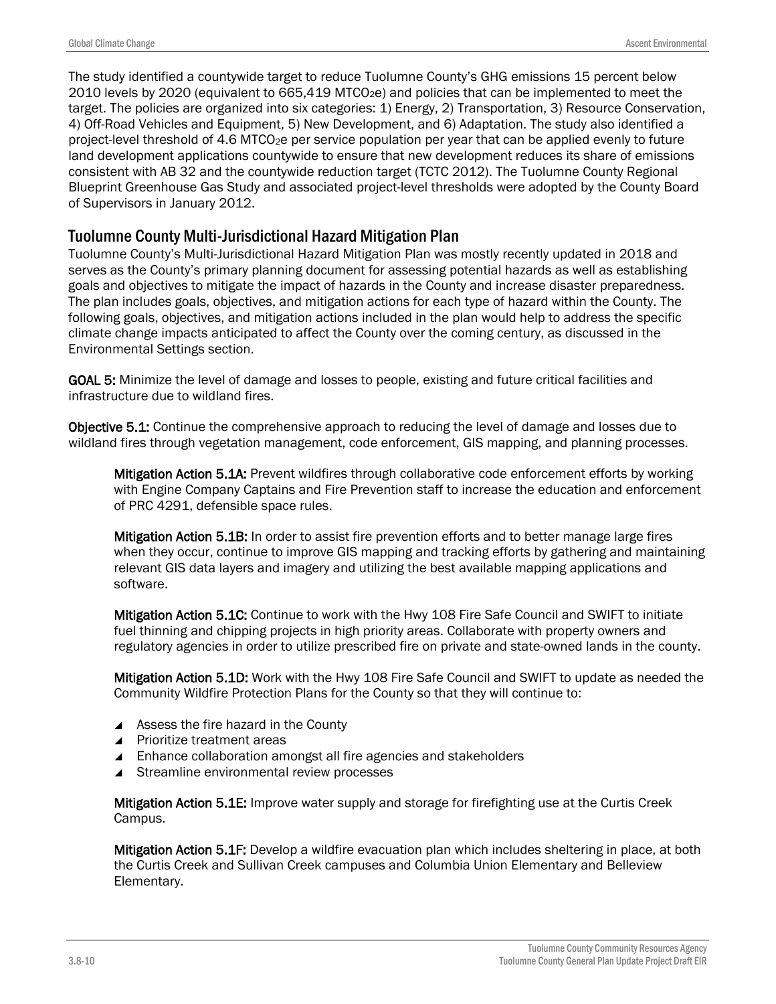The study identified a countywide target to reduce Tuolumne County's GHG emissions 15 percent below 2010 levels by 2020 (equivalent to 665,419 MTCO<sub>2</sub>e) and policies that can be implemented to meet the target. The policies are organized into six categories: 1) Energy, 2) Transportation, 3) Resource Conservation, 4) Off-Road Vehicles and Equipment, 5) New Development, and 6) Adaptation. The study also identified a project-level threshold of 4.6 MTCO2e per service population per year that can be applied evenly to future land development applications countywide to ensure that new development reduces its share of emissions consistent with AB 32 and the countywide reduction target (TCTC 2012). The Tuolumne County Regional Blueprint Greenhouse Gas Study and associated project-level thresholds were adopted by the County Board of Supervisors in January 2012.

#### Tuolumne County Multi-Jurisdictional Hazard Mitigation Plan

Tuolumne County's Multi-Jurisdictional Hazard Mitigation Plan was mostly recently updated in 2018 and serves as the County's primary planning document for assessing potential hazards as well as establishing goals and objectives to mitigate the impact of hazards in the County and increase disaster preparedness. The plan includes goals, objectives, and mitigation actions for each type of hazard within the County. The following goals, objectives, and mitigation actions included in the plan would help to address the specific climate change impacts anticipated to affect the County over the coming century, as discussed in the Environmental Settings section.

GOAL 5: Minimize the level of damage and losses to people, existing and future critical facilities and infrastructure due to wildland fires.

Objective 5.1: Continue the comprehensive approach to reducing the level of damage and losses due to wildland fires through vegetation management, code enforcement, GIS mapping, and planning processes.

Mitigation Action 5.1A: Prevent wildfires through collaborative code enforcement efforts by working with Engine Company Captains and Fire Prevention staff to increase the education and enforcement of PRC 4291, defensible space rules.

Mitigation Action 5.1B: In order to assist fire prevention efforts and to better manage large fires when they occur, continue to improve GIS mapping and tracking efforts by gathering and maintaining relevant GIS data layers and imagery and utilizing the best available mapping applications and software.

Mitigation Action 5.1C: Continue to work with the Hwy 108 Fire Safe Council and SWIFT to initiate fuel thinning and chipping projects in high priority areas. Collaborate with property owners and regulatory agencies in order to utilize prescribed fire on private and state-owned lands in the county.

Mitigation Action 5.1D: Work with the Hwy 108 Fire Safe Council and SWIFT to update as needed the Community Wildfire Protection Plans for the County so that they will continue to:

- $\blacktriangle$  Assess the fire hazard in the County
- ▲ Prioritize treatment areas
- ▲ Enhance collaboration amongst all fire agencies and stakeholders
- ▲ Streamline environmental review processes

Mitigation Action 5.1E: Improve water supply and storage for firefighting use at the Curtis Creek Campus.

Mitigation Action 5.1F: Develop a wildfire evacuation plan which includes sheltering in place, at both the Curtis Creek and Sullivan Creek campuses and Columbia Union Elementary and Belleview Elementary.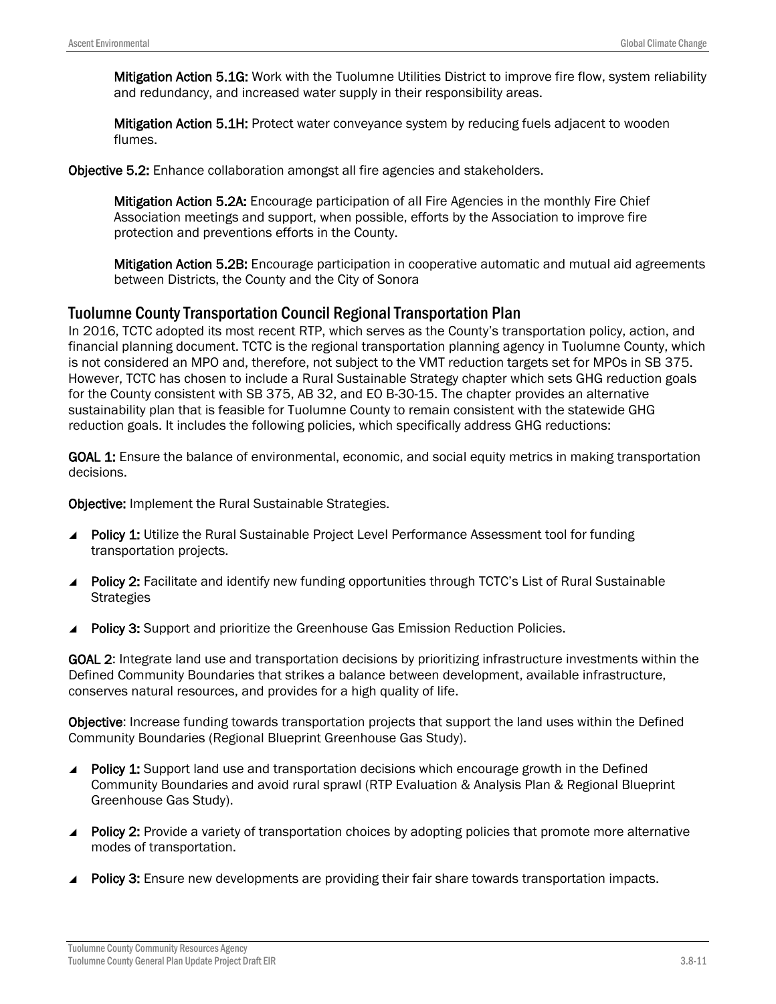Mitigation Action 5.1G: Work with the Tuolumne Utilities District to improve fire flow, system reliability and redundancy, and increased water supply in their responsibility areas.

**Mitigation Action 5.1H:** Protect water conveyance system by reducing fuels adjacent to wooden flumes.

Objective 5.2: Enhance collaboration amongst all fire agencies and stakeholders.

Mitigation Action 5.2A: Encourage participation of all Fire Agencies in the monthly Fire Chief Association meetings and support, when possible, efforts by the Association to improve fire protection and preventions efforts in the County.

Mitigation Action 5.2B: Encourage participation in cooperative automatic and mutual aid agreements between Districts, the County and the City of Sonora

#### Tuolumne County Transportation Council Regional Transportation Plan

In 2016, TCTC adopted its most recent RTP, which serves as the County's transportation policy, action, and financial planning document. TCTC is the regional transportation planning agency in Tuolumne County, which is not considered an MPO and, therefore, not subject to the VMT reduction targets set for MPOs in SB 375. However, TCTC has chosen to include a Rural Sustainable Strategy chapter which sets GHG reduction goals for the County consistent with SB 375, AB 32, and EO B-30-15. The chapter provides an alternative sustainability plan that is feasible for Tuolumne County to remain consistent with the statewide GHG reduction goals. It includes the following policies, which specifically address GHG reductions:

GOAL 1: Ensure the balance of environmental, economic, and social equity metrics in making transportation decisions.

Objective: Implement the Rural Sustainable Strategies.

- Policy 1: Utilize the Rural Sustainable Project Level Performance Assessment tool for funding transportation projects.
- Policy 2: Facilitate and identify new funding opportunities through TCTC's List of Rural Sustainable **Strategies**
- **Policy 3:** Support and prioritize the Greenhouse Gas Emission Reduction Policies.

GOAL 2: Integrate land use and transportation decisions by prioritizing infrastructure investments within the Defined Community Boundaries that strikes a balance between development, available infrastructure, conserves natural resources, and provides for a high quality of life.

Objective: Increase funding towards transportation projects that support the land uses within the Defined Community Boundaries (Regional Blueprint Greenhouse Gas Study).

- **Policy 1:** Support land use and transportation decisions which encourage growth in the Defined Community Boundaries and avoid rural sprawl (RTP Evaluation & Analysis Plan & Regional Blueprint Greenhouse Gas Study).
- **Policy 2:** Provide a variety of transportation choices by adopting policies that promote more alternative modes of transportation.
- **Policy 3:** Ensure new developments are providing their fair share towards transportation impacts.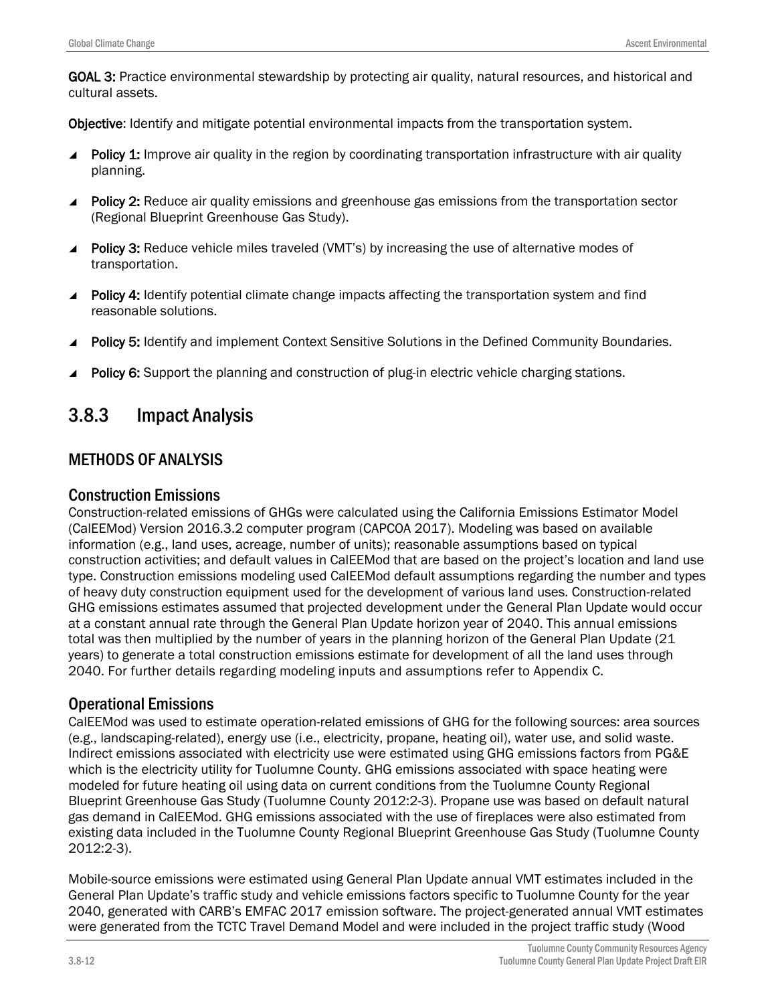GOAL 3: Practice environmental stewardship by protecting air quality, natural resources, and historical and cultural assets.

Objective: Identify and mitigate potential environmental impacts from the transportation system.

- **Policy 1:** Improve air quality in the region by coordinating transportation infrastructure with air quality planning.
- Policy 2: Reduce air quality emissions and greenhouse gas emissions from the transportation sector (Regional Blueprint Greenhouse Gas Study).
- **Policy 3:** Reduce vehicle miles traveled (VMT's) by increasing the use of alternative modes of transportation.
- **Policy 4:** Identify potential climate change impacts affecting the transportation system and find reasonable solutions.
- Policy 5: Identify and implement Context Sensitive Solutions in the Defined Community Boundaries.
- **Policy 6:** Support the planning and construction of plug-in electric vehicle charging stations.

# 3.8.3 Impact Analysis

#### METHODS OF ANALYSIS

#### Construction Emissions

Construction-related emissions of GHGs were calculated using the California Emissions Estimator Model (CalEEMod) Version 2016.3.2 computer program (CAPCOA 2017). Modeling was based on available information (e.g., land uses, acreage, number of units); reasonable assumptions based on typical construction activities; and default values in CalEEMod that are based on the project's location and land use type. Construction emissions modeling used CalEEMod default assumptions regarding the number and types of heavy duty construction equipment used for the development of various land uses. Construction-related GHG emissions estimates assumed that projected development under the General Plan Update would occur at a constant annual rate through the General Plan Update horizon year of 2040. This annual emissions total was then multiplied by the number of years in the planning horizon of the General Plan Update (21 years) to generate a total construction emissions estimate for development of all the land uses through 2040. For further details regarding modeling inputs and assumptions refer to Appendix C.

#### Operational Emissions

CalEEMod was used to estimate operation-related emissions of GHG for the following sources: area sources (e.g., landscaping-related), energy use (i.e., electricity, propane, heating oil), water use, and solid waste. Indirect emissions associated with electricity use were estimated using GHG emissions factors from PG&E which is the electricity utility for Tuolumne County. GHG emissions associated with space heating were modeled for future heating oil using data on current conditions from the Tuolumne County Regional Blueprint Greenhouse Gas Study (Tuolumne County 2012:2-3). Propane use was based on default natural gas demand in CalEEMod. GHG emissions associated with the use of fireplaces were also estimated from existing data included in the Tuolumne County Regional Blueprint Greenhouse Gas Study (Tuolumne County 2012:2-3).

Mobile-source emissions were estimated using General Plan Update annual VMT estimates included in the General Plan Update's traffic study and vehicle emissions factors specific to Tuolumne County for the year 2040, generated with CARB's EMFAC 2017 emission software. The project-generated annual VMT estimates were generated from the TCTC Travel Demand Model and were included in the project traffic study (Wood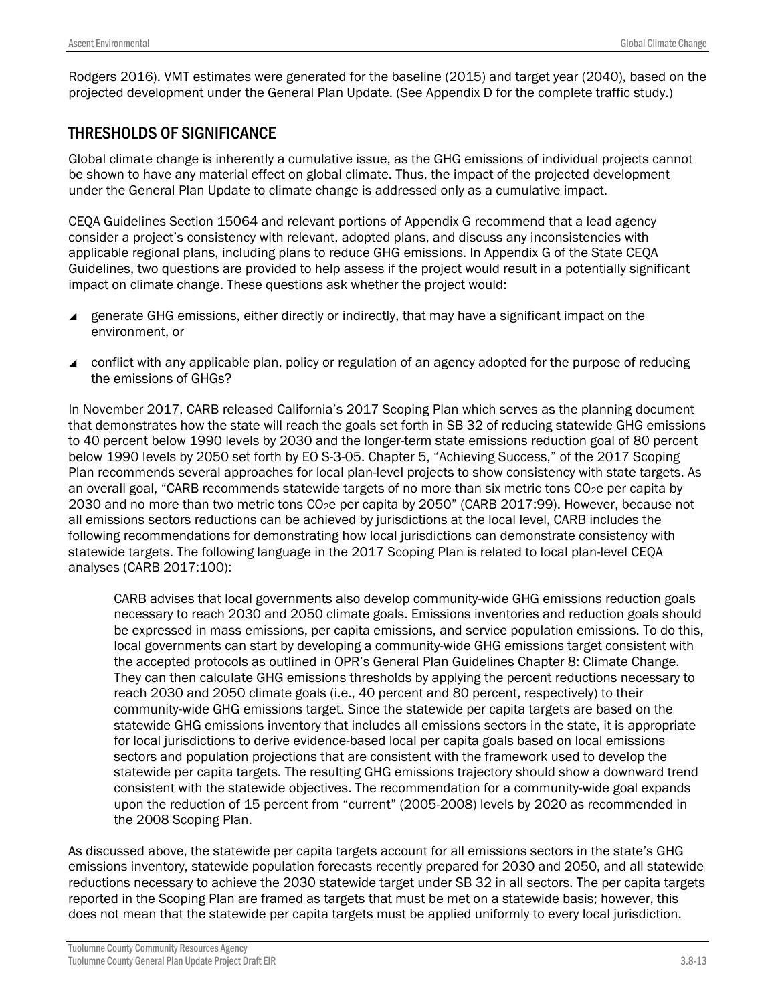Rodgers 2016). VMT estimates were generated for the baseline (2015) and target year (2040), based on the projected development under the General Plan Update. (See Appendix D for the complete traffic study.)

#### THRESHOLDS OF SIGNIFICANCE

Global climate change is inherently a cumulative issue, as the GHG emissions of individual projects cannot be shown to have any material effect on global climate. Thus, the impact of the projected development under the General Plan Update to climate change is addressed only as a cumulative impact.

CEQA Guidelines Section 15064 and relevant portions of Appendix G recommend that a lead agency consider a project's consistency with relevant, adopted plans, and discuss any inconsistencies with applicable regional plans, including plans to reduce GHG emissions. In Appendix G of the State CEQA Guidelines, two questions are provided to help assess if the project would result in a potentially significant impact on climate change. These questions ask whether the project would:

- **Example 3** generate GHG emissions, either directly or indirectly, that may have a significant impact on the environment, or
- ▲ conflict with any applicable plan, policy or regulation of an agency adopted for the purpose of reducing the emissions of GHGs?

In November 2017, CARB released California's 2017 Scoping Plan which serves as the planning document that demonstrates how the state will reach the goals set forth in SB 32 of reducing statewide GHG emissions to 40 percent below 1990 levels by 2030 and the longer-term state emissions reduction goal of 80 percent below 1990 levels by 2050 set forth by EO S-3-05. Chapter 5, "Achieving Success," of the 2017 Scoping Plan recommends several approaches for local plan-level projects to show consistency with state targets. As an overall goal, "CARB recommends statewide targets of no more than six metric tons  $CO<sub>2</sub>e$  per capita by 2030 and no more than two metric tons CO<sub>2</sub>e per capita by 2050" (CARB 2017:99). However, because not all emissions sectors reductions can be achieved by jurisdictions at the local level, CARB includes the following recommendations for demonstrating how local jurisdictions can demonstrate consistency with statewide targets. The following language in the 2017 Scoping Plan is related to local plan-level CEQA analyses (CARB 2017:100):

CARB advises that local governments also develop community-wide GHG emissions reduction goals necessary to reach 2030 and 2050 climate goals. Emissions inventories and reduction goals should be expressed in mass emissions, per capita emissions, and service population emissions. To do this, local governments can start by developing a community-wide GHG emissions target consistent with the accepted protocols as outlined in OPR's General Plan Guidelines Chapter 8: Climate Change. They can then calculate GHG emissions thresholds by applying the percent reductions necessary to reach 2030 and 2050 climate goals (i.e., 40 percent and 80 percent, respectively) to their community-wide GHG emissions target. Since the statewide per capita targets are based on the statewide GHG emissions inventory that includes all emissions sectors in the state, it is appropriate for local jurisdictions to derive evidence-based local per capita goals based on local emissions sectors and population projections that are consistent with the framework used to develop the statewide per capita targets. The resulting GHG emissions trajectory should show a downward trend consistent with the statewide objectives. The recommendation for a community-wide goal expands upon the reduction of 15 percent from "current" (2005-2008) levels by 2020 as recommended in the 2008 Scoping Plan.

As discussed above, the statewide per capita targets account for all emissions sectors in the state's GHG emissions inventory, statewide population forecasts recently prepared for 2030 and 2050, and all statewide reductions necessary to achieve the 2030 statewide target under SB 32 in all sectors. The per capita targets reported in the Scoping Plan are framed as targets that must be met on a statewide basis; however, this does not mean that the statewide per capita targets must be applied uniformly to every local jurisdiction.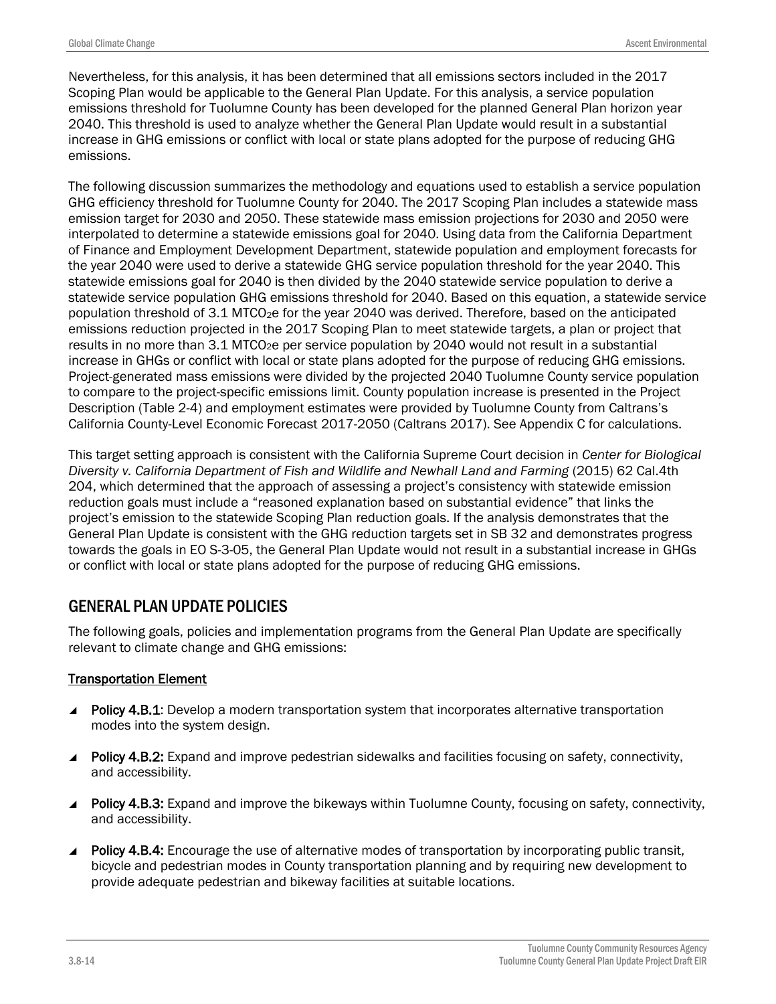Nevertheless, for this analysis, it has been determined that all emissions sectors included in the 2017 Scoping Plan would be applicable to the General Plan Update. For this analysis, a service population emissions threshold for Tuolumne County has been developed for the planned General Plan horizon year 2040. This threshold is used to analyze whether the General Plan Update would result in a substantial increase in GHG emissions or conflict with local or state plans adopted for the purpose of reducing GHG emissions.

The following discussion summarizes the methodology and equations used to establish a service population GHG efficiency threshold for Tuolumne County for 2040. The 2017 Scoping Plan includes a statewide mass emission target for 2030 and 2050. These statewide mass emission projections for 2030 and 2050 were interpolated to determine a statewide emissions goal for 2040. Using data from the California Department of Finance and Employment Development Department, statewide population and employment forecasts for the year 2040 were used to derive a statewide GHG service population threshold for the year 2040. This statewide emissions goal for 2040 is then divided by the 2040 statewide service population to derive a statewide service population GHG emissions threshold for 2040. Based on this equation, a statewide service population threshold of 3.1 MTCO<sub>2</sub>e for the year 2040 was derived. Therefore, based on the anticipated emissions reduction projected in the 2017 Scoping Plan to meet statewide targets, a plan or project that results in no more than 3.1 MTCO<sub>2</sub>e per service population by 2040 would not result in a substantial increase in GHGs or conflict with local or state plans adopted for the purpose of reducing GHG emissions. Project-generated mass emissions were divided by the projected 2040 Tuolumne County service population to compare to the project-specific emissions limit. County population increase is presented in the Project Description (Table 2-4) and employment estimates were provided by Tuolumne County from Caltrans's California County-Level Economic Forecast 2017-2050 (Caltrans 2017). See Appendix C for calculations.

This target setting approach is consistent with the California Supreme Court decision in *Center for Biological Diversity v. California Department of Fish and Wildlife and Newhall Land and Farming* (2015) 62 Cal.4th 204, which determined that the approach of assessing a project's consistency with statewide emission reduction goals must include a "reasoned explanation based on substantial evidence" that links the project's emission to the statewide Scoping Plan reduction goals. If the analysis demonstrates that the General Plan Update is consistent with the GHG reduction targets set in SB 32 and demonstrates progress towards the goals in EO S-3-05, the General Plan Update would not result in a substantial increase in GHGs or conflict with local or state plans adopted for the purpose of reducing GHG emissions.

## GENERAL PLAN UPDATE POLICIES

The following goals, policies and implementation programs from the General Plan Update are specifically relevant to climate change and GHG emissions:

#### Transportation Element

- **Policy 4.B.1:** Develop a modern transportation system that incorporates alternative transportation modes into the system design.
- Policy 4.B.2: Expand and improve pedestrian sidewalks and facilities focusing on safety, connectivity, and accessibility.
- Policy 4.B.3: Expand and improve the bikeways within Tuolumne County, focusing on safety, connectivity, and accessibility.
- Policy 4.B.4: Encourage the use of alternative modes of transportation by incorporating public transit, bicycle and pedestrian modes in County transportation planning and by requiring new development to provide adequate pedestrian and bikeway facilities at suitable locations.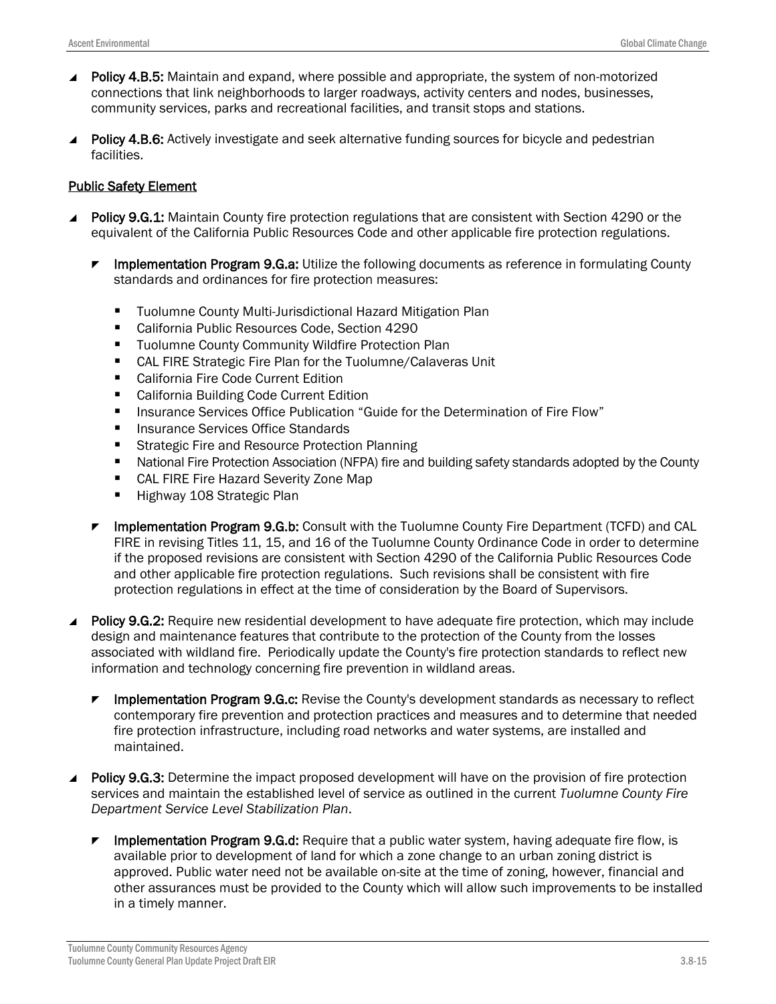- **Policy 4.B.5:** Maintain and expand, where possible and appropriate, the system of non-motorized connections that link neighborhoods to larger roadways, activity centers and nodes, businesses, community services, parks and recreational facilities, and transit stops and stations.
- ▲ Policy 4.B.6: Actively investigate and seek alternative funding sources for bicycle and pedestrian facilities.

### Public Safety Element

- Policy 9.G.1: Maintain County fire protection regulations that are consistent with Section 4290 or the equivalent of the California Public Resources Code and other applicable fire protection regulations.
	- **F** Implementation Program 9.G.a: Utilize the following documents as reference in formulating County standards and ordinances for fire protection measures:
		- **Tuolumne County Multi-Jurisdictional Hazard Mitigation Plan**
		- California Public Resources Code, Section 4290
		- **Tuolumne County Community Wildfire Protection Plan**
		- CAL FIRE Strategic Fire Plan for the Tuolumne/Calaveras Unit
		- California Fire Code Current Edition
		- California Building Code Current Edition
		- **Insurance Services Office Publication "Guide for the Determination of Fire Flow"**
		- Insurance Services Office Standards
		- **Strategic Fire and Resource Protection Planning**
		- National Fire Protection Association (NFPA) fire and building safety standards adopted by the County
		- CAL FIRE Fire Hazard Severity Zone Map
		- Highway 108 Strategic Plan
	- **F** Implementation Program 9.G.b: Consult with the Tuolumne County Fire Department (TCFD) and CAL FIRE in revising Titles 11, 15, and 16 of the Tuolumne County Ordinance Code in order to determine if the proposed revisions are consistent with Section 4290 of the California Public Resources Code and other applicable fire protection regulations. Such revisions shall be consistent with fire protection regulations in effect at the time of consideration by the Board of Supervisors.
- Policy 9.G.2: Require new residential development to have adequate fire protection, which may include design and maintenance features that contribute to the protection of the County from the losses associated with wildland fire. Periodically update the County's fire protection standards to reflect new information and technology concerning fire prevention in wildland areas.
	- Implementation Program 9.G.c: Revise the County's development standards as necessary to reflect contemporary fire prevention and protection practices and measures and to determine that needed fire protection infrastructure, including road networks and water systems, are installed and maintained.
- **Policy 9.G.3:** Determine the impact proposed development will have on the provision of fire protection services and maintain the established level of service as outlined in the current *Tuolumne County Fire Department Service Level Stabilization Plan*.
	- Implementation Program 9.G.d: Require that a public water system, having adequate fire flow, is available prior to development of land for which a zone change to an urban zoning district is approved. Public water need not be available on-site at the time of zoning, however, financial and other assurances must be provided to the County which will allow such improvements to be installed in a timely manner.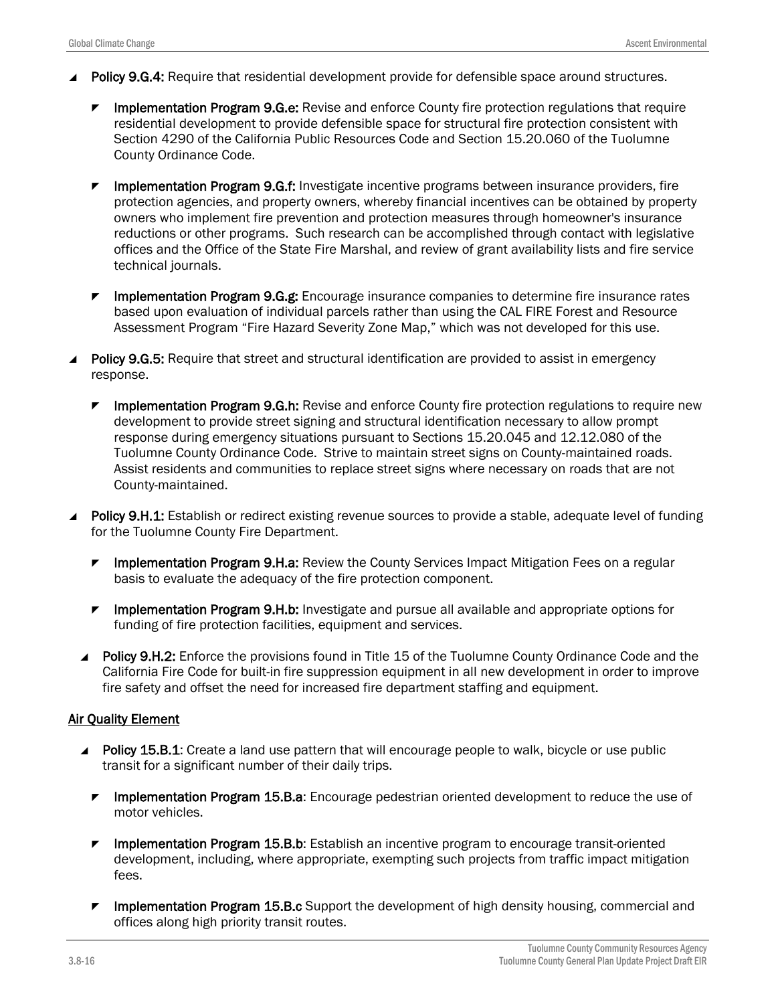- **Policy 9.G.4:** Require that residential development provide for defensible space around structures.
	- $\blacktriangleright$  Implementation Program 9.G.e: Revise and enforce County fire protection regulations that require residential development to provide defensible space for structural fire protection consistent with Section 4290 of the California Public Resources Code and Section 15.20.060 of the Tuolumne County Ordinance Code.
	- **F** Implementation Program 9.G.f: Investigate incentive programs between insurance providers, fire protection agencies, and property owners, whereby financial incentives can be obtained by property owners who implement fire prevention and protection measures through homeowner's insurance reductions or other programs. Such research can be accomplished through contact with legislative offices and the Office of the State Fire Marshal, and review of grant availability lists and fire service technical journals.
	- **F** Implementation Program 9.G.g: Encourage insurance companies to determine fire insurance rates based upon evaluation of individual parcels rather than using the CAL FIRE Forest and Resource Assessment Program "Fire Hazard Severity Zone Map," which was not developed for this use.
- Policy 9.G.5: Require that street and structural identification are provided to assist in emergency response.
	- $\blacktriangleright$  Implementation Program 9.G.h: Revise and enforce County fire protection regulations to require new development to provide street signing and structural identification necessary to allow prompt response during emergency situations pursuant to Sections 15.20.045 and 12.12.080 of the Tuolumne County Ordinance Code. Strive to maintain street signs on County-maintained roads. Assist residents and communities to replace street signs where necessary on roads that are not County-maintained.
- Policy 9.H.1: Establish or redirect existing revenue sources to provide a stable, adequate level of funding for the Tuolumne County Fire Department.
	- **F** Implementation Program 9.H.a: Review the County Services Impact Mitigation Fees on a regular basis to evaluate the adequacy of the fire protection component.
	- **F** Implementation Program 9.H.b: Investigate and pursue all available and appropriate options for funding of fire protection facilities, equipment and services.
	- Policy 9.H.2: Enforce the provisions found in Title 15 of the Tuolumne County Ordinance Code and the California Fire Code for built-in fire suppression equipment in all new development in order to improve fire safety and offset the need for increased fire department staffing and equipment.

### Air Quality Element

- **Policy 15.B.1:** Create a land use pattern that will encourage people to walk, bicycle or use public transit for a significant number of their daily trips.
	- **F** Implementation Program 15.B.a: Encourage pedestrian oriented development to reduce the use of motor vehicles.
	- **F** Implementation Program 15.B.b: Establish an incentive program to encourage transit-oriented development, including, where appropriate, exempting such projects from traffic impact mitigation fees.
	- **F** Implementation Program 15.B.c Support the development of high density housing, commercial and offices along high priority transit routes.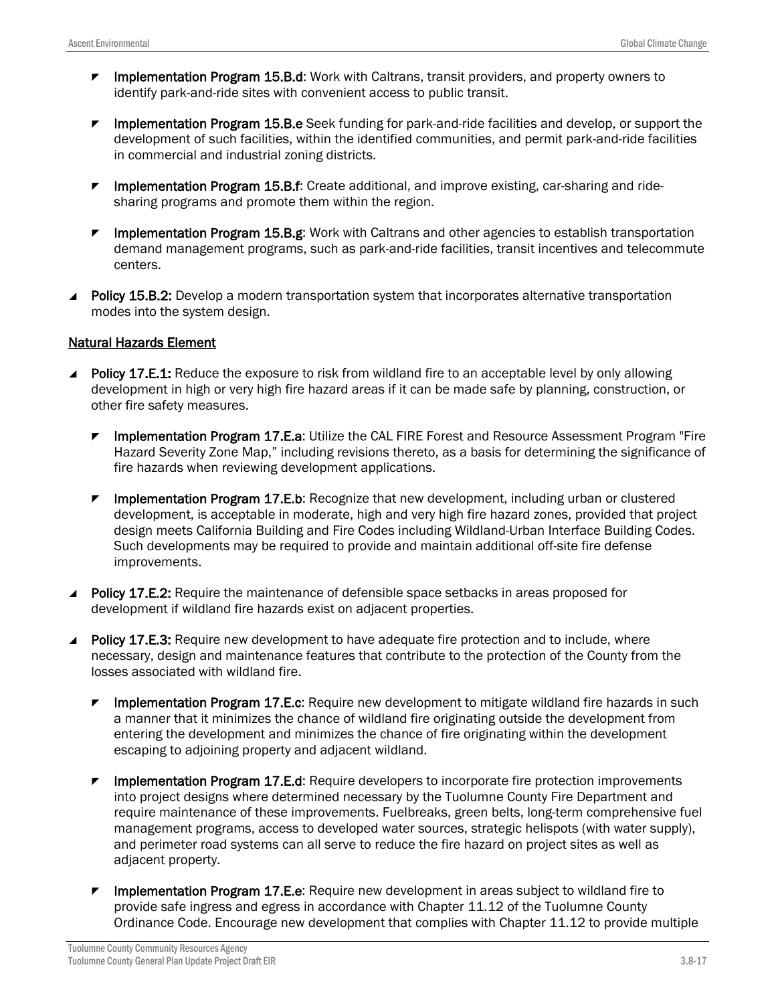- Implementation Program 15.B.d: Work with Caltrans, transit providers, and property owners to identify park-and-ride sites with convenient access to public transit.
- **F** Implementation Program 15.B.e Seek funding for park-and-ride facilities and develop, or support the development of such facilities, within the identified communities, and permit park-and-ride facilities in commercial and industrial zoning districts.
- **F** Implementation Program 15.B.f: Create additional, and improve existing, car-sharing and ridesharing programs and promote them within the region.
- **F** Implementation Program 15.B.g: Work with Caltrans and other agencies to establish transportation demand management programs, such as park-and-ride facilities, transit incentives and telecommute centers.
- **Policy 15.B.2:** Develop a modern transportation system that incorporates alternative transportation modes into the system design.

### Natural Hazards Element

- Policy 17.E.1: Reduce the exposure to risk from wildland fire to an acceptable level by only allowing development in high or very high fire hazard areas if it can be made safe by planning, construction, or other fire safety measures.
	- **F** Implementation Program 17.E.a: Utilize the CAL FIRE Forest and Resource Assessment Program "Fire Hazard Severity Zone Map," including revisions thereto, as a basis for determining the significance of fire hazards when reviewing development applications.
	- **F** Implementation Program 17.E.b: Recognize that new development, including urban or clustered development, is acceptable in moderate, high and very high fire hazard zones, provided that project design meets California Building and Fire Codes including Wildland-Urban Interface Building Codes. Such developments may be required to provide and maintain additional off-site fire defense improvements.
- **Policy 17.E.2:** Require the maintenance of defensible space setbacks in areas proposed for development if wildland fire hazards exist on adjacent properties.
- **Policy 17.E.3:** Require new development to have adequate fire protection and to include, where necessary, design and maintenance features that contribute to the protection of the County from the losses associated with wildland fire.
	- Implementation Program 17.E.c: Require new development to mitigate wildland fire hazards in such a manner that it minimizes the chance of wildland fire originating outside the development from entering the development and minimizes the chance of fire originating within the development escaping to adjoining property and adjacent wildland.
	- $\blacktriangleright$  Implementation Program 17.E.d: Require developers to incorporate fire protection improvements into project designs where determined necessary by the Tuolumne County Fire Department and require maintenance of these improvements. Fuelbreaks, green belts, long-term comprehensive fuel management programs, access to developed water sources, strategic helispots (with water supply), and perimeter road systems can all serve to reduce the fire hazard on project sites as well as adjacent property.
	- **F** Implementation Program 17.E.e: Require new development in areas subject to wildland fire to provide safe ingress and egress in accordance with Chapter 11.12 of the Tuolumne County Ordinance Code. Encourage new development that complies with Chapter 11.12 to provide multiple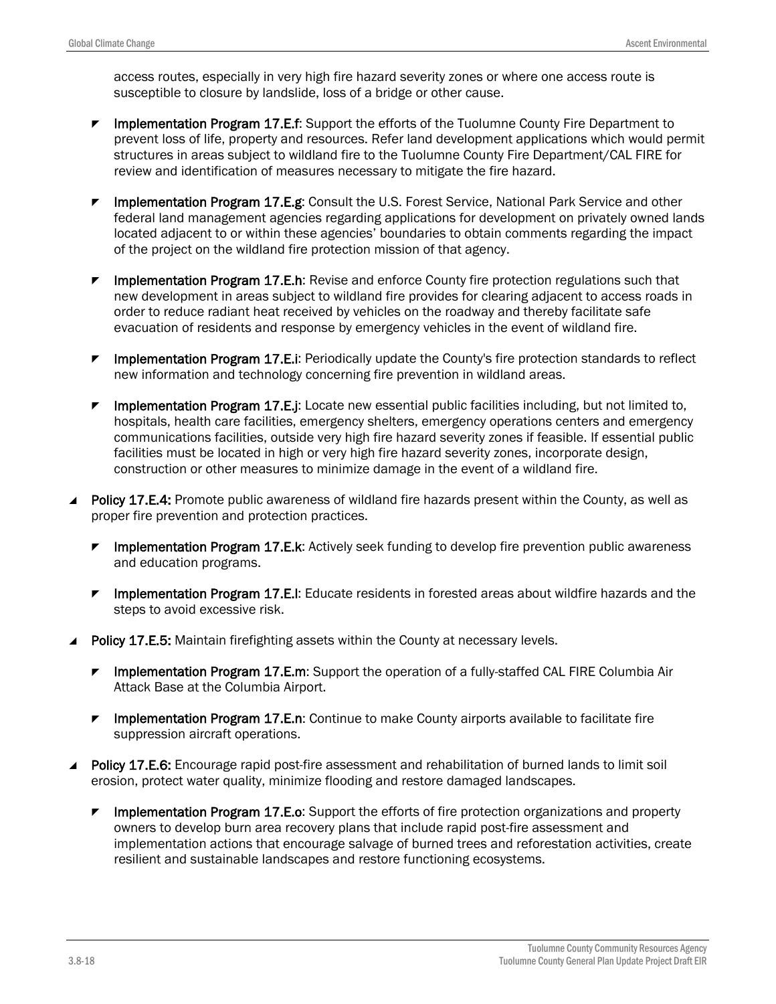access routes, especially in very high fire hazard severity zones or where one access route is susceptible to closure by landslide, loss of a bridge or other cause.

- **F** Implementation Program 17.E.f: Support the efforts of the Tuolumne County Fire Department to prevent loss of life, property and resources. Refer land development applications which would permit structures in areas subject to wildland fire to the Tuolumne County Fire Department/CAL FIRE for review and identification of measures necessary to mitigate the fire hazard.
- **F** Implementation Program 17.E.g: Consult the U.S. Forest Service, National Park Service and other federal land management agencies regarding applications for development on privately owned lands located adjacent to or within these agencies' boundaries to obtain comments regarding the impact of the project on the wildland fire protection mission of that agency.
- **F** Implementation Program 17.E.h: Revise and enforce County fire protection regulations such that new development in areas subject to wildland fire provides for clearing adjacent to access roads in order to reduce radiant heat received by vehicles on the roadway and thereby facilitate safe evacuation of residents and response by emergency vehicles in the event of wildland fire.
- $\blacktriangleright$  Implementation Program 17.E.i: Periodically update the County's fire protection standards to reflect new information and technology concerning fire prevention in wildland areas.
- $\blacktriangleright$  Implementation Program 17.E.j: Locate new essential public facilities including, but not limited to, hospitals, health care facilities, emergency shelters, emergency operations centers and emergency communications facilities, outside very high fire hazard severity zones if feasible. If essential public facilities must be located in high or very high fire hazard severity zones, incorporate design, construction or other measures to minimize damage in the event of a wildland fire.
- Policy 17.E.4: Promote public awareness of wildland fire hazards present within the County, as well as proper fire prevention and protection practices.
	- $\blacktriangleright$  Implementation Program 17.E.k: Actively seek funding to develop fire prevention public awareness and education programs.
	- $\blacktriangleright$  Implementation Program 17.E.I: Educate residents in forested areas about wildfire hazards and the steps to avoid excessive risk.
- Policy 17.E.5: Maintain firefighting assets within the County at necessary levels.
	- **F** Implementation Program 17.E.m: Support the operation of a fully-staffed CAL FIRE Columbia Air Attack Base at the Columbia Airport.
	- $\blacktriangleright$  Implementation Program 17.E.n: Continue to make County airports available to facilitate fire suppression aircraft operations.
- Policy 17.E.6: Encourage rapid post-fire assessment and rehabilitation of burned lands to limit soil erosion, protect water quality, minimize flooding and restore damaged landscapes.
	- $\blacktriangleright$  Implementation Program 17.E.o: Support the efforts of fire protection organizations and property owners to develop burn area recovery plans that include rapid post-fire assessment and implementation actions that encourage salvage of burned trees and reforestation activities, create resilient and sustainable landscapes and restore functioning ecosystems.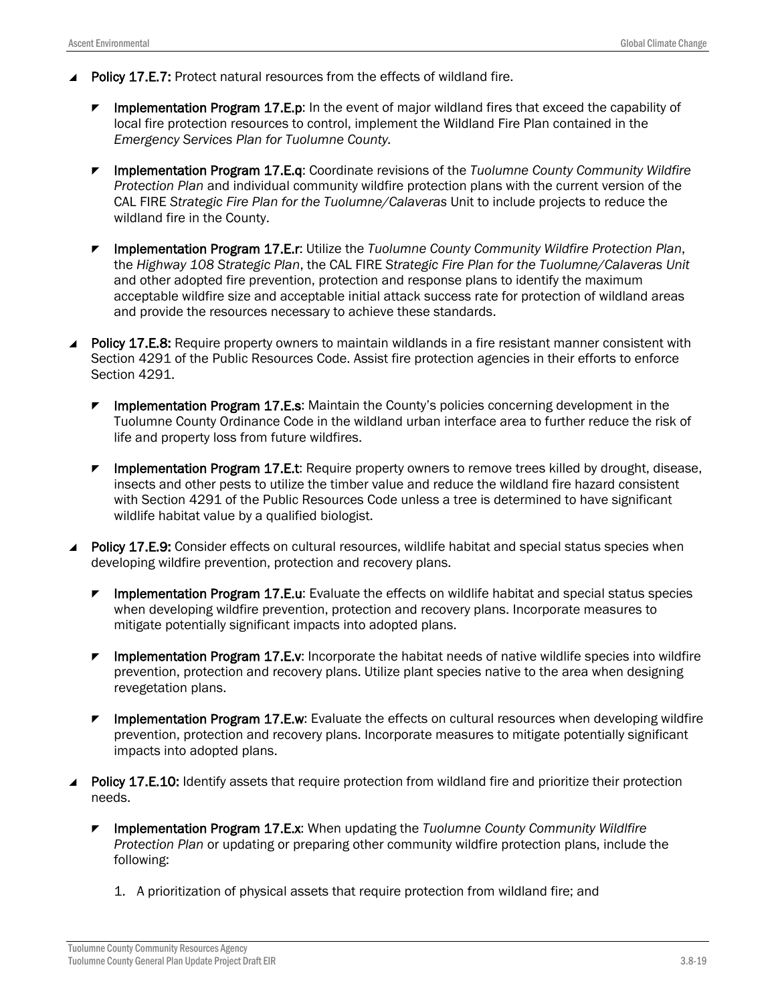- **Policy 17.E.7:** Protect natural resources from the effects of wildland fire.
	- $\blacktriangleright$  Implementation Program 17.E.p: In the event of major wildland fires that exceed the capability of local fire protection resources to control, implement the Wildland Fire Plan contained in the *Emergency Services Plan for Tuolumne County.*
	- Implementation Program 17.E.q: Coordinate revisions of the *Tuolumne County Community Wildfire Protection Plan* and individual community wildfire protection plans with the current version of the CAL FIRE *Strategic Fire Plan for the Tuolumne/Calaveras* Unit to include projects to reduce the wildland fire in the County.
	- Implementation Program 17.E.r: Utilize the *Tuolumne County Community Wildfire Protection Plan*, the *Highway 108 Strategic Plan*, the CAL FIRE *Strategic Fire Plan for the Tuolumne/Calaveras Unit* and other adopted fire prevention, protection and response plans to identify the maximum acceptable wildfire size and acceptable initial attack success rate for protection of wildland areas and provide the resources necessary to achieve these standards.
- Policy 17.E.8: Require property owners to maintain wildlands in a fire resistant manner consistent with Section 4291 of the Public Resources Code. Assist fire protection agencies in their efforts to enforce Section 4291.
	- **F** Implementation Program 17.E.s: Maintain the County's policies concerning development in the Tuolumne County Ordinance Code in the wildland urban interface area to further reduce the risk of life and property loss from future wildfires.
	- $\blacktriangleright$  Implementation Program 17.E.t: Require property owners to remove trees killed by drought, disease, insects and other pests to utilize the timber value and reduce the wildland fire hazard consistent with Section 4291 of the Public Resources Code unless a tree is determined to have significant wildlife habitat value by a qualified biologist.
- Policy 17.E.9: Consider effects on cultural resources, wildlife habitat and special status species when developing wildfire prevention, protection and recovery plans.
	- $\blacktriangleright$  Implementation Program 17.E.u: Evaluate the effects on wildlife habitat and special status species when developing wildfire prevention, protection and recovery plans. Incorporate measures to mitigate potentially significant impacts into adopted plans.
	- **F** Implementation Program 17.E.v: Incorporate the habitat needs of native wildlife species into wildfire prevention, protection and recovery plans. Utilize plant species native to the area when designing revegetation plans.
	- $\blacktriangleright$  Implementation Program 17.E.w: Evaluate the effects on cultural resources when developing wildfire prevention, protection and recovery plans. Incorporate measures to mitigate potentially significant impacts into adopted plans.
- Policy 17.E.10: Identify assets that require protection from wildland fire and prioritize their protection needs.
	- Implementation Program 17.E.x: When updating the *Tuolumne County Community Wildlfire Protection Plan* or updating or preparing other community wildfire protection plans, include the following:
		- 1. A prioritization of physical assets that require protection from wildland fire; and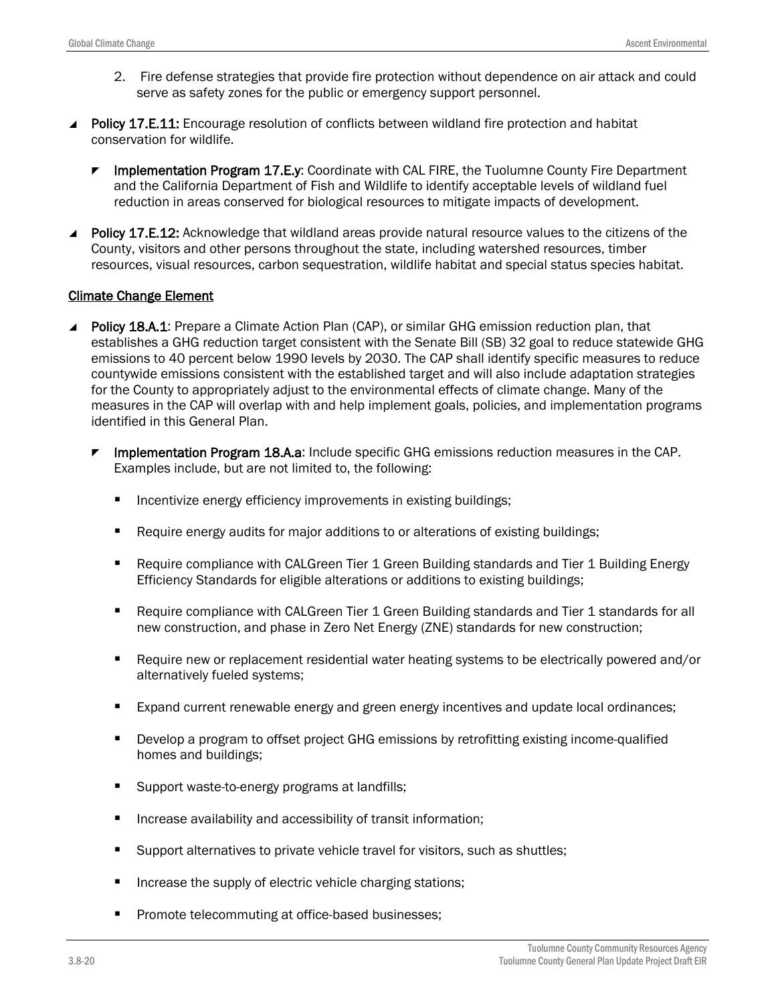- 2. Fire defense strategies that provide fire protection without dependence on air attack and could serve as safety zones for the public or emergency support personnel.
- **Policy 17.E.11:** Encourage resolution of conflicts between wildland fire protection and habitat conservation for wildlife.
	- Implementation Program 17.E.y: Coordinate with CAL FIRE, the Tuolumne County Fire Department and the California Department of Fish and Wildlife to identify acceptable levels of wildland fuel reduction in areas conserved for biological resources to mitigate impacts of development.
- Policy 17.E.12: Acknowledge that wildland areas provide natural resource values to the citizens of the County, visitors and other persons throughout the state, including watershed resources, timber resources, visual resources, carbon sequestration, wildlife habitat and special status species habitat.

### Climate Change Element

- Policy 18.A.1: Prepare a Climate Action Plan (CAP), or similar GHG emission reduction plan, that establishes a GHG reduction target consistent with the Senate Bill (SB) 32 goal to reduce statewide GHG emissions to 40 percent below 1990 levels by 2030. The CAP shall identify specific measures to reduce countywide emissions consistent with the established target and will also include adaptation strategies for the County to appropriately adjust to the environmental effects of climate change. Many of the measures in the CAP will overlap with and help implement goals, policies, and implementation programs identified in this General Plan.
	- Implementation Program 18.A.a: Include specific GHG emissions reduction measures in the CAP. Examples include, but are not limited to, the following:
		- **Incentivize energy efficiency improvements in existing buildings;**
		- Require energy audits for major additions to or alterations of existing buildings;
		- Require compliance with CALGreen Tier 1 Green Building standards and Tier 1 Building Energy Efficiency Standards for eligible alterations or additions to existing buildings;
		- Require compliance with CALGreen Tier 1 Green Building standards and Tier 1 standards for all new construction, and phase in Zero Net Energy (ZNE) standards for new construction;
		- Require new or replacement residential water heating systems to be electrically powered and/or alternatively fueled systems;
		- **Expand current renewable energy and green energy incentives and update local ordinances;**
		- Develop a program to offset project GHG emissions by retrofitting existing income-qualified homes and buildings;
		- Support waste-to-energy programs at landfills;
		- **IF Increase availability and accessibility of transit information;**
		- Support alternatives to private vehicle travel for visitors, such as shuttles;
		- Increase the supply of electric vehicle charging stations;
		- **Promote telecommuting at office-based businesses;**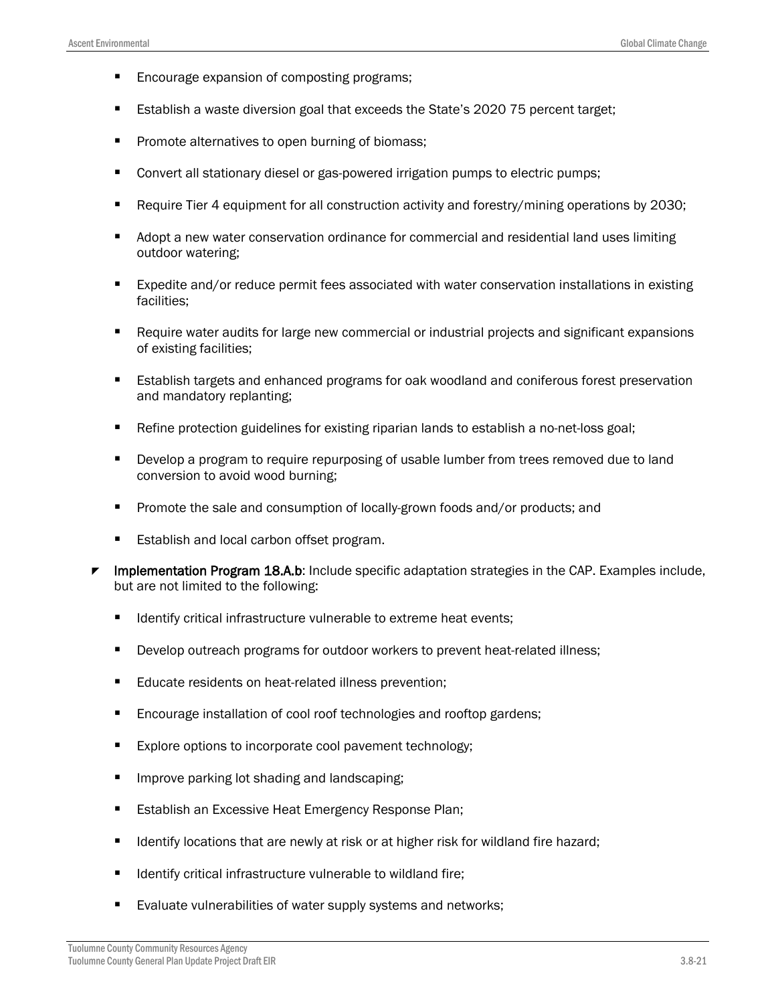- Encourage expansion of composting programs;
- **Establish a waste diversion goal that exceeds the State's 2020 75 percent target;**
- **Promote alternatives to open burning of biomass;**
- **Convert all stationary diesel or gas-powered irrigation pumps to electric pumps;**
- **Require Tier 4 equipment for all construction activity and forestry/mining operations by 2030;**
- Adopt a new water conservation ordinance for commercial and residential land uses limiting outdoor watering;
- Expedite and/or reduce permit fees associated with water conservation installations in existing facilities;
- **EXECUTE:** Require water audits for large new commercial or industrial projects and significant expansions of existing facilities;
- **E** Establish targets and enhanced programs for oak woodland and coniferous forest preservation and mandatory replanting;
- Refine protection guidelines for existing riparian lands to establish a no-net-loss goal;
- **Develop a program to require repurposing of usable lumber from trees removed due to land** conversion to avoid wood burning;
- **Promote the sale and consumption of locally-grown foods and/or products; and**
- **Establish and local carbon offset program.**
- Implementation Program 18.A.b: Include specific adaptation strategies in the CAP. Examples include, but are not limited to the following:
	- Identify critical infrastructure vulnerable to extreme heat events;
	- **Develop outreach programs for outdoor workers to prevent heat-related illness;**
	- Educate residents on heat-related illness prevention;
	- Encourage installation of cool roof technologies and rooftop gardens;
	- Explore options to incorporate cool pavement technology;
	- Improve parking lot shading and landscaping;
	- **E** Establish an Excessive Heat Emergency Response Plan;
	- **If all identify locations that are newly at risk or at higher risk for wildland fire hazard;**
	- Identify critical infrastructure vulnerable to wildland fire;
	- **Evaluate vulnerabilities of water supply systems and networks;**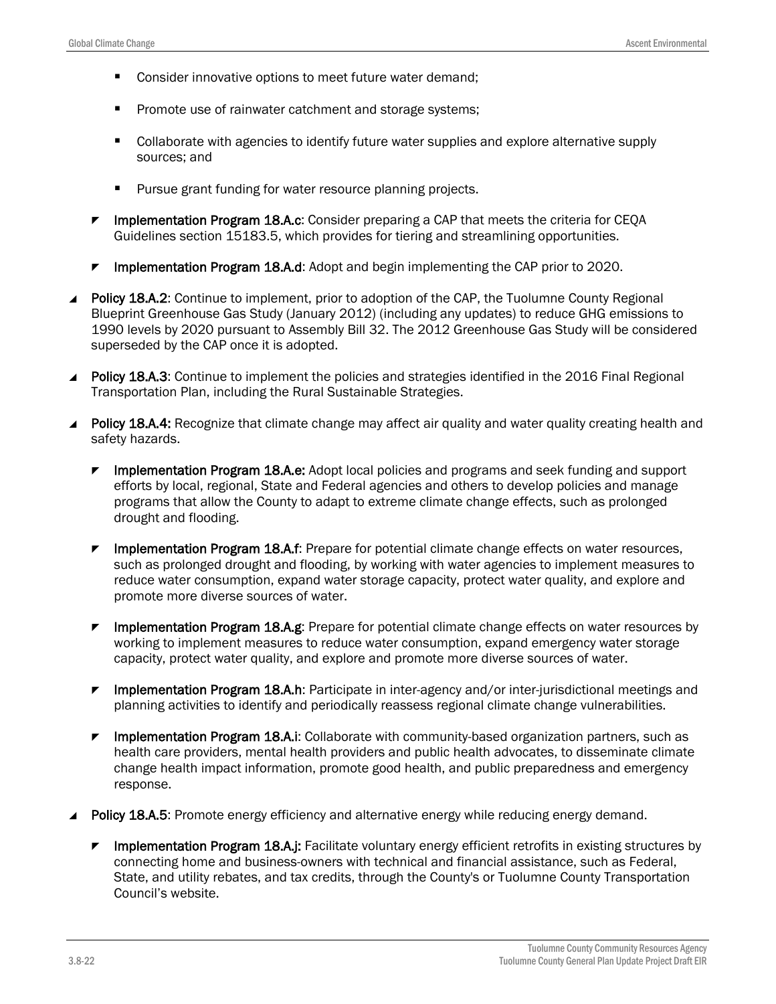- Consider innovative options to meet future water demand;
- **Promote use of rainwater catchment and storage systems;**
- **Collaborate with agencies to identify future water supplies and explore alternative supply** sources; and
- **Pursue grant funding for water resource planning projects.**
- $\blacktriangleright$  Implementation Program 18.A.c: Consider preparing a CAP that meets the criteria for CEOA Guidelines section 15183.5, which provides for tiering and streamlining opportunities.
- **F** Implementation Program 18.A.d: Adopt and begin implementing the CAP prior to 2020.
- ▲ Policy 18.A.2: Continue to implement, prior to adoption of the CAP, the Tuolumne County Regional Blueprint Greenhouse Gas Study (January 2012) (including any updates) to reduce GHG emissions to 1990 levels by 2020 pursuant to Assembly Bill 32. The 2012 Greenhouse Gas Study will be considered superseded by the CAP once it is adopted.
- Policy 18.A.3: Continue to implement the policies and strategies identified in the 2016 Final Regional Transportation Plan, including the Rural Sustainable Strategies.
- **Policy 18.A.4:** Recognize that climate change may affect air quality and water quality creating health and safety hazards.
	- **F** Implementation Program 18.A.e: Adopt local policies and programs and seek funding and support efforts by local, regional, State and Federal agencies and others to develop policies and manage programs that allow the County to adapt to extreme climate change effects, such as prolonged drought and flooding.
	- $\blacktriangleright$  Implementation Program 18.A.f: Prepare for potential climate change effects on water resources, such as prolonged drought and flooding, by working with water agencies to implement measures to reduce water consumption, expand water storage capacity, protect water quality, and explore and promote more diverse sources of water.
	- **F** Implementation Program 18.A.g: Prepare for potential climate change effects on water resources by working to implement measures to reduce water consumption, expand emergency water storage capacity, protect water quality, and explore and promote more diverse sources of water.
	- **F** Implementation Program 18.A.h: Participate in inter-agency and/or inter-jurisdictional meetings and planning activities to identify and periodically reassess regional climate change vulnerabilities.
	- Implementation Program 18.A.i: Collaborate with community-based organization partners, such as health care providers, mental health providers and public health advocates, to disseminate climate change health impact information, promote good health, and public preparedness and emergency response.
- **Policy 18.A.5:** Promote energy efficiency and alternative energy while reducing energy demand.
	- **Implementation Program 18.A.j:** Facilitate voluntary energy efficient retrofits in existing structures by connecting home and business-owners with technical and financial assistance, such as Federal, State, and utility rebates, and tax credits, through the County's or Tuolumne County Transportation Council's website.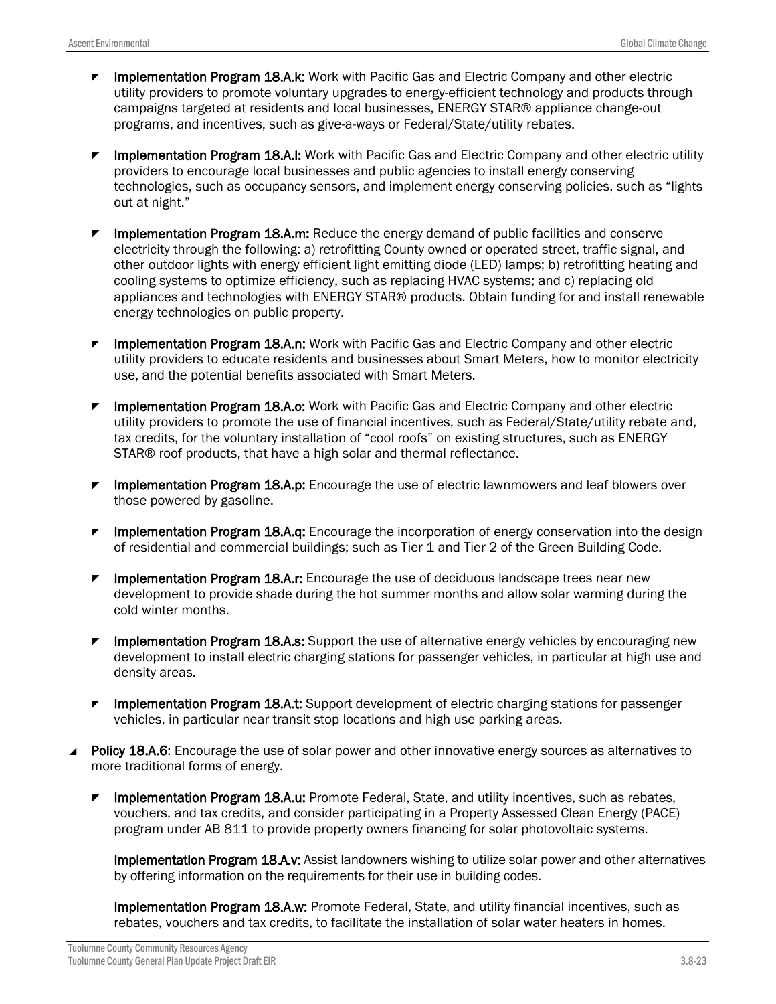- Implementation Program 18.A.k: Work with Pacific Gas and Electric Company and other electric utility providers to promote voluntary upgrades to energy-efficient technology and products through campaigns targeted at residents and local businesses, ENERGY STAR® appliance change-out programs, and incentives, such as give-a-ways or Federal/State/utility rebates.
- $\blacktriangleright$  Implementation Program 18.A.I: Work with Pacific Gas and Electric Company and other electric utility providers to encourage local businesses and public agencies to install energy conserving technologies, such as occupancy sensors, and implement energy conserving policies, such as "lights out at night."
- $\blacktriangleright$  Implementation Program 18.A.m: Reduce the energy demand of public facilities and conserve electricity through the following: a) retrofitting County owned or operated street, traffic signal, and other outdoor lights with energy efficient light emitting diode (LED) lamps; b) retrofitting heating and cooling systems to optimize efficiency, such as replacing HVAC systems; and c) replacing old appliances and technologies with ENERGY STAR® products. Obtain funding for and install renewable energy technologies on public property.
- $\blacktriangleright$  Implementation Program 18.A.n: Work with Pacific Gas and Electric Company and other electric utility providers to educate residents and businesses about Smart Meters, how to monitor electricity use, and the potential benefits associated with Smart Meters.
- $\blacktriangleright$  Implementation Program 18.A.o: Work with Pacific Gas and Electric Company and other electric utility providers to promote the use of financial incentives, such as Federal/State/utility rebate and, tax credits, for the voluntary installation of "cool roofs" on existing structures, such as ENERGY STAR® roof products, that have a high solar and thermal reflectance.
- **F** Implementation Program 18.A.p: Encourage the use of electric lawnmowers and leaf blowers over those powered by gasoline.
- **F** Implementation Program 18.A.q: Encourage the incorporation of energy conservation into the design of residential and commercial buildings; such as Tier 1 and Tier 2 of the Green Building Code.
- **F** Implementation Program 18.A.r: Encourage the use of deciduous landscape trees near new development to provide shade during the hot summer months and allow solar warming during the cold winter months.
- **F** Implementation Program 18.A.s: Support the use of alternative energy vehicles by encouraging new development to install electric charging stations for passenger vehicles, in particular at high use and density areas.
- **F** Implementation Program 18.A.t: Support development of electric charging stations for passenger vehicles, in particular near transit stop locations and high use parking areas.
- Policy 18.A.6: Encourage the use of solar power and other innovative energy sources as alternatives to more traditional forms of energy.
	- $\blacktriangleright$  Implementation Program 18.A.u: Promote Federal, State, and utility incentives, such as rebates, vouchers, and tax credits, and consider participating in a Property Assessed Clean Energy (PACE) program under AB 811 to provide property owners financing for solar photovoltaic systems.

Implementation Program 18.A.v: Assist landowners wishing to utilize solar power and other alternatives by offering information on the requirements for their use in building codes.

Implementation Program 18.A.w: Promote Federal, State, and utility financial incentives, such as rebates, vouchers and tax credits, to facilitate the installation of solar water heaters in homes.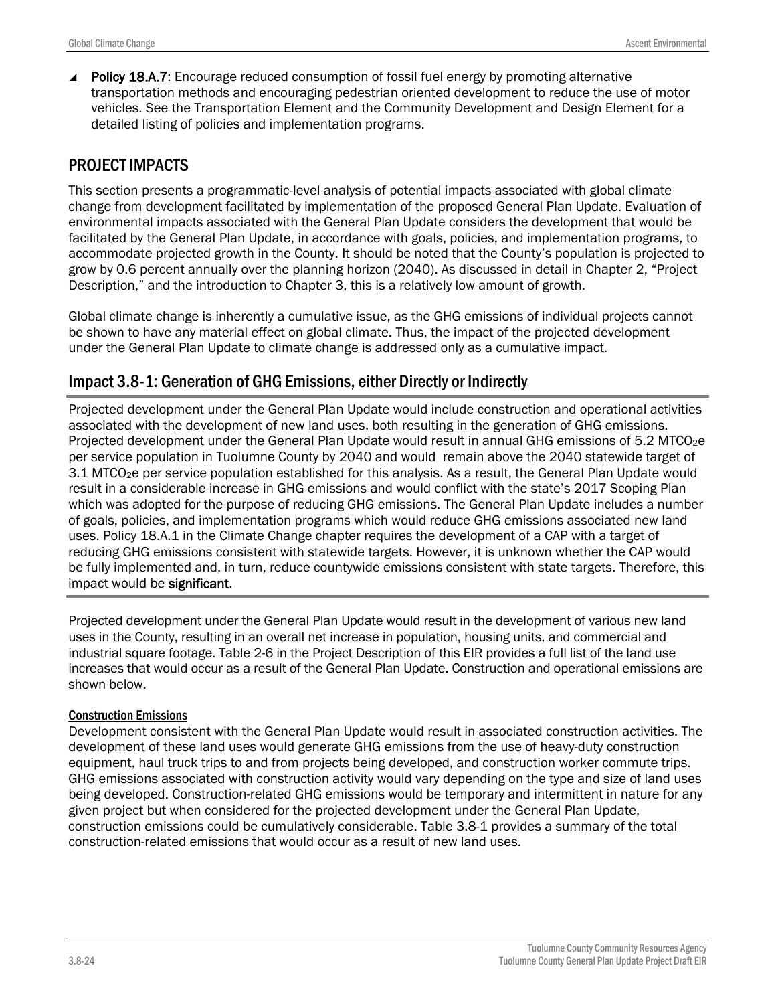**Policy 18.A.7:** Encourage reduced consumption of fossil fuel energy by promoting alternative transportation methods and encouraging pedestrian oriented development to reduce the use of motor vehicles. See the Transportation Element and the Community Development and Design Element for a detailed listing of policies and implementation programs.

# PROJECT IMPACTS

This section presents a programmatic-level analysis of potential impacts associated with global climate change from development facilitated by implementation of the proposed General Plan Update. Evaluation of environmental impacts associated with the General Plan Update considers the development that would be facilitated by the General Plan Update, in accordance with goals, policies, and implementation programs, to accommodate projected growth in the County. It should be noted that the County's population is projected to grow by 0.6 percent annually over the planning horizon (2040). As discussed in detail in Chapter 2, "Project Description," and the introduction to Chapter 3, this is a relatively low amount of growth.

Global climate change is inherently a cumulative issue, as the GHG emissions of individual projects cannot be shown to have any material effect on global climate. Thus, the impact of the projected development under the General Plan Update to climate change is addressed only as a cumulative impact.

## Impact 3.8-1: Generation of GHG Emissions, either Directly or Indirectly

Projected development under the General Plan Update would include construction and operational activities associated with the development of new land uses, both resulting in the generation of GHG emissions. Projected development under the General Plan Update would result in annual GHG emissions of 5.2 MTCO<sub>2</sub>e per service population in Tuolumne County by 2040 and would remain above the 2040 statewide target of 3.1 MTCO<sub>2</sub>e per service population established for this analysis. As a result, the General Plan Update would result in a considerable increase in GHG emissions and would conflict with the state's 2017 Scoping Plan which was adopted for the purpose of reducing GHG emissions. The General Plan Update includes a number of goals, policies, and implementation programs which would reduce GHG emissions associated new land uses. Policy 18.A.1 in the Climate Change chapter requires the development of a CAP with a target of reducing GHG emissions consistent with statewide targets. However, it is unknown whether the CAP would be fully implemented and, in turn, reduce countywide emissions consistent with state targets. Therefore, this impact would be significant.

Projected development under the General Plan Update would result in the development of various new land uses in the County, resulting in an overall net increase in population, housing units, and commercial and industrial square footage. Table 2-6 in the Project Description of this EIR provides a full list of the land use increases that would occur as a result of the General Plan Update. Construction and operational emissions are shown below.

### Construction Emissions

Development consistent with the General Plan Update would result in associated construction activities. The development of these land uses would generate GHG emissions from the use of heavy-duty construction equipment, haul truck trips to and from projects being developed, and construction worker commute trips. GHG emissions associated with construction activity would vary depending on the type and size of land uses being developed. Construction-related GHG emissions would be temporary and intermittent in nature for any given project but when considered for the projected development under the General Plan Update, construction emissions could be cumulatively considerable. Table 3.8-1 provides a summary of the total construction-related emissions that would occur as a result of new land uses.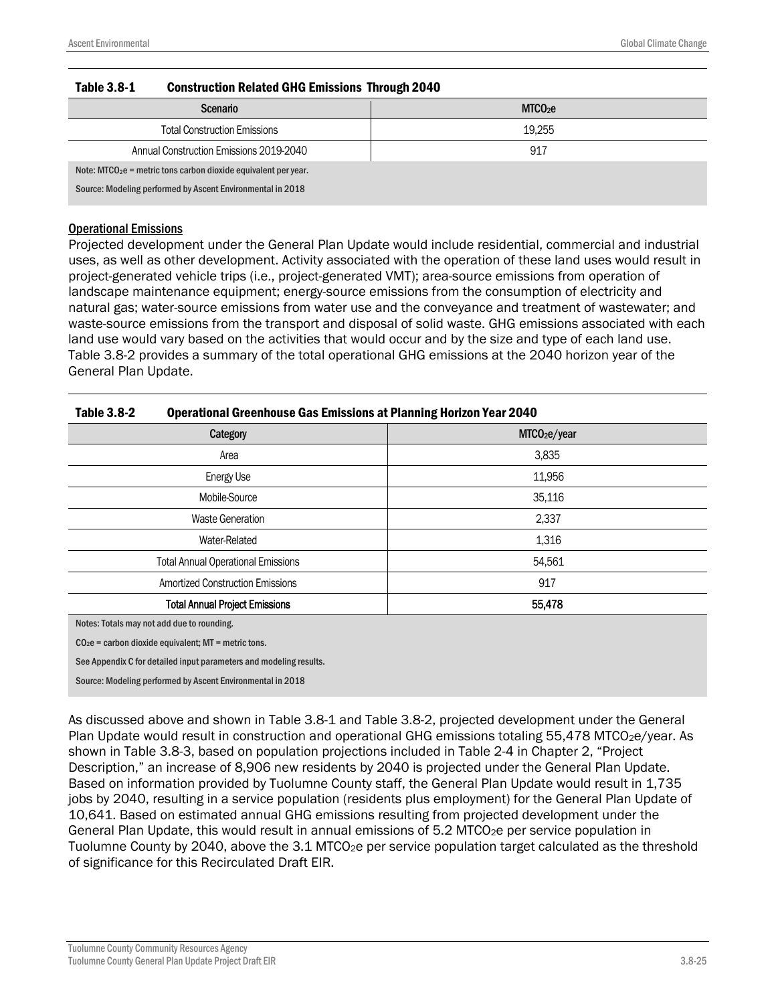| 1able 3.8-1<br>Construction Related GHG Emissions Through 2040   |                     |
|------------------------------------------------------------------|---------------------|
| Scenario                                                         | MTCO <sub>2</sub> e |
| <b>Total Construction Emissions</b>                              | 19.255              |
| Annual Construction Emissions 2019-2040                          | 917                 |
| Note: $MTCO2e$ = metric tons carbon dioxide equivalent per year. |                     |
| Source: Modeling performed by Ascent Environmental in 2018       |                     |

#### Table 3.8-1 Construction Related GHG Emissions Through 2040

#### Operational Emissions

Projected development under the General Plan Update would include residential, commercial and industrial uses, as well as other development. Activity associated with the operation of these land uses would result in project-generated vehicle trips (i.e., project-generated VMT); area-source emissions from operation of landscape maintenance equipment; energy-source emissions from the consumption of electricity and natural gas; water-source emissions from water use and the conveyance and treatment of wastewater; and waste-source emissions from the transport and disposal of solid waste. GHG emissions associated with each land use would vary based on the activities that would occur and by the size and type of each land use. Table 3.8-2 provides a summary of the total operational GHG emissions at the 2040 horizon year of the General Plan Update.

| <b>Table 3.8-2</b><br><b>Operational Greenhouse Gas Emissions at Planning Horizon Year 2040</b> |                                           |                          |
|-------------------------------------------------------------------------------------------------|-------------------------------------------|--------------------------|
|                                                                                                 | Category                                  | MTCO <sub>2</sub> e/year |
|                                                                                                 | Area                                      | 3,835                    |
|                                                                                                 | <b>Energy Use</b>                         | 11,956                   |
|                                                                                                 | Mobile-Source                             | 35,116                   |
|                                                                                                 | Waste Generation                          | 2,337                    |
|                                                                                                 | Water-Related                             | 1,316                    |
|                                                                                                 | <b>Total Annual Operational Emissions</b> | 54,561                   |
|                                                                                                 | <b>Amortized Construction Emissions</b>   | 917                      |
|                                                                                                 | <b>Total Annual Project Emissions</b>     | 55,478                   |
| Notes: Totals may not add due to rounding.                                                      |                                           |                          |

 $CO<sub>2</sub>e =$  carbon dioxide equivalent; MT = metric tons.

See Appendix C for detailed input parameters and modeling results.

Source: Modeling performed by Ascent Environmental in 2018

As discussed above and shown in Table 3.8-1 and Table 3.8-2, projected development under the General Plan Update would result in construction and operational GHG emissions totaling 55.478 MTCO<sub>2</sub>e/year. As shown in Table 3.8-3, based on population projections included in Table 2-4 in Chapter 2, "Project Description," an increase of 8,906 new residents by 2040 is projected under the General Plan Update. Based on information provided by Tuolumne County staff, the General Plan Update would result in 1,735 jobs by 2040, resulting in a service population (residents plus employment) for the General Plan Update of 10,641. Based on estimated annual GHG emissions resulting from projected development under the General Plan Update, this would result in annual emissions of 5.2 MTCO<sub>2</sub>e per service population in Tuolumne County by 2040, above the 3.1 MTCO<sub>2</sub>e per service population target calculated as the threshold of significance for this Recirculated Draft EIR.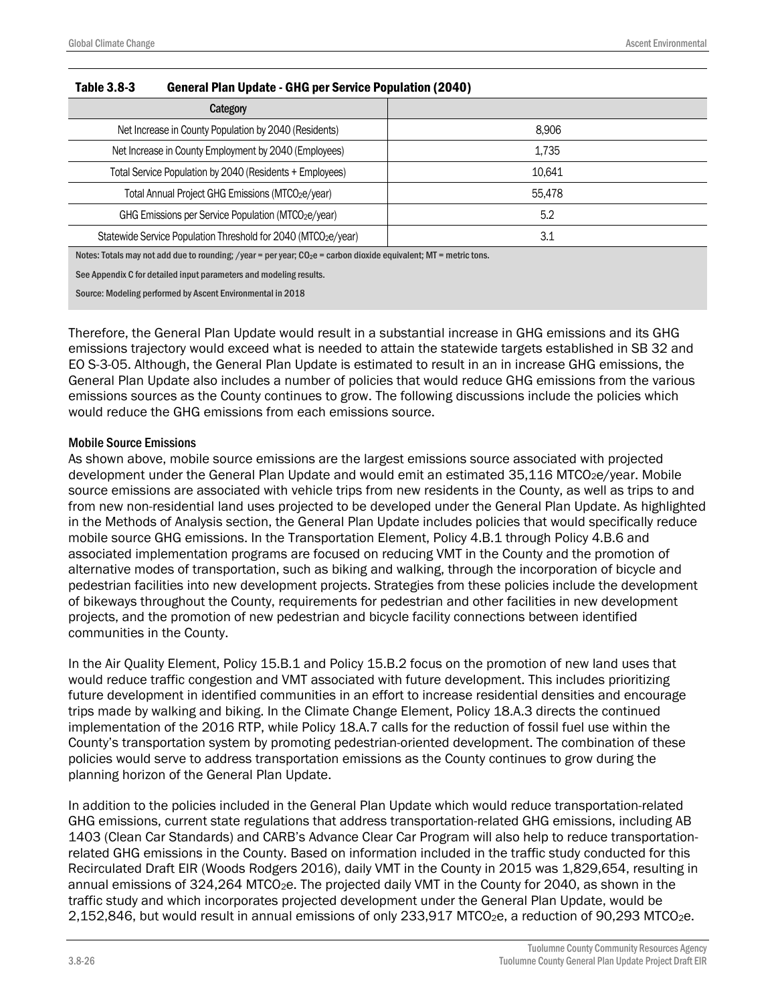| <b>General Plan Update - GHG per Service Population (2040)</b><br><b>Table 3.8-3</b> |                                                                                                                    |        |
|--------------------------------------------------------------------------------------|--------------------------------------------------------------------------------------------------------------------|--------|
|                                                                                      | Category                                                                                                           |        |
|                                                                                      | Net Increase in County Population by 2040 (Residents)                                                              | 8,906  |
|                                                                                      | Net Increase in County Employment by 2040 (Employees)                                                              | 1.735  |
|                                                                                      | Total Service Population by 2040 (Residents + Employees)                                                           | 10.641 |
| Total Annual Project GHG Emissions (MTCO2e/year)                                     |                                                                                                                    | 55.478 |
| GHG Emissions per Service Population (MTCO2e/year)                                   |                                                                                                                    | 5.2    |
| Statewide Service Population Threshold for 2040 (MTCO2e/year)                        |                                                                                                                    | 3.1    |
|                                                                                      | Notes: Totals may not add due to rounding: /vear = per year: $CO2e$ = carbon dioxide equivalent: MT = metric tons. |        |

Notes: Totals may not add due to rounding; /year = per year; CO $_2$ e = carbon dioxide equivalent; MT = metric tons.

See Appendix C for detailed input parameters and modeling results.

Source: Modeling performed by Ascent Environmental in 2018

Therefore, the General Plan Update would result in a substantial increase in GHG emissions and its GHG emissions trajectory would exceed what is needed to attain the statewide targets established in SB 32 and EO S-3-05. Although, the General Plan Update is estimated to result in an in increase GHG emissions, the General Plan Update also includes a number of policies that would reduce GHG emissions from the various emissions sources as the County continues to grow. The following discussions include the policies which would reduce the GHG emissions from each emissions source.

#### Mobile Source Emissions

As shown above, mobile source emissions are the largest emissions source associated with projected development under the General Plan Update and would emit an estimated 35,116 MTCO<sub>2</sub>e/year. Mobile source emissions are associated with vehicle trips from new residents in the County, as well as trips to and from new non-residential land uses projected to be developed under the General Plan Update. As highlighted in the Methods of Analysis section, the General Plan Update includes policies that would specifically reduce mobile source GHG emissions. In the Transportation Element, Policy 4.B.1 through Policy 4.B.6 and associated implementation programs are focused on reducing VMT in the County and the promotion of alternative modes of transportation, such as biking and walking, through the incorporation of bicycle and pedestrian facilities into new development projects. Strategies from these policies include the development of bikeways throughout the County, requirements for pedestrian and other facilities in new development projects, and the promotion of new pedestrian and bicycle facility connections between identified communities in the County.

In the Air Quality Element, Policy 15.B.1 and Policy 15.B.2 focus on the promotion of new land uses that would reduce traffic congestion and VMT associated with future development. This includes prioritizing future development in identified communities in an effort to increase residential densities and encourage trips made by walking and biking. In the Climate Change Element, Policy 18.A.3 directs the continued implementation of the 2016 RTP, while Policy 18.A.7 calls for the reduction of fossil fuel use within the County's transportation system by promoting pedestrian-oriented development. The combination of these policies would serve to address transportation emissions as the County continues to grow during the planning horizon of the General Plan Update.

In addition to the policies included in the General Plan Update which would reduce transportation-related GHG emissions, current state regulations that address transportation-related GHG emissions, including AB 1403 (Clean Car Standards) and CARB's Advance Clear Car Program will also help to reduce transportationrelated GHG emissions in the County. Based on information included in the traffic study conducted for this Recirculated Draft EIR (Woods Rodgers 2016), daily VMT in the County in 2015 was 1,829,654, resulting in annual emissions of 324,264 MTCO<sub>2</sub>e. The projected daily VMT in the County for 2040, as shown in the traffic study and which incorporates projected development under the General Plan Update, would be 2,152,846, but would result in annual emissions of only 233,917 MTCO<sub>2</sub>e, a reduction of 90,293 MTCO<sub>2</sub>e.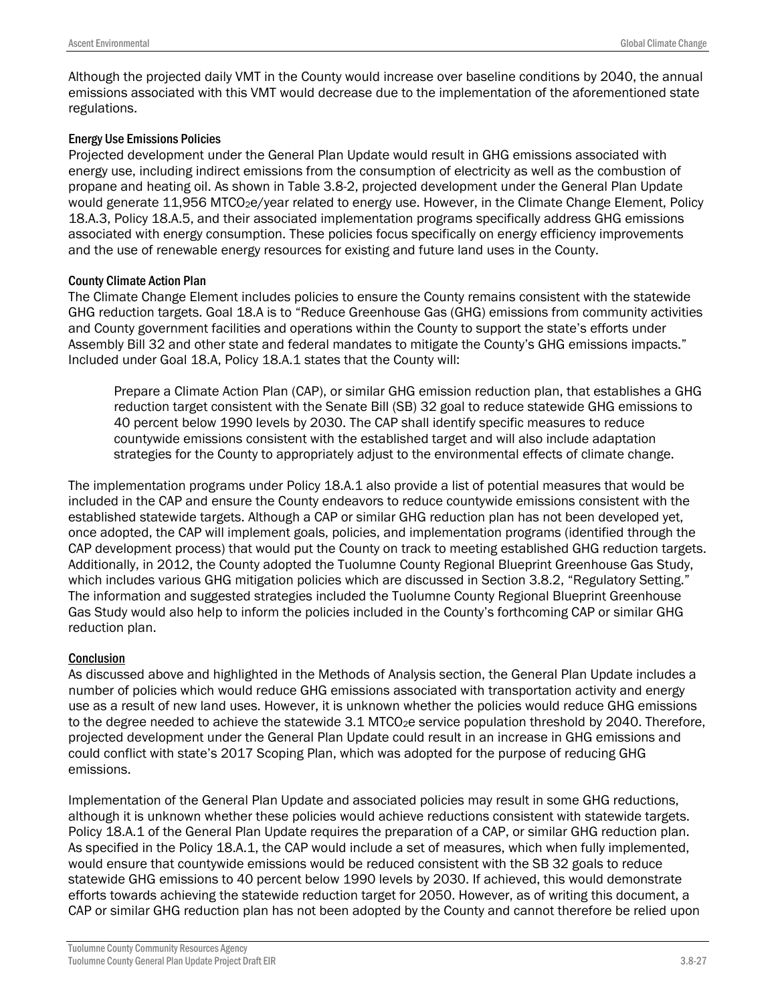Although the projected daily VMT in the County would increase over baseline conditions by 2040, the annual emissions associated with this VMT would decrease due to the implementation of the aforementioned state regulations.

### Energy Use Emissions Policies

Projected development under the General Plan Update would result in GHG emissions associated with energy use, including indirect emissions from the consumption of electricity as well as the combustion of propane and heating oil. As shown in Table 3.8-2, projected development under the General Plan Update would generate 11,956 MTCO<sub>2</sub>e/year related to energy use. However, in the Climate Change Element, Policy 18.A.3, Policy 18.A.5, and their associated implementation programs specifically address GHG emissions associated with energy consumption. These policies focus specifically on energy efficiency improvements and the use of renewable energy resources for existing and future land uses in the County.

### County Climate Action Plan

The Climate Change Element includes policies to ensure the County remains consistent with the statewide GHG reduction targets. Goal 18.A is to "Reduce Greenhouse Gas (GHG) emissions from community activities and County government facilities and operations within the County to support the state's efforts under Assembly Bill 32 and other state and federal mandates to mitigate the County's GHG emissions impacts." Included under Goal 18.A, Policy 18.A.1 states that the County will:

Prepare a Climate Action Plan (CAP), or similar GHG emission reduction plan, that establishes a GHG reduction target consistent with the Senate Bill (SB) 32 goal to reduce statewide GHG emissions to 40 percent below 1990 levels by 2030. The CAP shall identify specific measures to reduce countywide emissions consistent with the established target and will also include adaptation strategies for the County to appropriately adjust to the environmental effects of climate change.

The implementation programs under Policy 18.A.1 also provide a list of potential measures that would be included in the CAP and ensure the County endeavors to reduce countywide emissions consistent with the established statewide targets. Although a CAP or similar GHG reduction plan has not been developed yet, once adopted, the CAP will implement goals, policies, and implementation programs (identified through the CAP development process) that would put the County on track to meeting established GHG reduction targets. Additionally, in 2012, the County adopted the Tuolumne County Regional Blueprint Greenhouse Gas Study, which includes various GHG mitigation policies which are discussed in Section 3.8.2, "Regulatory Setting." The information and suggested strategies included the Tuolumne County Regional Blueprint Greenhouse Gas Study would also help to inform the policies included in the County's forthcoming CAP or similar GHG reduction plan.

### **Conclusion**

As discussed above and highlighted in the Methods of Analysis section, the General Plan Update includes a number of policies which would reduce GHG emissions associated with transportation activity and energy use as a result of new land uses. However, it is unknown whether the policies would reduce GHG emissions to the degree needed to achieve the statewide 3.1 MTCO<sub>2</sub>e service population threshold by 2040. Therefore, projected development under the General Plan Update could result in an increase in GHG emissions and could conflict with state's 2017 Scoping Plan, which was adopted for the purpose of reducing GHG emissions.

Implementation of the General Plan Update and associated policies may result in some GHG reductions, although it is unknown whether these policies would achieve reductions consistent with statewide targets. Policy 18.A.1 of the General Plan Update requires the preparation of a CAP, or similar GHG reduction plan. As specified in the Policy 18.A.1, the CAP would include a set of measures, which when fully implemented, would ensure that countywide emissions would be reduced consistent with the SB 32 goals to reduce statewide GHG emissions to 40 percent below 1990 levels by 2030. If achieved, this would demonstrate efforts towards achieving the statewide reduction target for 2050. However, as of writing this document, a CAP or similar GHG reduction plan has not been adopted by the County and cannot therefore be relied upon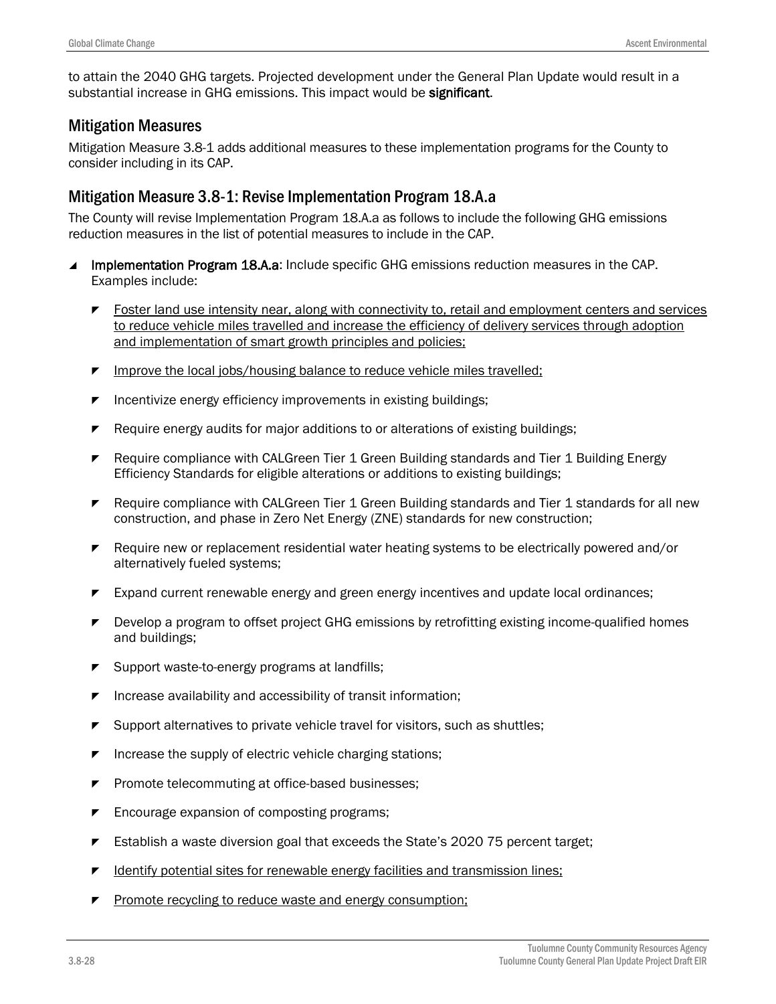to attain the 2040 GHG targets. Projected development under the General Plan Update would result in a substantial increase in GHG emissions. This impact would be significant.

### Mitigation Measures

Mitigation Measure 3.8-1 adds additional measures to these implementation programs for the County to consider including in its CAP.

## Mitigation Measure 3.8-1: Revise Implementation Program 18.A.a

The County will revise Implementation Program 18.A.a as follows to include the following GHG emissions reduction measures in the list of potential measures to include in the CAP.

- Implementation Program 18.A.a: Include specific GHG emissions reduction measures in the CAP. Examples include:
	- $\blacktriangleright$  Foster land use intensity near, along with connectivity to, retail and employment centers and services to reduce vehicle miles travelled and increase the efficiency of delivery services through adoption and implementation of smart growth principles and policies;
	- $\blacksquare$  Improve the local jobs/housing balance to reduce vehicle miles travelled;
	- $\blacktriangleright$  Incentivize energy efficiency improvements in existing buildings;
	- $\blacktriangleright$  Require energy audits for major additions to or alterations of existing buildings;
	- Require compliance with CALGreen Tier 1 Green Building standards and Tier 1 Building Energy Efficiency Standards for eligible alterations or additions to existing buildings;
	- Require compliance with CALGreen Tier  $1$  Green Building standards and Tier  $1$  standards for all new construction, and phase in Zero Net Energy (ZNE) standards for new construction;
	- $\blacktriangleright$  Require new or replacement residential water heating systems to be electrically powered and/or alternatively fueled systems;
	- Expand current renewable energy and green energy incentives and update local ordinances;
	- **P** Develop a program to offset project GHG emissions by retrofitting existing income-qualified homes and buildings;
	- $\blacktriangleright$  Support waste-to-energy programs at landfills;
	- Increase availability and accessibility of transit information;
	- Support alternatives to private vehicle travel for visitors, such as shuttles;
	- $\blacktriangleright$  Increase the supply of electric vehicle charging stations;
	- $\blacktriangleright$  Promote telecommuting at office-based businesses;
	- $\blacktriangleright$  Encourage expansion of composting programs;
	- $\blacktriangleright$  Establish a waste diversion goal that exceeds the State's 2020 75 percent target;
	- Identify potential sites for renewable energy facilities and transmission lines;
	- Promote recycling to reduce waste and energy consumption;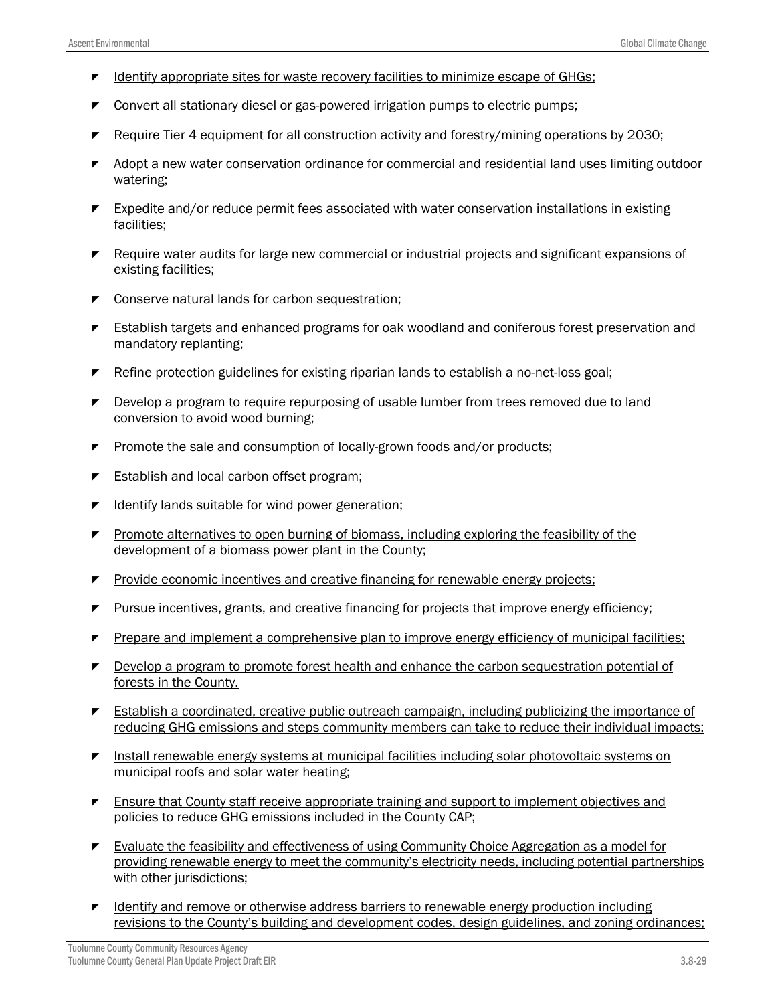- $\blacktriangleright$  Identify appropriate sites for waste recovery facilities to minimize escape of GHGs;
- **Convert all stationary diesel or gas-powered irrigation pumps to electric pumps;**
- **P** Require Tier 4 equipment for all construction activity and forestry/mining operations by 2030;
- Adopt a new water conservation ordinance for commercial and residential land uses limiting outdoor watering;
- $\blacktriangleright$  Expedite and/or reduce permit fees associated with water conservation installations in existing facilities;
- $\blacktriangleright$  Require water audits for large new commercial or industrial projects and significant expansions of existing facilities;
- ▼ Conserve natural lands for carbon sequestration;
- **Establish targets and enhanced programs for oak woodland and coniferous forest preservation and** mandatory replanting;
- $\blacktriangleright$  Refine protection guidelines for existing riparian lands to establish a no-net-loss goal;
- **P** Develop a program to require repurposing of usable lumber from trees removed due to land conversion to avoid wood burning;
- $\blacktriangleright$  Promote the sale and consumption of locally-grown foods and/or products;
- $\blacktriangleright$  Establish and local carbon offset program;
- $\blacktriangleright$  Identify lands suitable for wind power generation;
- **Promote alternatives to open burning of biomass, including exploring the feasibility of the** development of a biomass power plant in the County;
- Provide economic incentives and creative financing for renewable energy projects;
- Pursue incentives, grants, and creative financing for projects that improve energy efficiency;
- $\blacktriangleright$  Prepare and implement a comprehensive plan to improve energy efficiency of municipal facilities;
- $\blacktriangleright$  Develop a program to promote forest health and enhance the carbon sequestration potential of forests in the County.
- $\triangleright$  Establish a coordinated, creative public outreach campaign, including publicizing the importance of reducing GHG emissions and steps community members can take to reduce their individual impacts;
- $\blacktriangleright$  Install renewable energy systems at municipal facilities including solar photovoltaic systems on municipal roofs and solar water heating;
- **Ensure that County staff receive appropriate training and support to implement objectives and** policies to reduce GHG emissions included in the County CAP;
- Evaluate the feasibility and effectiveness of using Community Choice Aggregation as a model for providing renewable energy to meet the community's electricity needs, including potential partnerships with other jurisdictions;
- Identify and remove or otherwise address barriers to renewable energy production including revisions to the County's building and development codes, design guidelines, and zoning ordinances;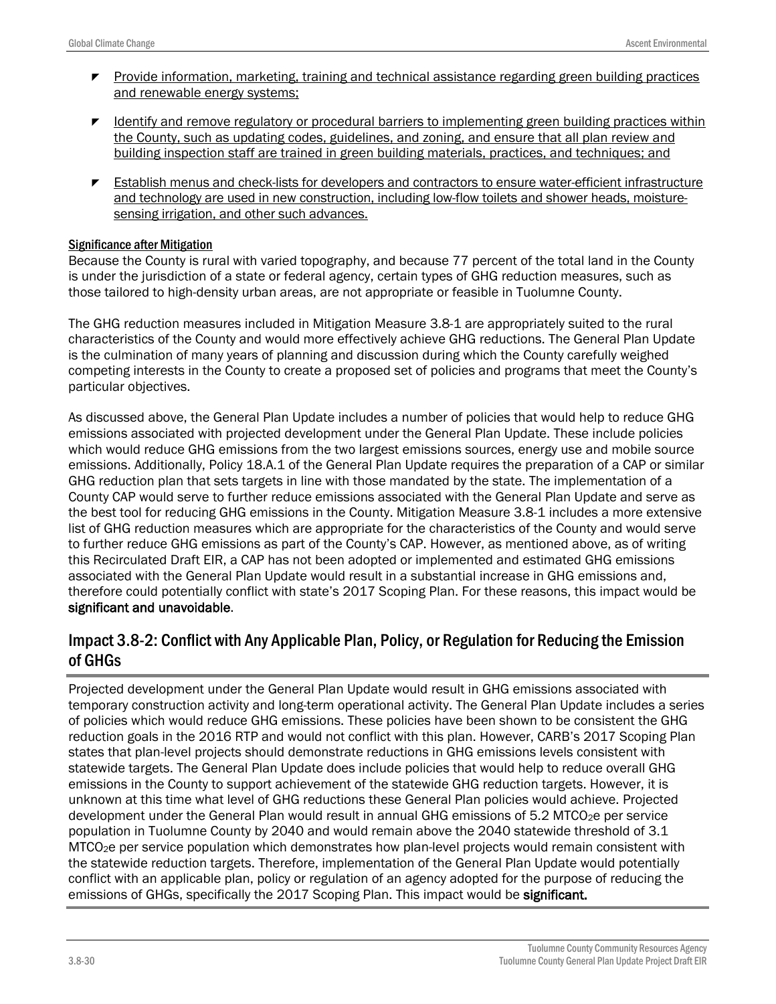- Provide information, marketing, training and technical assistance regarding green building practices and renewable energy systems;
- Identify and remove regulatory or procedural barriers to implementing green building practices within the County, such as updating codes, guidelines, and zoning, and ensure that all plan review and building inspection staff are trained in green building materials, practices, and techniques; and
- **Establish menus and check-lists for developers and contractors to ensure water-efficient infrastructure** and technology are used in new construction, including low-flow toilets and shower heads, moisturesensing irrigation, and other such advances.

### Significance after Mitigation

Because the County is rural with varied topography, and because 77 percent of the total land in the County is under the jurisdiction of a state or federal agency, certain types of GHG reduction measures, such as those tailored to high-density urban areas, are not appropriate or feasible in Tuolumne County.

The GHG reduction measures included in Mitigation Measure 3.8-1 are appropriately suited to the rural characteristics of the County and would more effectively achieve GHG reductions. The General Plan Update is the culmination of many years of planning and discussion during which the County carefully weighed competing interests in the County to create a proposed set of policies and programs that meet the County's particular objectives.

As discussed above, the General Plan Update includes a number of policies that would help to reduce GHG emissions associated with projected development under the General Plan Update. These include policies which would reduce GHG emissions from the two largest emissions sources, energy use and mobile source emissions. Additionally, Policy 18.A.1 of the General Plan Update requires the preparation of a CAP or similar GHG reduction plan that sets targets in line with those mandated by the state. The implementation of a County CAP would serve to further reduce emissions associated with the General Plan Update and serve as the best tool for reducing GHG emissions in the County. Mitigation Measure 3.8-1 includes a more extensive list of GHG reduction measures which are appropriate for the characteristics of the County and would serve to further reduce GHG emissions as part of the County's CAP. However, as mentioned above, as of writing this Recirculated Draft EIR, a CAP has not been adopted or implemented and estimated GHG emissions associated with the General Plan Update would result in a substantial increase in GHG emissions and, therefore could potentially conflict with state's 2017 Scoping Plan. For these reasons, this impact would be significant and unavoidable.

# Impact 3.8-2: Conflict with Any Applicable Plan, Policy, or Regulation for Reducing the Emission of GHGs

Projected development under the General Plan Update would result in GHG emissions associated with temporary construction activity and long-term operational activity. The General Plan Update includes a series of policies which would reduce GHG emissions. These policies have been shown to be consistent the GHG reduction goals in the 2016 RTP and would not conflict with this plan. However, CARB's 2017 Scoping Plan states that plan-level projects should demonstrate reductions in GHG emissions levels consistent with statewide targets. The General Plan Update does include policies that would help to reduce overall GHG emissions in the County to support achievement of the statewide GHG reduction targets. However, it is unknown at this time what level of GHG reductions these General Plan policies would achieve. Projected development under the General Plan would result in annual GHG emissions of 5.2 MTCO<sub>2</sub>e per service population in Tuolumne County by 2040 and would remain above the 2040 statewide threshold of 3.1 MTCO2e per service population which demonstrates how plan-level projects would remain consistent with the statewide reduction targets. Therefore, implementation of the General Plan Update would potentially conflict with an applicable plan, policy or regulation of an agency adopted for the purpose of reducing the emissions of GHGs, specifically the 2017 Scoping Plan. This impact would be significant.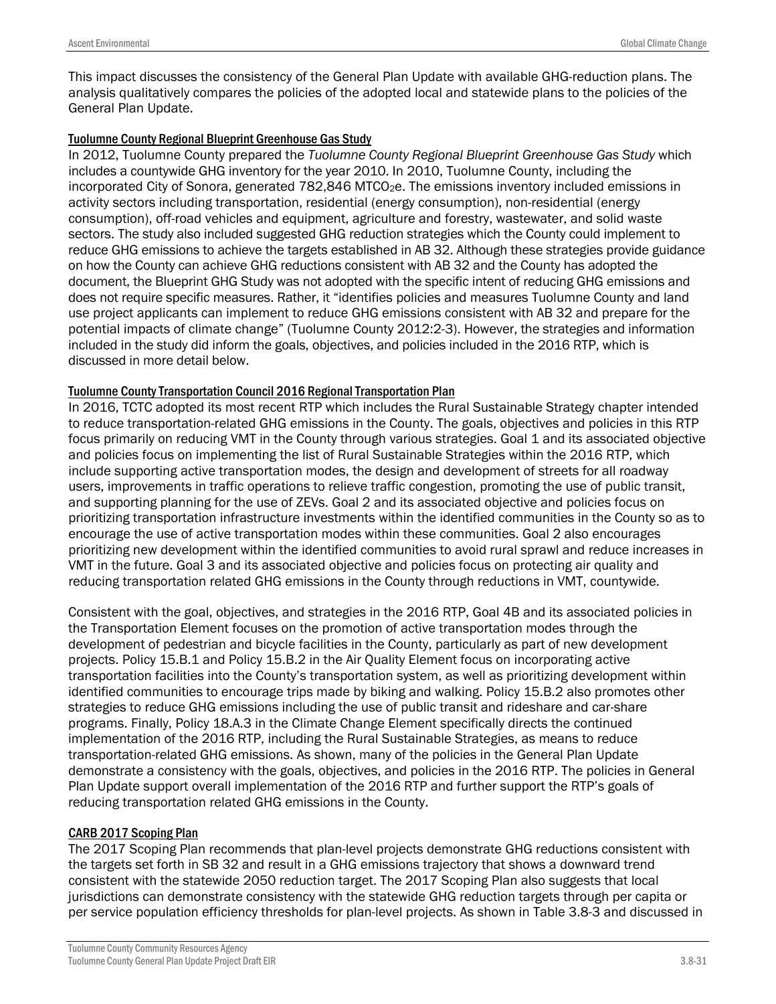This impact discusses the consistency of the General Plan Update with available GHG-reduction plans. The analysis qualitatively compares the policies of the adopted local and statewide plans to the policies of the General Plan Update.

### Tuolumne County Regional Blueprint Greenhouse Gas Study

In 2012, Tuolumne County prepared the *Tuolumne County Regional Blueprint Greenhouse Gas Study* which includes a countywide GHG inventory for the year 2010. In 2010, Tuolumne County, including the incorporated City of Sonora, generated 782,846 MTCO<sub>2</sub>e. The emissions inventory included emissions in activity sectors including transportation, residential (energy consumption), non-residential (energy consumption), off-road vehicles and equipment, agriculture and forestry, wastewater, and solid waste sectors. The study also included suggested GHG reduction strategies which the County could implement to reduce GHG emissions to achieve the targets established in AB 32. Although these strategies provide guidance on how the County can achieve GHG reductions consistent with AB 32 and the County has adopted the document, the Blueprint GHG Study was not adopted with the specific intent of reducing GHG emissions and does not require specific measures. Rather, it "identifies policies and measures Tuolumne County and land use project applicants can implement to reduce GHG emissions consistent with AB 32 and prepare for the potential impacts of climate change" (Tuolumne County 2012:2-3). However, the strategies and information included in the study did inform the goals, objectives, and policies included in the 2016 RTP, which is discussed in more detail below.

### Tuolumne County Transportation Council 2016 Regional Transportation Plan

In 2016, TCTC adopted its most recent RTP which includes the Rural Sustainable Strategy chapter intended to reduce transportation-related GHG emissions in the County. The goals, objectives and policies in this RTP focus primarily on reducing VMT in the County through various strategies. Goal 1 and its associated objective and policies focus on implementing the list of Rural Sustainable Strategies within the 2016 RTP, which include supporting active transportation modes, the design and development of streets for all roadway users, improvements in traffic operations to relieve traffic congestion, promoting the use of public transit, and supporting planning for the use of ZEVs. Goal 2 and its associated objective and policies focus on prioritizing transportation infrastructure investments within the identified communities in the County so as to encourage the use of active transportation modes within these communities. Goal 2 also encourages prioritizing new development within the identified communities to avoid rural sprawl and reduce increases in VMT in the future. Goal 3 and its associated objective and policies focus on protecting air quality and reducing transportation related GHG emissions in the County through reductions in VMT, countywide.

Consistent with the goal, objectives, and strategies in the 2016 RTP, Goal 4B and its associated policies in the Transportation Element focuses on the promotion of active transportation modes through the development of pedestrian and bicycle facilities in the County, particularly as part of new development projects. Policy 15.B.1 and Policy 15.B.2 in the Air Quality Element focus on incorporating active transportation facilities into the County's transportation system, as well as prioritizing development within identified communities to encourage trips made by biking and walking. Policy 15.B.2 also promotes other strategies to reduce GHG emissions including the use of public transit and rideshare and car-share programs. Finally, Policy 18.A.3 in the Climate Change Element specifically directs the continued implementation of the 2016 RTP, including the Rural Sustainable Strategies, as means to reduce transportation-related GHG emissions. As shown, many of the policies in the General Plan Update demonstrate a consistency with the goals, objectives, and policies in the 2016 RTP. The policies in General Plan Update support overall implementation of the 2016 RTP and further support the RTP's goals of reducing transportation related GHG emissions in the County.

### CARB 2017 Scoping Plan

The 2017 Scoping Plan recommends that plan-level projects demonstrate GHG reductions consistent with the targets set forth in SB 32 and result in a GHG emissions trajectory that shows a downward trend consistent with the statewide 2050 reduction target. The 2017 Scoping Plan also suggests that local jurisdictions can demonstrate consistency with the statewide GHG reduction targets through per capita or per service population efficiency thresholds for plan-level projects. As shown in Table 3.8-3 and discussed in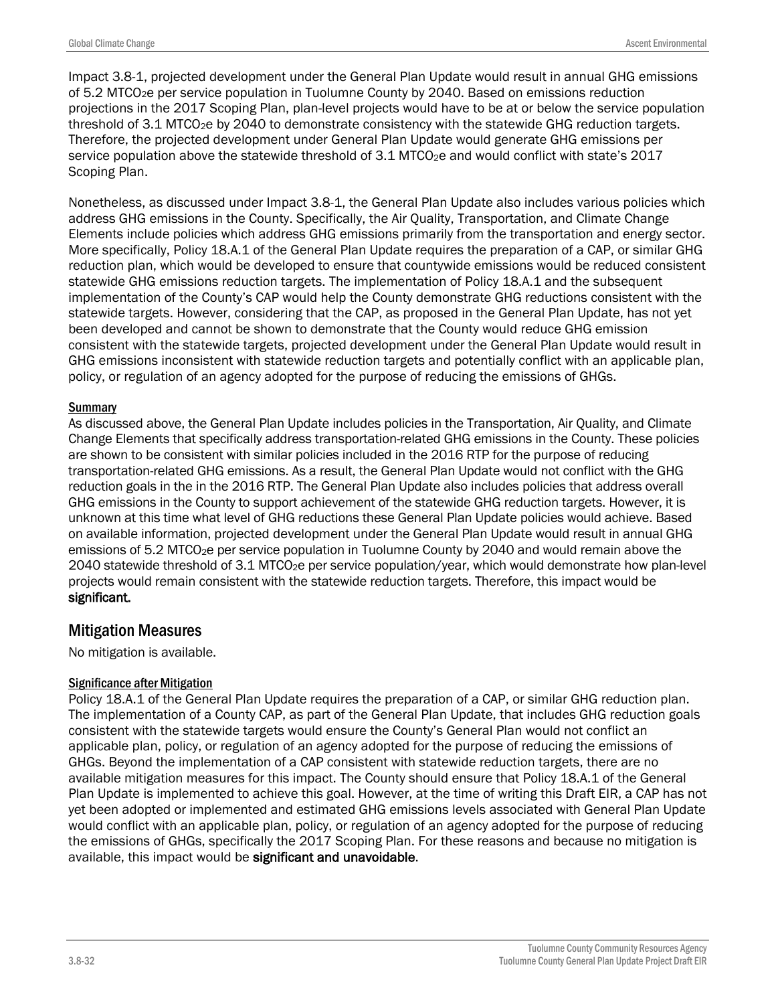Impact 3.8-1, projected development under the General Plan Update would result in annual GHG emissions of 5.2 MTCO2e per service population in Tuolumne County by 2040. Based on emissions reduction projections in the 2017 Scoping Plan, plan-level projects would have to be at or below the service population threshold of 3.1 MTCO<sub>2</sub>e by 2040 to demonstrate consistency with the statewide GHG reduction targets. Therefore, the projected development under General Plan Update would generate GHG emissions per service population above the statewide threshold of 3.1 MTCO<sub>2</sub>e and would conflict with state's 2017 Scoping Plan.

Nonetheless, as discussed under Impact 3.8-1, the General Plan Update also includes various policies which address GHG emissions in the County. Specifically, the Air Quality, Transportation, and Climate Change Elements include policies which address GHG emissions primarily from the transportation and energy sector. More specifically, Policy 18.A.1 of the General Plan Update requires the preparation of a CAP, or similar GHG reduction plan, which would be developed to ensure that countywide emissions would be reduced consistent statewide GHG emissions reduction targets. The implementation of Policy 18.A.1 and the subsequent implementation of the County's CAP would help the County demonstrate GHG reductions consistent with the statewide targets. However, considering that the CAP, as proposed in the General Plan Update, has not yet been developed and cannot be shown to demonstrate that the County would reduce GHG emission consistent with the statewide targets, projected development under the General Plan Update would result in GHG emissions inconsistent with statewide reduction targets and potentially conflict with an applicable plan, policy, or regulation of an agency adopted for the purpose of reducing the emissions of GHGs.

### **Summary**

As discussed above, the General Plan Update includes policies in the Transportation, Air Quality, and Climate Change Elements that specifically address transportation-related GHG emissions in the County. These policies are shown to be consistent with similar policies included in the 2016 RTP for the purpose of reducing transportation-related GHG emissions. As a result, the General Plan Update would not conflict with the GHG reduction goals in the in the 2016 RTP. The General Plan Update also includes policies that address overall GHG emissions in the County to support achievement of the statewide GHG reduction targets. However, it is unknown at this time what level of GHG reductions these General Plan Update policies would achieve. Based on available information, projected development under the General Plan Update would result in annual GHG emissions of 5.2 MTCO<sub>2</sub>e per service population in Tuolumne County by 2040 and would remain above the 2040 statewide threshold of 3.1 MTCO<sub>2</sub>e per service population/year, which would demonstrate how plan-level projects would remain consistent with the statewide reduction targets. Therefore, this impact would be significant.

### Mitigation Measures

No mitigation is available.

### Significance after Mitigation

Policy 18.A.1 of the General Plan Update requires the preparation of a CAP, or similar GHG reduction plan. The implementation of a County CAP, as part of the General Plan Update, that includes GHG reduction goals consistent with the statewide targets would ensure the County's General Plan would not conflict an applicable plan, policy, or regulation of an agency adopted for the purpose of reducing the emissions of GHGs. Beyond the implementation of a CAP consistent with statewide reduction targets, there are no available mitigation measures for this impact. The County should ensure that Policy 18.A.1 of the General Plan Update is implemented to achieve this goal. However, at the time of writing this Draft EIR, a CAP has not yet been adopted or implemented and estimated GHG emissions levels associated with General Plan Update would conflict with an applicable plan, policy, or regulation of an agency adopted for the purpose of reducing the emissions of GHGs, specifically the 2017 Scoping Plan. For these reasons and because no mitigation is available, this impact would be significant and unavoidable.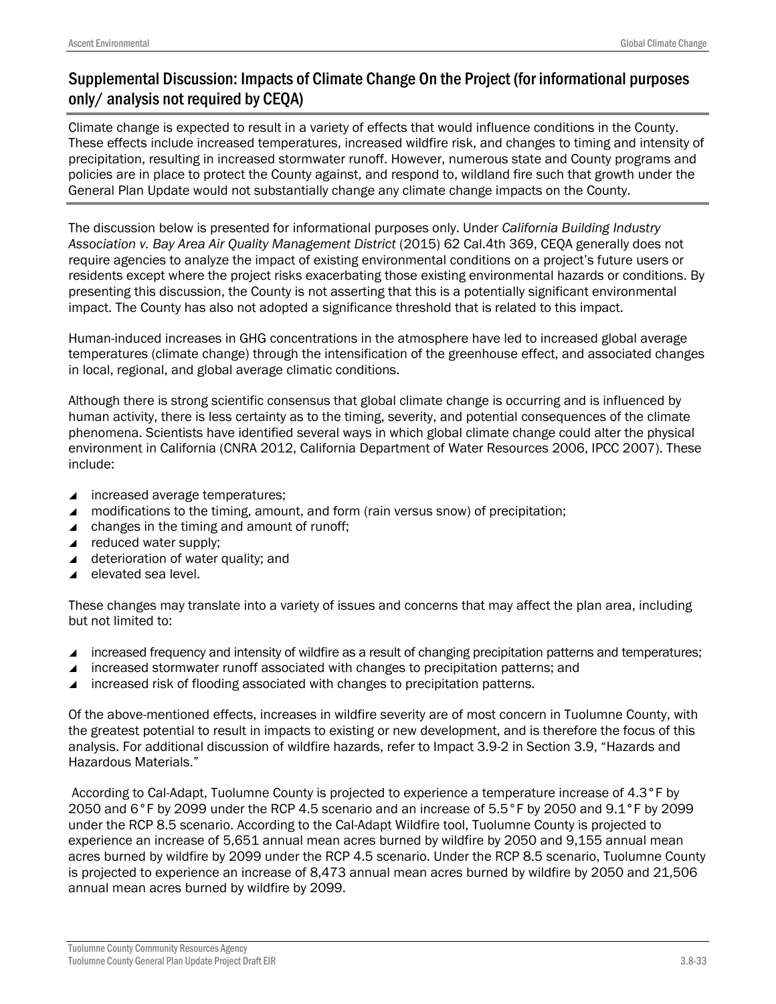# Supplemental Discussion: Impacts of Climate Change On the Project (for informational purposes only/ analysis not required by CEQA)

Climate change is expected to result in a variety of effects that would influence conditions in the County. These effects include increased temperatures, increased wildfire risk, and changes to timing and intensity of precipitation, resulting in increased stormwater runoff. However, numerous state and County programs and policies are in place to protect the County against, and respond to, wildland fire such that growth under the General Plan Update would not substantially change any climate change impacts on the County.

The discussion below is presented for informational purposes only. Under *California Building Industry Association v. Bay Area Air Quality Management District* (2015) 62 Cal.4th 369, CEQA generally does not require agencies to analyze the impact of existing environmental conditions on a project's future users or residents except where the project risks exacerbating those existing environmental hazards or conditions. By presenting this discussion, the County is not asserting that this is a potentially significant environmental impact. The County has also not adopted a significance threshold that is related to this impact.

Human-induced increases in GHG concentrations in the atmosphere have led to increased global average temperatures (climate change) through the intensification of the greenhouse effect, and associated changes in local, regional, and global average climatic conditions.

Although there is strong scientific consensus that global climate change is occurring and is influenced by human activity, there is less certainty as to the timing, severity, and potential consequences of the climate phenomena. Scientists have identified several ways in which global climate change could alter the physical environment in California (CNRA 2012, California Department of Water Resources 2006, IPCC 2007). These include:

- ▲ increased average temperatures;
- modifications to the timing, amount, and form (rain versus snow) of precipitation;
- $\triangle$  changes in the timing and amount of runoff;
- ▲ reduced water supply;
- $\triangle$  deterioration of water quality; and
- elevated sea level.

These changes may translate into a variety of issues and concerns that may affect the plan area, including but not limited to:

- increased frequency and intensity of wildfire as a result of changing precipitation patterns and temperatures;
- increased stormwater runoff associated with changes to precipitation patterns; and
- ▲ increased risk of flooding associated with changes to precipitation patterns.

Of the above-mentioned effects, increases in wildfire severity are of most concern in Tuolumne County, with the greatest potential to result in impacts to existing or new development, and is therefore the focus of this analysis. For additional discussion of wildfire hazards, refer to Impact 3.9-2 in Section 3.9, "Hazards and Hazardous Materials."

According to Cal-Adapt, Tuolumne County is projected to experience a temperature increase of 4.3°F by 2050 and 6°F by 2099 under the RCP 4.5 scenario and an increase of 5.5°F by 2050 and 9.1°F by 2099 under the RCP 8.5 scenario. According to the Cal-Adapt Wildfire tool, Tuolumne County is projected to experience an increase of 5,651 annual mean acres burned by wildfire by 2050 and 9,155 annual mean acres burned by wildfire by 2099 under the RCP 4.5 scenario. Under the RCP 8.5 scenario, Tuolumne County is projected to experience an increase of 8,473 annual mean acres burned by wildfire by 2050 and 21,506 annual mean acres burned by wildfire by 2099.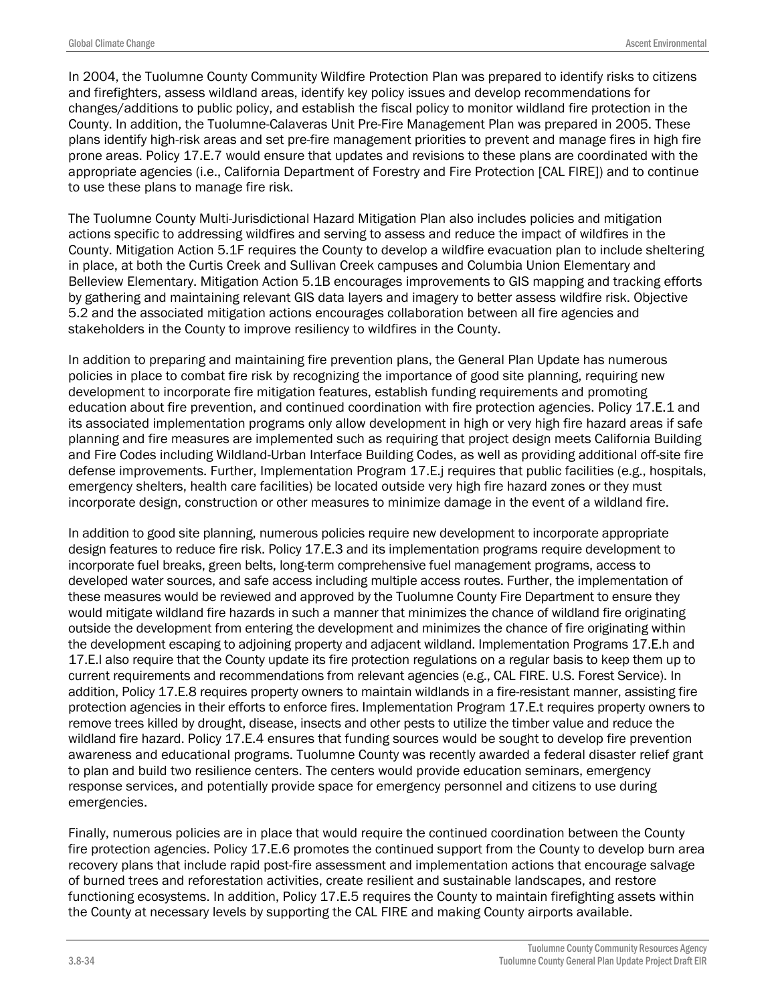In 2004, the Tuolumne County Community Wildfire Protection Plan was prepared to identify risks to citizens and firefighters, assess wildland areas, identify key policy issues and develop recommendations for changes/additions to public policy, and establish the fiscal policy to monitor wildland fire protection in the County. In addition, the Tuolumne-Calaveras Unit Pre-Fire Management Plan was prepared in 2005. These plans identify high-risk areas and set pre-fire management priorities to prevent and manage fires in high fire prone areas. Policy 17.E.7 would ensure that updates and revisions to these plans are coordinated with the appropriate agencies (i.e., California Department of Forestry and Fire Protection [CAL FIRE]) and to continue to use these plans to manage fire risk.

The Tuolumne County Multi-Jurisdictional Hazard Mitigation Plan also includes policies and mitigation actions specific to addressing wildfires and serving to assess and reduce the impact of wildfires in the County. Mitigation Action 5.1F requires the County to develop a wildfire evacuation plan to include sheltering in place, at both the Curtis Creek and Sullivan Creek campuses and Columbia Union Elementary and Belleview Elementary. Mitigation Action 5.1B encourages improvements to GIS mapping and tracking efforts by gathering and maintaining relevant GIS data layers and imagery to better assess wildfire risk. Objective 5.2 and the associated mitigation actions encourages collaboration between all fire agencies and stakeholders in the County to improve resiliency to wildfires in the County.

In addition to preparing and maintaining fire prevention plans, the General Plan Update has numerous policies in place to combat fire risk by recognizing the importance of good site planning, requiring new development to incorporate fire mitigation features, establish funding requirements and promoting education about fire prevention, and continued coordination with fire protection agencies. Policy 17.E.1 and its associated implementation programs only allow development in high or very high fire hazard areas if safe planning and fire measures are implemented such as requiring that project design meets California Building and Fire Codes including Wildland-Urban Interface Building Codes, as well as providing additional off-site fire defense improvements. Further, Implementation Program 17.E.j requires that public facilities (e.g., hospitals, emergency shelters, health care facilities) be located outside very high fire hazard zones or they must incorporate design, construction or other measures to minimize damage in the event of a wildland fire.

In addition to good site planning, numerous policies require new development to incorporate appropriate design features to reduce fire risk. Policy 17.E.3 and its implementation programs require development to incorporate fuel breaks, green belts, long-term comprehensive fuel management programs, access to developed water sources, and safe access including multiple access routes. Further, the implementation of these measures would be reviewed and approved by the Tuolumne County Fire Department to ensure they would mitigate wildland fire hazards in such a manner that minimizes the chance of wildland fire originating outside the development from entering the development and minimizes the chance of fire originating within the development escaping to adjoining property and adjacent wildland. Implementation Programs 17.E.h and 17.E.I also require that the County update its fire protection regulations on a regular basis to keep them up to current requirements and recommendations from relevant agencies (e.g., CAL FIRE. U.S. Forest Service). In addition, Policy 17.E.8 requires property owners to maintain wildlands in a fire-resistant manner, assisting fire protection agencies in their efforts to enforce fires. Implementation Program 17.E.t requires property owners to remove trees killed by drought, disease, insects and other pests to utilize the timber value and reduce the wildland fire hazard. Policy 17.E.4 ensures that funding sources would be sought to develop fire prevention awareness and educational programs. Tuolumne County was recently awarded a federal disaster relief grant to plan and build two resilience centers. The centers would provide education seminars, emergency response services, and potentially provide space for emergency personnel and citizens to use during emergencies.

Finally, numerous policies are in place that would require the continued coordination between the County fire protection agencies. Policy 17.E.6 promotes the continued support from the County to develop burn area recovery plans that include rapid post-fire assessment and implementation actions that encourage salvage of burned trees and reforestation activities, create resilient and sustainable landscapes, and restore functioning ecosystems. In addition, Policy 17.E.5 requires the County to maintain firefighting assets within the County at necessary levels by supporting the CAL FIRE and making County airports available.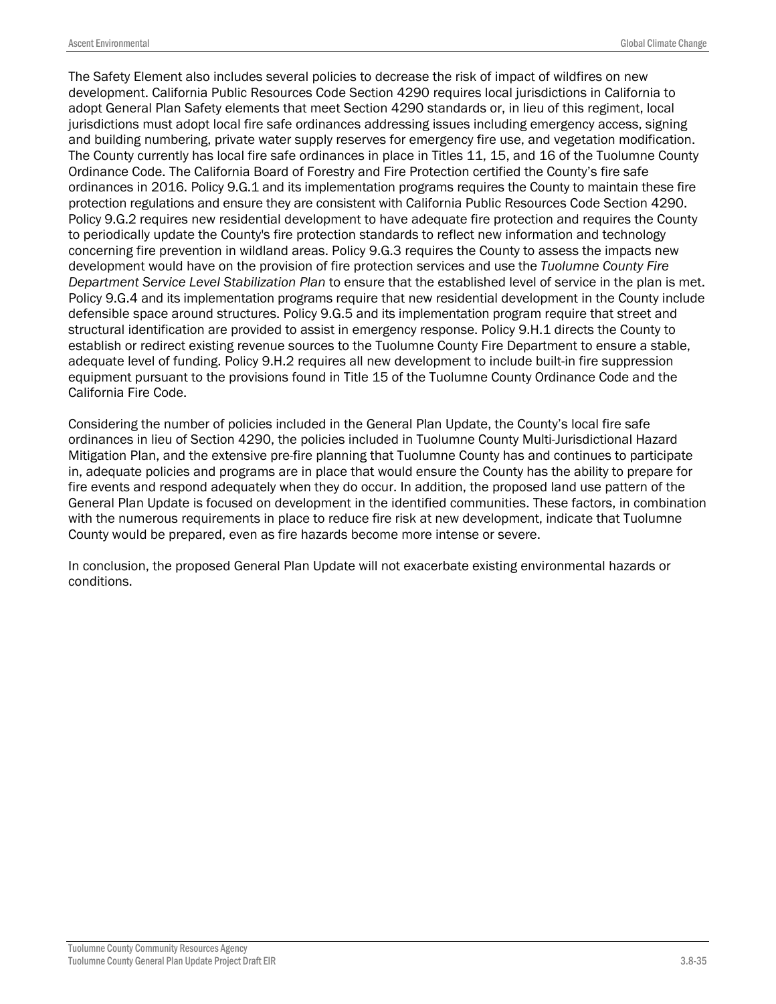The Safety Element also includes several policies to decrease the risk of impact of wildfires on new development. California Public Resources Code Section 4290 requires local jurisdictions in California to adopt General Plan Safety elements that meet Section 4290 standards or, in lieu of this regiment, local jurisdictions must adopt local fire safe ordinances addressing issues including emergency access, signing and building numbering, private water supply reserves for emergency fire use, and vegetation modification. The County currently has local fire safe ordinances in place in Titles 11, 15, and 16 of the Tuolumne County Ordinance Code. The California Board of Forestry and Fire Protection certified the County's fire safe ordinances in 2016. Policy 9.G.1 and its implementation programs requires the County to maintain these fire protection regulations and ensure they are consistent with California Public Resources Code Section 4290. Policy 9.G.2 requires new residential development to have adequate fire protection and requires the County to periodically update the County's fire protection standards to reflect new information and technology concerning fire prevention in wildland areas. Policy 9.G.3 requires the County to assess the impacts new development would have on the provision of fire protection services and use the *Tuolumne County Fire Department Service Level Stabilization Plan* to ensure that the established level of service in the plan is met. Policy 9.G.4 and its implementation programs require that new residential development in the County include defensible space around structures. Policy 9.G.5 and its implementation program require that street and structural identification are provided to assist in emergency response. Policy 9.H.1 directs the County to establish or redirect existing revenue sources to the Tuolumne County Fire Department to ensure a stable, adequate level of funding. Policy 9.H.2 requires all new development to include built-in fire suppression equipment pursuant to the provisions found in Title 15 of the Tuolumne County Ordinance Code and the California Fire Code.

Considering the number of policies included in the General Plan Update, the County's local fire safe ordinances in lieu of Section 4290, the policies included in Tuolumne County Multi-Jurisdictional Hazard Mitigation Plan, and the extensive pre-fire planning that Tuolumne County has and continues to participate in, adequate policies and programs are in place that would ensure the County has the ability to prepare for fire events and respond adequately when they do occur. In addition, the proposed land use pattern of the General Plan Update is focused on development in the identified communities. These factors, in combination with the numerous requirements in place to reduce fire risk at new development, indicate that Tuolumne County would be prepared, even as fire hazards become more intense or severe.

In conclusion, the proposed General Plan Update will not exacerbate existing environmental hazards or conditions.